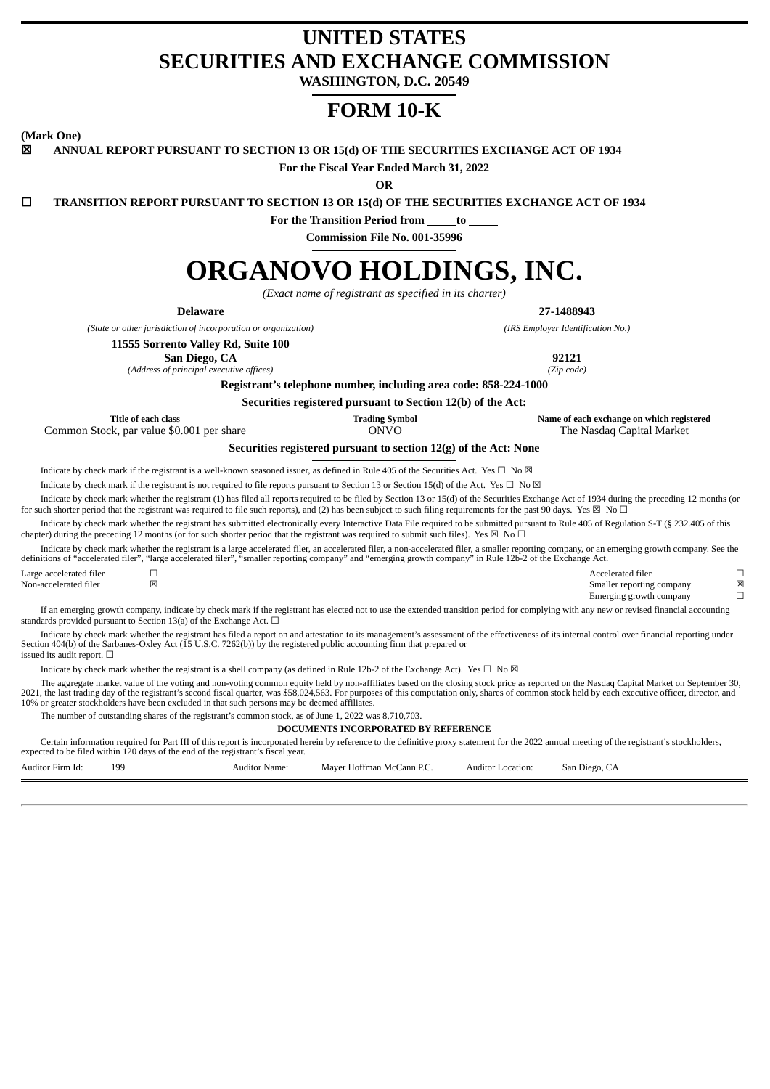# **UNITED STATES SECURITIES AND EXCHANGE COMMISSION**

**WASHINGTON, D.C. 20549**

# **FORM 10-K**

**(Mark One)**

☒ **ANNUAL REPORT PURSUANT TO SECTION 13 OR 15(d) OF THE SECURITIES EXCHANGE ACT OF 1934**

**For the Fiscal Year Ended March 31, 2022**

**OR**

☐ **TRANSITION REPORT PURSUANT TO SECTION 13 OR 15(d) OF THE SECURITIES EXCHANGE ACT OF 1934**

**For the Transition Period from to**

**Commission File No. 001-35996**

# **ORGANOVO HOLDINGS, INC.**

*(Exact name of registrant as specified in its charter)*

**Delaware 27-1488943**

*(State or other jurisdiction of incorporation or organization) (IRS Employer Identification No.)*

**11555 Sorrento Valley Rd, Suite 100**

**San Diego, CA 92121**

*(Address of principal executive offices) (Zip code)*

**Registrant's telephone number, including area code: 858-224-1000**

**Securities registered pursuant to Section 12(b) of the Act:**

**Title of each class Trading Symbol Name of each exchange on which registered** Common Stock, par value \$0.001 per share **The Stock and Stock, particle 30.001** common Stock, particle 30.001 per share **ONVO** The Nasdaq Capital Market

**Securities registered pursuant to section 12(g) of the Act: None**

Indicate by check mark if the registrant is a well-known seasoned issuer, as defined in Rule 405 of the Securities Act. Yes  $\Box$  No  $\boxtimes$ 

Indicate by check mark if the registrant is not required to file reports pursuant to Section 13 or Section 15(d) of the Act. Yes  $\Box$  No  $\boxtimes$ 

Indicate by check mark whether the registrant (1) has filed all reports required to be filed by Section 13 or 15(d) of the Securities Exchange Act of 1934 during the preceding 12 months (or for such shorter period that the registrant was required to file such reports), and (2) has been subject to such filing requirements for the past 90 days. Yes  $\boxtimes\,$  No  $\Box$ 

Indicate by check mark whether the registrant has submitted electronically every Interactive Data File required to be submitted pursuant to Rule 405 of Regulation S-T (§ 232.405 of this chapter) during the preceding 12 months (or for such shorter period that the registrant was required to submit such files). Yes  $\boxtimes \text{ No } \square$ 

Indicate by check mark whether the registrant is a large accelerated filer, an accelerated filer, a non-accelerated filer, a smaller reporting company, or an emerging growth company. See the definitions of "accelerated filer", "large accelerated filer", "smaller reporting company" and "emerging growth company" in Rule 12b-2 of the Exchange Act.

Large accelerated filer ☐ Accelerated filer ☐ Non-accelerated filer <br>
<del>Non-accelerated filer</del> <br>
<del>■ Smaller reporting company</del> △ Smaller reporting company △ Smaller reporting company △ Smaller reporting company Emerging growth company

If an emerging growth company, indicate by check mark if the registrant has elected not to use the extended transition period for complying with any new or revised financial accounting standards provided pursuant to Section 13(a) of the Exchange Act.  $\Box$ 

Indicate by check mark whether the registrant has filed a report on and attestation to its management's assessment of the effectiveness of its internal control over financial reporting under<br>Section 404(b) of the Sarbanesissued its audit report.  $□$ 

Indicate by check mark whether the registrant is a shell company (as defined in Rule 12b-2 of the Exchange Act). Yes  $\Box$  No  $\boxtimes$ 

The aggregate market value of the voting and non-voting common equity held by non-affiliates based on the closing stock price as reported on the Nasdaq Capital Market on September 30, 2021, the last trading day of the registrant's second fiscal quarter, was \$58,024,563. For purposes of this computation only, shares of common stock held by each executive officer, director, and  $2021$ , the last trading da 10% or greater stockholders have been excluded in that such persons may be deemed affiliates.

The number of outstanding shares of the registrant's common stock, as of June 1, 2022 was 8,710,703.

**DOCUMENTS INCORPORATED BY REFERENCE**

Certain information required for Part III of this report is incorporated herein by reference to the definitive proxy statement for the 2022 annual meeting of the registrant's stockholders expected to be filed within 120 days of the end of the registrant's fiscal year.

Auditor Firm Id: 199 Auditor Name: Mayer Hoffman McCann P.C. Auditor Location: San Diego, CA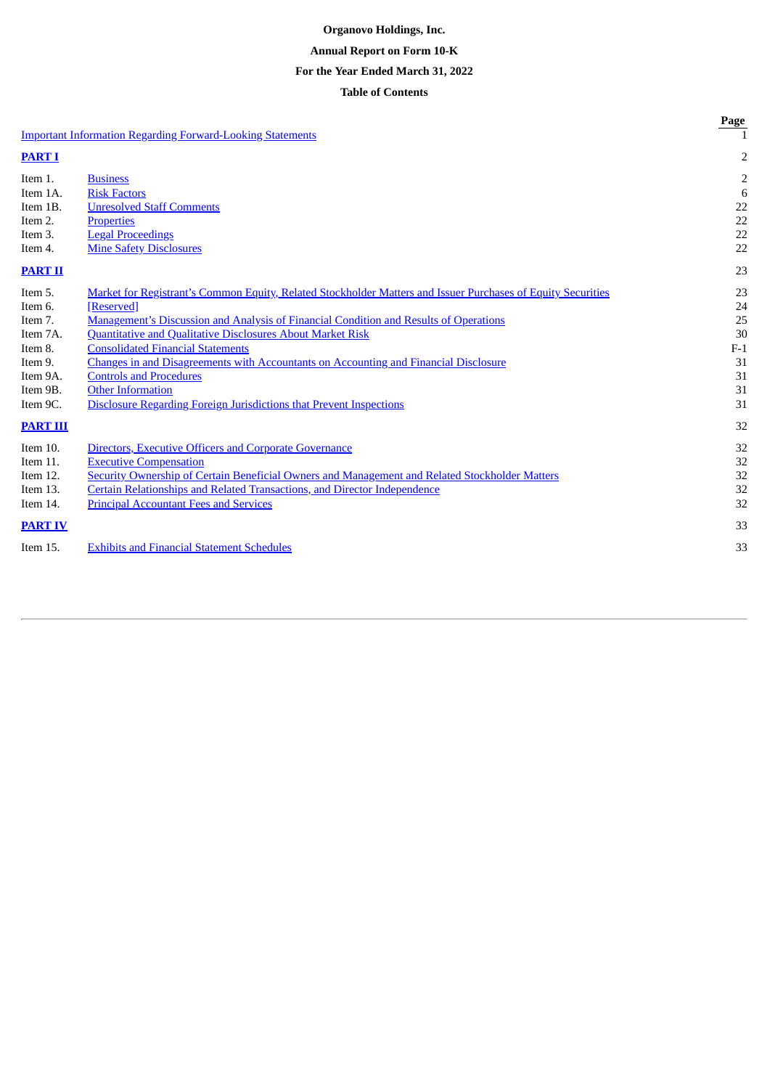# **Organovo Holdings, Inc. Annual Report on Form 10-K For the Year Ended March 31, 2022 Table of Contents**

| <b>Important Information Regarding Forward-Looking Statements</b>                                                                                                                                                                                                                                                                                                                                                                                                                                                                                                                                                                                                                      | Page<br>$\mathbf{1}$                                  |
|----------------------------------------------------------------------------------------------------------------------------------------------------------------------------------------------------------------------------------------------------------------------------------------------------------------------------------------------------------------------------------------------------------------------------------------------------------------------------------------------------------------------------------------------------------------------------------------------------------------------------------------------------------------------------------------|-------------------------------------------------------|
| <b>PART I</b>                                                                                                                                                                                                                                                                                                                                                                                                                                                                                                                                                                                                                                                                          | 2                                                     |
| Item 1.<br><b>Business</b><br>Item 1A.<br><b>Risk Factors</b><br>Item 1B.<br><b>Unresolved Staff Comments</b><br>Item 2.<br><b>Properties</b><br><b>Legal Proceedings</b><br>Item 3.<br><b>Mine Safety Disclosures</b><br>Item 4.                                                                                                                                                                                                                                                                                                                                                                                                                                                      | $\overline{c}$<br>6<br>22<br>22<br>22<br>22           |
| <b>PART II</b>                                                                                                                                                                                                                                                                                                                                                                                                                                                                                                                                                                                                                                                                         | 23                                                    |
| Market for Registrant's Common Equity, Related Stockholder Matters and Issuer Purchases of Equity Securities<br>Item 5.<br>Item 6.<br>[Reserved]<br><b>Management's Discussion and Analysis of Financial Condition and Results of Operations</b><br>Item 7.<br><b>Quantitative and Qualitative Disclosures About Market Risk</b><br>Item 7A.<br><b>Consolidated Financial Statements</b><br>Item 8.<br>Changes in and Disagreements with Accountants on Accounting and Financial Disclosure<br>Item 9.<br><b>Controls and Procedures</b><br>Item 9A.<br><b>Other Information</b><br>Item 9B.<br>Item 9C.<br><b>Disclosure Regarding Foreign Jurisdictions that Prevent Inspections</b> | 23<br>24<br>25<br>30<br>$F-1$<br>31<br>31<br>31<br>31 |
| <b>PART III</b><br>Item 10.<br>Directors, Executive Officers and Corporate Governance<br><b>Executive Compensation</b><br>Item 11.<br>Item 12.<br><b>Security Ownership of Certain Beneficial Owners and Management and Related Stockholder Matters</b><br>Certain Relationships and Related Transactions, and Director Independence<br>Item 13.<br><b>Principal Accountant Fees and Services</b><br>Item 14.                                                                                                                                                                                                                                                                          | 32<br>32<br>32<br>32<br>32<br>32                      |
| <b>PART IV</b>                                                                                                                                                                                                                                                                                                                                                                                                                                                                                                                                                                                                                                                                         | 33                                                    |
| <b>Exhibits and Financial Statement Schedules</b><br>Item 15.                                                                                                                                                                                                                                                                                                                                                                                                                                                                                                                                                                                                                          | 33                                                    |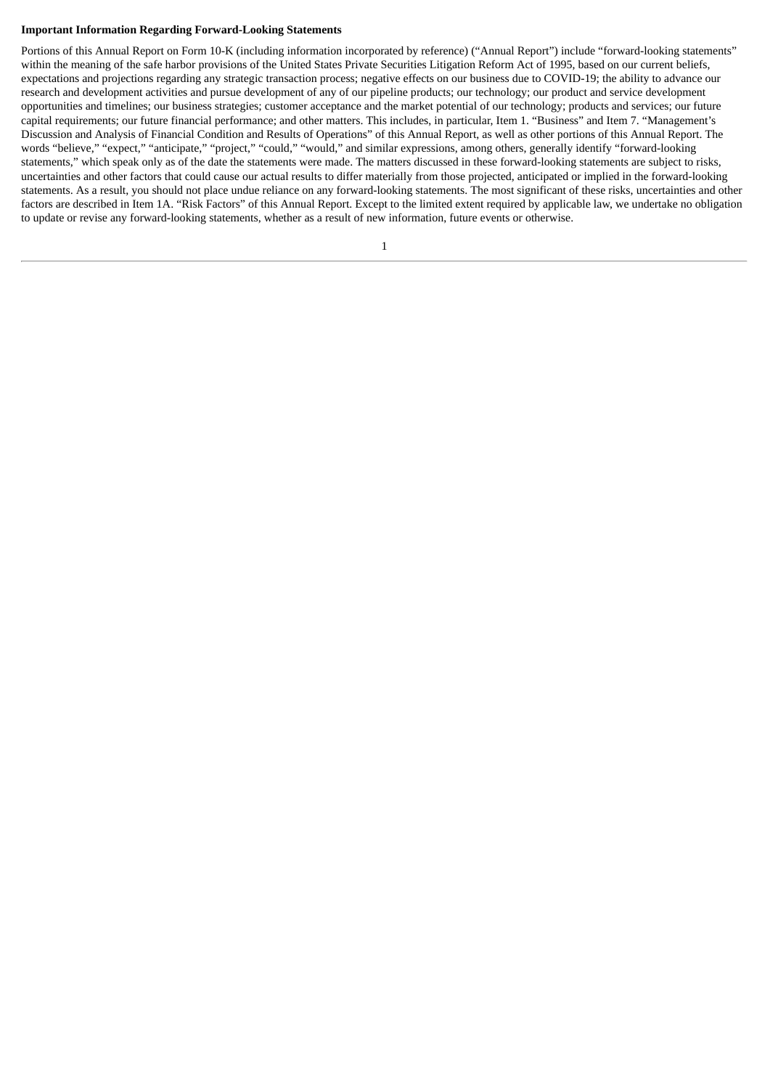#### <span id="page-2-0"></span>**Important Information Regarding Forward-Looking Statements**

Portions of this Annual Report on Form 10-K (including information incorporated by reference) ("Annual Report") include "forward-looking statements" within the meaning of the safe harbor provisions of the United States Private Securities Litigation Reform Act of 1995, based on our current beliefs, expectations and projections regarding any strategic transaction process; negative effects on our business due to COVID-19; the ability to advance our research and development activities and pursue development of any of our pipeline products; our technology; our product and service development opportunities and timelines; our business strategies; customer acceptance and the market potential of our technology; products and services; our future capital requirements; our future financial performance; and other matters. This includes, in particular, Item 1. "Business" and Item 7. "Management's Discussion and Analysis of Financial Condition and Results of Operations" of this Annual Report, as well as other portions of this Annual Report. The words "believe," "expect," "anticipate," "project," "could," "would," and similar expressions, among others, generally identify "forward-looking statements," which speak only as of the date the statements were made. The matters discussed in these forward-looking statements are subject to risks, uncertainties and other factors that could cause our actual results to differ materially from those projected, anticipated or implied in the forward-looking statements. As a result, you should not place undue reliance on any forward-looking statements. The most significant of these risks, uncertainties and other factors are described in Item 1A. "Risk Factors" of this Annual Report. Except to the limited extent required by applicable law, we undertake no obligation to update or revise any forward-looking statements, whether as a result of new information, future events or otherwise.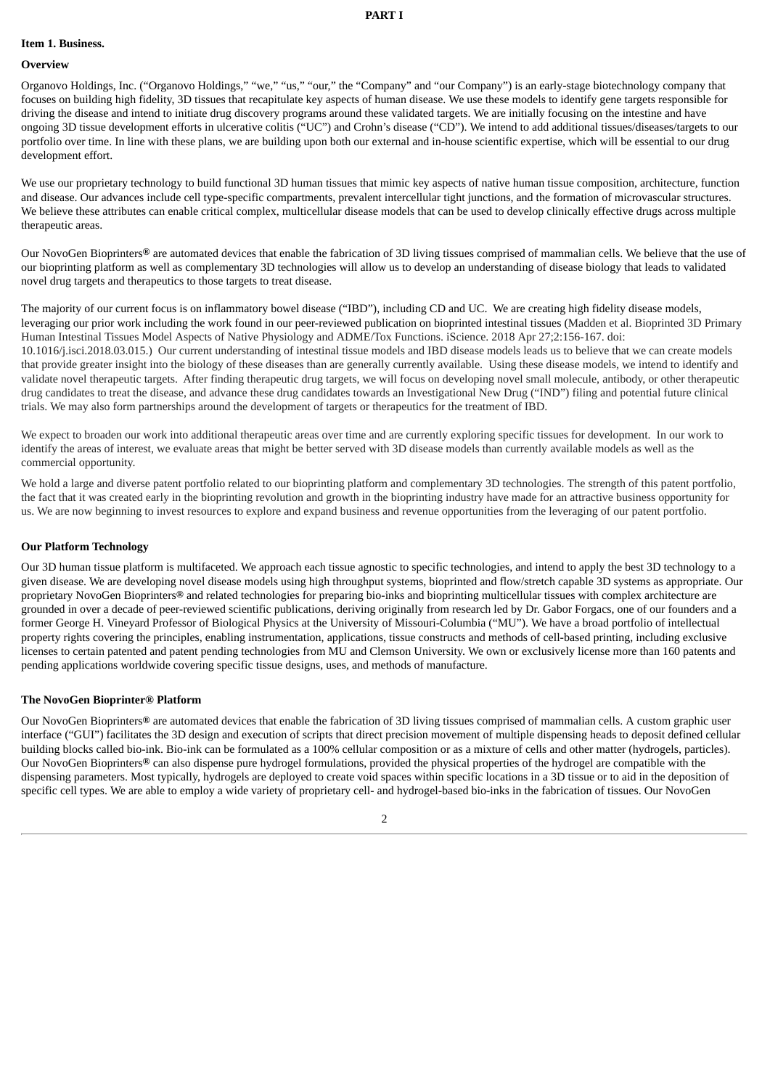#### **PART I**

#### <span id="page-3-1"></span><span id="page-3-0"></span>**Item 1. Business.**

#### **Overview**

Organovo Holdings, Inc. ("Organovo Holdings," "we," "us," "our," the "Company" and "our Company") is an early-stage biotechnology company that focuses on building high fidelity, 3D tissues that recapitulate key aspects of human disease. We use these models to identify gene targets responsible for driving the disease and intend to initiate drug discovery programs around these validated targets. We are initially focusing on the intestine and have ongoing 3D tissue development efforts in ulcerative colitis ("UC") and Crohn's disease ("CD"). We intend to add additional tissues/diseases/targets to our portfolio over time. In line with these plans, we are building upon both our external and in-house scientific expertise, which will be essential to our drug development effort.

We use our proprietary technology to build functional 3D human tissues that mimic key aspects of native human tissue composition, architecture, function and disease. Our advances include cell type-specific compartments, prevalent intercellular tight junctions, and the formation of microvascular structures. We believe these attributes can enable critical complex, multicellular disease models that can be used to develop clinically effective drugs across multiple therapeutic areas.

Our NovoGen Bioprinters**®** are automated devices that enable the fabrication of 3D living tissues comprised of mammalian cells. We believe that the use of our bioprinting platform as well as complementary 3D technologies will allow us to develop an understanding of disease biology that leads to validated novel drug targets and therapeutics to those targets to treat disease.

The majority of our current focus is on inflammatory bowel disease ("IBD"), including CD and UC. We are creating high fidelity disease models, leveraging our prior work including the work found in our peer-reviewed publication on bioprinted intestinal tissues (Madden et al. Bioprinted 3D Primary Human Intestinal Tissues Model Aspects of Native Physiology and ADME/Tox Functions. iScience. 2018 Apr 27;2:156-167. doi: 10.1016/j.isci.2018.03.015.) Our current understanding of intestinal tissue models and IBD disease models leads us to believe that we can create models that provide greater insight into the biology of these diseases than are generally currently available. Using these disease models, we intend to identify and validate novel therapeutic targets. After finding therapeutic drug targets, we will focus on developing novel small molecule, antibody, or other therapeutic drug candidates to treat the disease, and advance these drug candidates towards an Investigational New Drug ("IND") filing and potential future clinical trials. We may also form partnerships around the development of targets or therapeutics for the treatment of IBD.

We expect to broaden our work into additional therapeutic areas over time and are currently exploring specific tissues for development. In our work to identify the areas of interest, we evaluate areas that might be better served with 3D disease models than currently available models as well as the commercial opportunity.

We hold a large and diverse patent portfolio related to our bioprinting platform and complementary 3D technologies. The strength of this patent portfolio, the fact that it was created early in the bioprinting revolution and growth in the bioprinting industry have made for an attractive business opportunity for us. We are now beginning to invest resources to explore and expand business and revenue opportunities from the leveraging of our patent portfolio.

#### **Our Platform Technology**

Our 3D human tissue platform is multifaceted. We approach each tissue agnostic to specific technologies, and intend to apply the best 3D technology to a given disease. We are developing novel disease models using high throughput systems, bioprinted and flow/stretch capable 3D systems as appropriate. Our proprietary NovoGen Bioprinters**®** and related technologies for preparing bio-inks and bioprinting multicellular tissues with complex architecture are grounded in over a decade of peer-reviewed scientific publications, deriving originally from research led by Dr. Gabor Forgacs, one of our founders and a former George H. Vineyard Professor of Biological Physics at the University of Missouri-Columbia ("MU"). We have a broad portfolio of intellectual property rights covering the principles, enabling instrumentation, applications, tissue constructs and methods of cell-based printing, including exclusive licenses to certain patented and patent pending technologies from MU and Clemson University. We own or exclusively license more than 160 patents and pending applications worldwide covering specific tissue designs, uses, and methods of manufacture.

#### **The NovoGen Bioprinter® Platform**

Our NovoGen Bioprinters**®** are automated devices that enable the fabrication of 3D living tissues comprised of mammalian cells. A custom graphic user interface ("GUI") facilitates the 3D design and execution of scripts that direct precision movement of multiple dispensing heads to deposit defined cellular building blocks called bio-ink. Bio-ink can be formulated as a 100% cellular composition or as a mixture of cells and other matter (hydrogels, particles). Our NovoGen Bioprinters**®** can also dispense pure hydrogel formulations, provided the physical properties of the hydrogel are compatible with the dispensing parameters. Most typically, hydrogels are deployed to create void spaces within specific locations in a 3D tissue or to aid in the deposition of specific cell types. We are able to employ a wide variety of proprietary cell- and hydrogel-based bio-inks in the fabrication of tissues. Our NovoGen

 $\overline{2}$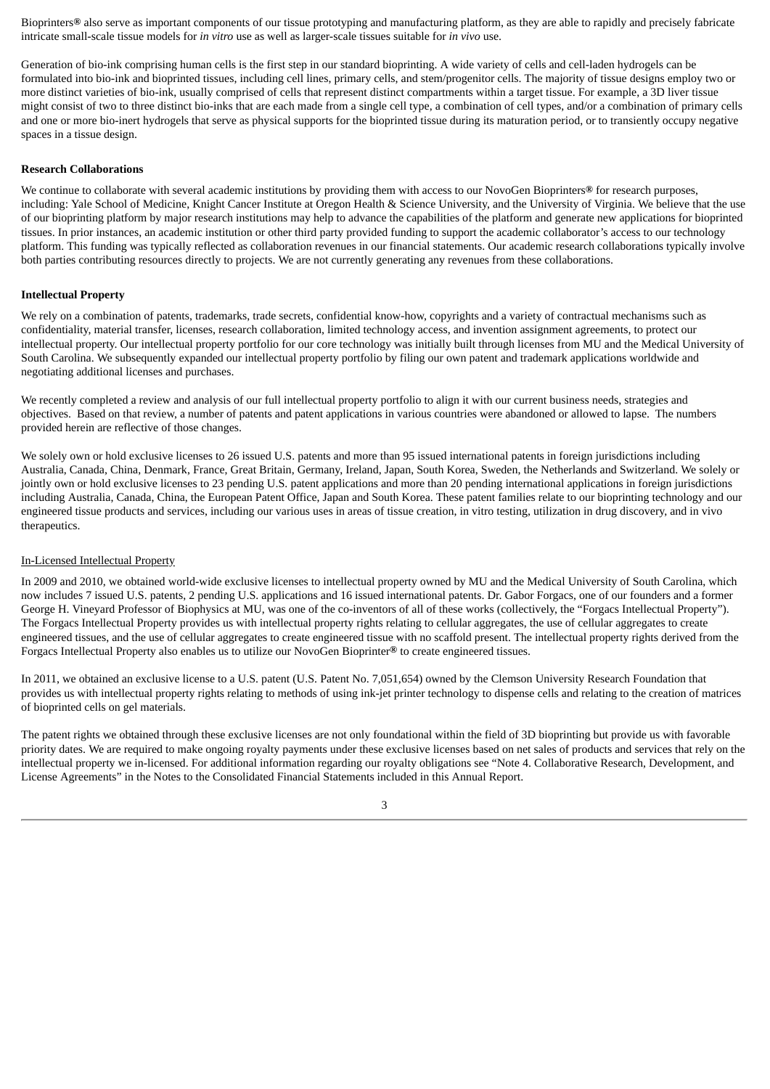Bioprinters**®** also serve as important components of our tissue prototyping and manufacturing platform, as they are able to rapidly and precisely fabricate intricate small-scale tissue models for *in vitro* use as well as larger-scale tissues suitable for *in vivo* use.

Generation of bio-ink comprising human cells is the first step in our standard bioprinting. A wide variety of cells and cell-laden hydrogels can be formulated into bio-ink and bioprinted tissues, including cell lines, primary cells, and stem/progenitor cells. The majority of tissue designs employ two or more distinct varieties of bio-ink, usually comprised of cells that represent distinct compartments within a target tissue. For example, a 3D liver tissue might consist of two to three distinct bio-inks that are each made from a single cell type, a combination of cell types, and/or a combination of primary cells and one or more bio-inert hydrogels that serve as physical supports for the bioprinted tissue during its maturation period, or to transiently occupy negative spaces in a tissue design.

#### **Research Collaborations**

We continue to collaborate with several academic institutions by providing them with access to our NovoGen Bioprinters**®** for research purposes, including: Yale School of Medicine, Knight Cancer Institute at Oregon Health & Science University, and the University of Virginia. We believe that the use of our bioprinting platform by major research institutions may help to advance the capabilities of the platform and generate new applications for bioprinted tissues. In prior instances, an academic institution or other third party provided funding to support the academic collaborator's access to our technology platform. This funding was typically reflected as collaboration revenues in our financial statements. Our academic research collaborations typically involve both parties contributing resources directly to projects. We are not currently generating any revenues from these collaborations.

#### **Intellectual Property**

We rely on a combination of patents, trademarks, trade secrets, confidential know-how, copyrights and a variety of contractual mechanisms such as confidentiality, material transfer, licenses, research collaboration, limited technology access, and invention assignment agreements, to protect our intellectual property. Our intellectual property portfolio for our core technology was initially built through licenses from MU and the Medical University of South Carolina. We subsequently expanded our intellectual property portfolio by filing our own patent and trademark applications worldwide and negotiating additional licenses and purchases.

We recently completed a review and analysis of our full intellectual property portfolio to align it with our current business needs, strategies and objectives. Based on that review, a number of patents and patent applications in various countries were abandoned or allowed to lapse. The numbers provided herein are reflective of those changes.

We solely own or hold exclusive licenses to 26 issued U.S. patents and more than 95 issued international patents in foreign jurisdictions including Australia, Canada, China, Denmark, France, Great Britain, Germany, Ireland, Japan, South Korea, Sweden, the Netherlands and Switzerland. We solely or jointly own or hold exclusive licenses to 23 pending U.S. patent applications and more than 20 pending international applications in foreign jurisdictions including Australia, Canada, China, the European Patent Office, Japan and South Korea. These patent families relate to our bioprinting technology and our engineered tissue products and services, including our various uses in areas of tissue creation, in vitro testing, utilization in drug discovery, and in vivo therapeutics.

#### In-Licensed Intellectual Property

In 2009 and 2010, we obtained world-wide exclusive licenses to intellectual property owned by MU and the Medical University of South Carolina, which now includes 7 issued U.S. patents, 2 pending U.S. applications and 16 issued international patents. Dr. Gabor Forgacs, one of our founders and a former George H. Vineyard Professor of Biophysics at MU, was one of the co-inventors of all of these works (collectively, the "Forgacs Intellectual Property"). The Forgacs Intellectual Property provides us with intellectual property rights relating to cellular aggregates, the use of cellular aggregates to create engineered tissues, and the use of cellular aggregates to create engineered tissue with no scaffold present. The intellectual property rights derived from the Forgacs Intellectual Property also enables us to utilize our NovoGen Bioprinter**®** to create engineered tissues.

In 2011, we obtained an exclusive license to a U.S. patent (U.S. Patent No. 7,051,654) owned by the Clemson University Research Foundation that provides us with intellectual property rights relating to methods of using ink-jet printer technology to dispense cells and relating to the creation of matrices of bioprinted cells on gel materials.

The patent rights we obtained through these exclusive licenses are not only foundational within the field of 3D bioprinting but provide us with favorable priority dates. We are required to make ongoing royalty payments under these exclusive licenses based on net sales of products and services that rely on the intellectual property we in-licensed. For additional information regarding our royalty obligations see "Note 4. Collaborative Research, Development, and License Agreements" in the Notes to the Consolidated Financial Statements included in this Annual Report.

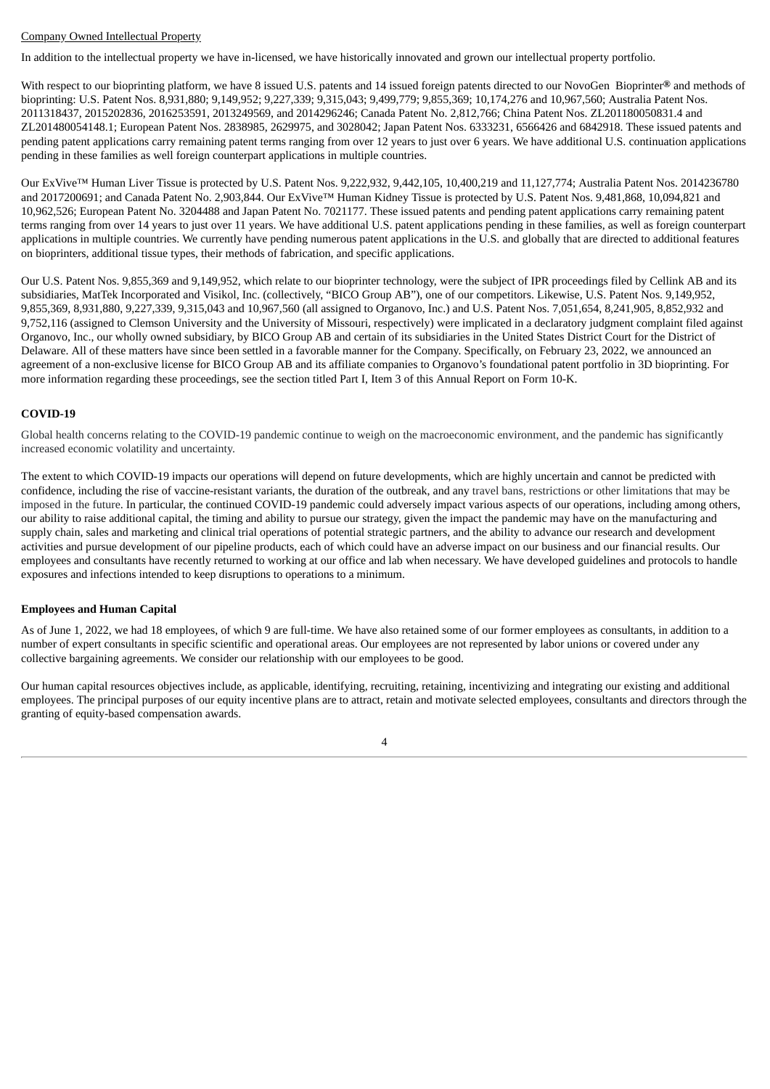# Company Owned Intellectual Property

In addition to the intellectual property we have in-licensed, we have historically innovated and grown our intellectual property portfolio.

With respect to our bioprinting platform, we have 8 issued U.S. patents and 14 issued foreign patents directed to our NovoGen Bioprinter**®** and methods of bioprinting: U.S. Patent Nos. 8,931,880; 9,149,952; 9,227,339; 9,315,043; 9,499,779; 9,855,369; 10,174,276 and 10,967,560; Australia Patent Nos. 2011318437, 2015202836, 2016253591, 2013249569, and 2014296246; Canada Patent No. 2,812,766; China Patent Nos. ZL201180050831.4 and ZL201480054148.1; European Patent Nos. 2838985, 2629975, and 3028042; Japan Patent Nos. 6333231, 6566426 and 6842918. These issued patents and pending patent applications carry remaining patent terms ranging from over 12 years to just over 6 years. We have additional U.S. continuation applications pending in these families as well foreign counterpart applications in multiple countries.

Our ExVive™ Human Liver Tissue is protected by U.S. Patent Nos. 9,222,932, 9,442,105, 10,400,219 and 11,127,774; Australia Patent Nos. 2014236780 and 2017200691; and Canada Patent No. 2,903,844. Our ExVive™ Human Kidney Tissue is protected by U.S. Patent Nos. 9,481,868, 10,094,821 and 10,962,526; European Patent No. 3204488 and Japan Patent No. 7021177. These issued patents and pending patent applications carry remaining patent terms ranging from over 14 years to just over 11 years. We have additional U.S. patent applications pending in these families, as well as foreign counterpart applications in multiple countries. We currently have pending numerous patent applications in the U.S. and globally that are directed to additional features on bioprinters, additional tissue types, their methods of fabrication, and specific applications.

Our U.S. Patent Nos. 9,855,369 and 9,149,952, which relate to our bioprinter technology, were the subject of IPR proceedings filed by Cellink AB and its subsidiaries, MatTek Incorporated and Visikol, Inc. (collectively, "BICO Group AB"), one of our competitors. Likewise, U.S. Patent Nos. 9,149,952, 9,855,369, 8,931,880, 9,227,339, 9,315,043 and 10,967,560 (all assigned to Organovo, Inc.) and U.S. Patent Nos. 7,051,654, 8,241,905, 8,852,932 and 9,752,116 (assigned to Clemson University and the University of Missouri, respectively) were implicated in a declaratory judgment complaint filed against Organovo, Inc., our wholly owned subsidiary, by BICO Group AB and certain of its subsidiaries in the United States District Court for the District of Delaware. All of these matters have since been settled in a favorable manner for the Company. Specifically, on February 23, 2022, we announced an agreement of a non-exclusive license for BICO Group AB and its affiliate companies to Organovo's foundational patent portfolio in 3D bioprinting. For more information regarding these proceedings, see the section titled Part I, Item 3 of this Annual Report on Form 10-K.

# **COVID-19**

Global health concerns relating to the COVID-19 pandemic continue to weigh on the macroeconomic environment, and the pandemic has significantly increased economic volatility and uncertainty.

The extent to which COVID-19 impacts our operations will depend on future developments, which are highly uncertain and cannot be predicted with confidence, including the rise of vaccine-resistant variants, the duration of the outbreak, and any travel bans, restrictions or other limitations that may be imposed in the future. In particular, the continued COVID-19 pandemic could adversely impact various aspects of our operations, including among others, our ability to raise additional capital, the timing and ability to pursue our strategy, given the impact the pandemic may have on the manufacturing and supply chain, sales and marketing and clinical trial operations of potential strategic partners, and the ability to advance our research and development activities and pursue development of our pipeline products, each of which could have an adverse impact on our business and our financial results. Our employees and consultants have recently returned to working at our office and lab when necessary. We have developed guidelines and protocols to handle exposures and infections intended to keep disruptions to operations to a minimum.

#### **Employees and Human Capital**

As of June 1, 2022, we had 18 employees, of which 9 are full-time. We have also retained some of our former employees as consultants, in addition to a number of expert consultants in specific scientific and operational areas. Our employees are not represented by labor unions or covered under any collective bargaining agreements. We consider our relationship with our employees to be good.

Our human capital resources objectives include, as applicable, identifying, recruiting, retaining, incentivizing and integrating our existing and additional employees. The principal purposes of our equity incentive plans are to attract, retain and motivate selected employees, consultants and directors through the granting of equity-based compensation awards.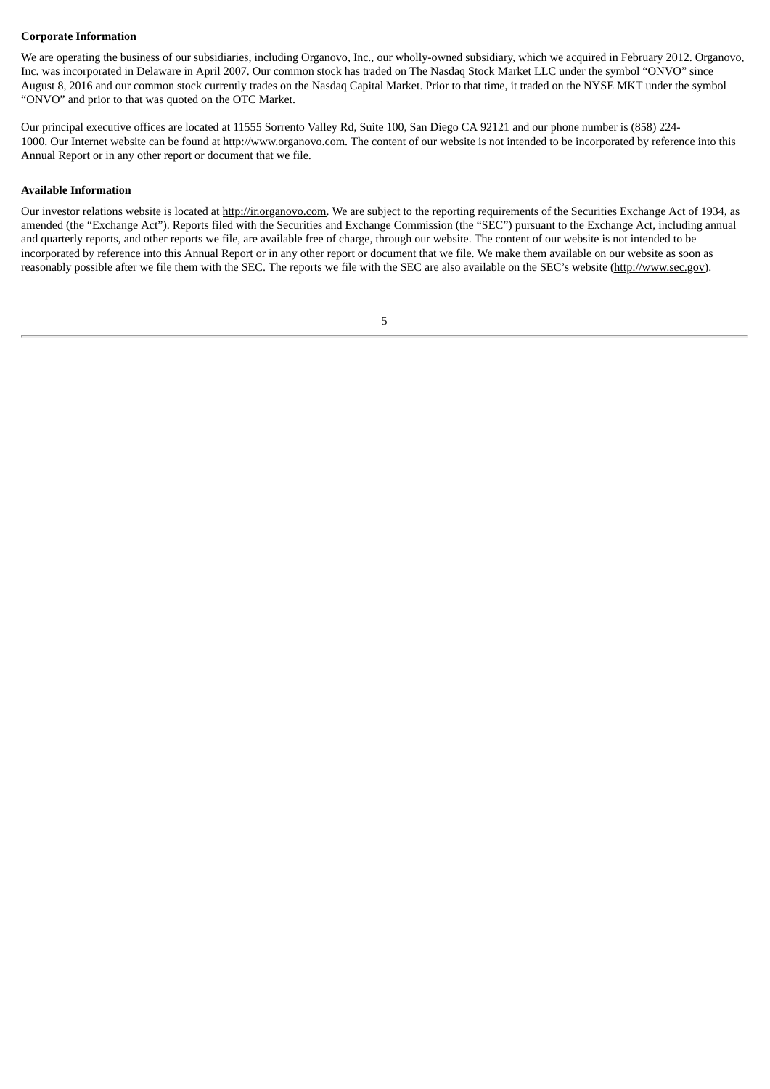# **Corporate Information**

We are operating the business of our subsidiaries, including Organovo, Inc., our wholly-owned subsidiary, which we acquired in February 2012. Organovo, Inc. was incorporated in Delaware in April 2007. Our common stock has traded on The Nasdaq Stock Market LLC under the symbol "ONVO" since August 8, 2016 and our common stock currently trades on the Nasdaq Capital Market. Prior to that time, it traded on the NYSE MKT under the symbol "ONVO" and prior to that was quoted on the OTC Market.

Our principal executive offices are located at 11555 Sorrento Valley Rd, Suite 100, San Diego CA 92121 and our phone number is (858) 224- 1000. Our Internet website can be found at http://www.organovo.com. The content of our website is not intended to be incorporated by reference into this Annual Report or in any other report or document that we file.

# **Available Information**

Our investor relations website is located at http://ir.organovo.com. We are subject to the reporting requirements of the Securities Exchange Act of 1934, as amended (the "Exchange Act"). Reports filed with the Securities and Exchange Commission (the "SEC") pursuant to the Exchange Act, including annual and quarterly reports, and other reports we file, are available free of charge, through our website. The content of our website is not intended to be incorporated by reference into this Annual Report or in any other report or document that we file. We make them available on our website as soon as reasonably possible after we file them with the SEC. The reports we file with the SEC are also available on the SEC's website (http://www.sec.gov).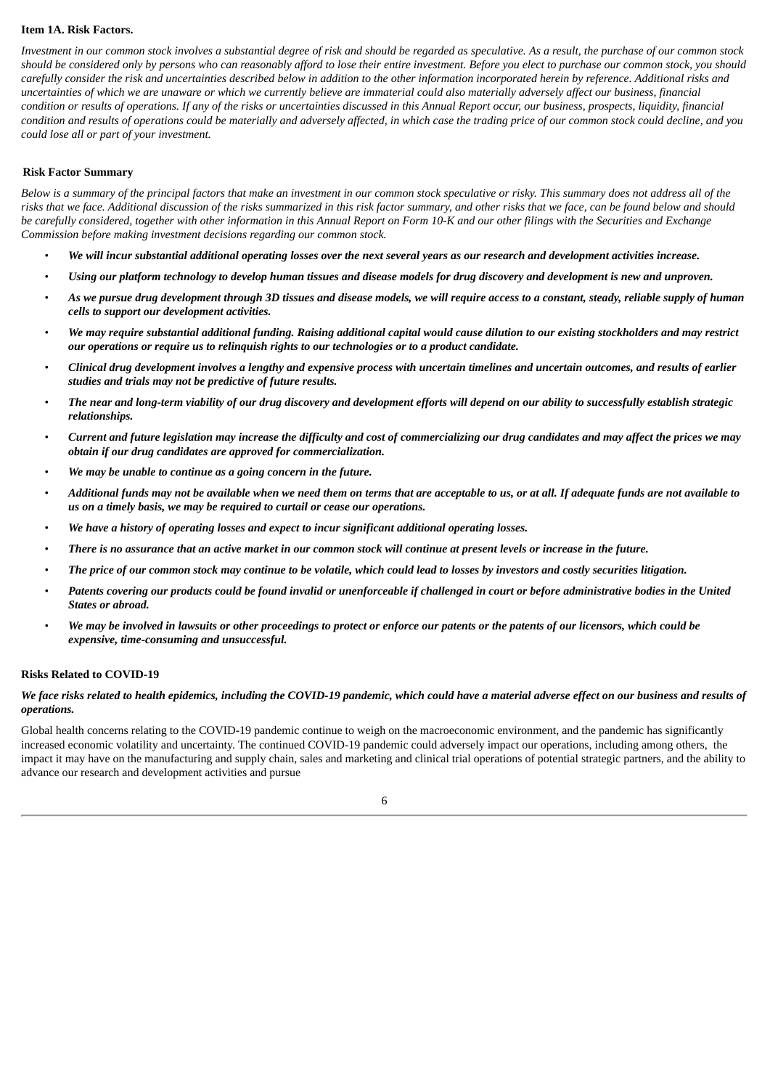# <span id="page-7-0"></span>**Item 1A. Risk Factors.**

Investment in our common stock involves a substantial degree of risk and should be regarded as speculative. As a result, the purchase of our common stock should be considered only by persons who can reasonably afford to lose their entire investment. Before you elect to purchase our common stock, you should carefully consider the risk and uncertainties described below in addition to the other information incorporated herein by reference. Additional risks and uncertainties of which we are unaware or which we currently believe are immaterial could also materially adversely affect our business, financial condition or results of operations. If any of the risks or uncertainties discussed in this Annual Report occur, our business, prospects, liquidity, financial condition and results of operations could be materially and adversely affected, in which case the trading price of our common stock could decline, and you *could lose all or part of your investment.*

# **Risk Factor Summary**

Below is a summary of the principal factors that make an investment in our common stock speculative or risky. This summary does not address all of the risks that we face. Additional discussion of the risks summarized in this risk factor summary, and other risks that we face, can be found below and should be carefully considered, together with other information in this Annual Report on Form 10-K and our other filings with the Securities and Exchange *Commission before making investment decisions regarding our common stock.*

- We will incur substantial additional operating losses over the next several years as our research and development activities increase.
- Using our platform technology to develop human tissues and disease models for drug discovery and development is new and unproven.
- As we pursue drug development through 3D tissues and disease models, we will require access to a constant, steady, reliable supply of human *cells to support our development activities.*
- We may require substantial additional funding. Raising additional capital would cause dilution to our existing stockholders and may restrict *our operations or require us to relinquish rights to our technologies or to a product candidate.*
- Clinical drug development involves a lengthy and expensive process with uncertain timelines and uncertain outcomes, and results of earlier *studies and trials may not be predictive of future results.*
- The near and long-term viability of our drug discovery and development efforts will depend on our ability to successfully establish strategic *relationships.*
- Current and future legislation may increase the difficulty and cost of commercializing our drug candidates and may affect the prices we may *obtain if our drug candidates are approved for commercialization.*
- *We may be unable to continue as a going concern in the future.*
- Additional funds may not be available when we need them on terms that are acceptable to us, or at all. If adequate funds are not available to *us on a timely basis, we may be required to curtail or cease our operations.*
- *We have a history of operating losses and expect to incur significant additional operating losses.*
- There is no assurance that an active market in our common stock will continue at present levels or increase in the future.
- The price of our common stock may continue to be volatile, which could lead to losses by investors and costly securities litigation.
- Patents covering our products could be found invalid or unenforceable if challenged in court or before administrative bodies in the United *States or abroad.*
- We may be involved in lawsuits or other proceedings to protect or enforce our patents or the patents of our licensors, which could be *expensive, time-consuming and unsuccessful.*

# **Risks Related to COVID-19**

# We face risks related to health epidemics, including the COVID-19 pandemic, which could have a material adverse effect on our business and results of *operations.*

Global health concerns relating to the COVID-19 pandemic continue to weigh on the macroeconomic environment, and the pandemic has significantly increased economic volatility and uncertainty. The continued COVID-19 pandemic could adversely impact our operations, including among others, the impact it may have on the manufacturing and supply chain, sales and marketing and clinical trial operations of potential strategic partners, and the ability to advance our research and development activities and pursue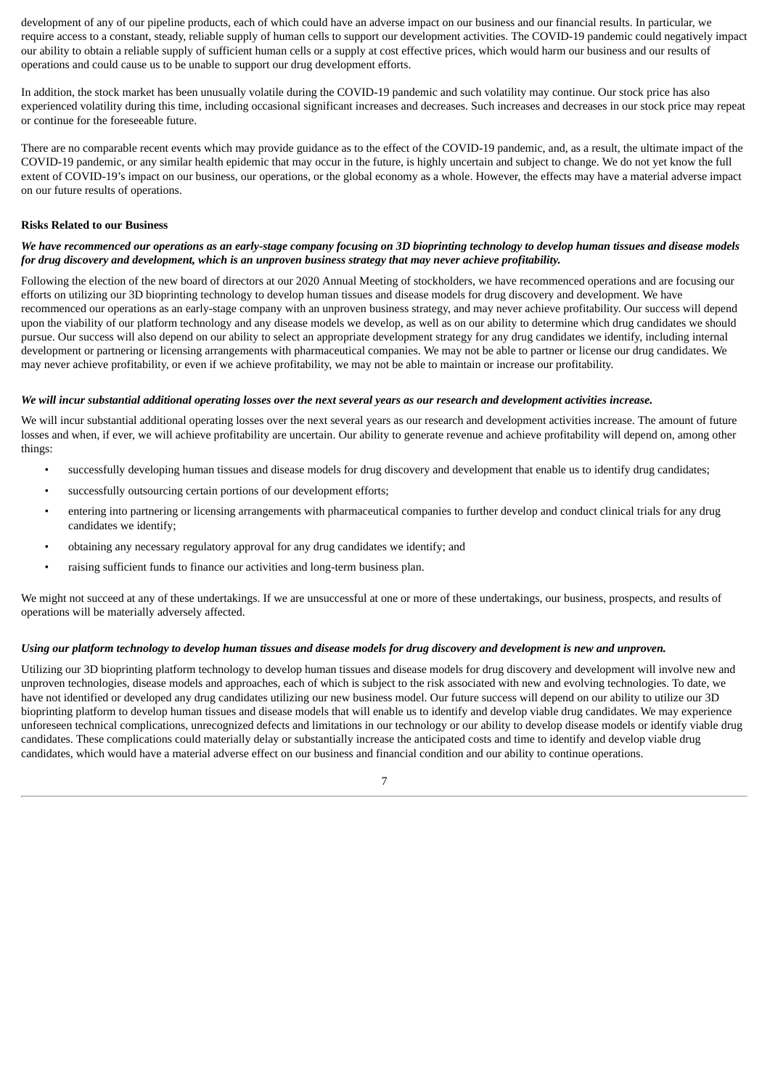development of any of our pipeline products, each of which could have an adverse impact on our business and our financial results. In particular, we require access to a constant, steady, reliable supply of human cells to support our development activities. The COVID-19 pandemic could negatively impact our ability to obtain a reliable supply of sufficient human cells or a supply at cost effective prices, which would harm our business and our results of operations and could cause us to be unable to support our drug development efforts.

In addition, the stock market has been unusually volatile during the COVID-19 pandemic and such volatility may continue. Our stock price has also experienced volatility during this time, including occasional significant increases and decreases. Such increases and decreases in our stock price may repeat or continue for the foreseeable future.

There are no comparable recent events which may provide guidance as to the effect of the COVID-19 pandemic, and, as a result, the ultimate impact of the COVID-19 pandemic, or any similar health epidemic that may occur in the future, is highly uncertain and subject to change. We do not yet know the full extent of COVID-19's impact on our business, our operations, or the global economy as a whole. However, the effects may have a material adverse impact on our future results of operations.

# **Risks Related to our Business**

#### We have recommenced our operations as an early-stage company focusing on 3D bioprinting technology to develop human tissues and disease models *for drug discovery and development, which is an unproven business strategy that may never achieve profitability.*

Following the election of the new board of directors at our 2020 Annual Meeting of stockholders, we have recommenced operations and are focusing our efforts on utilizing our 3D bioprinting technology to develop human tissues and disease models for drug discovery and development. We have recommenced our operations as an early-stage company with an unproven business strategy, and may never achieve profitability. Our success will depend upon the viability of our platform technology and any disease models we develop, as well as on our ability to determine which drug candidates we should pursue. Our success will also depend on our ability to select an appropriate development strategy for any drug candidates we identify, including internal development or partnering or licensing arrangements with pharmaceutical companies. We may not be able to partner or license our drug candidates. We may never achieve profitability, or even if we achieve profitability, we may not be able to maintain or increase our profitability.

#### We will incur substantial additional operating losses over the next several years as our research and development activities increase.

We will incur substantial additional operating losses over the next several years as our research and development activities increase. The amount of future losses and when, if ever, we will achieve profitability are uncertain. Our ability to generate revenue and achieve profitability will depend on, among other things:

- successfully developing human tissues and disease models for drug discovery and development that enable us to identify drug candidates;
- successfully outsourcing certain portions of our development efforts;
- entering into partnering or licensing arrangements with pharmaceutical companies to further develop and conduct clinical trials for any drug candidates we identify;
- obtaining any necessary regulatory approval for any drug candidates we identify; and
- raising sufficient funds to finance our activities and long-term business plan.

We might not succeed at any of these undertakings. If we are unsuccessful at one or more of these undertakings, our business, prospects, and results of operations will be materially adversely affected.

#### Using our platform technology to develop human tissues and disease models for drug discovery and development is new and unproven.

Utilizing our 3D bioprinting platform technology to develop human tissues and disease models for drug discovery and development will involve new and unproven technologies, disease models and approaches, each of which is subject to the risk associated with new and evolving technologies. To date, we have not identified or developed any drug candidates utilizing our new business model. Our future success will depend on our ability to utilize our 3D bioprinting platform to develop human tissues and disease models that will enable us to identify and develop viable drug candidates. We may experience unforeseen technical complications, unrecognized defects and limitations in our technology or our ability to develop disease models or identify viable drug candidates. These complications could materially delay or substantially increase the anticipated costs and time to identify and develop viable drug candidates, which would have a material adverse effect on our business and financial condition and our ability to continue operations.

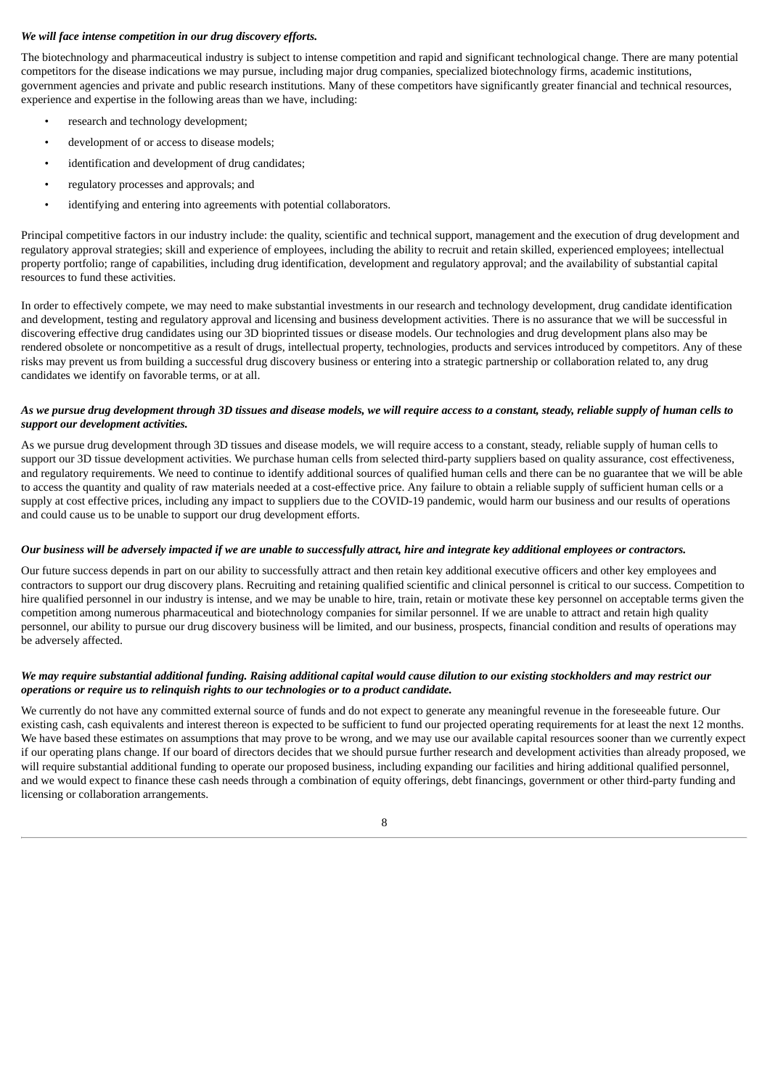# *We will face intense competition in our drug discovery efforts.*

The biotechnology and pharmaceutical industry is subject to intense competition and rapid and significant technological change. There are many potential competitors for the disease indications we may pursue, including major drug companies, specialized biotechnology firms, academic institutions, government agencies and private and public research institutions. Many of these competitors have significantly greater financial and technical resources, experience and expertise in the following areas than we have, including:

- research and technology development;
- development of or access to disease models;
- identification and development of drug candidates;
- regulatory processes and approvals; and
- identifying and entering into agreements with potential collaborators.

Principal competitive factors in our industry include: the quality, scientific and technical support, management and the execution of drug development and regulatory approval strategies; skill and experience of employees, including the ability to recruit and retain skilled, experienced employees; intellectual property portfolio; range of capabilities, including drug identification, development and regulatory approval; and the availability of substantial capital resources to fund these activities.

In order to effectively compete, we may need to make substantial investments in our research and technology development, drug candidate identification and development, testing and regulatory approval and licensing and business development activities. There is no assurance that we will be successful in discovering effective drug candidates using our 3D bioprinted tissues or disease models. Our technologies and drug development plans also may be rendered obsolete or noncompetitive as a result of drugs, intellectual property, technologies, products and services introduced by competitors. Any of these risks may prevent us from building a successful drug discovery business or entering into a strategic partnership or collaboration related to, any drug candidates we identify on favorable terms, or at all.

# As we pursue drug development through 3D tissues and disease models, we will require access to a constant, steady, reliable supply of human cells to *support our development activities.*

As we pursue drug development through 3D tissues and disease models, we will require access to a constant, steady, reliable supply of human cells to support our 3D tissue development activities. We purchase human cells from selected third-party suppliers based on quality assurance, cost effectiveness, and regulatory requirements. We need to continue to identify additional sources of qualified human cells and there can be no guarantee that we will be able to access the quantity and quality of raw materials needed at a cost-effective price. Any failure to obtain a reliable supply of sufficient human cells or a supply at cost effective prices, including any impact to suppliers due to the COVID-19 pandemic, would harm our business and our results of operations and could cause us to be unable to support our drug development efforts.

# Our business will be adversely impacted if we are unable to successfully attract, hire and integrate key additional employees or contractors.

Our future success depends in part on our ability to successfully attract and then retain key additional executive officers and other key employees and contractors to support our drug discovery plans. Recruiting and retaining qualified scientific and clinical personnel is critical to our success. Competition to hire qualified personnel in our industry is intense, and we may be unable to hire, train, retain or motivate these key personnel on acceptable terms given the competition among numerous pharmaceutical and biotechnology companies for similar personnel. If we are unable to attract and retain high quality personnel, our ability to pursue our drug discovery business will be limited, and our business, prospects, financial condition and results of operations may be adversely affected.

# We may require substantial additional funding. Raising additional capital would cause dilution to our existing stockholders and may restrict our *operations or require us to relinquish rights to our technologies or to a product candidate.*

We currently do not have any committed external source of funds and do not expect to generate any meaningful revenue in the foreseeable future. Our existing cash, cash equivalents and interest thereon is expected to be sufficient to fund our projected operating requirements for at least the next 12 months. We have based these estimates on assumptions that may prove to be wrong, and we may use our available capital resources sooner than we currently expect if our operating plans change. If our board of directors decides that we should pursue further research and development activities than already proposed, we will require substantial additional funding to operate our proposed business, including expanding our facilities and hiring additional qualified personnel, and we would expect to finance these cash needs through a combination of equity offerings, debt financings, government or other third-party funding and licensing or collaboration arrangements.

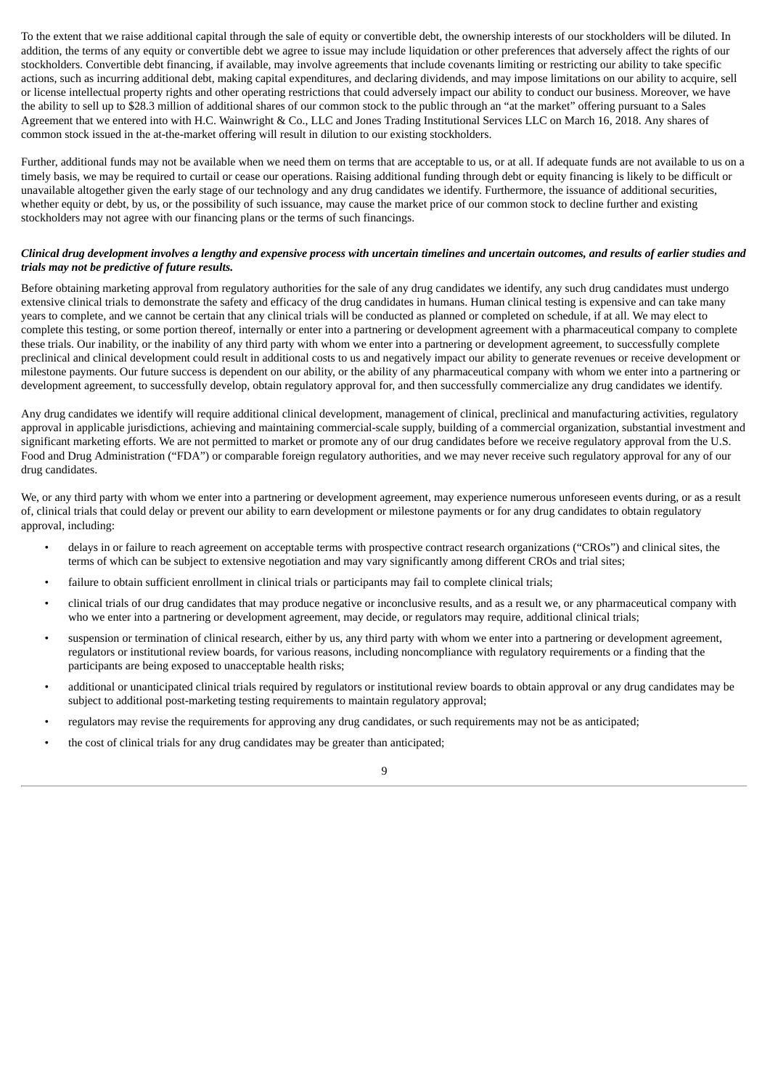To the extent that we raise additional capital through the sale of equity or convertible debt, the ownership interests of our stockholders will be diluted. In addition, the terms of any equity or convertible debt we agree to issue may include liquidation or other preferences that adversely affect the rights of our stockholders. Convertible debt financing, if available, may involve agreements that include covenants limiting or restricting our ability to take specific actions, such as incurring additional debt, making capital expenditures, and declaring dividends, and may impose limitations on our ability to acquire, sell or license intellectual property rights and other operating restrictions that could adversely impact our ability to conduct our business. Moreover, we have the ability to sell up to \$28.3 million of additional shares of our common stock to the public through an "at the market" offering pursuant to a Sales Agreement that we entered into with H.C. Wainwright & Co., LLC and Jones Trading Institutional Services LLC on March 16, 2018. Any shares of common stock issued in the at-the-market offering will result in dilution to our existing stockholders.

Further, additional funds may not be available when we need them on terms that are acceptable to us, or at all. If adequate funds are not available to us on a timely basis, we may be required to curtail or cease our operations. Raising additional funding through debt or equity financing is likely to be difficult or unavailable altogether given the early stage of our technology and any drug candidates we identify. Furthermore, the issuance of additional securities, whether equity or debt, by us, or the possibility of such issuance, may cause the market price of our common stock to decline further and existing stockholders may not agree with our financing plans or the terms of such financings.

# Clinical drug development involves a lengthy and expensive process with uncertain timelines and uncertain outcomes, and results of earlier studies and *trials may not be predictive of future results.*

Before obtaining marketing approval from regulatory authorities for the sale of any drug candidates we identify, any such drug candidates must undergo extensive clinical trials to demonstrate the safety and efficacy of the drug candidates in humans. Human clinical testing is expensive and can take many years to complete, and we cannot be certain that any clinical trials will be conducted as planned or completed on schedule, if at all. We may elect to complete this testing, or some portion thereof, internally or enter into a partnering or development agreement with a pharmaceutical company to complete these trials. Our inability, or the inability of any third party with whom we enter into a partnering or development agreement, to successfully complete preclinical and clinical development could result in additional costs to us and negatively impact our ability to generate revenues or receive development or milestone payments. Our future success is dependent on our ability, or the ability of any pharmaceutical company with whom we enter into a partnering or development agreement, to successfully develop, obtain regulatory approval for, and then successfully commercialize any drug candidates we identify.

Any drug candidates we identify will require additional clinical development, management of clinical, preclinical and manufacturing activities, regulatory approval in applicable jurisdictions, achieving and maintaining commercial-scale supply, building of a commercial organization, substantial investment and significant marketing efforts. We are not permitted to market or promote any of our drug candidates before we receive regulatory approval from the U.S. Food and Drug Administration ("FDA") or comparable foreign regulatory authorities, and we may never receive such regulatory approval for any of our drug candidates.

We, or any third party with whom we enter into a partnering or development agreement, may experience numerous unforeseen events during, or as a result of, clinical trials that could delay or prevent our ability to earn development or milestone payments or for any drug candidates to obtain regulatory approval, including:

- delays in or failure to reach agreement on acceptable terms with prospective contract research organizations ("CROs") and clinical sites, the terms of which can be subject to extensive negotiation and may vary significantly among different CROs and trial sites;
- failure to obtain sufficient enrollment in clinical trials or participants may fail to complete clinical trials;
- clinical trials of our drug candidates that may produce negative or inconclusive results, and as a result we, or any pharmaceutical company with who we enter into a partnering or development agreement, may decide, or regulators may require, additional clinical trials;
- suspension or termination of clinical research, either by us, any third party with whom we enter into a partnering or development agreement, regulators or institutional review boards, for various reasons, including noncompliance with regulatory requirements or a finding that the participants are being exposed to unacceptable health risks;
- additional or unanticipated clinical trials required by regulators or institutional review boards to obtain approval or any drug candidates may be subject to additional post-marketing testing requirements to maintain regulatory approval;
- regulators may revise the requirements for approving any drug candidates, or such requirements may not be as anticipated;
- the cost of clinical trials for any drug candidates may be greater than anticipated;

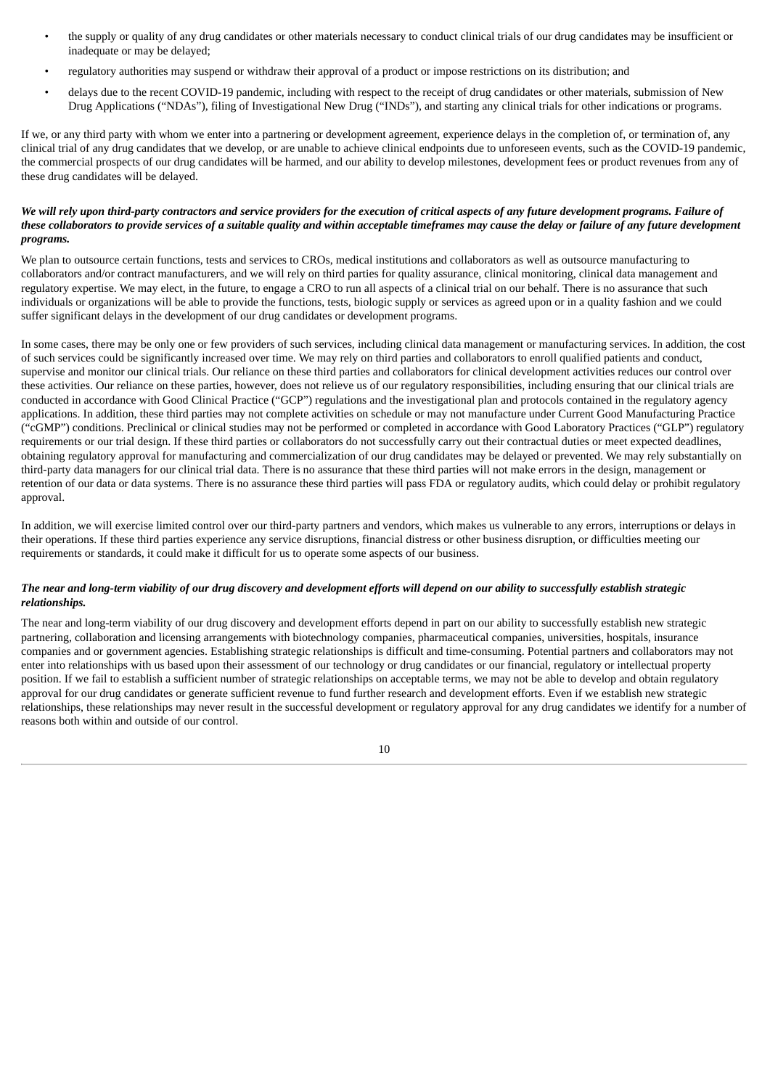- the supply or quality of any drug candidates or other materials necessary to conduct clinical trials of our drug candidates may be insufficient or inadequate or may be delayed;
- regulatory authorities may suspend or withdraw their approval of a product or impose restrictions on its distribution; and
- delays due to the recent COVID-19 pandemic, including with respect to the receipt of drug candidates or other materials, submission of New Drug Applications ("NDAs"), filing of Investigational New Drug ("INDs"), and starting any clinical trials for other indications or programs.

If we, or any third party with whom we enter into a partnering or development agreement, experience delays in the completion of, or termination of, any clinical trial of any drug candidates that we develop, or are unable to achieve clinical endpoints due to unforeseen events, such as the COVID-19 pandemic, the commercial prospects of our drug candidates will be harmed, and our ability to develop milestones, development fees or product revenues from any of these drug candidates will be delayed.

# We will rely upon third-party contractors and service providers for the execution of critical aspects of any future development programs. Failure of these collaborators to provide services of a suitable quality and within acceptable timeframes may cause the delay or failure of any future development *programs.*

We plan to outsource certain functions, tests and services to CROs, medical institutions and collaborators as well as outsource manufacturing to collaborators and/or contract manufacturers, and we will rely on third parties for quality assurance, clinical monitoring, clinical data management and regulatory expertise. We may elect, in the future, to engage a CRO to run all aspects of a clinical trial on our behalf. There is no assurance that such individuals or organizations will be able to provide the functions, tests, biologic supply or services as agreed upon or in a quality fashion and we could suffer significant delays in the development of our drug candidates or development programs.

In some cases, there may be only one or few providers of such services, including clinical data management or manufacturing services. In addition, the cost of such services could be significantly increased over time. We may rely on third parties and collaborators to enroll qualified patients and conduct, supervise and monitor our clinical trials. Our reliance on these third parties and collaborators for clinical development activities reduces our control over these activities. Our reliance on these parties, however, does not relieve us of our regulatory responsibilities, including ensuring that our clinical trials are conducted in accordance with Good Clinical Practice ("GCP") regulations and the investigational plan and protocols contained in the regulatory agency applications. In addition, these third parties may not complete activities on schedule or may not manufacture under Current Good Manufacturing Practice ("cGMP") conditions. Preclinical or clinical studies may not be performed or completed in accordance with Good Laboratory Practices ("GLP") regulatory requirements or our trial design. If these third parties or collaborators do not successfully carry out their contractual duties or meet expected deadlines, obtaining regulatory approval for manufacturing and commercialization of our drug candidates may be delayed or prevented. We may rely substantially on third-party data managers for our clinical trial data. There is no assurance that these third parties will not make errors in the design, management or retention of our data or data systems. There is no assurance these third parties will pass FDA or regulatory audits, which could delay or prohibit regulatory approval.

In addition, we will exercise limited control over our third-party partners and vendors, which makes us vulnerable to any errors, interruptions or delays in their operations. If these third parties experience any service disruptions, financial distress or other business disruption, or difficulties meeting our requirements or standards, it could make it difficult for us to operate some aspects of our business.

# The near and long-term viability of our drug discovery and development efforts will depend on our ability to successfully establish strategic *relationships.*

The near and long-term viability of our drug discovery and development efforts depend in part on our ability to successfully establish new strategic partnering, collaboration and licensing arrangements with biotechnology companies, pharmaceutical companies, universities, hospitals, insurance companies and or government agencies. Establishing strategic relationships is difficult and time-consuming. Potential partners and collaborators may not enter into relationships with us based upon their assessment of our technology or drug candidates or our financial, regulatory or intellectual property position. If we fail to establish a sufficient number of strategic relationships on acceptable terms, we may not be able to develop and obtain regulatory approval for our drug candidates or generate sufficient revenue to fund further research and development efforts. Even if we establish new strategic relationships, these relationships may never result in the successful development or regulatory approval for any drug candidates we identify for a number of reasons both within and outside of our control.

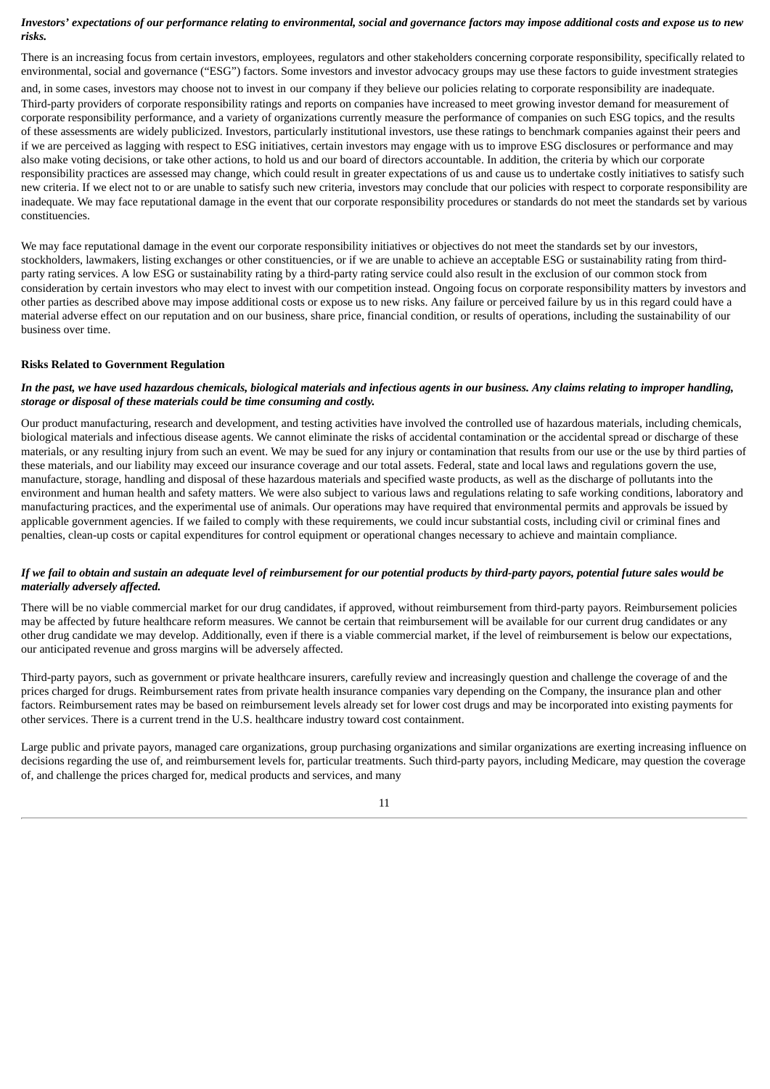# Investors' expectations of our performance relating to environmental, social and governance factors may impose additional costs and expose us to new *risks.*

There is an increasing focus from certain investors, employees, regulators and other stakeholders concerning corporate responsibility, specifically related to environmental, social and governance ("ESG") factors. Some investors and investor advocacy groups may use these factors to guide investment strategies and, in some cases, investors may choose not to invest in our company if they believe our policies relating to corporate responsibility are inadequate. Third-party providers of corporate responsibility ratings and reports on companies have increased to meet growing investor demand for measurement of corporate responsibility performance, and a variety of organizations currently measure the performance of companies on such ESG topics, and the results of these assessments are widely publicized. Investors, particularly institutional investors, use these ratings to benchmark companies against their peers and if we are perceived as lagging with respect to ESG initiatives, certain investors may engage with us to improve ESG disclosures or performance and may also make voting decisions, or take other actions, to hold us and our board of directors accountable. In addition, the criteria by which our corporate responsibility practices are assessed may change, which could result in greater expectations of us and cause us to undertake costly initiatives to satisfy such new criteria. If we elect not to or are unable to satisfy such new criteria, investors may conclude that our policies with respect to corporate responsibility are inadequate. We may face reputational damage in the event that our corporate responsibility procedures or standards do not meet the standards set by various constituencies.

We may face reputational damage in the event our corporate responsibility initiatives or objectives do not meet the standards set by our investors, stockholders, lawmakers, listing exchanges or other constituencies, or if we are unable to achieve an acceptable ESG or sustainability rating from thirdparty rating services. A low ESG or sustainability rating by a third-party rating service could also result in the exclusion of our common stock from consideration by certain investors who may elect to invest with our competition instead. Ongoing focus on corporate responsibility matters by investors and other parties as described above may impose additional costs or expose us to new risks. Any failure or perceived failure by us in this regard could have a material adverse effect on our reputation and on our business, share price, financial condition, or results of operations, including the sustainability of our business over time.

# **Risks Related to Government Regulation**

# In the past, we have used hazardous chemicals, biological materials and infectious agents in our business. Any claims relating to improper handling, *storage or disposal of these materials could be time consuming and costly.*

Our product manufacturing, research and development, and testing activities have involved the controlled use of hazardous materials, including chemicals, biological materials and infectious disease agents. We cannot eliminate the risks of accidental contamination or the accidental spread or discharge of these materials, or any resulting injury from such an event. We may be sued for any injury or contamination that results from our use or the use by third parties of these materials, and our liability may exceed our insurance coverage and our total assets. Federal, state and local laws and regulations govern the use, manufacture, storage, handling and disposal of these hazardous materials and specified waste products, as well as the discharge of pollutants into the environment and human health and safety matters. We were also subject to various laws and regulations relating to safe working conditions, laboratory and manufacturing practices, and the experimental use of animals. Our operations may have required that environmental permits and approvals be issued by applicable government agencies. If we failed to comply with these requirements, we could incur substantial costs, including civil or criminal fines and penalties, clean-up costs or capital expenditures for control equipment or operational changes necessary to achieve and maintain compliance.

# If we fail to obtain and sustain an adequate level of reimbursement for our potential products by third-party payors, potential future sales would be *materially adversely affected.*

There will be no viable commercial market for our drug candidates, if approved, without reimbursement from third-party payors. Reimbursement policies may be affected by future healthcare reform measures. We cannot be certain that reimbursement will be available for our current drug candidates or any other drug candidate we may develop. Additionally, even if there is a viable commercial market, if the level of reimbursement is below our expectations, our anticipated revenue and gross margins will be adversely affected.

Third-party payors, such as government or private healthcare insurers, carefully review and increasingly question and challenge the coverage of and the prices charged for drugs. Reimbursement rates from private health insurance companies vary depending on the Company, the insurance plan and other factors. Reimbursement rates may be based on reimbursement levels already set for lower cost drugs and may be incorporated into existing payments for other services. There is a current trend in the U.S. healthcare industry toward cost containment.

Large public and private payors, managed care organizations, group purchasing organizations and similar organizations are exerting increasing influence on decisions regarding the use of, and reimbursement levels for, particular treatments. Such third-party payors, including Medicare, may question the coverage of, and challenge the prices charged for, medical products and services, and many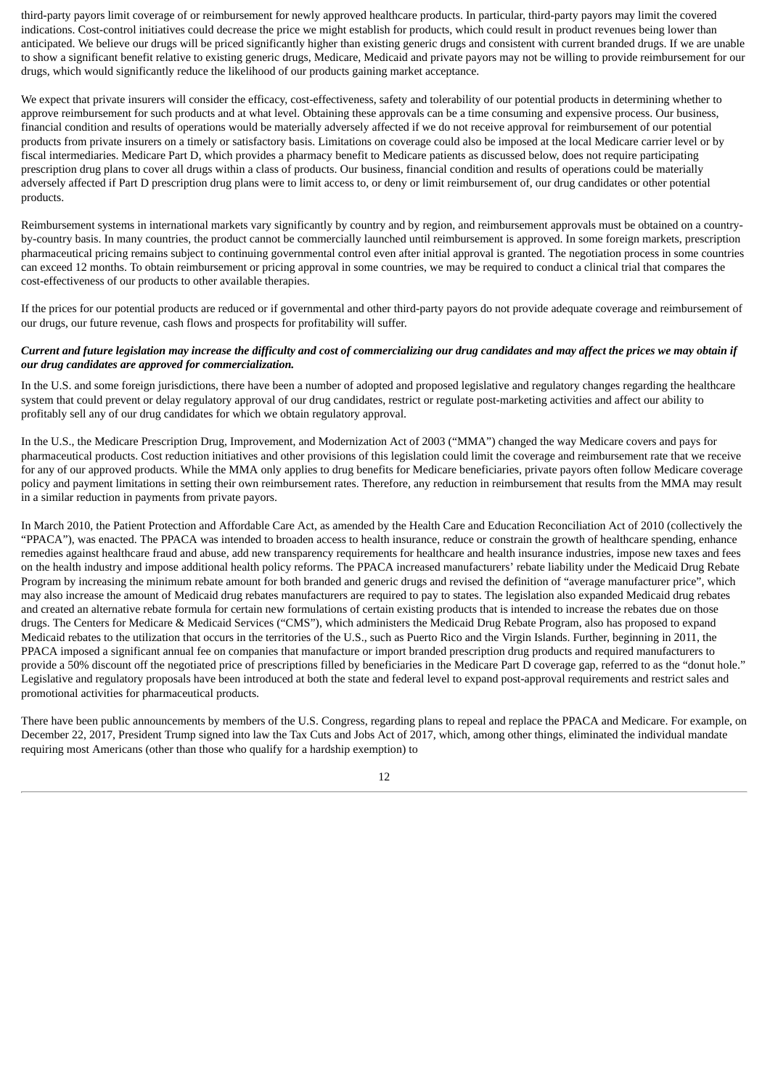third-party payors limit coverage of or reimbursement for newly approved healthcare products. In particular, third-party payors may limit the covered indications. Cost-control initiatives could decrease the price we might establish for products, which could result in product revenues being lower than anticipated. We believe our drugs will be priced significantly higher than existing generic drugs and consistent with current branded drugs. If we are unable to show a significant benefit relative to existing generic drugs, Medicare, Medicaid and private payors may not be willing to provide reimbursement for our drugs, which would significantly reduce the likelihood of our products gaining market acceptance.

We expect that private insurers will consider the efficacy, cost-effectiveness, safety and tolerability of our potential products in determining whether to approve reimbursement for such products and at what level. Obtaining these approvals can be a time consuming and expensive process. Our business, financial condition and results of operations would be materially adversely affected if we do not receive approval for reimbursement of our potential products from private insurers on a timely or satisfactory basis. Limitations on coverage could also be imposed at the local Medicare carrier level or by fiscal intermediaries. Medicare Part D, which provides a pharmacy benefit to Medicare patients as discussed below, does not require participating prescription drug plans to cover all drugs within a class of products. Our business, financial condition and results of operations could be materially adversely affected if Part D prescription drug plans were to limit access to, or deny or limit reimbursement of, our drug candidates or other potential products.

Reimbursement systems in international markets vary significantly by country and by region, and reimbursement approvals must be obtained on a countryby-country basis. In many countries, the product cannot be commercially launched until reimbursement is approved. In some foreign markets, prescription pharmaceutical pricing remains subject to continuing governmental control even after initial approval is granted. The negotiation process in some countries can exceed 12 months. To obtain reimbursement or pricing approval in some countries, we may be required to conduct a clinical trial that compares the cost-effectiveness of our products to other available therapies.

If the prices for our potential products are reduced or if governmental and other third-party payors do not provide adequate coverage and reimbursement of our drugs, our future revenue, cash flows and prospects for profitability will suffer.

# Current and future legislation may increase the difficulty and cost of commercializing our drug candidates and may affect the prices we may obtain if *our drug candidates are approved for commercialization.*

In the U.S. and some foreign jurisdictions, there have been a number of adopted and proposed legislative and regulatory changes regarding the healthcare system that could prevent or delay regulatory approval of our drug candidates, restrict or regulate post-marketing activities and affect our ability to profitably sell any of our drug candidates for which we obtain regulatory approval.

In the U.S., the Medicare Prescription Drug, Improvement, and Modernization Act of 2003 ("MMA") changed the way Medicare covers and pays for pharmaceutical products. Cost reduction initiatives and other provisions of this legislation could limit the coverage and reimbursement rate that we receive for any of our approved products. While the MMA only applies to drug benefits for Medicare beneficiaries, private payors often follow Medicare coverage policy and payment limitations in setting their own reimbursement rates. Therefore, any reduction in reimbursement that results from the MMA may result in a similar reduction in payments from private payors.

In March 2010, the Patient Protection and Affordable Care Act, as amended by the Health Care and Education Reconciliation Act of 2010 (collectively the "PPACA"), was enacted. The PPACA was intended to broaden access to health insurance, reduce or constrain the growth of healthcare spending, enhance remedies against healthcare fraud and abuse, add new transparency requirements for healthcare and health insurance industries, impose new taxes and fees on the health industry and impose additional health policy reforms. The PPACA increased manufacturers' rebate liability under the Medicaid Drug Rebate Program by increasing the minimum rebate amount for both branded and generic drugs and revised the definition of "average manufacturer price", which may also increase the amount of Medicaid drug rebates manufacturers are required to pay to states. The legislation also expanded Medicaid drug rebates and created an alternative rebate formula for certain new formulations of certain existing products that is intended to increase the rebates due on those drugs. The Centers for Medicare & Medicaid Services ("CMS"), which administers the Medicaid Drug Rebate Program, also has proposed to expand Medicaid rebates to the utilization that occurs in the territories of the U.S., such as Puerto Rico and the Virgin Islands. Further, beginning in 2011, the PPACA imposed a significant annual fee on companies that manufacture or import branded prescription drug products and required manufacturers to provide a 50% discount off the negotiated price of prescriptions filled by beneficiaries in the Medicare Part D coverage gap, referred to as the "donut hole." Legislative and regulatory proposals have been introduced at both the state and federal level to expand post-approval requirements and restrict sales and promotional activities for pharmaceutical products.

There have been public announcements by members of the U.S. Congress, regarding plans to repeal and replace the PPACA and Medicare. For example, on December 22, 2017, President Trump signed into law the Tax Cuts and Jobs Act of 2017, which, among other things, eliminated the individual mandate requiring most Americans (other than those who qualify for a hardship exemption) to

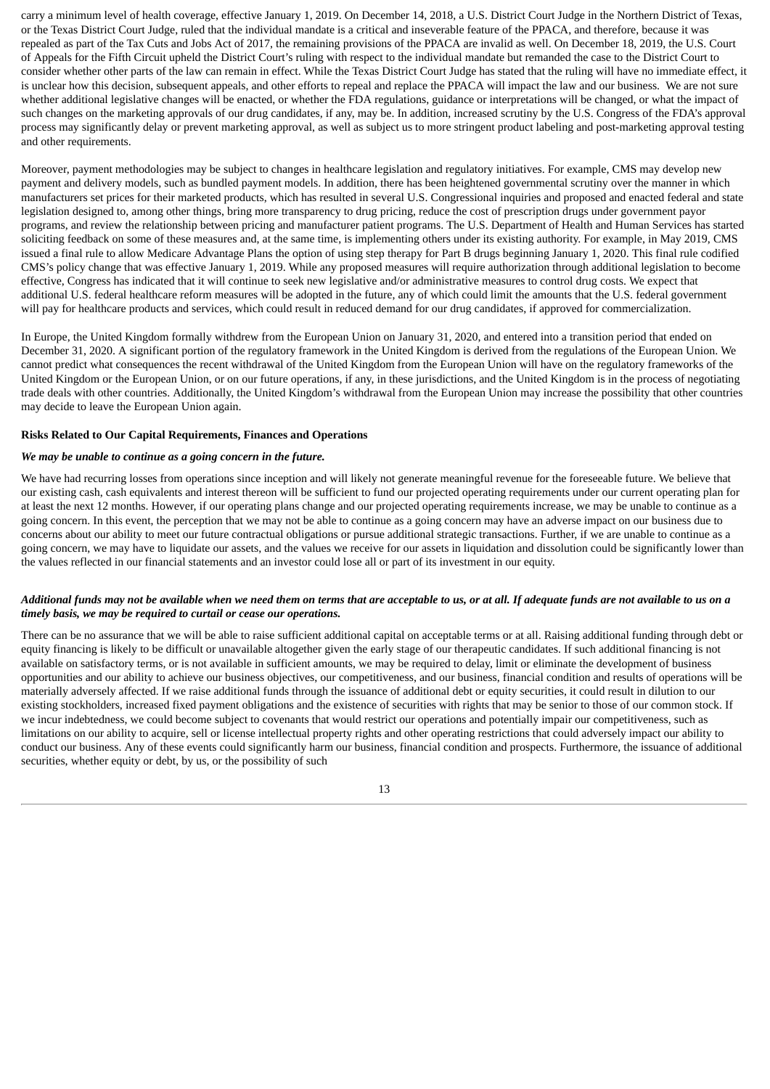carry a minimum level of health coverage, effective January 1, 2019. On December 14, 2018, a U.S. District Court Judge in the Northern District of Texas, or the Texas District Court Judge, ruled that the individual mandate is a critical and inseverable feature of the PPACA, and therefore, because it was repealed as part of the Tax Cuts and Jobs Act of 2017, the remaining provisions of the PPACA are invalid as well. On December 18, 2019, the U.S. Court of Appeals for the Fifth Circuit upheld the District Court's ruling with respect to the individual mandate but remanded the case to the District Court to consider whether other parts of the law can remain in effect. While the Texas District Court Judge has stated that the ruling will have no immediate effect, it is unclear how this decision, subsequent appeals, and other efforts to repeal and replace the PPACA will impact the law and our business. We are not sure whether additional legislative changes will be enacted, or whether the FDA regulations, guidance or interpretations will be changed, or what the impact of such changes on the marketing approvals of our drug candidates, if any, may be. In addition, increased scrutiny by the U.S. Congress of the FDA's approval process may significantly delay or prevent marketing approval, as well as subject us to more stringent product labeling and post-marketing approval testing and other requirements.

Moreover, payment methodologies may be subject to changes in healthcare legislation and regulatory initiatives. For example, CMS may develop new payment and delivery models, such as bundled payment models. In addition, there has been heightened governmental scrutiny over the manner in which manufacturers set prices for their marketed products, which has resulted in several U.S. Congressional inquiries and proposed and enacted federal and state legislation designed to, among other things, bring more transparency to drug pricing, reduce the cost of prescription drugs under government payor programs, and review the relationship between pricing and manufacturer patient programs. The U.S. Department of Health and Human Services has started soliciting feedback on some of these measures and, at the same time, is implementing others under its existing authority. For example, in May 2019, CMS issued a final rule to allow Medicare Advantage Plans the option of using step therapy for Part B drugs beginning January 1, 2020. This final rule codified CMS's policy change that was effective January 1, 2019. While any proposed measures will require authorization through additional legislation to become effective, Congress has indicated that it will continue to seek new legislative and/or administrative measures to control drug costs. We expect that additional U.S. federal healthcare reform measures will be adopted in the future, any of which could limit the amounts that the U.S. federal government will pay for healthcare products and services, which could result in reduced demand for our drug candidates, if approved for commercialization.

In Europe, the United Kingdom formally withdrew from the European Union on January 31, 2020, and entered into a transition period that ended on December 31, 2020. A significant portion of the regulatory framework in the United Kingdom is derived from the regulations of the European Union. We cannot predict what consequences the recent withdrawal of the United Kingdom from the European Union will have on the regulatory frameworks of the United Kingdom or the European Union, or on our future operations, if any, in these jurisdictions, and the United Kingdom is in the process of negotiating trade deals with other countries. Additionally, the United Kingdom's withdrawal from the European Union may increase the possibility that other countries may decide to leave the European Union again.

#### **Risks Related to Our Capital Requirements, Finances and Operations**

#### *We may be unable to continue as a going concern in the future.*

We have had recurring losses from operations since inception and will likely not generate meaningful revenue for the foreseeable future. We believe that our existing cash, cash equivalents and interest thereon will be sufficient to fund our projected operating requirements under our current operating plan for at least the next 12 months. However, if our operating plans change and our projected operating requirements increase, we may be unable to continue as a going concern. In this event, the perception that we may not be able to continue as a going concern may have an adverse impact on our business due to concerns about our ability to meet our future contractual obligations or pursue additional strategic transactions. Further, if we are unable to continue as a going concern, we may have to liquidate our assets, and the values we receive for our assets in liquidation and dissolution could be significantly lower than the values reflected in our financial statements and an investor could lose all or part of its investment in our equity.

# Additional funds may not be available when we need them on terms that are acceptable to us, or at all. If adequate funds are not available to us on a *timely basis, we may be required to curtail or cease our operations.*

There can be no assurance that we will be able to raise sufficient additional capital on acceptable terms or at all. Raising additional funding through debt or equity financing is likely to be difficult or unavailable altogether given the early stage of our therapeutic candidates. If such additional financing is not available on satisfactory terms, or is not available in sufficient amounts, we may be required to delay, limit or eliminate the development of business opportunities and our ability to achieve our business objectives, our competitiveness, and our business, financial condition and results of operations will be materially adversely affected. If we raise additional funds through the issuance of additional debt or equity securities, it could result in dilution to our existing stockholders, increased fixed payment obligations and the existence of securities with rights that may be senior to those of our common stock. If we incur indebtedness, we could become subject to covenants that would restrict our operations and potentially impair our competitiveness, such as limitations on our ability to acquire, sell or license intellectual property rights and other operating restrictions that could adversely impact our ability to conduct our business. Any of these events could significantly harm our business, financial condition and prospects. Furthermore, the issuance of additional securities, whether equity or debt, by us, or the possibility of such

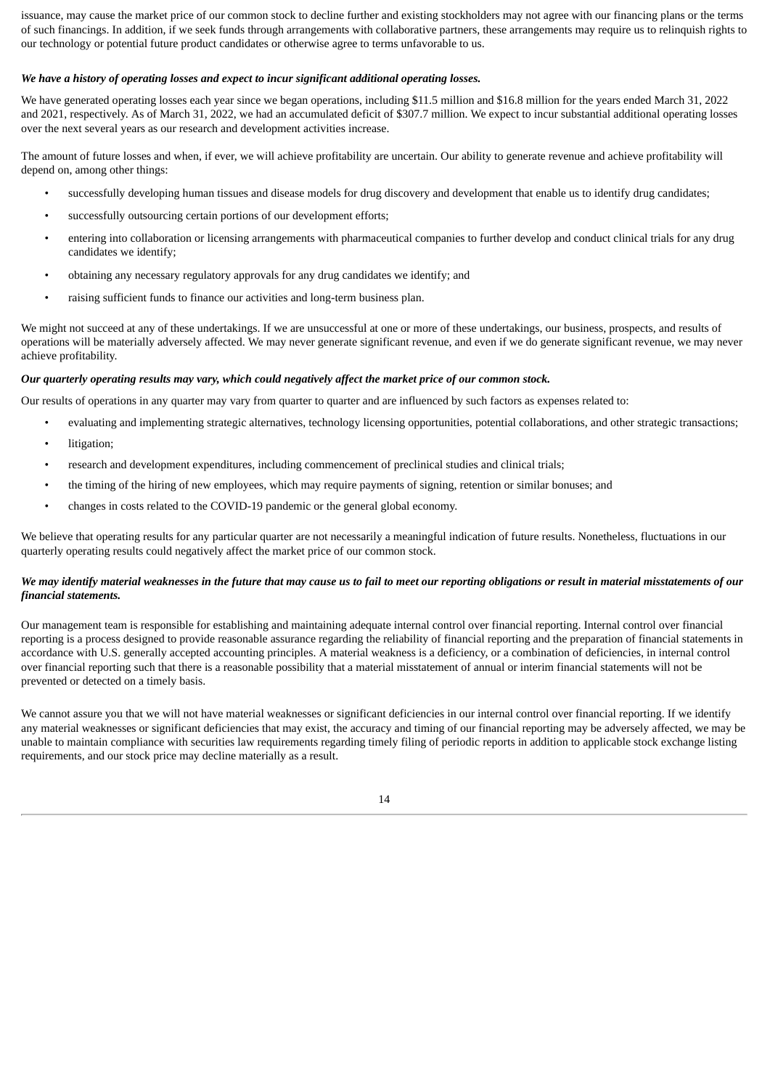issuance, may cause the market price of our common stock to decline further and existing stockholders may not agree with our financing plans or the terms of such financings. In addition, if we seek funds through arrangements with collaborative partners, these arrangements may require us to relinquish rights to our technology or potential future product candidates or otherwise agree to terms unfavorable to us.

# *We have a history of operating losses and expect to incur significant additional operating losses.*

We have generated operating losses each year since we began operations, including \$11.5 million and \$16.8 million for the years ended March 31, 2022 and 2021, respectively. As of March 31, 2022, we had an accumulated deficit of \$307.7 million. We expect to incur substantial additional operating losses over the next several years as our research and development activities increase.

The amount of future losses and when, if ever, we will achieve profitability are uncertain. Our ability to generate revenue and achieve profitability will depend on, among other things:

- successfully developing human tissues and disease models for drug discovery and development that enable us to identify drug candidates;
- successfully outsourcing certain portions of our development efforts;
- entering into collaboration or licensing arrangements with pharmaceutical companies to further develop and conduct clinical trials for any drug candidates we identify;
- obtaining any necessary regulatory approvals for any drug candidates we identify; and
- raising sufficient funds to finance our activities and long-term business plan.

We might not succeed at any of these undertakings. If we are unsuccessful at one or more of these undertakings, our business, prospects, and results of operations will be materially adversely affected. We may never generate significant revenue, and even if we do generate significant revenue, we may never achieve profitability.

#### Our quarterly operating results may vary, which could negatively affect the market price of our common stock.

Our results of operations in any quarter may vary from quarter to quarter and are influenced by such factors as expenses related to:

- evaluating and implementing strategic alternatives, technology licensing opportunities, potential collaborations, and other strategic transactions;
- litigation:
- research and development expenditures, including commencement of preclinical studies and clinical trials;
- the timing of the hiring of new employees, which may require payments of signing, retention or similar bonuses; and
- changes in costs related to the COVID-19 pandemic or the general global economy.

We believe that operating results for any particular quarter are not necessarily a meaningful indication of future results. Nonetheless, fluctuations in our quarterly operating results could negatively affect the market price of our common stock.

# We may identify material weaknesses in the future that may cause us to fail to meet our reporting obligations or result in material misstatements of our *financial statements.*

Our management team is responsible for establishing and maintaining adequate internal control over financial reporting. Internal control over financial reporting is a process designed to provide reasonable assurance regarding the reliability of financial reporting and the preparation of financial statements in accordance with U.S. generally accepted accounting principles. A material weakness is a deficiency, or a combination of deficiencies, in internal control over financial reporting such that there is a reasonable possibility that a material misstatement of annual or interim financial statements will not be prevented or detected on a timely basis.

We cannot assure you that we will not have material weaknesses or significant deficiencies in our internal control over financial reporting. If we identify any material weaknesses or significant deficiencies that may exist, the accuracy and timing of our financial reporting may be adversely affected, we may be unable to maintain compliance with securities law requirements regarding timely filing of periodic reports in addition to applicable stock exchange listing requirements, and our stock price may decline materially as a result.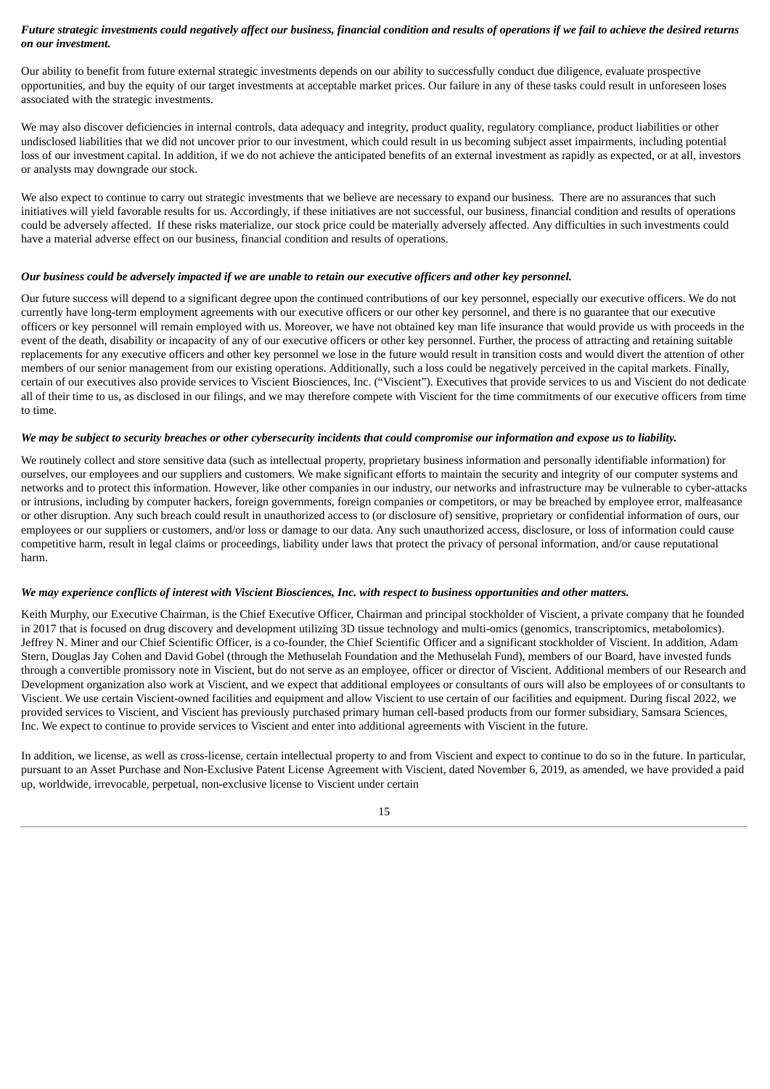# Future strategic investments could negatively affect our business, financial condition and results of operations if we fail to achieve the desired returns *on our investment.*

Our ability to benefit from future external strategic investments depends on our ability to successfully conduct due diligence, evaluate prospective opportunities, and buy the equity of our target investments at acceptable market prices. Our failure in any of these tasks could result in unforeseen loses associated with the strategic investments.

We may also discover deficiencies in internal controls, data adequacy and integrity, product quality, regulatory compliance, product liabilities or other undisclosed liabilities that we did not uncover prior to our investment, which could result in us becoming subject asset impairments, including potential loss of our investment capital. In addition, if we do not achieve the anticipated benefits of an external investment as rapidly as expected, or at all, investors or analysts may downgrade our stock.

We also expect to continue to carry out strategic investments that we believe are necessary to expand our business. There are no assurances that such initiatives will yield favorable results for us. Accordingly, if these initiatives are not successful, our business, financial condition and results of operations could be adversely affected. If these risks materialize, our stock price could be materially adversely affected. Any difficulties in such investments could have a material adverse effect on our business, financial condition and results of operations.

#### Our business could be adversely impacted if we are unable to retain our executive officers and other key personnel.

Our future success will depend to a significant degree upon the continued contributions of our key personnel, especially our executive officers. We do not currently have long-term employment agreements with our executive officers or our other key personnel, and there is no guarantee that our executive officers or key personnel will remain employed with us. Moreover, we have not obtained key man life insurance that would provide us with proceeds in the event of the death, disability or incapacity of any of our executive officers or other key personnel. Further, the process of attracting and retaining suitable replacements for any executive officers and other key personnel we lose in the future would result in transition costs and would divert the attention of other members of our senior management from our existing operations. Additionally, such a loss could be negatively perceived in the capital markets. Finally, certain of our executives also provide services to Viscient Biosciences, Inc. ("Viscient"). Executives that provide services to us and Viscient do not dedicate all of their time to us, as disclosed in our filings, and we may therefore compete with Viscient for the time commitments of our executive officers from time to time.

#### We may be subject to security breaches or other cybersecurity incidents that could compromise our information and expose us to liability.

We routinely collect and store sensitive data (such as intellectual property, proprietary business information and personally identifiable information) for ourselves, our employees and our suppliers and customers. We make significant efforts to maintain the security and integrity of our computer systems and networks and to protect this information. However, like other companies in our industry, our networks and infrastructure may be vulnerable to cyber-attacks or intrusions, including by computer hackers, foreign governments, foreign companies or competitors, or may be breached by employee error, malfeasance or other disruption. Any such breach could result in unauthorized access to (or disclosure of) sensitive, proprietary or confidential information of ours, our employees or our suppliers or customers, and/or loss or damage to our data. Any such unauthorized access, disclosure, or loss of information could cause competitive harm, result in legal claims or proceedings, liability under laws that protect the privacy of personal information, and/or cause reputational harm.

#### We may experience conflicts of interest with Viscient Biosciences. Inc. with respect to business opportunities and other matters.

Keith Murphy, our Executive Chairman, is the Chief Executive Officer, Chairman and principal stockholder of Viscient, a private company that he founded in 2017 that is focused on drug discovery and development utilizing 3D tissue technology and multi-omics (genomics, transcriptomics, metabolomics). Jeffrey N. Miner and our Chief Scientific Officer, is a co-founder, the Chief Scientific Officer and a significant stockholder of Viscient. In addition, Adam Stern, Douglas Jay Cohen and David Gobel (through the Methuselah Foundation and the Methuselah Fund), members of our Board, have invested funds through a convertible promissory note in Viscient, but do not serve as an employee, officer or director of Viscient. Additional members of our Research and Development organization also work at Viscient, and we expect that additional employees or consultants of ours will also be employees of or consultants to Viscient. We use certain Viscient-owned facilities and equipment and allow Viscient to use certain of our facilities and equipment. During fiscal 2022, we provided services to Viscient, and Viscient has previously purchased primary human cell-based products from our former subsidiary, Samsara Sciences, Inc. We expect to continue to provide services to Viscient and enter into additional agreements with Viscient in the future.

In addition, we license, as well as cross-license, certain intellectual property to and from Viscient and expect to continue to do so in the future. In particular, pursuant to an Asset Purchase and Non-Exclusive Patent License Agreement with Viscient, dated November 6, 2019, as amended, we have provided a paid up, worldwide, irrevocable, perpetual, non-exclusive license to Viscient under certain

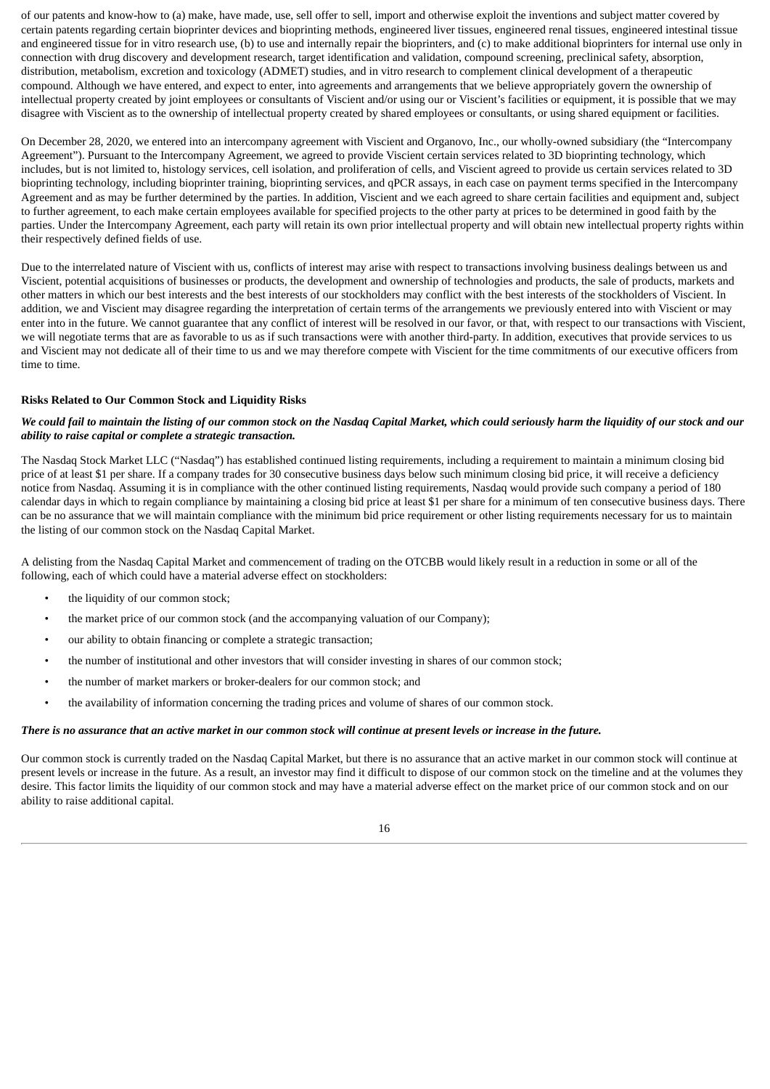of our patents and know-how to (a) make, have made, use, sell offer to sell, import and otherwise exploit the inventions and subject matter covered by certain patents regarding certain bioprinter devices and bioprinting methods, engineered liver tissues, engineered renal tissues, engineered intestinal tissue and engineered tissue for in vitro research use, (b) to use and internally repair the bioprinters, and (c) to make additional bioprinters for internal use only in connection with drug discovery and development research, target identification and validation, compound screening, preclinical safety, absorption, distribution, metabolism, excretion and toxicology (ADMET) studies, and in vitro research to complement clinical development of a therapeutic compound. Although we have entered, and expect to enter, into agreements and arrangements that we believe appropriately govern the ownership of intellectual property created by joint employees or consultants of Viscient and/or using our or Viscient's facilities or equipment, it is possible that we may disagree with Viscient as to the ownership of intellectual property created by shared employees or consultants, or using shared equipment or facilities.

On December 28, 2020, we entered into an intercompany agreement with Viscient and Organovo, Inc., our wholly-owned subsidiary (the "Intercompany Agreement"). Pursuant to the Intercompany Agreement, we agreed to provide Viscient certain services related to 3D bioprinting technology, which includes, but is not limited to, histology services, cell isolation, and proliferation of cells, and Viscient agreed to provide us certain services related to 3D bioprinting technology, including bioprinter training, bioprinting services, and qPCR assays, in each case on payment terms specified in the Intercompany Agreement and as may be further determined by the parties. In addition, Viscient and we each agreed to share certain facilities and equipment and, subject to further agreement, to each make certain employees available for specified projects to the other party at prices to be determined in good faith by the parties. Under the Intercompany Agreement, each party will retain its own prior intellectual property and will obtain new intellectual property rights within their respectively defined fields of use.

Due to the interrelated nature of Viscient with us, conflicts of interest may arise with respect to transactions involving business dealings between us and Viscient, potential acquisitions of businesses or products, the development and ownership of technologies and products, the sale of products, markets and other matters in which our best interests and the best interests of our stockholders may conflict with the best interests of the stockholders of Viscient. In addition, we and Viscient may disagree regarding the interpretation of certain terms of the arrangements we previously entered into with Viscient or may enter into in the future. We cannot guarantee that any conflict of interest will be resolved in our favor, or that, with respect to our transactions with Viscient, we will negotiate terms that are as favorable to us as if such transactions were with another third-party. In addition, executives that provide services to us and Viscient may not dedicate all of their time to us and we may therefore compete with Viscient for the time commitments of our executive officers from time to time.

# **Risks Related to Our Common Stock and Liquidity Risks**

# We could fail to maintain the listing of our common stock on the Nasdaq Capital Market, which could seriously harm the liquidity of our stock and our *ability to raise capital or complete a strategic transaction.*

The Nasdaq Stock Market LLC ("Nasdaq") has established continued listing requirements, including a requirement to maintain a minimum closing bid price of at least \$1 per share. If a company trades for 30 consecutive business days below such minimum closing bid price, it will receive a deficiency notice from Nasdaq. Assuming it is in compliance with the other continued listing requirements, Nasdaq would provide such company a period of 180 calendar days in which to regain compliance by maintaining a closing bid price at least \$1 per share for a minimum of ten consecutive business days. There can be no assurance that we will maintain compliance with the minimum bid price requirement or other listing requirements necessary for us to maintain the listing of our common stock on the Nasdaq Capital Market.

A delisting from the Nasdaq Capital Market and commencement of trading on the OTCBB would likely result in a reduction in some or all of the following, each of which could have a material adverse effect on stockholders:

- the liquidity of our common stock;
- the market price of our common stock (and the accompanying valuation of our Company);
- our ability to obtain financing or complete a strategic transaction;
- the number of institutional and other investors that will consider investing in shares of our common stock;
- the number of market markers or broker-dealers for our common stock; and
- the availability of information concerning the trading prices and volume of shares of our common stock.

#### There is no assurance that an active market in our common stock will continue at present levels or increase in the future.

Our common stock is currently traded on the Nasdaq Capital Market, but there is no assurance that an active market in our common stock will continue at present levels or increase in the future. As a result, an investor may find it difficult to dispose of our common stock on the timeline and at the volumes they desire. This factor limits the liquidity of our common stock and may have a material adverse effect on the market price of our common stock and on our ability to raise additional capital.

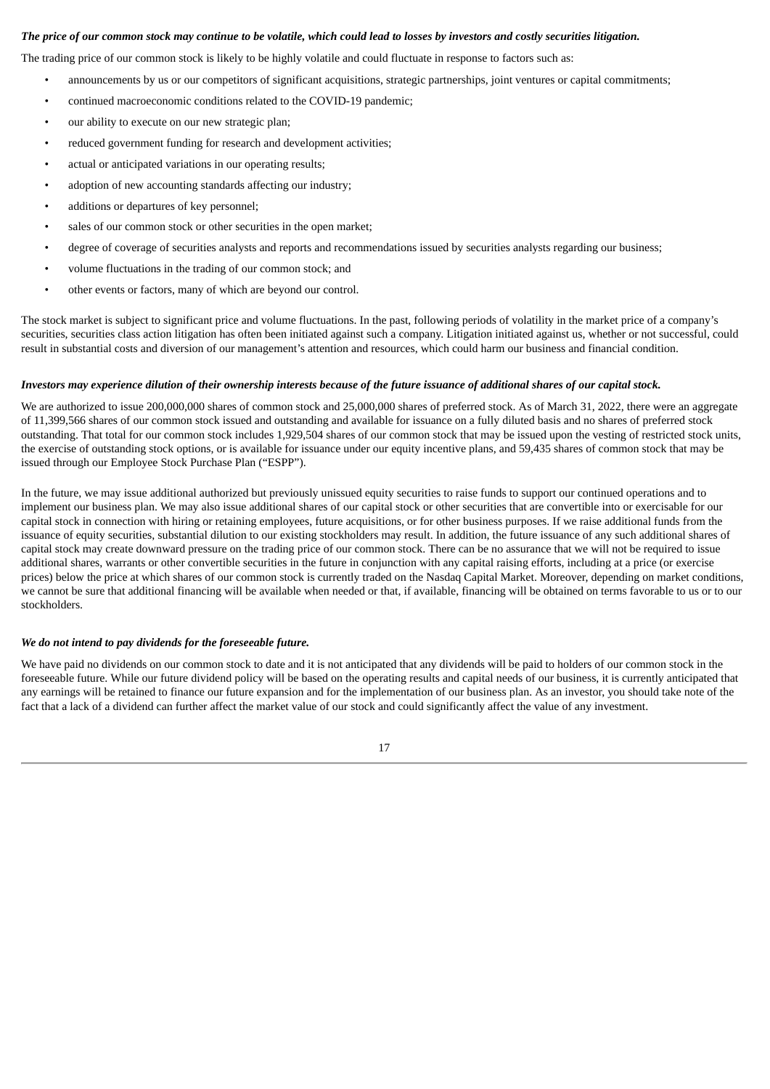# The price of our common stock may continue to be volatile, which could lead to losses by investors and costly securities litigation.

The trading price of our common stock is likely to be highly volatile and could fluctuate in response to factors such as:

- announcements by us or our competitors of significant acquisitions, strategic partnerships, joint ventures or capital commitments;
- continued macroeconomic conditions related to the COVID-19 pandemic;
- our ability to execute on our new strategic plan;
- reduced government funding for research and development activities;
- actual or anticipated variations in our operating results;
- adoption of new accounting standards affecting our industry;
- additions or departures of key personnel;
- sales of our common stock or other securities in the open market;
- degree of coverage of securities analysts and reports and recommendations issued by securities analysts regarding our business;
- volume fluctuations in the trading of our common stock; and
- other events or factors, many of which are beyond our control.

The stock market is subject to significant price and volume fluctuations. In the past, following periods of volatility in the market price of a company's securities, securities class action litigation has often been initiated against such a company. Litigation initiated against us, whether or not successful, could result in substantial costs and diversion of our management's attention and resources, which could harm our business and financial condition.

#### Investors may experience dilution of their ownership interests because of the future issuance of additional shares of our capital stock.

We are authorized to issue 200,000,000 shares of common stock and 25,000,000 shares of preferred stock. As of March 31, 2022, there were an aggregate of 11,399,566 shares of our common stock issued and outstanding and available for issuance on a fully diluted basis and no shares of preferred stock outstanding. That total for our common stock includes 1,929,504 shares of our common stock that may be issued upon the vesting of restricted stock units, the exercise of outstanding stock options, or is available for issuance under our equity incentive plans, and 59,435 shares of common stock that may be issued through our Employee Stock Purchase Plan ("ESPP").

In the future, we may issue additional authorized but previously unissued equity securities to raise funds to support our continued operations and to implement our business plan. We may also issue additional shares of our capital stock or other securities that are convertible into or exercisable for our capital stock in connection with hiring or retaining employees, future acquisitions, or for other business purposes. If we raise additional funds from the issuance of equity securities, substantial dilution to our existing stockholders may result. In addition, the future issuance of any such additional shares of capital stock may create downward pressure on the trading price of our common stock. There can be no assurance that we will not be required to issue additional shares, warrants or other convertible securities in the future in conjunction with any capital raising efforts, including at a price (or exercise prices) below the price at which shares of our common stock is currently traded on the Nasdaq Capital Market. Moreover, depending on market conditions, we cannot be sure that additional financing will be available when needed or that, if available, financing will be obtained on terms favorable to us or to our stockholders.

#### *We do not intend to pay dividends for the foreseeable future.*

We have paid no dividends on our common stock to date and it is not anticipated that any dividends will be paid to holders of our common stock in the foreseeable future. While our future dividend policy will be based on the operating results and capital needs of our business, it is currently anticipated that any earnings will be retained to finance our future expansion and for the implementation of our business plan. As an investor, you should take note of the fact that a lack of a dividend can further affect the market value of our stock and could significantly affect the value of any investment.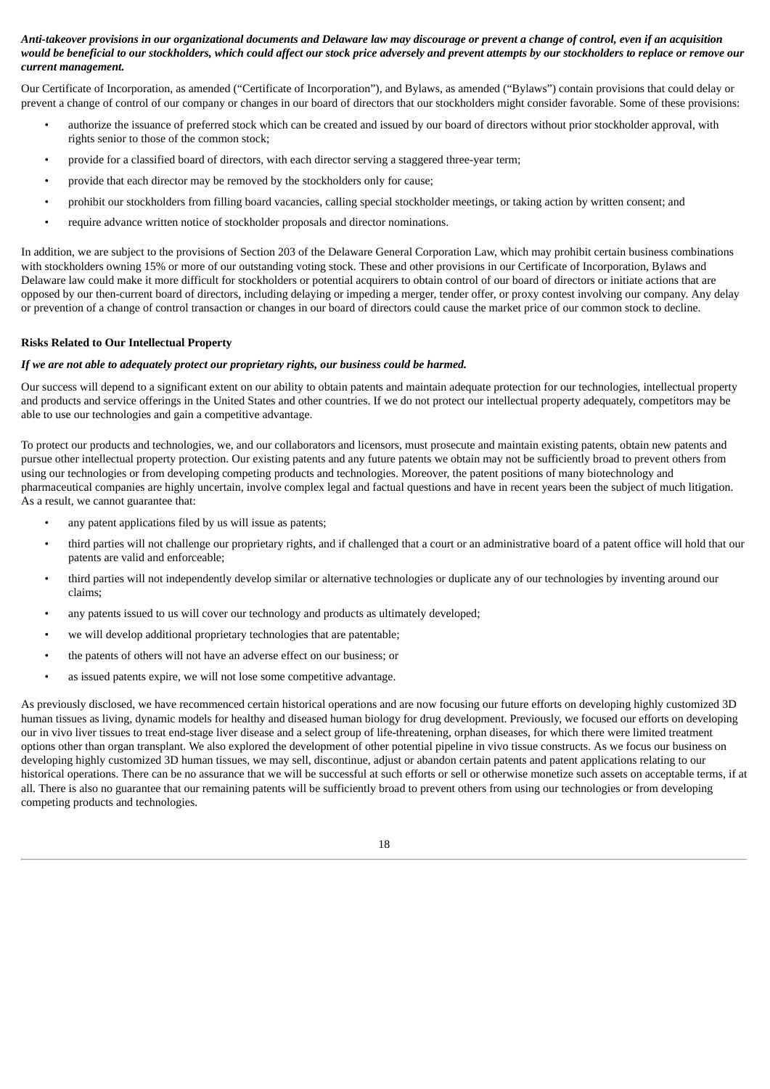# Anti-takeover provisions in our organizational documents and Delaware law may discourage or prevent a change of control, even if an acquisition would be beneficial to our stockholders, which could affect our stock price adversely and prevent attempts by our stockholders to replace or remove our *current management.*

Our Certificate of Incorporation, as amended ("Certificate of Incorporation"), and Bylaws, as amended ("Bylaws") contain provisions that could delay or prevent a change of control of our company or changes in our board of directors that our stockholders might consider favorable. Some of these provisions:

- authorize the issuance of preferred stock which can be created and issued by our board of directors without prior stockholder approval, with rights senior to those of the common stock;
- provide for a classified board of directors, with each director serving a staggered three-year term;
- provide that each director may be removed by the stockholders only for cause;
- prohibit our stockholders from filling board vacancies, calling special stockholder meetings, or taking action by written consent; and
- require advance written notice of stockholder proposals and director nominations.

In addition, we are subject to the provisions of Section 203 of the Delaware General Corporation Law, which may prohibit certain business combinations with stockholders owning 15% or more of our outstanding voting stock. These and other provisions in our Certificate of Incorporation, Bylaws and Delaware law could make it more difficult for stockholders or potential acquirers to obtain control of our board of directors or initiate actions that are opposed by our then-current board of directors, including delaying or impeding a merger, tender offer, or proxy contest involving our company. Any delay or prevention of a change of control transaction or changes in our board of directors could cause the market price of our common stock to decline.

# **Risks Related to Our Intellectual Property**

#### *If we are not able to adequately protect our proprietary rights, our business could be harmed.*

Our success will depend to a significant extent on our ability to obtain patents and maintain adequate protection for our technologies, intellectual property and products and service offerings in the United States and other countries. If we do not protect our intellectual property adequately, competitors may be able to use our technologies and gain a competitive advantage.

To protect our products and technologies, we, and our collaborators and licensors, must prosecute and maintain existing patents, obtain new patents and pursue other intellectual property protection. Our existing patents and any future patents we obtain may not be sufficiently broad to prevent others from using our technologies or from developing competing products and technologies. Moreover, the patent positions of many biotechnology and pharmaceutical companies are highly uncertain, involve complex legal and factual questions and have in recent years been the subject of much litigation. As a result, we cannot guarantee that:

- any patent applications filed by us will issue as patents;
- third parties will not challenge our proprietary rights, and if challenged that a court or an administrative board of a patent office will hold that our patents are valid and enforceable;
- third parties will not independently develop similar or alternative technologies or duplicate any of our technologies by inventing around our claims;
- any patents issued to us will cover our technology and products as ultimately developed;
- we will develop additional proprietary technologies that are patentable;
- the patents of others will not have an adverse effect on our business; or
- as issued patents expire, we will not lose some competitive advantage.

As previously disclosed, we have recommenced certain historical operations and are now focusing our future efforts on developing highly customized 3D human tissues as living, dynamic models for healthy and diseased human biology for drug development. Previously, we focused our efforts on developing our in vivo liver tissues to treat end-stage liver disease and a select group of life-threatening, orphan diseases, for which there were limited treatment options other than organ transplant. We also explored the development of other potential pipeline in vivo tissue constructs. As we focus our business on developing highly customized 3D human tissues, we may sell, discontinue, adjust or abandon certain patents and patent applications relating to our historical operations. There can be no assurance that we will be successful at such efforts or sell or otherwise monetize such assets on acceptable terms, if at all. There is also no guarantee that our remaining patents will be sufficiently broad to prevent others from using our technologies or from developing competing products and technologies.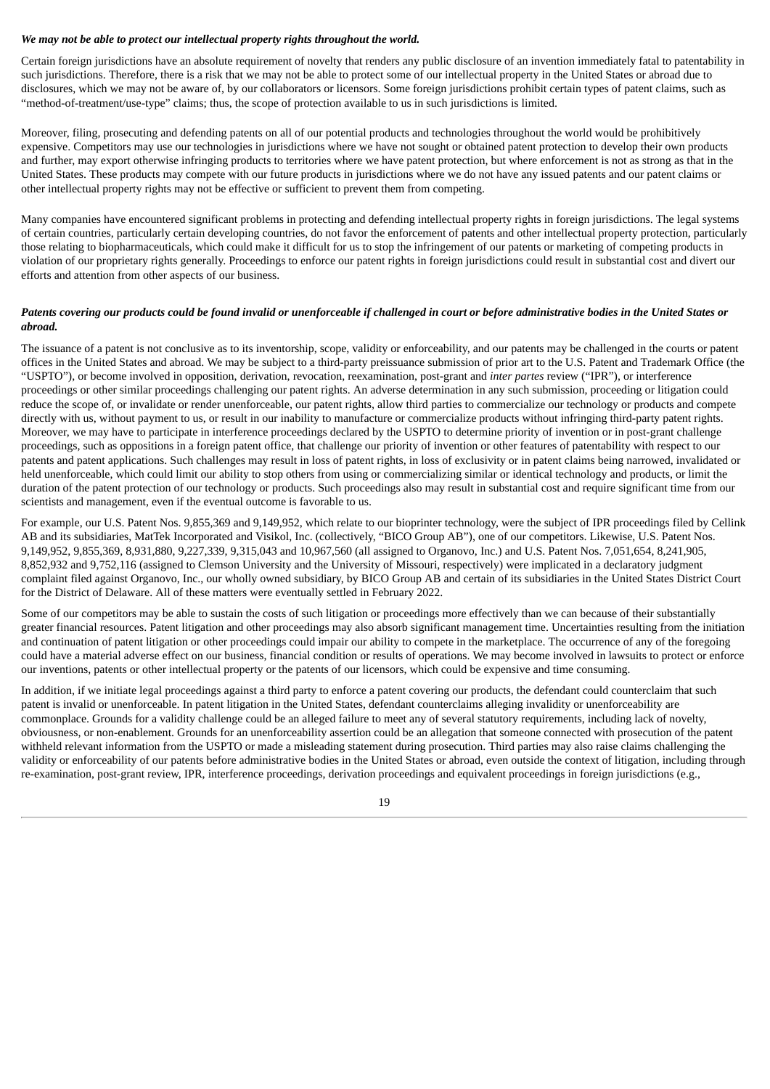#### *We may not be able to protect our intellectual property rights throughout the world.*

Certain foreign jurisdictions have an absolute requirement of novelty that renders any public disclosure of an invention immediately fatal to patentability in such jurisdictions. Therefore, there is a risk that we may not be able to protect some of our intellectual property in the United States or abroad due to disclosures, which we may not be aware of, by our collaborators or licensors. Some foreign jurisdictions prohibit certain types of patent claims, such as "method-of-treatment/use-type" claims; thus, the scope of protection available to us in such jurisdictions is limited.

Moreover, filing, prosecuting and defending patents on all of our potential products and technologies throughout the world would be prohibitively expensive. Competitors may use our technologies in jurisdictions where we have not sought or obtained patent protection to develop their own products and further, may export otherwise infringing products to territories where we have patent protection, but where enforcement is not as strong as that in the United States. These products may compete with our future products in jurisdictions where we do not have any issued patents and our patent claims or other intellectual property rights may not be effective or sufficient to prevent them from competing.

Many companies have encountered significant problems in protecting and defending intellectual property rights in foreign jurisdictions. The legal systems of certain countries, particularly certain developing countries, do not favor the enforcement of patents and other intellectual property protection, particularly those relating to biopharmaceuticals, which could make it difficult for us to stop the infringement of our patents or marketing of competing products in violation of our proprietary rights generally. Proceedings to enforce our patent rights in foreign jurisdictions could result in substantial cost and divert our efforts and attention from other aspects of our business.

# Patents covering our products could be found invalid or unenforceable if challenged in court or before administrative bodies in the United States or *abroad.*

The issuance of a patent is not conclusive as to its inventorship, scope, validity or enforceability, and our patents may be challenged in the courts or patent offices in the United States and abroad. We may be subject to a third-party preissuance submission of prior art to the U.S. Patent and Trademark Office (the "USPTO"), or become involved in opposition, derivation, revocation, reexamination, post-grant and *inter partes* review ("IPR"), or interference proceedings or other similar proceedings challenging our patent rights. An adverse determination in any such submission, proceeding or litigation could reduce the scope of, or invalidate or render unenforceable, our patent rights, allow third parties to commercialize our technology or products and compete directly with us, without payment to us, or result in our inability to manufacture or commercialize products without infringing third-party patent rights. Moreover, we may have to participate in interference proceedings declared by the USPTO to determine priority of invention or in post-grant challenge proceedings, such as oppositions in a foreign patent office, that challenge our priority of invention or other features of patentability with respect to our patents and patent applications. Such challenges may result in loss of patent rights, in loss of exclusivity or in patent claims being narrowed, invalidated or held unenforceable, which could limit our ability to stop others from using or commercializing similar or identical technology and products, or limit the duration of the patent protection of our technology or products. Such proceedings also may result in substantial cost and require significant time from our scientists and management, even if the eventual outcome is favorable to us.

For example, our U.S. Patent Nos. 9,855,369 and 9,149,952, which relate to our bioprinter technology, were the subject of IPR proceedings filed by Cellink AB and its subsidiaries, MatTek Incorporated and Visikol, Inc. (collectively, "BICO Group AB"), one of our competitors. Likewise, U.S. Patent Nos. 9,149,952, 9,855,369, 8,931,880, 9,227,339, 9,315,043 and 10,967,560 (all assigned to Organovo, Inc.) and U.S. Patent Nos. 7,051,654, 8,241,905, 8,852,932 and 9,752,116 (assigned to Clemson University and the University of Missouri, respectively) were implicated in a declaratory judgment complaint filed against Organovo, Inc., our wholly owned subsidiary, by BICO Group AB and certain of its subsidiaries in the United States District Court for the District of Delaware. All of these matters were eventually settled in February 2022.

Some of our competitors may be able to sustain the costs of such litigation or proceedings more effectively than we can because of their substantially greater financial resources. Patent litigation and other proceedings may also absorb significant management time. Uncertainties resulting from the initiation and continuation of patent litigation or other proceedings could impair our ability to compete in the marketplace. The occurrence of any of the foregoing could have a material adverse effect on our business, financial condition or results of operations. We may become involved in lawsuits to protect or enforce our inventions, patents or other intellectual property or the patents of our licensors, which could be expensive and time consuming.

In addition, if we initiate legal proceedings against a third party to enforce a patent covering our products, the defendant could counterclaim that such patent is invalid or unenforceable. In patent litigation in the United States, defendant counterclaims alleging invalidity or unenforceability are commonplace. Grounds for a validity challenge could be an alleged failure to meet any of several statutory requirements, including lack of novelty, obviousness, or non-enablement. Grounds for an unenforceability assertion could be an allegation that someone connected with prosecution of the patent withheld relevant information from the USPTO or made a misleading statement during prosecution. Third parties may also raise claims challenging the validity or enforceability of our patents before administrative bodies in the United States or abroad, even outside the context of litigation, including through re-examination, post-grant review, IPR, interference proceedings, derivation proceedings and equivalent proceedings in foreign jurisdictions (e.g.,

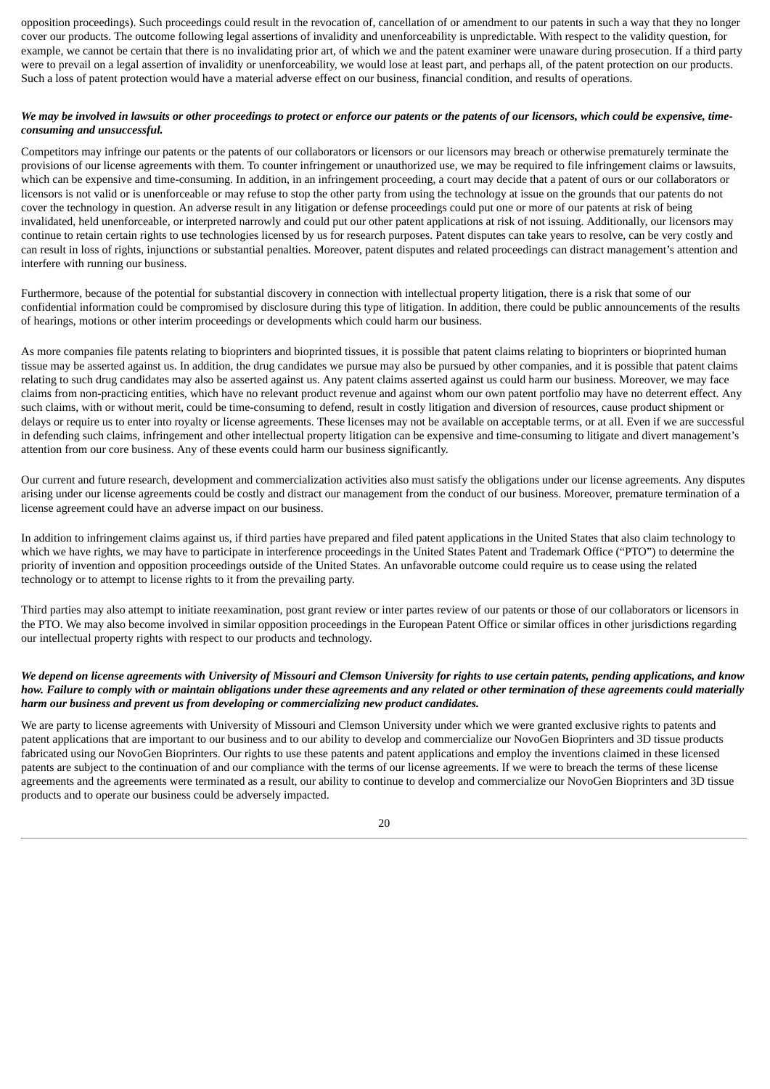opposition proceedings). Such proceedings could result in the revocation of, cancellation of or amendment to our patents in such a way that they no longer cover our products. The outcome following legal assertions of invalidity and unenforceability is unpredictable. With respect to the validity question, for example, we cannot be certain that there is no invalidating prior art, of which we and the patent examiner were unaware during prosecution. If a third party were to prevail on a legal assertion of invalidity or unenforceability, we would lose at least part, and perhaps all, of the patent protection on our products. Such a loss of patent protection would have a material adverse effect on our business, financial condition, and results of operations.

#### We may be involved in lawsuits or other proceedings to protect or enforce our patents or the patents of our licensors, which could be expensive, time*consuming and unsuccessful.*

Competitors may infringe our patents or the patents of our collaborators or licensors or our licensors may breach or otherwise prematurely terminate the provisions of our license agreements with them. To counter infringement or unauthorized use, we may be required to file infringement claims or lawsuits, which can be expensive and time-consuming. In addition, in an infringement proceeding, a court may decide that a patent of ours or our collaborators or licensors is not valid or is unenforceable or may refuse to stop the other party from using the technology at issue on the grounds that our patents do not cover the technology in question. An adverse result in any litigation or defense proceedings could put one or more of our patents at risk of being invalidated, held unenforceable, or interpreted narrowly and could put our other patent applications at risk of not issuing. Additionally, our licensors may continue to retain certain rights to use technologies licensed by us for research purposes. Patent disputes can take years to resolve, can be very costly and can result in loss of rights, injunctions or substantial penalties. Moreover, patent disputes and related proceedings can distract management's attention and interfere with running our business.

Furthermore, because of the potential for substantial discovery in connection with intellectual property litigation, there is a risk that some of our confidential information could be compromised by disclosure during this type of litigation. In addition, there could be public announcements of the results of hearings, motions or other interim proceedings or developments which could harm our business.

As more companies file patents relating to bioprinters and bioprinted tissues, it is possible that patent claims relating to bioprinters or bioprinted human tissue may be asserted against us. In addition, the drug candidates we pursue may also be pursued by other companies, and it is possible that patent claims relating to such drug candidates may also be asserted against us. Any patent claims asserted against us could harm our business. Moreover, we may face claims from non-practicing entities, which have no relevant product revenue and against whom our own patent portfolio may have no deterrent effect. Any such claims, with or without merit, could be time-consuming to defend, result in costly litigation and diversion of resources, cause product shipment or delays or require us to enter into royalty or license agreements. These licenses may not be available on acceptable terms, or at all. Even if we are successful in defending such claims, infringement and other intellectual property litigation can be expensive and time-consuming to litigate and divert management's attention from our core business. Any of these events could harm our business significantly.

Our current and future research, development and commercialization activities also must satisfy the obligations under our license agreements. Any disputes arising under our license agreements could be costly and distract our management from the conduct of our business. Moreover, premature termination of a license agreement could have an adverse impact on our business.

In addition to infringement claims against us, if third parties have prepared and filed patent applications in the United States that also claim technology to which we have rights, we may have to participate in interference proceedings in the United States Patent and Trademark Office ("PTO") to determine the priority of invention and opposition proceedings outside of the United States. An unfavorable outcome could require us to cease using the related technology or to attempt to license rights to it from the prevailing party.

Third parties may also attempt to initiate reexamination, post grant review or inter partes review of our patents or those of our collaborators or licensors in the PTO. We may also become involved in similar opposition proceedings in the European Patent Office or similar offices in other jurisdictions regarding our intellectual property rights with respect to our products and technology.

# We depend on license agreements with University of Missouri and Clemson University for rights to use certain patents, pending applications, and know how. Failure to comply with or maintain obligations under these agreements and any related or other termination of these agreements could materially *harm our business and prevent us from developing or commercializing new product candidates.*

We are party to license agreements with University of Missouri and Clemson University under which we were granted exclusive rights to patents and patent applications that are important to our business and to our ability to develop and commercialize our NovoGen Bioprinters and 3D tissue products fabricated using our NovoGen Bioprinters. Our rights to use these patents and patent applications and employ the inventions claimed in these licensed patents are subject to the continuation of and our compliance with the terms of our license agreements. If we were to breach the terms of these license agreements and the agreements were terminated as a result, our ability to continue to develop and commercialize our NovoGen Bioprinters and 3D tissue products and to operate our business could be adversely impacted.

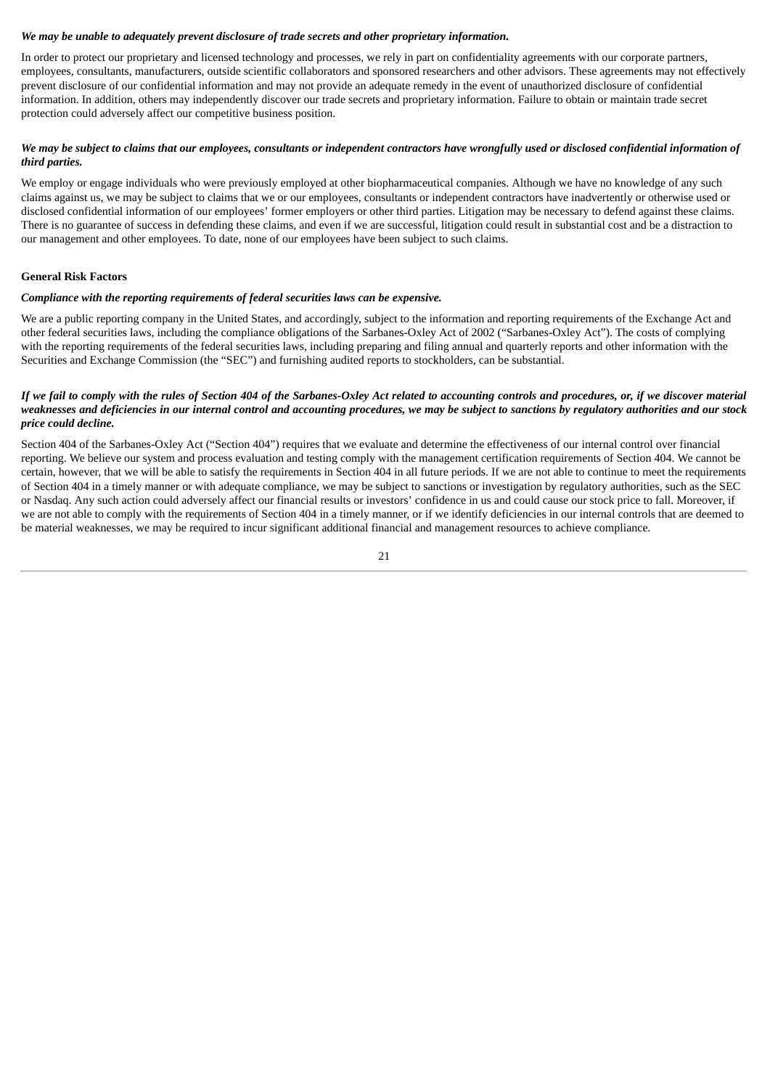#### *We may be unable to adequately prevent disclosure of trade secrets and other proprietary information.*

In order to protect our proprietary and licensed technology and processes, we rely in part on confidentiality agreements with our corporate partners, employees, consultants, manufacturers, outside scientific collaborators and sponsored researchers and other advisors. These agreements may not effectively prevent disclosure of our confidential information and may not provide an adequate remedy in the event of unauthorized disclosure of confidential information. In addition, others may independently discover our trade secrets and proprietary information. Failure to obtain or maintain trade secret protection could adversely affect our competitive business position.

#### We may be subject to claims that our employees, consultants or independent contractors have wrongfully used or disclosed confidential information of *third parties.*

We employ or engage individuals who were previously employed at other biopharmaceutical companies. Although we have no knowledge of any such claims against us, we may be subject to claims that we or our employees, consultants or independent contractors have inadvertently or otherwise used or disclosed confidential information of our employees' former employers or other third parties. Litigation may be necessary to defend against these claims. There is no guarantee of success in defending these claims, and even if we are successful, litigation could result in substantial cost and be a distraction to our management and other employees. To date, none of our employees have been subject to such claims.

# **General Risk Factors**

#### *Compliance with the reporting requirements of federal securities laws can be expensive.*

We are a public reporting company in the United States, and accordingly, subject to the information and reporting requirements of the Exchange Act and other federal securities laws, including the compliance obligations of the Sarbanes-Oxley Act of 2002 ("Sarbanes-Oxley Act"). The costs of complying with the reporting requirements of the federal securities laws, including preparing and filing annual and quarterly reports and other information with the Securities and Exchange Commission (the "SEC") and furnishing audited reports to stockholders, can be substantial.

# If we fail to comply with the rules of Section 404 of the Sarbanes-Oxley Act related to accounting controls and procedures, or, if we discover material weaknesses and deficiencies in our internal control and accounting procedures, we may be subject to sanctions by regulatory authorities and our stock *price could decline.*

Section 404 of the Sarbanes-Oxley Act ("Section 404") requires that we evaluate and determine the effectiveness of our internal control over financial reporting. We believe our system and process evaluation and testing comply with the management certification requirements of Section 404. We cannot be certain, however, that we will be able to satisfy the requirements in Section 404 in all future periods. If we are not able to continue to meet the requirements of Section 404 in a timely manner or with adequate compliance, we may be subject to sanctions or investigation by regulatory authorities, such as the SEC or Nasdaq. Any such action could adversely affect our financial results or investors' confidence in us and could cause our stock price to fall. Moreover, if we are not able to comply with the requirements of Section 404 in a timely manner, or if we identify deficiencies in our internal controls that are deemed to be material weaknesses, we may be required to incur significant additional financial and management resources to achieve compliance.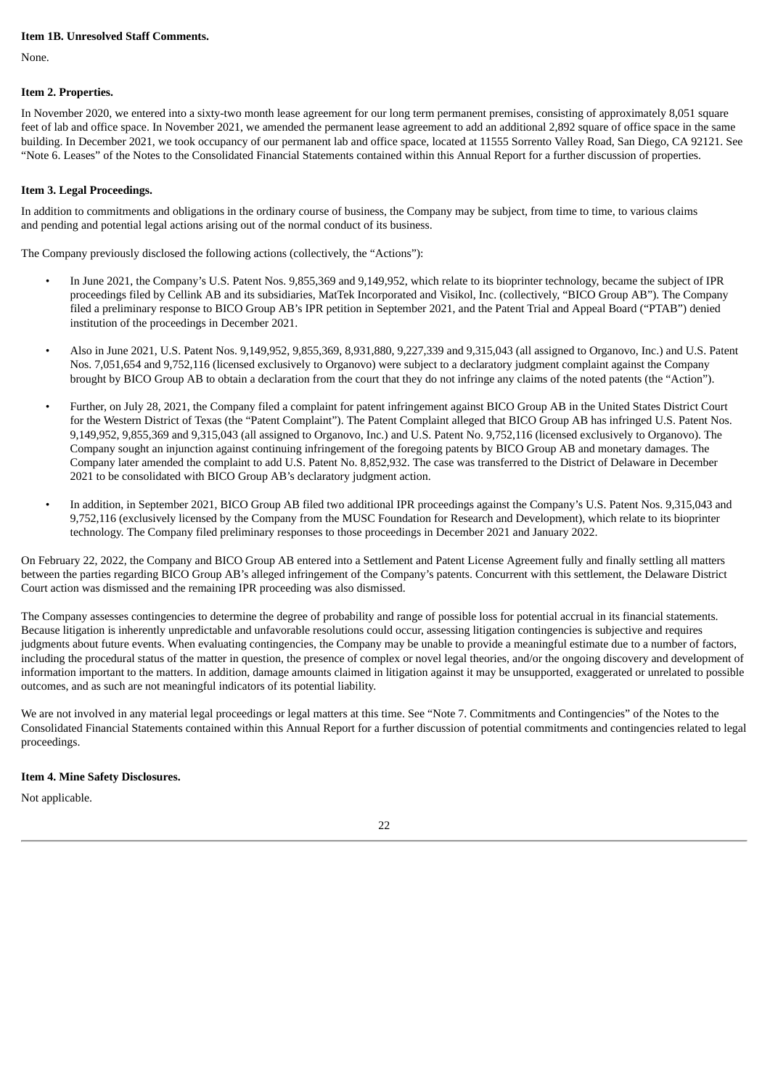#### <span id="page-23-0"></span>**Item 1B. Unresolved Staff Comments.**

None.

# <span id="page-23-1"></span>**Item 2. Properties.**

In November 2020, we entered into a sixty-two month lease agreement for our long term permanent premises, consisting of approximately 8,051 square feet of lab and office space. In November 2021, we amended the permanent lease agreement to add an additional 2,892 square of office space in the same building. In December 2021, we took occupancy of our permanent lab and office space, located at 11555 Sorrento Valley Road, San Diego, CA 92121. See "Note 6. Leases" of the Notes to the Consolidated Financial Statements contained within this Annual Report for a further discussion of properties.

# <span id="page-23-2"></span>**Item 3. Legal Proceedings.**

In addition to commitments and obligations in the ordinary course of business, the Company may be subject, from time to time, to various claims and pending and potential legal actions arising out of the normal conduct of its business.

The Company previously disclosed the following actions (collectively, the "Actions"):

- In June 2021, the Company's U.S. Patent Nos. 9,855,369 and 9,149,952, which relate to its bioprinter technology, became the subject of IPR proceedings filed by Cellink AB and its subsidiaries, MatTek Incorporated and Visikol, Inc. (collectively, "BICO Group AB"). The Company filed a preliminary response to BICO Group AB's IPR petition in September 2021, and the Patent Trial and Appeal Board ("PTAB") denied institution of the proceedings in December 2021.
- Also in June 2021, U.S. Patent Nos. 9,149,952, 9,855,369, 8,931,880, 9,227,339 and 9,315,043 (all assigned to Organovo, Inc.) and U.S. Patent Nos. 7,051,654 and 9,752,116 (licensed exclusively to Organovo) were subject to a declaratory judgment complaint against the Company brought by BICO Group AB to obtain a declaration from the court that they do not infringe any claims of the noted patents (the "Action").
- Further, on July 28, 2021, the Company filed a complaint for patent infringement against BICO Group AB in the United States District Court for the Western District of Texas (the "Patent Complaint"). The Patent Complaint alleged that BICO Group AB has infringed U.S. Patent Nos. 9,149,952, 9,855,369 and 9,315,043 (all assigned to Organovo, Inc.) and U.S. Patent No. 9,752,116 (licensed exclusively to Organovo). The Company sought an injunction against continuing infringement of the foregoing patents by BICO Group AB and monetary damages. The Company later amended the complaint to add U.S. Patent No. 8,852,932. The case was transferred to the District of Delaware in December 2021 to be consolidated with BICO Group AB's declaratory judgment action.
- In addition, in September 2021, BICO Group AB filed two additional IPR proceedings against the Company's U.S. Patent Nos. 9,315,043 and 9,752,116 (exclusively licensed by the Company from the MUSC Foundation for Research and Development), which relate to its bioprinter technology. The Company filed preliminary responses to those proceedings in December 2021 and January 2022.

On February 22, 2022, the Company and BICO Group AB entered into a Settlement and Patent License Agreement fully and finally settling all matters between the parties regarding BICO Group AB's alleged infringement of the Company's patents. Concurrent with this settlement, the Delaware District Court action was dismissed and the remaining IPR proceeding was also dismissed.

The Company assesses contingencies to determine the degree of probability and range of possible loss for potential accrual in its financial statements. Because litigation is inherently unpredictable and unfavorable resolutions could occur, assessing litigation contingencies is subjective and requires judgments about future events. When evaluating contingencies, the Company may be unable to provide a meaningful estimate due to a number of factors, including the procedural status of the matter in question, the presence of complex or novel legal theories, and/or the ongoing discovery and development of information important to the matters. In addition, damage amounts claimed in litigation against it may be unsupported, exaggerated or unrelated to possible outcomes, and as such are not meaningful indicators of its potential liability.

We are not involved in any material legal proceedings or legal matters at this time. See "Note 7. Commitments and Contingencies" of the Notes to the Consolidated Financial Statements contained within this Annual Report for a further discussion of potential commitments and contingencies related to legal proceedings.

# <span id="page-23-3"></span>**Item 4. Mine Safety Disclosures.**

Not applicable.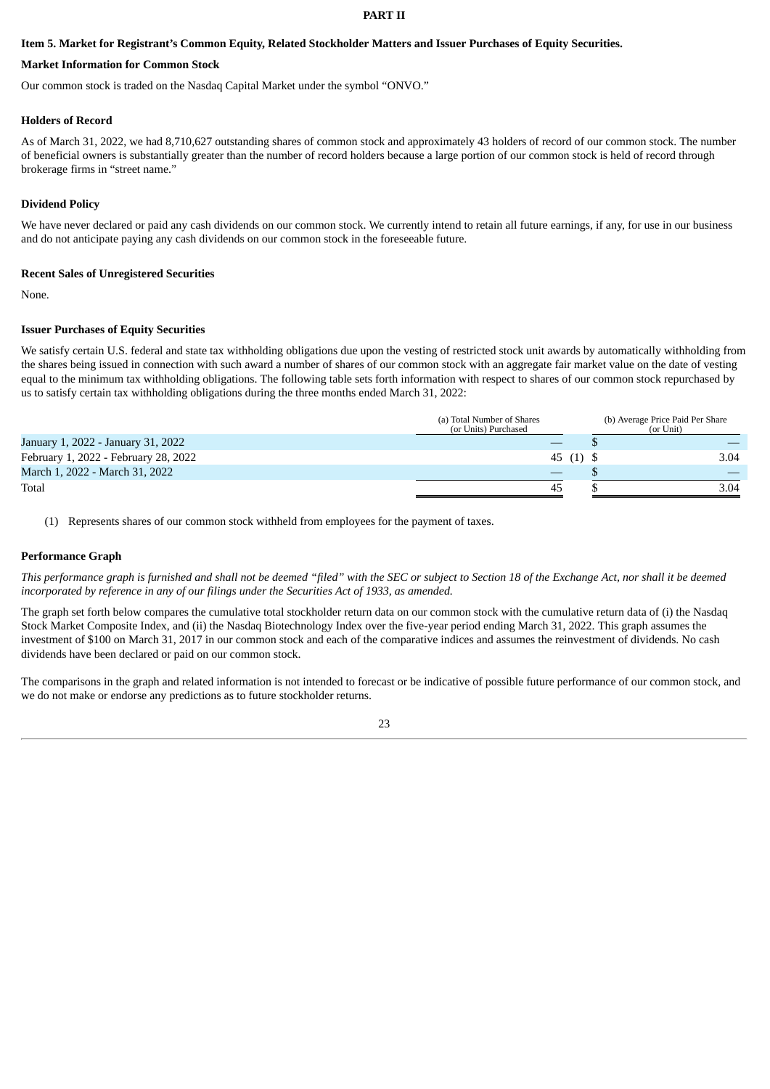#### **PART II**

# <span id="page-24-1"></span><span id="page-24-0"></span>Item 5. Market for Registrant's Common Equity, Related Stockholder Matters and Issuer Purchases of Equity Securities.

# **Market Information for Common Stock**

Our common stock is traded on the Nasdaq Capital Market under the symbol "ONVO."

#### **Holders of Record**

As of March 31, 2022, we had 8,710,627 outstanding shares of common stock and approximately 43 holders of record of our common stock. The number of beneficial owners is substantially greater than the number of record holders because a large portion of our common stock is held of record through brokerage firms in "street name."

#### **Dividend Policy**

We have never declared or paid any cash dividends on our common stock. We currently intend to retain all future earnings, if any, for use in our business and do not anticipate paying any cash dividends on our common stock in the foreseeable future.

#### **Recent Sales of Unregistered Securities**

None.

#### **Issuer Purchases of Equity Securities**

We satisfy certain U.S. federal and state tax withholding obligations due upon the vesting of restricted stock unit awards by automatically withholding from the shares being issued in connection with such award a number of shares of our common stock with an aggregate fair market value on the date of vesting equal to the minimum tax withholding obligations. The following table sets forth information with respect to shares of our common stock repurchased by us to satisfy certain tax withholding obligations during the three months ended March 31, 2022:

|                                      | (a) Total Number of Shares<br>(or Units) Purchased | (b) Average Price Paid Per Share<br>(or Unit) |
|--------------------------------------|----------------------------------------------------|-----------------------------------------------|
| January 1, 2022 - January 31, 2022   |                                                    |                                               |
| February 1, 2022 - February 28, 2022 | 45 $(1)$ \$                                        | 3.04                                          |
| March 1, 2022 - March 31, 2022       |                                                    |                                               |
| Total                                | 45                                                 | 3.04                                          |

(1) Represents shares of our common stock withheld from employees for the payment of taxes.

#### **Performance Graph**

This performance graph is furnished and shall not be deemed "filed" with the SEC or subject to Section 18 of the Exchange Act, nor shall it be deemed *incorporated by reference in any of our filings under the Securities Act of 1933, as amended.*

The graph set forth below compares the cumulative total stockholder return data on our common stock with the cumulative return data of (i) the Nasdaq Stock Market Composite Index, and (ii) the Nasdaq Biotechnology Index over the five-year period ending March 31, 2022. This graph assumes the investment of \$100 on March 31, 2017 in our common stock and each of the comparative indices and assumes the reinvestment of dividends. No cash dividends have been declared or paid on our common stock.

The comparisons in the graph and related information is not intended to forecast or be indicative of possible future performance of our common stock, and we do not make or endorse any predictions as to future stockholder returns.

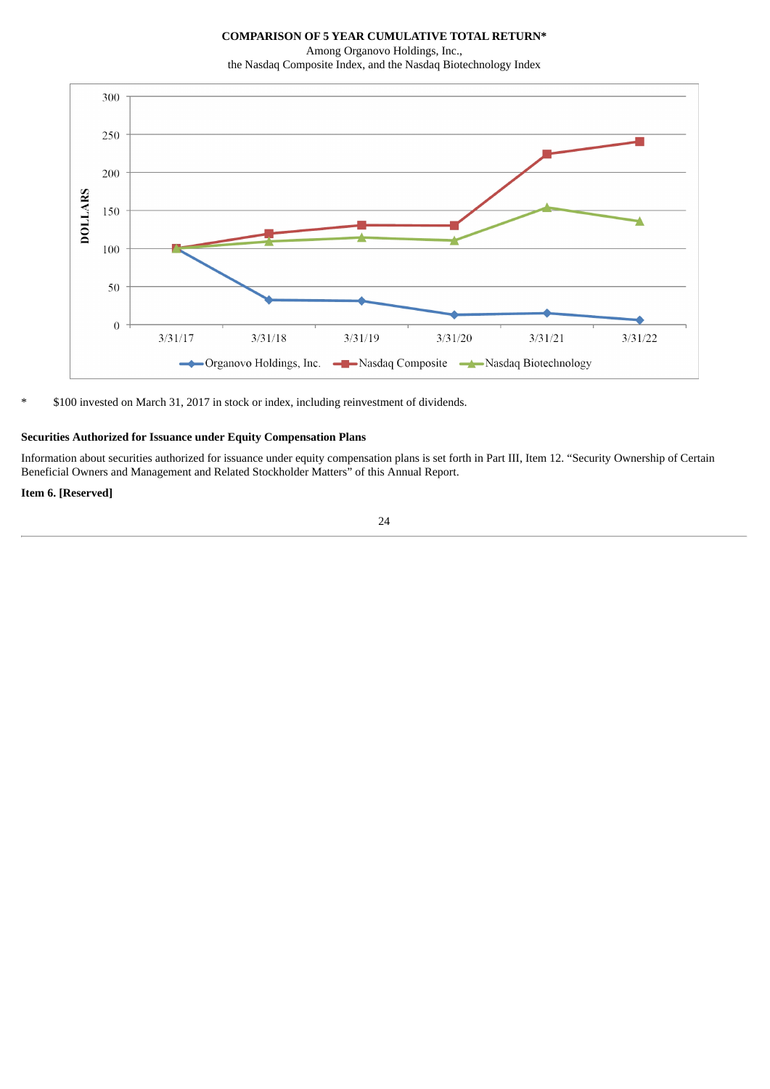**COMPARISON OF 5 YEAR CUMULATIVE TOTAL RETURN\*** Among Organovo Holdings, Inc., the Nasdaq Composite Index, and the Nasdaq Biotechnology Index



\* \$100 invested on March 31, 2017 in stock or index, including reinvestment of dividends.

# **Securities Authorized for Issuance under Equity Compensation Plans**

Information about securities authorized for issuance under equity compensation plans is set forth in Part III, Item 12. "Security Ownership of Certain Beneficial Owners and Management and Related Stockholder Matters" of this Annual Report.

# <span id="page-25-0"></span>**Item 6. [Reserved]**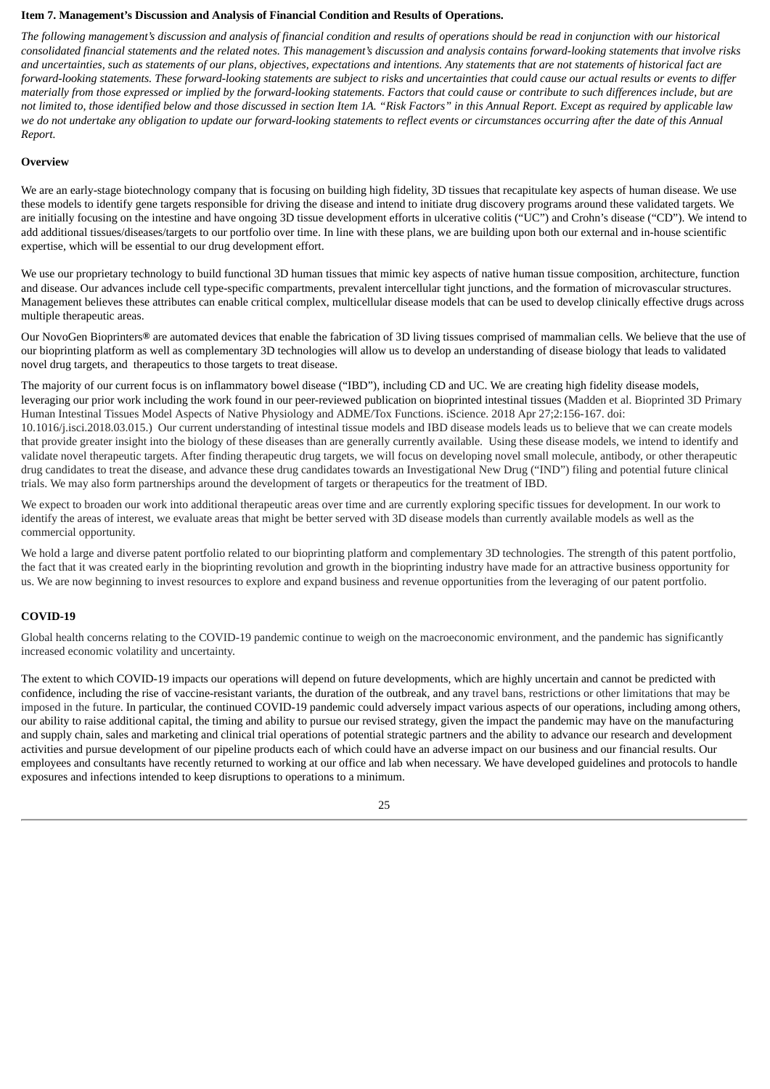#### <span id="page-26-0"></span>**Item 7. Management's Discussion and Analysis of Financial Condition and Results of Operations.**

The following management's discussion and analysis of financial condition and results of operations should be read in conjunction with our historical consolidated financial statements and the related notes. This management's discussion and analysis contains forward-looking statements that involve risks and uncertainties, such as statements of our plans, objectives, expectations and intentions. Any statements that are not statements of historical fact are forward-looking statements. These forward-looking statements are subject to risks and uncertainties that could cause our actual results or events to differ materially from those expressed or implied by the forward-looking statements. Factors that could cause or contribute to such differences include, but are not limited to, those identified below and those discussed in section Item 1A. "Risk Factors" in this Annual Report. Except as required by applicable law we do not undertake any obligation to update our forward-looking statements to reflect events or circumstances occurring after the date of this Annual *Report.*

#### **Overview**

We are an early-stage biotechnology company that is focusing on building high fidelity, 3D tissues that recapitulate key aspects of human disease. We use these models to identify gene targets responsible for driving the disease and intend to initiate drug discovery programs around these validated targets. We are initially focusing on the intestine and have ongoing 3D tissue development efforts in ulcerative colitis ("UC") and Crohn's disease ("CD"). We intend to add additional tissues/diseases/targets to our portfolio over time. In line with these plans, we are building upon both our external and in-house scientific expertise, which will be essential to our drug development effort.

We use our proprietary technology to build functional 3D human tissues that mimic key aspects of native human tissue composition, architecture, function and disease. Our advances include cell type-specific compartments, prevalent intercellular tight junctions, and the formation of microvascular structures. Management believes these attributes can enable critical complex, multicellular disease models that can be used to develop clinically effective drugs across multiple therapeutic areas.

Our NovoGen Bioprinters**®** are automated devices that enable the fabrication of 3D living tissues comprised of mammalian cells. We believe that the use of our bioprinting platform as well as complementary 3D technologies will allow us to develop an understanding of disease biology that leads to validated novel drug targets, and therapeutics to those targets to treat disease.

The majority of our current focus is on inflammatory bowel disease ("IBD"), including CD and UC. We are creating high fidelity disease models, leveraging our prior work including the work found in our peer-reviewed publication on bioprinted intestinal tissues (Madden et al. Bioprinted 3D Primary Human Intestinal Tissues Model Aspects of Native Physiology and ADME/Tox Functions. iScience. 2018 Apr 27;2:156-167. doi: 10.1016/j.isci.2018.03.015.) Our current understanding of intestinal tissue models and IBD disease models leads us to believe that we can create models that provide greater insight into the biology of these diseases than are generally currently available. Using these disease models, we intend to identify and validate novel therapeutic targets. After finding therapeutic drug targets, we will focus on developing novel small molecule, antibody, or other therapeutic drug candidates to treat the disease, and advance these drug candidates towards an Investigational New Drug ("IND") filing and potential future clinical trials. We may also form partnerships around the development of targets or therapeutics for the treatment of IBD.

We expect to broaden our work into additional therapeutic areas over time and are currently exploring specific tissues for development. In our work to identify the areas of interest, we evaluate areas that might be better served with 3D disease models than currently available models as well as the commercial opportunity.

We hold a large and diverse patent portfolio related to our bioprinting platform and complementary 3D technologies. The strength of this patent portfolio, the fact that it was created early in the bioprinting revolution and growth in the bioprinting industry have made for an attractive business opportunity for us. We are now beginning to invest resources to explore and expand business and revenue opportunities from the leveraging of our patent portfolio.

# **COVID-19**

Global health concerns relating to the COVID-19 pandemic continue to weigh on the macroeconomic environment, and the pandemic has significantly increased economic volatility and uncertainty.

The extent to which COVID-19 impacts our operations will depend on future developments, which are highly uncertain and cannot be predicted with confidence, including the rise of vaccine-resistant variants, the duration of the outbreak, and any travel bans, restrictions or other limitations that may be imposed in the future. In particular, the continued COVID-19 pandemic could adversely impact various aspects of our operations, including among others, our ability to raise additional capital, the timing and ability to pursue our revised strategy, given the impact the pandemic may have on the manufacturing and supply chain, sales and marketing and clinical trial operations of potential strategic partners and the ability to advance our research and development activities and pursue development of our pipeline products each of which could have an adverse impact on our business and our financial results. Our employees and consultants have recently returned to working at our office and lab when necessary. We have developed guidelines and protocols to handle exposures and infections intended to keep disruptions to operations to a minimum.

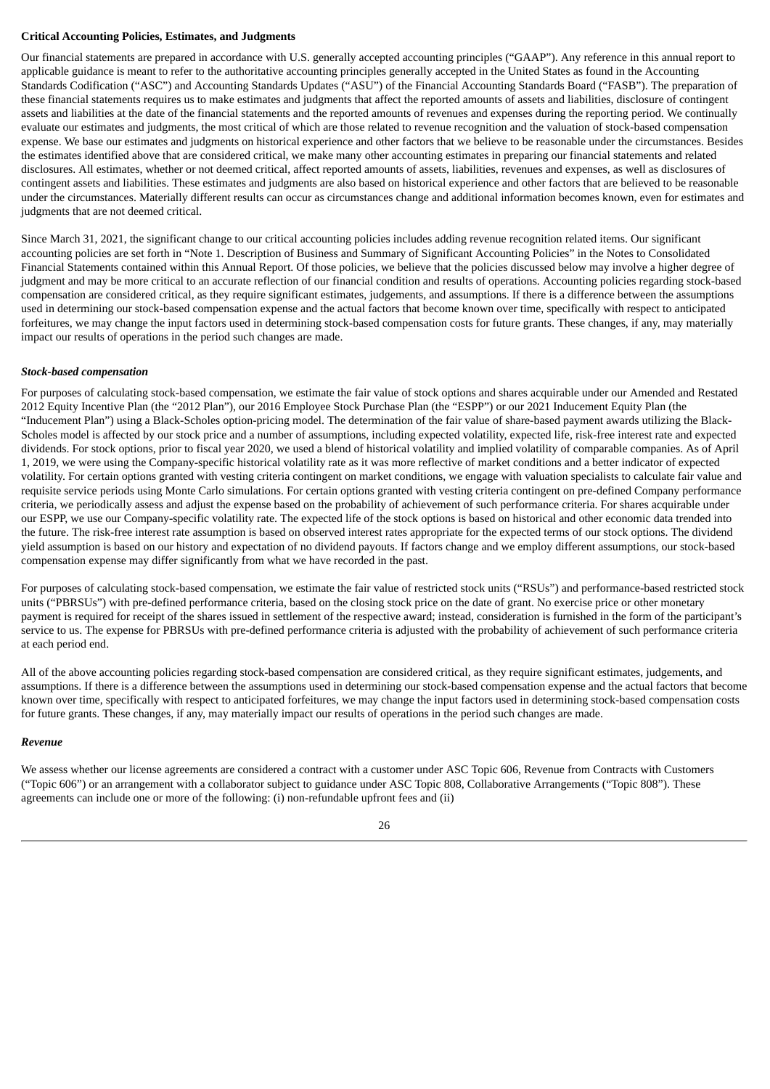# **Critical Accounting Policies, Estimates, and Judgments**

Our financial statements are prepared in accordance with U.S. generally accepted accounting principles ("GAAP"). Any reference in this annual report to applicable guidance is meant to refer to the authoritative accounting principles generally accepted in the United States as found in the Accounting Standards Codification ("ASC") and Accounting Standards Updates ("ASU") of the Financial Accounting Standards Board ("FASB"). The preparation of these financial statements requires us to make estimates and judgments that affect the reported amounts of assets and liabilities, disclosure of contingent assets and liabilities at the date of the financial statements and the reported amounts of revenues and expenses during the reporting period. We continually evaluate our estimates and judgments, the most critical of which are those related to revenue recognition and the valuation of stock-based compensation expense. We base our estimates and judgments on historical experience and other factors that we believe to be reasonable under the circumstances. Besides the estimates identified above that are considered critical, we make many other accounting estimates in preparing our financial statements and related disclosures. All estimates, whether or not deemed critical, affect reported amounts of assets, liabilities, revenues and expenses, as well as disclosures of contingent assets and liabilities. These estimates and judgments are also based on historical experience and other factors that are believed to be reasonable under the circumstances. Materially different results can occur as circumstances change and additional information becomes known, even for estimates and judgments that are not deemed critical.

Since March 31, 2021, the significant change to our critical accounting policies includes adding revenue recognition related items. Our significant accounting policies are set forth in "Note 1. Description of Business and Summary of Significant Accounting Policies" in the Notes to Consolidated Financial Statements contained within this Annual Report. Of those policies, we believe that the policies discussed below may involve a higher degree of judgment and may be more critical to an accurate reflection of our financial condition and results of operations. Accounting policies regarding stock-based compensation are considered critical, as they require significant estimates, judgements, and assumptions. If there is a difference between the assumptions used in determining our stock-based compensation expense and the actual factors that become known over time, specifically with respect to anticipated forfeitures, we may change the input factors used in determining stock-based compensation costs for future grants. These changes, if any, may materially impact our results of operations in the period such changes are made.

# *Stock-based compensation*

For purposes of calculating stock-based compensation, we estimate the fair value of stock options and shares acquirable under our Amended and Restated 2012 Equity Incentive Plan (the "2012 Plan"), our 2016 Employee Stock Purchase Plan (the "ESPP") or our 2021 Inducement Equity Plan (the "Inducement Plan") using a Black-Scholes option-pricing model. The determination of the fair value of share-based payment awards utilizing the Black-Scholes model is affected by our stock price and a number of assumptions, including expected volatility, expected life, risk-free interest rate and expected dividends. For stock options, prior to fiscal year 2020, we used a blend of historical volatility and implied volatility of comparable companies. As of April 1, 2019, we were using the Company-specific historical volatility rate as it was more reflective of market conditions and a better indicator of expected volatility. For certain options granted with vesting criteria contingent on market conditions, we engage with valuation specialists to calculate fair value and requisite service periods using Monte Carlo simulations. For certain options granted with vesting criteria contingent on pre-defined Company performance criteria, we periodically assess and adjust the expense based on the probability of achievement of such performance criteria. For shares acquirable under our ESPP, we use our Company-specific volatility rate. The expected life of the stock options is based on historical and other economic data trended into the future. The risk-free interest rate assumption is based on observed interest rates appropriate for the expected terms of our stock options. The dividend yield assumption is based on our history and expectation of no dividend payouts. If factors change and we employ different assumptions, our stock-based compensation expense may differ significantly from what we have recorded in the past.

For purposes of calculating stock-based compensation, we estimate the fair value of restricted stock units ("RSUs") and performance-based restricted stock units ("PBRSUs") with pre-defined performance criteria, based on the closing stock price on the date of grant. No exercise price or other monetary payment is required for receipt of the shares issued in settlement of the respective award; instead, consideration is furnished in the form of the participant's service to us. The expense for PBRSUs with pre-defined performance criteria is adjusted with the probability of achievement of such performance criteria at each period end.

All of the above accounting policies regarding stock-based compensation are considered critical, as they require significant estimates, judgements, and assumptions. If there is a difference between the assumptions used in determining our stock-based compensation expense and the actual factors that become known over time, specifically with respect to anticipated forfeitures, we may change the input factors used in determining stock-based compensation costs for future grants. These changes, if any, may materially impact our results of operations in the period such changes are made.

#### *Revenue*

We assess whether our license agreements are considered a contract with a customer under ASC Topic 606, Revenue from Contracts with Customers ("Topic 606") or an arrangement with a collaborator subject to guidance under ASC Topic 808, Collaborative Arrangements ("Topic 808"). These agreements can include one or more of the following: (i) non-refundable upfront fees and (ii)

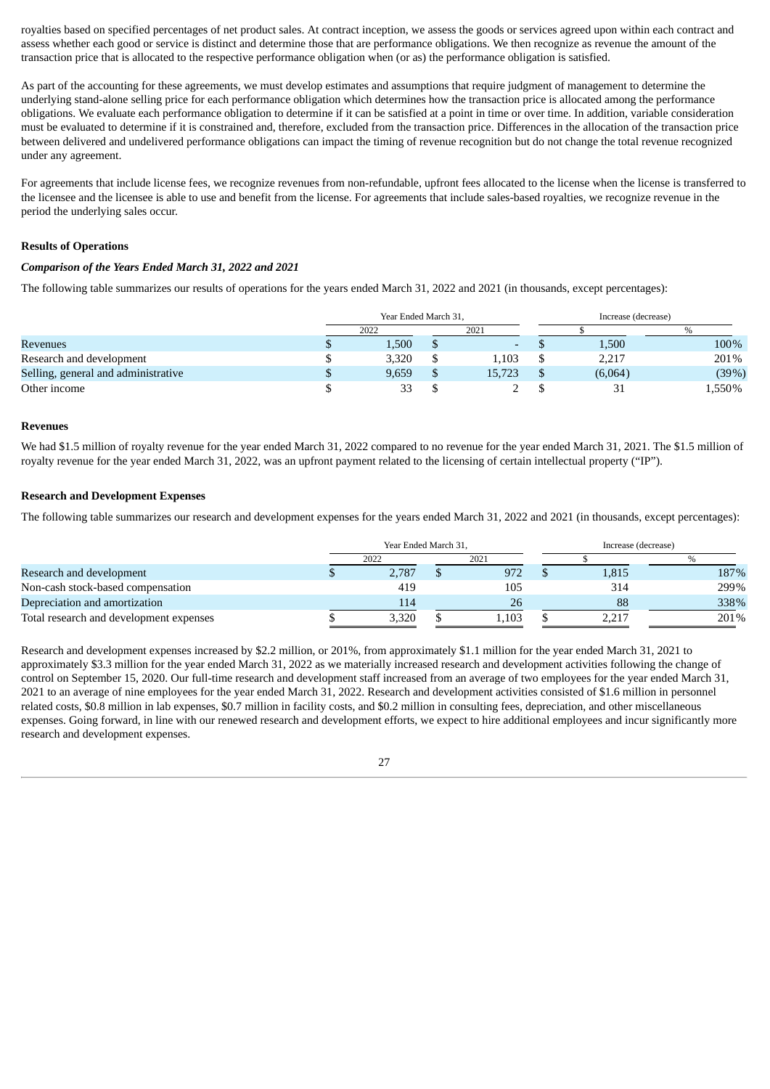royalties based on specified percentages of net product sales. At contract inception, we assess the goods or services agreed upon within each contract and assess whether each good or service is distinct and determine those that are performance obligations. We then recognize as revenue the amount of the transaction price that is allocated to the respective performance obligation when (or as) the performance obligation is satisfied.

As part of the accounting for these agreements, we must develop estimates and assumptions that require judgment of management to determine the underlying stand-alone selling price for each performance obligation which determines how the transaction price is allocated among the performance obligations. We evaluate each performance obligation to determine if it can be satisfied at a point in time or over time. In addition, variable consideration must be evaluated to determine if it is constrained and, therefore, excluded from the transaction price. Differences in the allocation of the transaction price between delivered and undelivered performance obligations can impact the timing of revenue recognition but do not change the total revenue recognized under any agreement.

For agreements that include license fees, we recognize revenues from non-refundable, upfront fees allocated to the license when the license is transferred to the licensee and the licensee is able to use and benefit from the license. For agreements that include sales-based royalties, we recognize revenue in the period the underlying sales occur.

# **Results of Operations**

# *Comparison of the Years Ended March 31, 2022 and 2021*

The following table summarizes our results of operations for the years ended March 31, 2022 and 2021 (in thousands, except percentages):

|                                     | Year Ended March 31, |  |                          | Increase (decrease) |        |  |
|-------------------------------------|----------------------|--|--------------------------|---------------------|--------|--|
|                                     | 2022                 |  | 2021                     |                     |        |  |
| <b>Revenues</b>                     | L.500                |  | $\overline{\phantom{0}}$ | 1,500               | 100%   |  |
| Research and development            | 3.320                |  | 1.103                    | 2,217               | 201%   |  |
| Selling, general and administrative | 9,659                |  | 15,723                   | (6,064)             | (39%)  |  |
| Other income                        | 33                   |  |                          | 31                  | 1,550% |  |

#### **Revenues**

We had \$1.5 million of royalty revenue for the year ended March 31, 2022 compared to no revenue for the year ended March 31, 2021. The \$1.5 million of royalty revenue for the year ended March 31, 2022, was an upfront payment related to the licensing of certain intellectual property ("IP").

#### **Research and Development Expenses**

The following table summarizes our research and development expenses for the years ended March 31, 2022 and 2021 (in thousands, except percentages):

|                                         | Year Ended March 31, |       |  | Increase (decrease) |       |      |
|-----------------------------------------|----------------------|-------|--|---------------------|-------|------|
|                                         |                      | 2022  |  | 2021                |       |      |
| Research and development                |                      | 2.787 |  | 972                 | 1,815 | 187% |
| Non-cash stock-based compensation       |                      | 419   |  | 105                 | 314   | 299% |
| Depreciation and amortization           |                      | 114   |  | 26                  | 88    | 338% |
| Total research and development expenses |                      | 3,320 |  | 1,103               | 2,217 | 201% |

Research and development expenses increased by \$2.2 million, or 201%, from approximately \$1.1 million for the year ended March 31, 2021 to approximately \$3.3 million for the year ended March 31, 2022 as we materially increased research and development activities following the change of control on September 15, 2020. Our full-time research and development staff increased from an average of two employees for the year ended March 31, 2021 to an average of nine employees for the year ended March 31, 2022. Research and development activities consisted of \$1.6 million in personnel related costs, \$0.8 million in lab expenses, \$0.7 million in facility costs, and \$0.2 million in consulting fees, depreciation, and other miscellaneous expenses. Going forward, in line with our renewed research and development efforts, we expect to hire additional employees and incur significantly more research and development expenses.

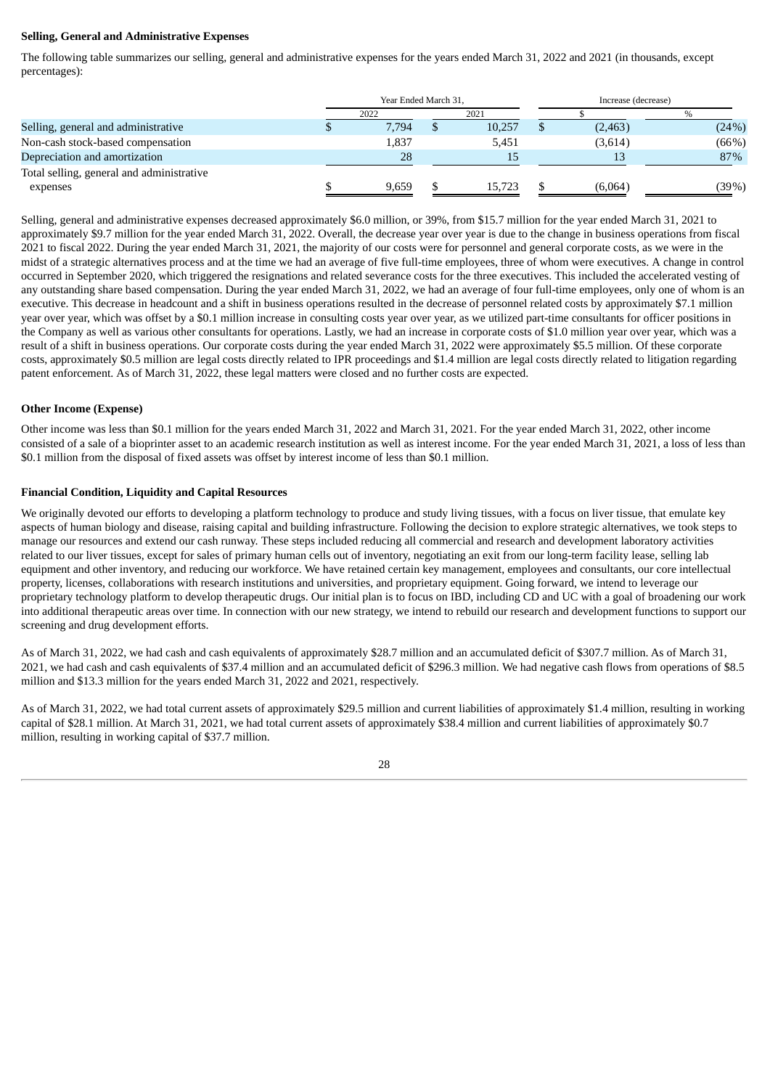# **Selling, General and Administrative Expenses**

The following table summarizes our selling, general and administrative expenses for the years ended March 31, 2022 and 2021 (in thousands, except percentages):

|                                           | Year Ended March 31, |       |  | Increase (decrease) |  |         |       |
|-------------------------------------------|----------------------|-------|--|---------------------|--|---------|-------|
|                                           |                      | 2022  |  | 2021                |  |         |       |
| Selling, general and administrative       |                      | 7,794 |  | 10,257              |  | (2,463) | (24%) |
| Non-cash stock-based compensation         |                      | 1.837 |  | 5.451               |  | (3,614) | (66%) |
| Depreciation and amortization             |                      | 28    |  | 15                  |  |         | 87%   |
| Total selling, general and administrative |                      |       |  |                     |  |         |       |
| expenses                                  |                      | 9.659 |  | 15.723              |  | (6,064) | (39%) |

Selling, general and administrative expenses decreased approximately \$6.0 million, or 39%, from \$15.7 million for the year ended March 31, 2021 to approximately \$9.7 million for the year ended March 31, 2022. Overall, the decrease year over year is due to the change in business operations from fiscal 2021 to fiscal 2022. During the year ended March 31, 2021, the majority of our costs were for personnel and general corporate costs, as we were in the midst of a strategic alternatives process and at the time we had an average of five full-time employees, three of whom were executives. A change in control occurred in September 2020, which triggered the resignations and related severance costs for the three executives. This included the accelerated vesting of any outstanding share based compensation. During the year ended March 31, 2022, we had an average of four full-time employees, only one of whom is an executive. This decrease in headcount and a shift in business operations resulted in the decrease of personnel related costs by approximately \$7.1 million year over year, which was offset by a \$0.1 million increase in consulting costs year over year, as we utilized part-time consultants for officer positions in the Company as well as various other consultants for operations. Lastly, we had an increase in corporate costs of \$1.0 million year over year, which was a result of a shift in business operations. Our corporate costs during the year ended March 31, 2022 were approximately \$5.5 million. Of these corporate costs, approximately \$0.5 million are legal costs directly related to IPR proceedings and \$1.4 million are legal costs directly related to litigation regarding patent enforcement. As of March 31, 2022, these legal matters were closed and no further costs are expected.

# **Other Income (Expense)**

Other income was less than \$0.1 million for the years ended March 31, 2022 and March 31, 2021. For the year ended March 31, 2022, other income consisted of a sale of a bioprinter asset to an academic research institution as well as interest income. For the year ended March 31, 2021, a loss of less than \$0.1 million from the disposal of fixed assets was offset by interest income of less than \$0.1 million.

# **Financial Condition, Liquidity and Capital Resources**

We originally devoted our efforts to developing a platform technology to produce and study living tissues, with a focus on liver tissue, that emulate key aspects of human biology and disease, raising capital and building infrastructure. Following the decision to explore strategic alternatives, we took steps to manage our resources and extend our cash runway. These steps included reducing all commercial and research and development laboratory activities related to our liver tissues, except for sales of primary human cells out of inventory, negotiating an exit from our long-term facility lease, selling lab equipment and other inventory, and reducing our workforce. We have retained certain key management, employees and consultants, our core intellectual property, licenses, collaborations with research institutions and universities, and proprietary equipment. Going forward, we intend to leverage our proprietary technology platform to develop therapeutic drugs. Our initial plan is to focus on IBD, including CD and UC with a goal of broadening our work into additional therapeutic areas over time. In connection with our new strategy, we intend to rebuild our research and development functions to support our screening and drug development efforts.

As of March 31, 2022, we had cash and cash equivalents of approximately \$28.7 million and an accumulated deficit of \$307.7 million. As of March 31, 2021, we had cash and cash equivalents of \$37.4 million and an accumulated deficit of \$296.3 million. We had negative cash flows from operations of \$8.5 million and \$13.3 million for the years ended March 31, 2022 and 2021, respectively.

As of March 31, 2022, we had total current assets of approximately \$29.5 million and current liabilities of approximately \$1.4 million, resulting in working capital of \$28.1 million. At March 31, 2021, we had total current assets of approximately \$38.4 million and current liabilities of approximately \$0.7 million, resulting in working capital of \$37.7 million.

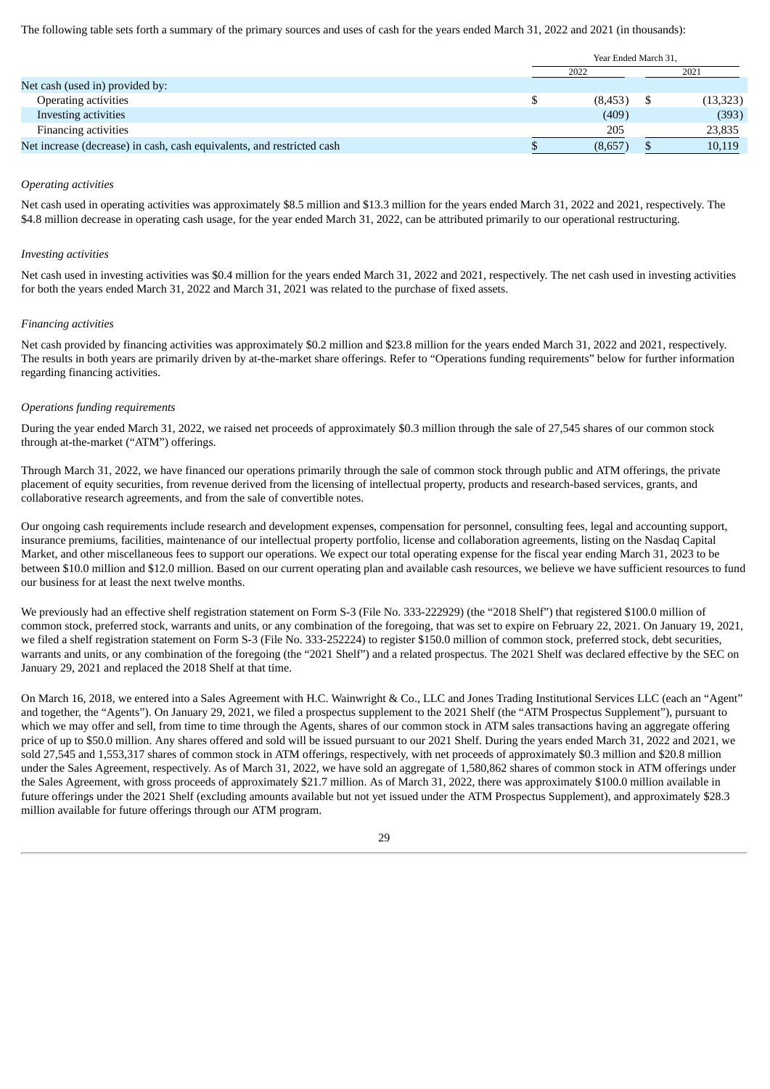The following table sets forth a summary of the primary sources and uses of cash for the years ended March 31, 2022 and 2021 (in thousands):

|                                                                        | Year Ended March 31, |          |  |           |  |
|------------------------------------------------------------------------|----------------------|----------|--|-----------|--|
|                                                                        | 2022                 |          |  | 2021      |  |
| Net cash (used in) provided by:                                        |                      |          |  |           |  |
| <b>Operating activities</b>                                            |                      | (8, 453) |  | (13, 323) |  |
| Investing activities                                                   |                      | (409)    |  | (393)     |  |
| <b>Financing activities</b>                                            |                      | 205      |  | 23,835    |  |
| Net increase (decrease) in cash, cash equivalents, and restricted cash |                      | (8,657)  |  | 10,119    |  |

# *Operating activities*

Net cash used in operating activities was approximately \$8.5 million and \$13.3 million for the years ended March 31, 2022 and 2021, respectively. The \$4.8 million decrease in operating cash usage, for the year ended March 31, 2022, can be attributed primarily to our operational restructuring.

#### *Investing activities*

Net cash used in investing activities was \$0.4 million for the years ended March 31, 2022 and 2021, respectively. The net cash used in investing activities for both the years ended March 31, 2022 and March 31, 2021 was related to the purchase of fixed assets.

#### *Financing activities*

Net cash provided by financing activities was approximately \$0.2 million and \$23.8 million for the years ended March 31, 2022 and 2021, respectively. The results in both years are primarily driven by at-the-market share offerings. Refer to "Operations funding requirements" below for further information regarding financing activities.

#### *Operations funding requirements*

During the year ended March 31, 2022, we raised net proceeds of approximately \$0.3 million through the sale of 27,545 shares of our common stock through at-the-market ("ATM") offerings.

Through March 31, 2022, we have financed our operations primarily through the sale of common stock through public and ATM offerings, the private placement of equity securities, from revenue derived from the licensing of intellectual property, products and research-based services, grants, and collaborative research agreements, and from the sale of convertible notes.

Our ongoing cash requirements include research and development expenses, compensation for personnel, consulting fees, legal and accounting support, insurance premiums, facilities, maintenance of our intellectual property portfolio, license and collaboration agreements, listing on the Nasdaq Capital Market, and other miscellaneous fees to support our operations. We expect our total operating expense for the fiscal year ending March 31, 2023 to be between \$10.0 million and \$12.0 million. Based on our current operating plan and available cash resources, we believe we have sufficient resources to fund our business for at least the next twelve months.

We previously had an effective shelf registration statement on Form S-3 (File No. 333-222929) (the "2018 Shelf") that registered \$100.0 million of common stock, preferred stock, warrants and units, or any combination of the foregoing, that was set to expire on February 22, 2021. On January 19, 2021, we filed a shelf registration statement on Form S-3 (File No. 333-252224) to register \$150.0 million of common stock, preferred stock, debt securities, warrants and units, or any combination of the foregoing (the "2021 Shelf") and a related prospectus. The 2021 Shelf was declared effective by the SEC on January 29, 2021 and replaced the 2018 Shelf at that time.

On March 16, 2018, we entered into a Sales Agreement with H.C. Wainwright & Co., LLC and Jones Trading Institutional Services LLC (each an "Agent" and together, the "Agents"). On January 29, 2021, we filed a prospectus supplement to the 2021 Shelf (the "ATM Prospectus Supplement"), pursuant to which we may offer and sell, from time to time through the Agents, shares of our common stock in ATM sales transactions having an aggregate offering price of up to \$50.0 million. Any shares offered and sold will be issued pursuant to our 2021 Shelf. During the years ended March 31, 2022 and 2021, we sold 27,545 and 1,553,317 shares of common stock in ATM offerings, respectively, with net proceeds of approximately \$0.3 million and \$20.8 million under the Sales Agreement, respectively. As of March 31, 2022, we have sold an aggregate of 1,580,862 shares of common stock in ATM offerings under the Sales Agreement, with gross proceeds of approximately \$21.7 million. As of March 31, 2022, there was approximately \$100.0 million available in future offerings under the 2021 Shelf (excluding amounts available but not yet issued under the ATM Prospectus Supplement), and approximately \$28.3 million available for future offerings through our ATM program.

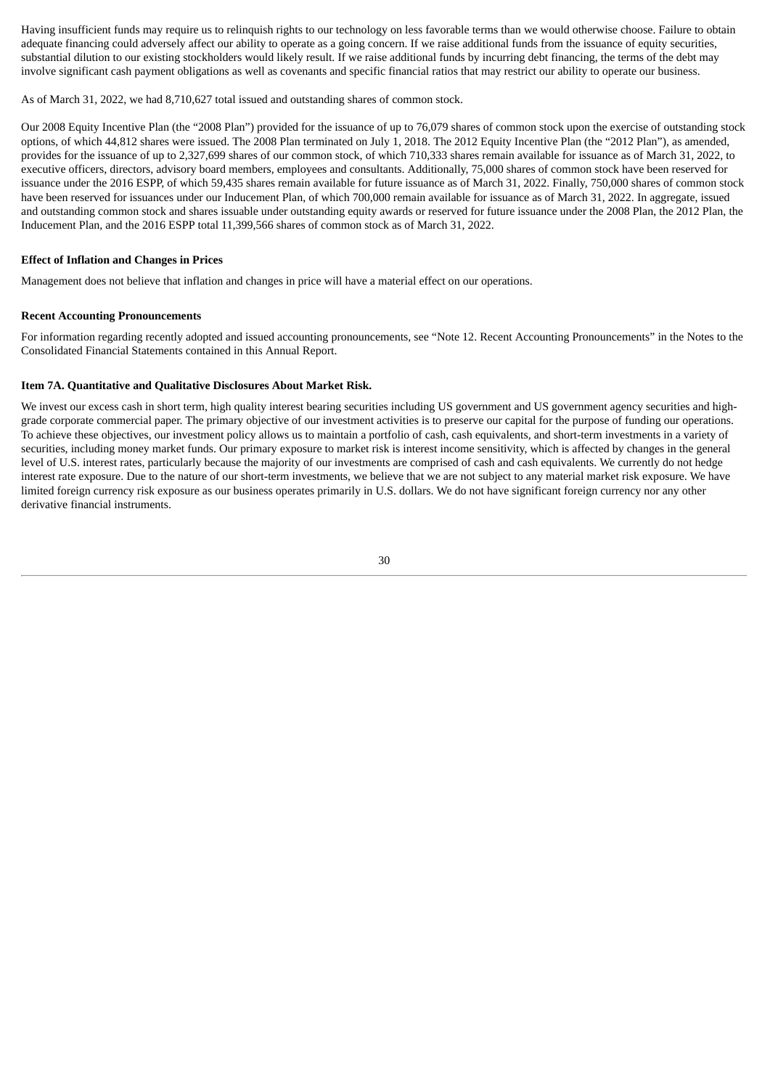Having insufficient funds may require us to relinquish rights to our technology on less favorable terms than we would otherwise choose. Failure to obtain adequate financing could adversely affect our ability to operate as a going concern. If we raise additional funds from the issuance of equity securities, substantial dilution to our existing stockholders would likely result. If we raise additional funds by incurring debt financing, the terms of the debt may involve significant cash payment obligations as well as covenants and specific financial ratios that may restrict our ability to operate our business.

As of March 31, 2022, we had 8,710,627 total issued and outstanding shares of common stock.

Our 2008 Equity Incentive Plan (the "2008 Plan") provided for the issuance of up to 76,079 shares of common stock upon the exercise of outstanding stock options, of which 44,812 shares were issued. The 2008 Plan terminated on July 1, 2018. The 2012 Equity Incentive Plan (the "2012 Plan"), as amended, provides for the issuance of up to 2,327,699 shares of our common stock, of which 710,333 shares remain available for issuance as of March 31, 2022, to executive officers, directors, advisory board members, employees and consultants. Additionally, 75,000 shares of common stock have been reserved for issuance under the 2016 ESPP, of which 59,435 shares remain available for future issuance as of March 31, 2022. Finally, 750,000 shares of common stock have been reserved for issuances under our Inducement Plan, of which 700,000 remain available for issuance as of March 31, 2022. In aggregate, issued and outstanding common stock and shares issuable under outstanding equity awards or reserved for future issuance under the 2008 Plan, the 2012 Plan, the Inducement Plan, and the 2016 ESPP total 11,399,566 shares of common stock as of March 31, 2022.

# **Effect of Inflation and Changes in Prices**

Management does not believe that inflation and changes in price will have a material effect on our operations.

# **Recent Accounting Pronouncements**

For information regarding recently adopted and issued accounting pronouncements, see "Note 12. Recent Accounting Pronouncements" in the Notes to the Consolidated Financial Statements contained in this Annual Report.

#### <span id="page-31-0"></span>**Item 7A. Quantitative and Qualitative Disclosures About Market Risk.**

We invest our excess cash in short term, high quality interest bearing securities including US government and US government agency securities and highgrade corporate commercial paper. The primary objective of our investment activities is to preserve our capital for the purpose of funding our operations. To achieve these objectives, our investment policy allows us to maintain a portfolio of cash, cash equivalents, and short-term investments in a variety of securities, including money market funds. Our primary exposure to market risk is interest income sensitivity, which is affected by changes in the general level of U.S. interest rates, particularly because the majority of our investments are comprised of cash and cash equivalents. We currently do not hedge interest rate exposure. Due to the nature of our short-term investments, we believe that we are not subject to any material market risk exposure. We have limited foreign currency risk exposure as our business operates primarily in U.S. dollars. We do not have significant foreign currency nor any other derivative financial instruments.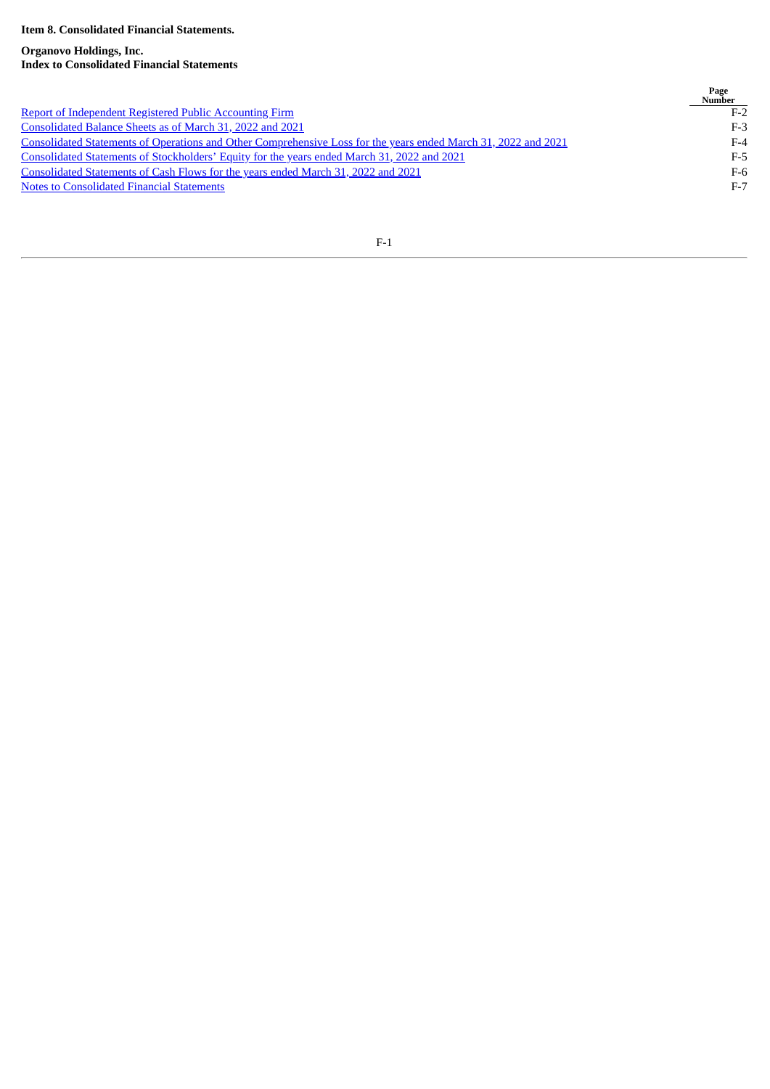# <span id="page-32-0"></span>**Item 8. Consolidated Financial Statements.**

# **Organovo Holdings, Inc. Index to Consolidated Financial Statements**

**Page Number** Report of [Independent](#page-33-0) Registered Public Accounting Firm F-2 [Consolidated](#page-34-0) Balance Sheets as of March 31, 2022 and 2021 F-3 Consolidated Statements of Operations and Other [Comprehensive](#page-35-0) Loss for the years ended March 31, 2022 and 2021 F-4 Consolidated Statements of [Stockholders'](#page-36-0) Equity for the years ended March 31, 2022 and 2021 F-5 [Consolidated](#page-37-0) Statements of Cash Flows for the years ended March 31, 2022 and 2021 F-6 Notes to [Consolidated](#page-38-0) Financial Statements F-7

F-1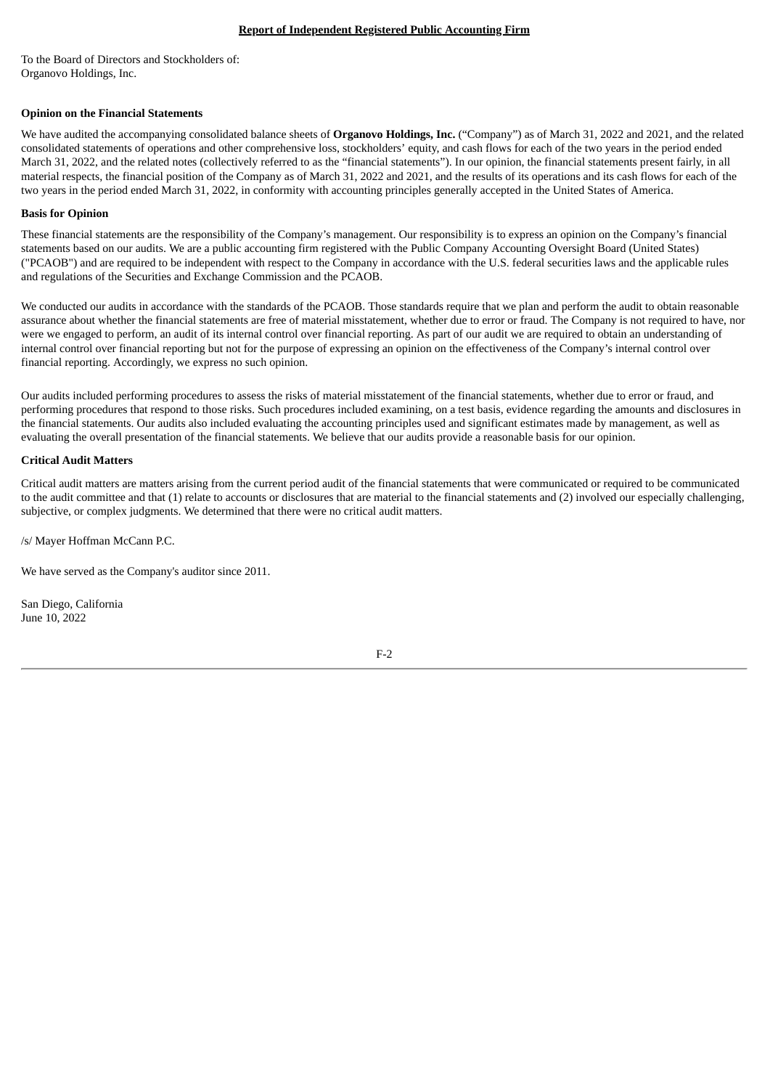#### **Report of Independent Registered Public Accounting Firm**

<span id="page-33-0"></span>To the Board of Directors and Stockholders of: Organovo Holdings, Inc.

#### **Opinion on the Financial Statements**

We have audited the accompanying consolidated balance sheets of **Organovo Holdings, Inc.** ("Company") as of March 31, 2022 and 2021, and the related consolidated statements of operations and other comprehensive loss, stockholders' equity, and cash flows for each of the two years in the period ended March 31, 2022, and the related notes (collectively referred to as the "financial statements"). In our opinion, the financial statements present fairly, in all material respects, the financial position of the Company as of March 31, 2022 and 2021, and the results of its operations and its cash flows for each of the two years in the period ended March 31, 2022, in conformity with accounting principles generally accepted in the United States of America.

#### **Basis for Opinion**

These financial statements are the responsibility of the Company's management. Our responsibility is to express an opinion on the Company's financial statements based on our audits. We are a public accounting firm registered with the Public Company Accounting Oversight Board (United States) ("PCAOB") and are required to be independent with respect to the Company in accordance with the U.S. federal securities laws and the applicable rules and regulations of the Securities and Exchange Commission and the PCAOB.

We conducted our audits in accordance with the standards of the PCAOB. Those standards require that we plan and perform the audit to obtain reasonable assurance about whether the financial statements are free of material misstatement, whether due to error or fraud. The Company is not required to have, nor were we engaged to perform, an audit of its internal control over financial reporting. As part of our audit we are required to obtain an understanding of internal control over financial reporting but not for the purpose of expressing an opinion on the effectiveness of the Company's internal control over financial reporting. Accordingly, we express no such opinion.

Our audits included performing procedures to assess the risks of material misstatement of the financial statements, whether due to error or fraud, and performing procedures that respond to those risks. Such procedures included examining, on a test basis, evidence regarding the amounts and disclosures in the financial statements. Our audits also included evaluating the accounting principles used and significant estimates made by management, as well as evaluating the overall presentation of the financial statements. We believe that our audits provide a reasonable basis for our opinion.

#### **Critical Audit Matters**

Critical audit matters are matters arising from the current period audit of the financial statements that were communicated or required to be communicated to the audit committee and that (1) relate to accounts or disclosures that are material to the financial statements and (2) involved our especially challenging, subjective, or complex judgments. We determined that there were no critical audit matters.

/s/ Mayer Hoffman McCann P.C.

We have served as the Company's auditor since 2011.

San Diego, California June 10, 2022

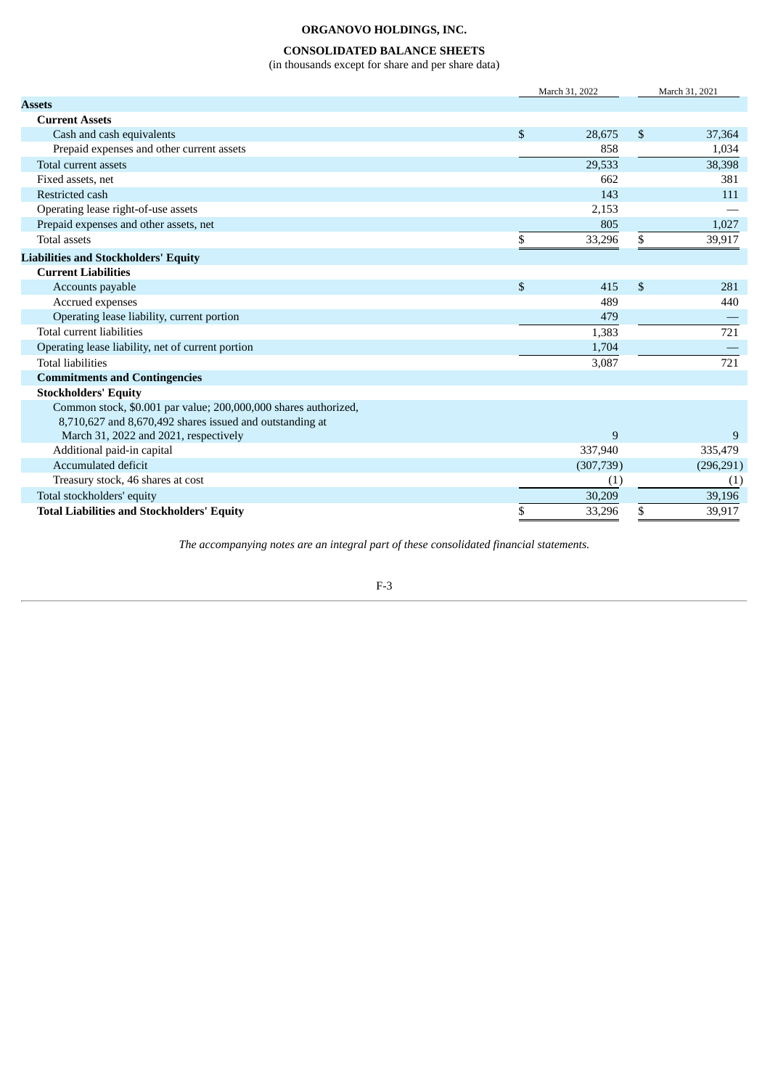# **ORGANOVO HOLDINGS, INC.**

# **CONSOLIDATED BALANCE SHEETS**

(in thousands except for share and per share data)

<span id="page-34-0"></span>

|                                                                 | March 31, 2022 | March 31, 2021 |  |
|-----------------------------------------------------------------|----------------|----------------|--|
| <b>Assets</b>                                                   |                |                |  |
| <b>Current Assets</b>                                           |                |                |  |
| Cash and cash equivalents                                       | \$<br>28,675   | \$<br>37,364   |  |
| Prepaid expenses and other current assets                       | 858            | 1,034          |  |
| Total current assets                                            | 29,533         | 38,398         |  |
| Fixed assets, net                                               | 662            | 381            |  |
| <b>Restricted cash</b>                                          | 143            | 111            |  |
| Operating lease right-of-use assets                             | 2,153          |                |  |
| Prepaid expenses and other assets, net                          | 805            | 1,027          |  |
| <b>Total assets</b>                                             | \$<br>33,296   | \$<br>39,917   |  |
| <b>Liabilities and Stockholders' Equity</b>                     |                |                |  |
| <b>Current Liabilities</b>                                      |                |                |  |
| Accounts payable                                                | \$<br>415      | \$<br>281      |  |
| Accrued expenses                                                | 489            | 440            |  |
| Operating lease liability, current portion                      | 479            |                |  |
| <b>Total current liabilities</b>                                | 1,383          | 721            |  |
| Operating lease liability, net of current portion               | 1,704          |                |  |
| <b>Total liabilities</b>                                        | 3,087          | 721            |  |
| <b>Commitments and Contingencies</b>                            |                |                |  |
| <b>Stockholders' Equity</b>                                     |                |                |  |
| Common stock, \$0.001 par value; 200,000,000 shares authorized, |                |                |  |
| 8,710,627 and 8,670,492 shares issued and outstanding at        |                |                |  |
| March 31, 2022 and 2021, respectively                           | 9              | 9              |  |
| Additional paid-in capital                                      | 337,940        | 335,479        |  |
| Accumulated deficit                                             | (307,739)      | (296, 291)     |  |
| Treasury stock, 46 shares at cost                               | (1)            | (1)            |  |
| Total stockholders' equity                                      | 30,209         | 39,196         |  |
| <b>Total Liabilities and Stockholders' Equity</b>               | \$<br>33,296   | \$<br>39,917   |  |

*The accompanying notes are an integral part of these consolidated financial statements.*

F-3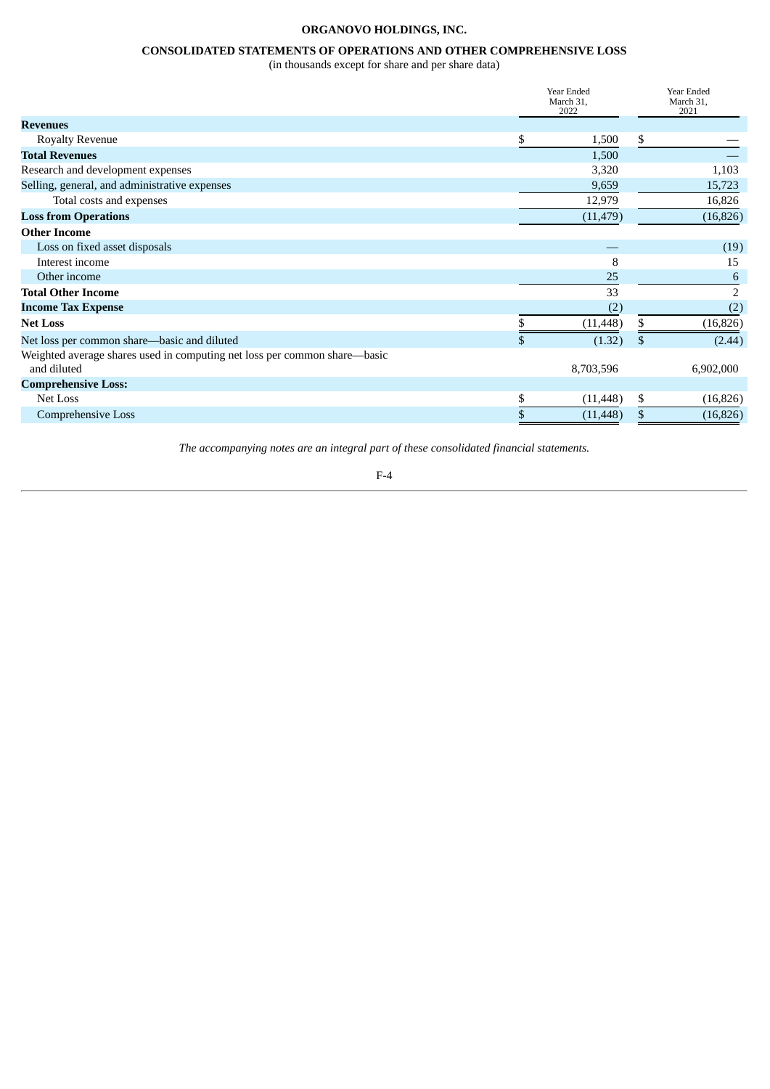# **ORGANOVO HOLDINGS, INC.**

# **CONSOLIDATED STATEMENTS OF OPERATIONS AND OTHER COMPREHENSIVE LOSS**

(in thousands except for share and per share data)

<span id="page-35-0"></span>

| <b>Revenues</b>                                                                          |    | Year Ended<br>March 31,<br>2022 | Year Ended<br>March 31,<br>2021 |           |
|------------------------------------------------------------------------------------------|----|---------------------------------|---------------------------------|-----------|
|                                                                                          |    |                                 |                                 |           |
| <b>Royalty Revenue</b>                                                                   | \$ | 1,500                           | \$                              |           |
| <b>Total Revenues</b>                                                                    |    | 1,500                           |                                 |           |
| Research and development expenses                                                        |    | 3,320                           |                                 | 1,103     |
| Selling, general, and administrative expenses                                            |    | 9,659                           |                                 | 15,723    |
| Total costs and expenses                                                                 |    | 12,979                          |                                 | 16,826    |
| <b>Loss from Operations</b>                                                              |    | (11, 479)                       |                                 | (16, 826) |
| <b>Other Income</b>                                                                      |    |                                 |                                 |           |
| Loss on fixed asset disposals                                                            |    |                                 |                                 | (19)      |
| Interest income                                                                          |    | 8                               |                                 | 15        |
| Other income                                                                             |    | 25                              |                                 | 6         |
| <b>Total Other Income</b>                                                                |    | 33                              |                                 | 2         |
| <b>Income Tax Expense</b>                                                                |    | (2)                             |                                 | (2)       |
| <b>Net Loss</b>                                                                          |    | (11, 448)                       | \$                              | (16, 826) |
| Net loss per common share—basic and diluted                                              | Ж  | (1.32)                          | \$                              | (2.44)    |
| Weighted average shares used in computing net loss per common share-basic<br>and diluted |    | 8,703,596                       |                                 | 6,902,000 |
| <b>Comprehensive Loss:</b>                                                               |    |                                 |                                 |           |
| Net Loss                                                                                 |    | (11, 448)                       | \$                              | (16, 826) |
| Comprehensive Loss                                                                       |    | (11, 448)                       | \$                              | (16, 826) |

*The accompanying notes are an integral part of these consolidated financial statements.*

F-4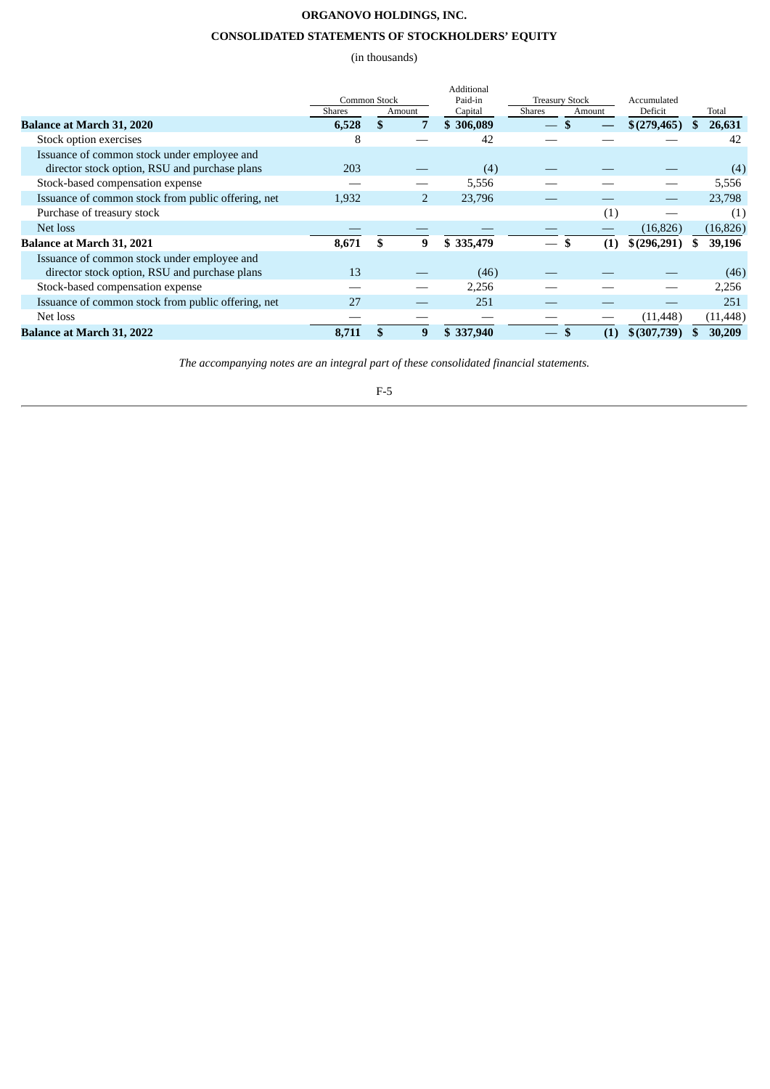# **ORGANOVO HOLDINGS, INC.**

# **CONSOLIDATED STATEMENTS OF STOCKHOLDERS' EQUITY**

# (in thousands)

|                                                                                              |                        | Common Stock |        | Additional<br>Paid-in | <b>Treasury Stock</b> |        | Accumulated             |                 |
|----------------------------------------------------------------------------------------------|------------------------|--------------|--------|-----------------------|-----------------------|--------|-------------------------|-----------------|
| <b>Balance at March 31, 2020</b>                                                             | <b>Shares</b><br>6,528 |              | Amount | Capital<br>\$306,089  | <b>Shares</b>         | Amount | Deficit<br>\$(279, 465) | Total<br>26,631 |
| Stock option exercises                                                                       | 8                      |              |        | 42                    |                       |        |                         | 42              |
| Issuance of common stock under employee and<br>director stock option, RSU and purchase plans | 203                    |              |        | (4)                   |                       |        |                         | (4)             |
| Stock-based compensation expense                                                             |                        |              |        | 5,556                 |                       |        |                         | 5,556           |
| Issuance of common stock from public offering, net                                           | 1,932                  |              | 2      | 23,796                |                       |        |                         | 23,798          |
| Purchase of treasury stock                                                                   |                        |              |        |                       |                       | (1)    |                         | (1)             |
| Net loss                                                                                     |                        |              |        |                       |                       |        | (16, 826)               | (16, 826)       |
| Balance at March 31, 2021                                                                    | 8,671                  | \$           | 9      | \$335,479             |                       | (1)    | \$(296,291)             | 39,196          |
| Issuance of common stock under employee and                                                  |                        |              |        |                       |                       |        |                         |                 |
| director stock option, RSU and purchase plans                                                | 13                     |              |        | (46)                  |                       |        |                         | (46)            |
| Stock-based compensation expense                                                             |                        |              |        | 2,256                 |                       |        |                         | 2,256           |
| Issuance of common stock from public offering, net                                           | 27                     |              |        | 251                   |                       |        |                         | 251             |
| Net loss                                                                                     |                        |              |        |                       |                       |        | (11, 448)               | (11, 448)       |
| <b>Balance at March 31, 2022</b>                                                             | 8,711                  |              | 9      | \$337,940             | \$                    | (1)    | \$ (307,739)            | 30,209          |

*The accompanying notes are an integral part of these consolidated financial statements.*

# F-5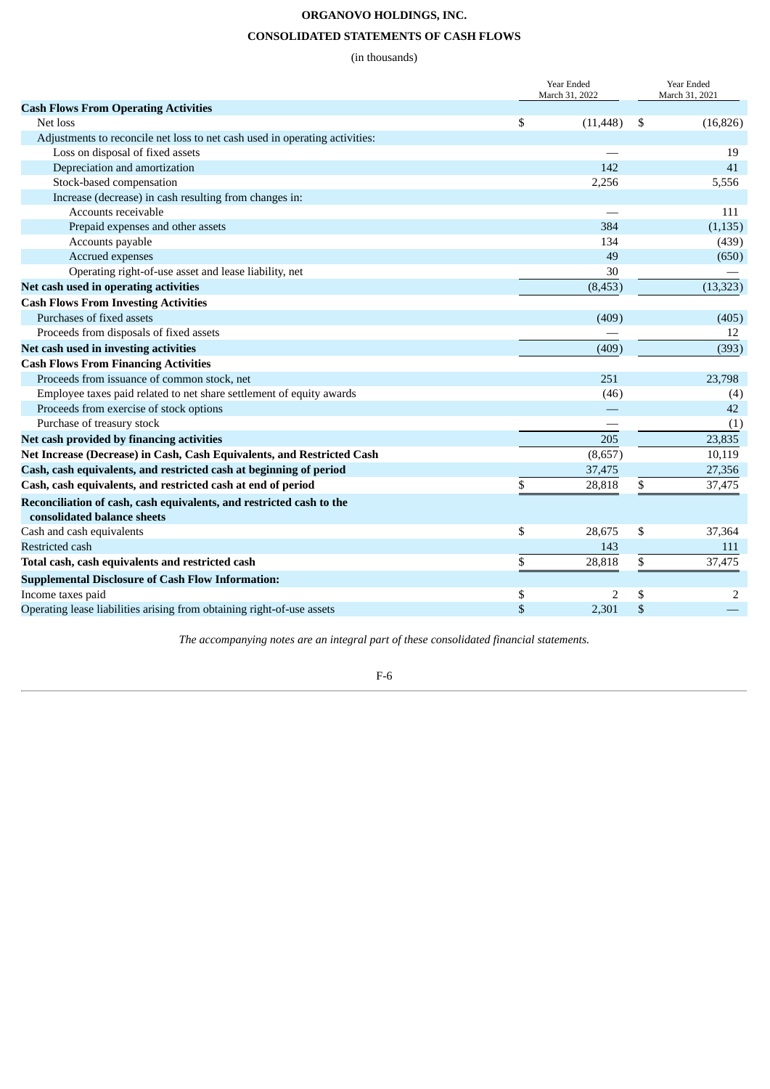# **ORGANOVO HOLDINGS, INC.**

# **CONSOLIDATED STATEMENTS OF CASH FLOWS**

(in thousands)

|                                                                             | Year Ended<br>March 31, 2022 |    | Year Ended<br>March 31, 2021 |  |  |
|-----------------------------------------------------------------------------|------------------------------|----|------------------------------|--|--|
| <b>Cash Flows From Operating Activities</b>                                 |                              |    |                              |  |  |
| Net loss                                                                    | \$<br>(11, 448)              | \$ | (16, 826)                    |  |  |
| Adjustments to reconcile net loss to net cash used in operating activities: |                              |    |                              |  |  |
| Loss on disposal of fixed assets                                            |                              |    | 19                           |  |  |
| Depreciation and amortization                                               | 142                          |    | 41                           |  |  |
| Stock-based compensation                                                    | 2,256                        |    | 5,556                        |  |  |
| Increase (decrease) in cash resulting from changes in:                      |                              |    |                              |  |  |
| Accounts receivable                                                         |                              |    | 111                          |  |  |
| Prepaid expenses and other assets                                           | 384                          |    | (1, 135)                     |  |  |
| Accounts payable                                                            | 134                          |    | (439)                        |  |  |
| Accrued expenses                                                            | 49                           |    | (650)                        |  |  |
| Operating right-of-use asset and lease liability, net                       | 30                           |    |                              |  |  |
| Net cash used in operating activities                                       | (8, 453)                     |    | (13, 323)                    |  |  |
| <b>Cash Flows From Investing Activities</b>                                 |                              |    |                              |  |  |
| Purchases of fixed assets                                                   | (409)                        |    | (405)                        |  |  |
| Proceeds from disposals of fixed assets                                     |                              |    | 12                           |  |  |
| Net cash used in investing activities                                       | (409)                        |    | (393)                        |  |  |
| <b>Cash Flows From Financing Activities</b>                                 |                              |    |                              |  |  |
| Proceeds from issuance of common stock, net                                 | 251                          |    | 23,798                       |  |  |
| Employee taxes paid related to net share settlement of equity awards        | (46)                         |    | (4)                          |  |  |
| Proceeds from exercise of stock options                                     |                              |    | 42                           |  |  |
| Purchase of treasury stock                                                  |                              |    | (1)                          |  |  |
| Net cash provided by financing activities                                   | 205                          |    | 23,835                       |  |  |
| Net Increase (Decrease) in Cash, Cash Equivalents, and Restricted Cash      | (8,657)                      |    | 10,119                       |  |  |
| Cash, cash equivalents, and restricted cash at beginning of period          | 37,475                       |    | 27,356                       |  |  |
| Cash, cash equivalents, and restricted cash at end of period                | \$<br>28,818                 | \$ | 37,475                       |  |  |
| Reconciliation of cash, cash equivalents, and restricted cash to the        |                              |    |                              |  |  |
| consolidated balance sheets                                                 |                              |    |                              |  |  |
| Cash and cash equivalents                                                   | \$<br>28,675                 | \$ | 37,364                       |  |  |
| <b>Restricted cash</b>                                                      | 143                          |    | 111                          |  |  |
| Total cash, cash equivalents and restricted cash                            | \$<br>28,818                 | \$ | 37,475                       |  |  |
| <b>Supplemental Disclosure of Cash Flow Information:</b>                    |                              |    |                              |  |  |
| Income taxes paid                                                           | \$<br>2                      | \$ | 2                            |  |  |
| Operating lease liabilities arising from obtaining right-of-use assets      | \$<br>2,301                  | \$ |                              |  |  |

*The accompanying notes are an integral part of these consolidated financial statements.*

F-6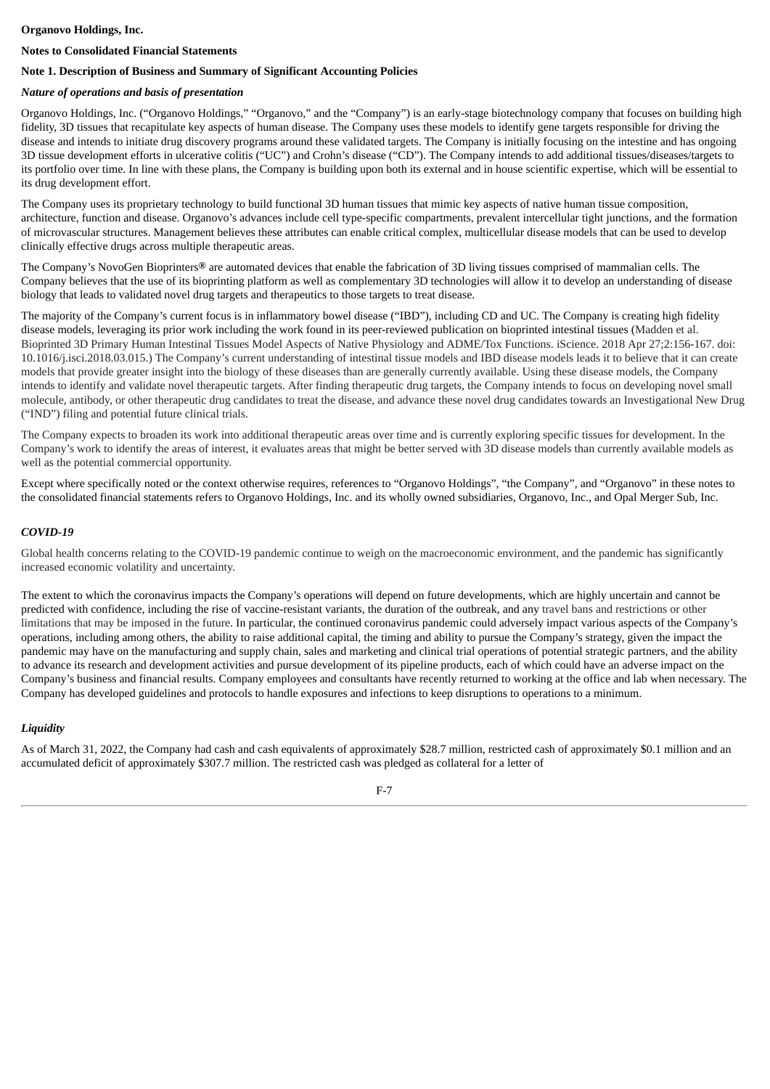# **Organovo Holdings, Inc.**

## **Notes to Consolidated Financial Statements**

## **Note 1. Description of Business and Summary of Significant Accounting Policies**

## *Nature of operations and basis of presentation*

Organovo Holdings, Inc. ("Organovo Holdings," "Organovo," and the "Company") is an early-stage biotechnology company that focuses on building high fidelity, 3D tissues that recapitulate key aspects of human disease. The Company uses these models to identify gene targets responsible for driving the disease and intends to initiate drug discovery programs around these validated targets. The Company is initially focusing on the intestine and has ongoing 3D tissue development efforts in ulcerative colitis ("UC") and Crohn's disease ("CD"). The Company intends to add additional tissues/diseases/targets to its portfolio over time. In line with these plans, the Company is building upon both its external and in house scientific expertise, which will be essential to its drug development effort.

The Company uses its proprietary technology to build functional 3D human tissues that mimic key aspects of native human tissue composition, architecture, function and disease. Organovo's advances include cell type-specific compartments, prevalent intercellular tight junctions, and the formation of microvascular structures. Management believes these attributes can enable critical complex, multicellular disease models that can be used to develop clinically effective drugs across multiple therapeutic areas.

The Company's NovoGen Bioprinters**®** are automated devices that enable the fabrication of 3D living tissues comprised of mammalian cells. The Company believes that the use of its bioprinting platform as well as complementary 3D technologies will allow it to develop an understanding of disease biology that leads to validated novel drug targets and therapeutics to those targets to treat disease.

The majority of the Company's current focus is in inflammatory bowel disease ("IBD"), including CD and UC. The Company is creating high fidelity disease models, leveraging its prior work including the work found in its peer-reviewed publication on bioprinted intestinal tissues (Madden et al. Bioprinted 3D Primary Human Intestinal Tissues Model Aspects of Native Physiology and ADME/Tox Functions. iScience. 2018 Apr 27;2:156-167. doi: 10.1016/j.isci.2018.03.015.) The Company's current understanding of intestinal tissue models and IBD disease models leads it to believe that it can create models that provide greater insight into the biology of these diseases than are generally currently available. Using these disease models, the Company intends to identify and validate novel therapeutic targets. After finding therapeutic drug targets, the Company intends to focus on developing novel small molecule, antibody, or other therapeutic drug candidates to treat the disease, and advance these novel drug candidates towards an Investigational New Drug ("IND") filing and potential future clinical trials.

The Company expects to broaden its work into additional therapeutic areas over time and is currently exploring specific tissues for development. In the Company's work to identify the areas of interest, it evaluates areas that might be better served with 3D disease models than currently available models as well as the potential commercial opportunity.

Except where specifically noted or the context otherwise requires, references to "Organovo Holdings", "the Company", and "Organovo" in these notes to the consolidated financial statements refers to Organovo Holdings, Inc. and its wholly owned subsidiaries, Organovo, Inc., and Opal Merger Sub, Inc.

## *COVID-19*

Global health concerns relating to the COVID-19 pandemic continue to weigh on the macroeconomic environment, and the pandemic has significantly increased economic volatility and uncertainty.

The extent to which the coronavirus impacts the Company's operations will depend on future developments, which are highly uncertain and cannot be predicted with confidence, including the rise of vaccine-resistant variants, the duration of the outbreak, and any travel bans and restrictions or other limitations that may be imposed in the future. In particular, the continued coronavirus pandemic could adversely impact various aspects of the Company's operations, including among others, the ability to raise additional capital, the timing and ability to pursue the Company's strategy, given the impact the pandemic may have on the manufacturing and supply chain, sales and marketing and clinical trial operations of potential strategic partners, and the ability to advance its research and development activities and pursue development of its pipeline products, each of which could have an adverse impact on the Company's business and financial results. Company employees and consultants have recently returned to working at the office and lab when necessary. The Company has developed guidelines and protocols to handle exposures and infections to keep disruptions to operations to a minimum.

## *Liquidity*

As of March 31, 2022, the Company had cash and cash equivalents of approximately \$28.7 million, restricted cash of approximately \$0.1 million and an accumulated deficit of approximately \$307.7 million. The restricted cash was pledged as collateral for a letter of

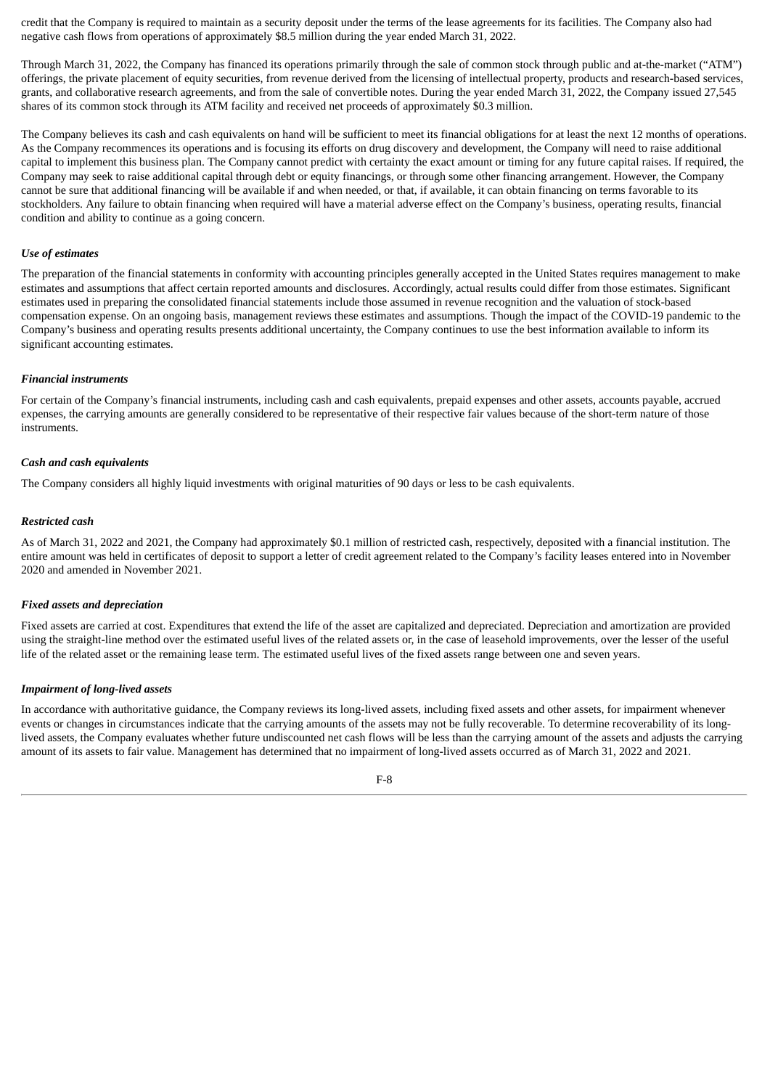credit that the Company is required to maintain as a security deposit under the terms of the lease agreements for its facilities. The Company also had negative cash flows from operations of approximately \$8.5 million during the year ended March 31, 2022.

Through March 31, 2022, the Company has financed its operations primarily through the sale of common stock through public and at-the-market ("ATM") offerings, the private placement of equity securities, from revenue derived from the licensing of intellectual property, products and research-based services, grants, and collaborative research agreements, and from the sale of convertible notes. During the year ended March 31, 2022, the Company issued 27,545 shares of its common stock through its ATM facility and received net proceeds of approximately \$0.3 million.

The Company believes its cash and cash equivalents on hand will be sufficient to meet its financial obligations for at least the next 12 months of operations. As the Company recommences its operations and is focusing its efforts on drug discovery and development, the Company will need to raise additional capital to implement this business plan. The Company cannot predict with certainty the exact amount or timing for any future capital raises. If required, the Company may seek to raise additional capital through debt or equity financings, or through some other financing arrangement. However, the Company cannot be sure that additional financing will be available if and when needed, or that, if available, it can obtain financing on terms favorable to its stockholders. Any failure to obtain financing when required will have a material adverse effect on the Company's business, operating results, financial condition and ability to continue as a going concern.

#### *Use of estimates*

The preparation of the financial statements in conformity with accounting principles generally accepted in the United States requires management to make estimates and assumptions that affect certain reported amounts and disclosures. Accordingly, actual results could differ from those estimates. Significant estimates used in preparing the consolidated financial statements include those assumed in revenue recognition and the valuation of stock-based compensation expense. On an ongoing basis, management reviews these estimates and assumptions. Though the impact of the COVID-19 pandemic to the Company's business and operating results presents additional uncertainty, the Company continues to use the best information available to inform its significant accounting estimates.

#### *Financial instruments*

For certain of the Company's financial instruments, including cash and cash equivalents, prepaid expenses and other assets, accounts payable, accrued expenses, the carrying amounts are generally considered to be representative of their respective fair values because of the short-term nature of those instruments.

#### *Cash and cash equivalents*

The Company considers all highly liquid investments with original maturities of 90 days or less to be cash equivalents.

#### *Restricted cash*

As of March 31, 2022 and 2021, the Company had approximately \$0.1 million of restricted cash, respectively, deposited with a financial institution. The entire amount was held in certificates of deposit to support a letter of credit agreement related to the Company's facility leases entered into in November 2020 and amended in November 2021.

#### *Fixed assets and depreciation*

Fixed assets are carried at cost. Expenditures that extend the life of the asset are capitalized and depreciated. Depreciation and amortization are provided using the straight-line method over the estimated useful lives of the related assets or, in the case of leasehold improvements, over the lesser of the useful life of the related asset or the remaining lease term. The estimated useful lives of the fixed assets range between one and seven years.

#### *Impairment of long-lived assets*

In accordance with authoritative guidance, the Company reviews its long-lived assets, including fixed assets and other assets, for impairment whenever events or changes in circumstances indicate that the carrying amounts of the assets may not be fully recoverable. To determine recoverability of its longlived assets, the Company evaluates whether future undiscounted net cash flows will be less than the carrying amount of the assets and adjusts the carrying amount of its assets to fair value. Management has determined that no impairment of long-lived assets occurred as of March 31, 2022 and 2021.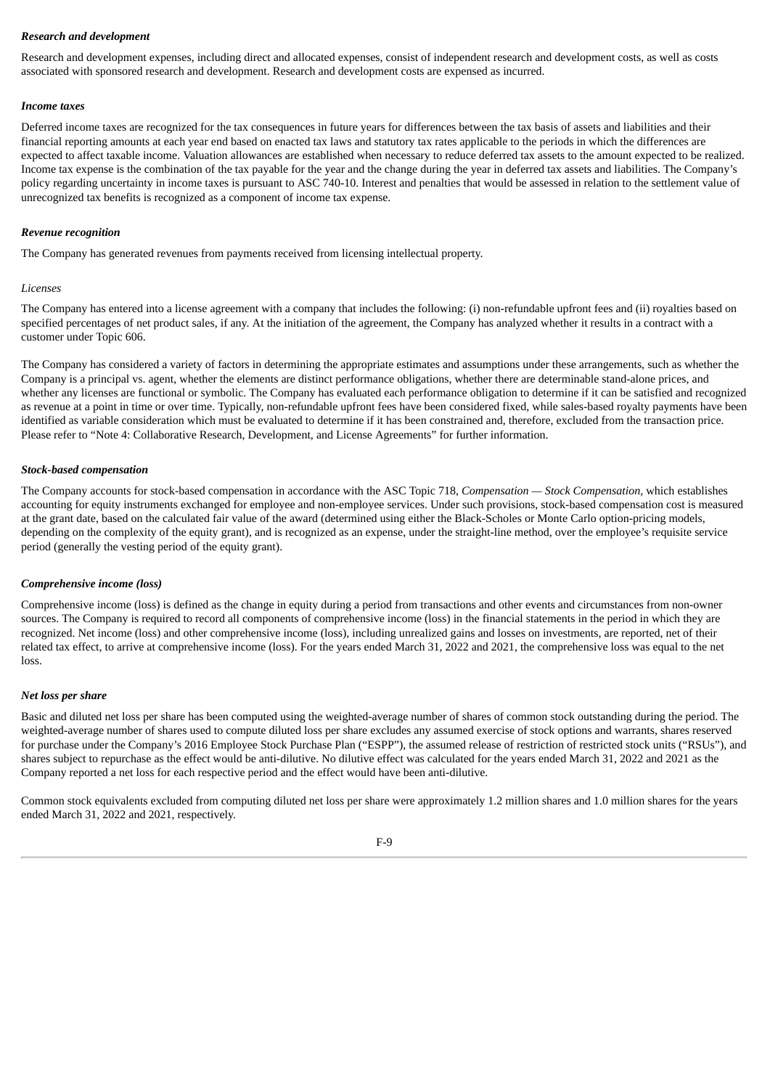## *Research and development*

Research and development expenses, including direct and allocated expenses, consist of independent research and development costs, as well as costs associated with sponsored research and development. Research and development costs are expensed as incurred.

### *Income taxes*

Deferred income taxes are recognized for the tax consequences in future years for differences between the tax basis of assets and liabilities and their financial reporting amounts at each year end based on enacted tax laws and statutory tax rates applicable to the periods in which the differences are expected to affect taxable income. Valuation allowances are established when necessary to reduce deferred tax assets to the amount expected to be realized. Income tax expense is the combination of the tax payable for the year and the change during the year in deferred tax assets and liabilities. The Company's policy regarding uncertainty in income taxes is pursuant to ASC 740-10. Interest and penalties that would be assessed in relation to the settlement value of unrecognized tax benefits is recognized as a component of income tax expense.

#### *Revenue recognition*

The Company has generated revenues from payments received from licensing intellectual property.

#### *Licenses*

The Company has entered into a license agreement with a company that includes the following: (i) non-refundable upfront fees and (ii) royalties based on specified percentages of net product sales, if any. At the initiation of the agreement, the Company has analyzed whether it results in a contract with a customer under Topic 606.

The Company has considered a variety of factors in determining the appropriate estimates and assumptions under these arrangements, such as whether the Company is a principal vs. agent, whether the elements are distinct performance obligations, whether there are determinable stand-alone prices, and whether any licenses are functional or symbolic. The Company has evaluated each performance obligation to determine if it can be satisfied and recognized as revenue at a point in time or over time. Typically, non-refundable upfront fees have been considered fixed, while sales-based royalty payments have been identified as variable consideration which must be evaluated to determine if it has been constrained and, therefore, excluded from the transaction price. Please refer to "Note 4: Collaborative Research, Development, and License Agreements" for further information.

#### *Stock-based compensation*

The Company accounts for stock-based compensation in accordance with the ASC Topic 718, *Compensation — Stock Compensation,* which establishes accounting for equity instruments exchanged for employee and non-employee services. Under such provisions, stock-based compensation cost is measured at the grant date, based on the calculated fair value of the award (determined using either the Black-Scholes or Monte Carlo option-pricing models, depending on the complexity of the equity grant), and is recognized as an expense, under the straight-line method, over the employee's requisite service period (generally the vesting period of the equity grant).

#### *Comprehensive income (loss)*

Comprehensive income (loss) is defined as the change in equity during a period from transactions and other events and circumstances from non-owner sources. The Company is required to record all components of comprehensive income (loss) in the financial statements in the period in which they are recognized. Net income (loss) and other comprehensive income (loss), including unrealized gains and losses on investments, are reported, net of their related tax effect, to arrive at comprehensive income (loss). For the years ended March 31, 2022 and 2021, the comprehensive loss was equal to the net loss.

#### *Net loss per share*

Basic and diluted net loss per share has been computed using the weighted-average number of shares of common stock outstanding during the period. The weighted-average number of shares used to compute diluted loss per share excludes any assumed exercise of stock options and warrants, shares reserved for purchase under the Company's 2016 Employee Stock Purchase Plan ("ESPP"), the assumed release of restriction of restricted stock units ("RSUs"), and shares subject to repurchase as the effect would be anti-dilutive. No dilutive effect was calculated for the years ended March 31, 2022 and 2021 as the Company reported a net loss for each respective period and the effect would have been anti-dilutive.

Common stock equivalents excluded from computing diluted net loss per share were approximately 1.2 million shares and 1.0 million shares for the years ended March 31, 2022 and 2021, respectively.

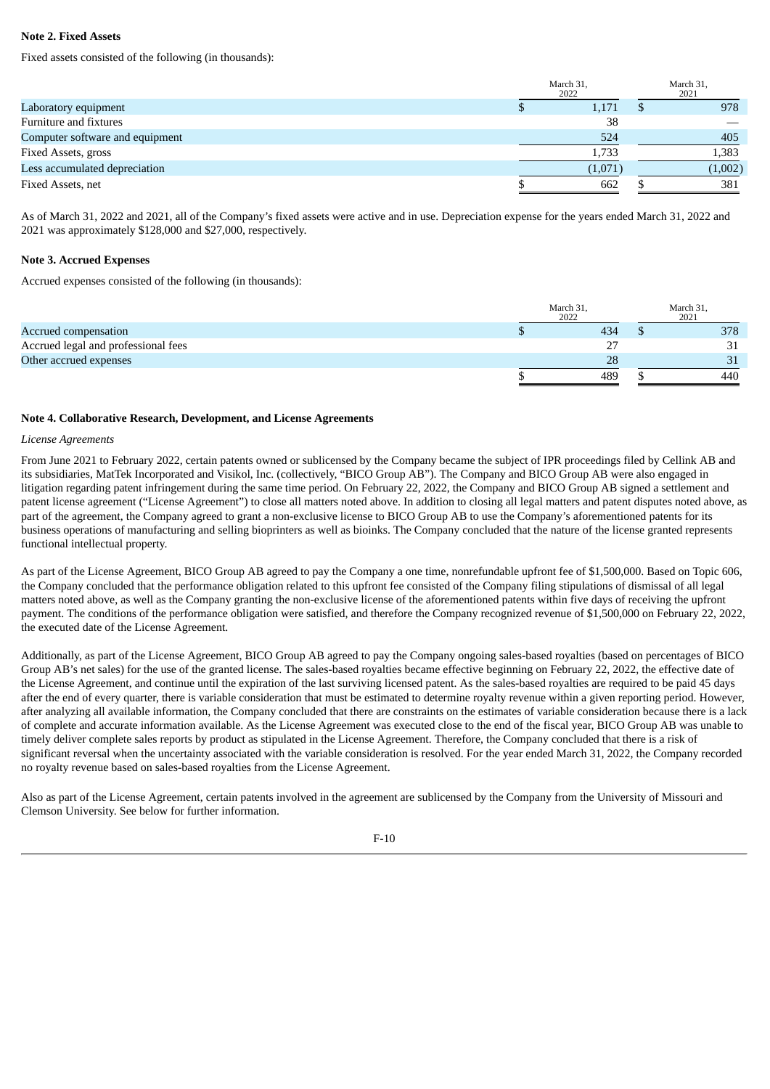# **Note 2. Fixed Assets**

Fixed assets consisted of the following (in thousands):

|                                 | March 31,<br>2022 |         |  | March 31,<br>2021 |  |  |
|---------------------------------|-------------------|---------|--|-------------------|--|--|
| Laboratory equipment            |                   | 1,171   |  | 978               |  |  |
| Furniture and fixtures          |                   | 38      |  |                   |  |  |
| Computer software and equipment |                   | 524     |  | 405               |  |  |
| <b>Fixed Assets, gross</b>      |                   | 1,733   |  | 1,383             |  |  |
| Less accumulated depreciation   |                   | (1,071) |  | (1,002)           |  |  |
| Fixed Assets, net               |                   | 662     |  | 381               |  |  |

As of March 31, 2022 and 2021, all of the Company's fixed assets were active and in use. Depreciation expense for the years ended March 31, 2022 and 2021 was approximately \$128,000 and \$27,000, respectively.

## **Note 3. Accrued Expenses**

Accrued expenses consisted of the following (in thousands):

|                                     | March 31,<br>2022 | March 31.<br>2021 |
|-------------------------------------|-------------------|-------------------|
| Accrued compensation                | 434               | 378               |
| Accrued legal and professional fees |                   | 31                |
| Other accrued expenses              | 28                | 21<br>ا ب         |
|                                     | 489               | 440               |

## **Note 4. Collaborative Research, Development, and License Agreements**

#### *License Agreements*

From June 2021 to February 2022, certain patents owned or sublicensed by the Company became the subject of IPR proceedings filed by Cellink AB and its subsidiaries, MatTek Incorporated and Visikol, Inc. (collectively, "BICO Group AB"). The Company and BICO Group AB were also engaged in litigation regarding patent infringement during the same time period. On February 22, 2022, the Company and BICO Group AB signed a settlement and patent license agreement ("License Agreement") to close all matters noted above. In addition to closing all legal matters and patent disputes noted above, as part of the agreement, the Company agreed to grant a non-exclusive license to BICO Group AB to use the Company's aforementioned patents for its business operations of manufacturing and selling bioprinters as well as bioinks. The Company concluded that the nature of the license granted represents functional intellectual property.

As part of the License Agreement, BICO Group AB agreed to pay the Company a one time, nonrefundable upfront fee of \$1,500,000. Based on Topic 606, the Company concluded that the performance obligation related to this upfront fee consisted of the Company filing stipulations of dismissal of all legal matters noted above, as well as the Company granting the non-exclusive license of the aforementioned patents within five days of receiving the upfront payment. The conditions of the performance obligation were satisfied, and therefore the Company recognized revenue of \$1,500,000 on February 22, 2022, the executed date of the License Agreement.

Additionally, as part of the License Agreement, BICO Group AB agreed to pay the Company ongoing sales-based royalties (based on percentages of BICO Group AB's net sales) for the use of the granted license. The sales-based royalties became effective beginning on February 22, 2022, the effective date of the License Agreement, and continue until the expiration of the last surviving licensed patent. As the sales-based royalties are required to be paid 45 days after the end of every quarter, there is variable consideration that must be estimated to determine royalty revenue within a given reporting period. However, after analyzing all available information, the Company concluded that there are constraints on the estimates of variable consideration because there is a lack of complete and accurate information available. As the License Agreement was executed close to the end of the fiscal year, BICO Group AB was unable to timely deliver complete sales reports by product as stipulated in the License Agreement. Therefore, the Company concluded that there is a risk of significant reversal when the uncertainty associated with the variable consideration is resolved. For the year ended March 31, 2022, the Company recorded no royalty revenue based on sales-based royalties from the License Agreement.

Also as part of the License Agreement, certain patents involved in the agreement are sublicensed by the Company from the University of Missouri and Clemson University. See below for further information.

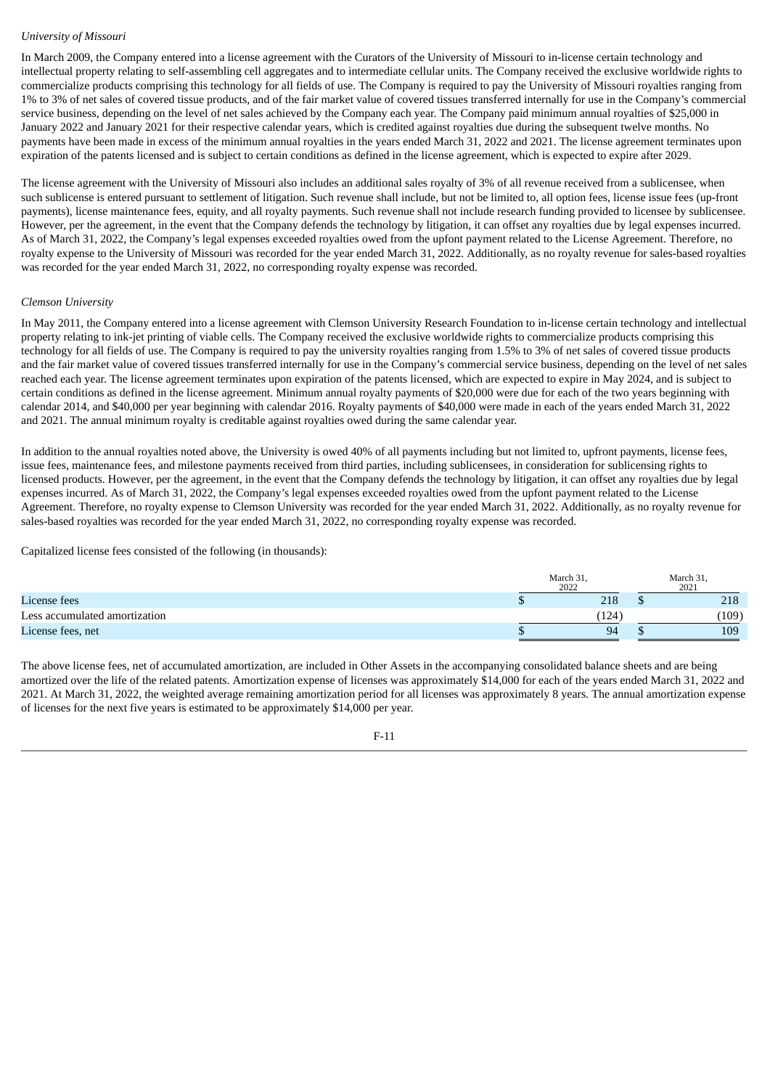# *University of Missouri*

In March 2009, the Company entered into a license agreement with the Curators of the University of Missouri to in-license certain technology and intellectual property relating to self-assembling cell aggregates and to intermediate cellular units. The Company received the exclusive worldwide rights to commercialize products comprising this technology for all fields of use. The Company is required to pay the University of Missouri royalties ranging from 1% to 3% of net sales of covered tissue products, and of the fair market value of covered tissues transferred internally for use in the Company's commercial service business, depending on the level of net sales achieved by the Company each year. The Company paid minimum annual royalties of \$25,000 in January 2022 and January 2021 for their respective calendar years, which is credited against royalties due during the subsequent twelve months. No payments have been made in excess of the minimum annual royalties in the years ended March 31, 2022 and 2021. The license agreement terminates upon expiration of the patents licensed and is subject to certain conditions as defined in the license agreement, which is expected to expire after 2029.

The license agreement with the University of Missouri also includes an additional sales royalty of 3% of all revenue received from a sublicensee, when such sublicense is entered pursuant to settlement of litigation. Such revenue shall include, but not be limited to, all option fees, license issue fees (up-front payments), license maintenance fees, equity, and all royalty payments. Such revenue shall not include research funding provided to licensee by sublicensee. However, per the agreement, in the event that the Company defends the technology by litigation, it can offset any royalties due by legal expenses incurred. As of March 31, 2022, the Company's legal expenses exceeded royalties owed from the upfont payment related to the License Agreement. Therefore, no royalty expense to the University of Missouri was recorded for the year ended March 31, 2022. Additionally, as no royalty revenue for sales-based royalties was recorded for the year ended March 31, 2022, no corresponding royalty expense was recorded.

## *Clemson University*

In May 2011, the Company entered into a license agreement with Clemson University Research Foundation to in-license certain technology and intellectual property relating to ink-jet printing of viable cells. The Company received the exclusive worldwide rights to commercialize products comprising this technology for all fields of use. The Company is required to pay the university royalties ranging from 1.5% to 3% of net sales of covered tissue products and the fair market value of covered tissues transferred internally for use in the Company's commercial service business, depending on the level of net sales reached each year. The license agreement terminates upon expiration of the patents licensed, which are expected to expire in May 2024, and is subject to certain conditions as defined in the license agreement. Minimum annual royalty payments of \$20,000 were due for each of the two years beginning with calendar 2014, and \$40,000 per year beginning with calendar 2016. Royalty payments of \$40,000 were made in each of the years ended March 31, 2022 and 2021. The annual minimum royalty is creditable against royalties owed during the same calendar year.

In addition to the annual royalties noted above, the University is owed 40% of all payments including but not limited to, upfront payments, license fees, issue fees, maintenance fees, and milestone payments received from third parties, including sublicensees, in consideration for sublicensing rights to licensed products. However, per the agreement, in the event that the Company defends the technology by litigation, it can offset any royalties due by legal expenses incurred. As of March 31, 2022, the Company's legal expenses exceeded royalties owed from the upfont payment related to the License Agreement. Therefore, no royalty expense to Clemson University was recorded for the year ended March 31, 2022. Additionally, as no royalty revenue for sales-based royalties was recorded for the year ended March 31, 2022, no corresponding royalty expense was recorded.

Capitalized license fees consisted of the following (in thousands):

|                               | March 31<br>2022 | March 31,<br>2021 |
|-------------------------------|------------------|-------------------|
| License fees                  | 218              | 218               |
| Less accumulated amortization | (124)            | (109)             |
| License fees, net             | 94               | 109               |

The above license fees, net of accumulated amortization, are included in Other Assets in the accompanying consolidated balance sheets and are being amortized over the life of the related patents. Amortization expense of licenses was approximately \$14,000 for each of the years ended March 31, 2022 and 2021. At March 31, 2022, the weighted average remaining amortization period for all licenses was approximately 8 years. The annual amortization expense of licenses for the next five years is estimated to be approximately \$14,000 per year.

F-11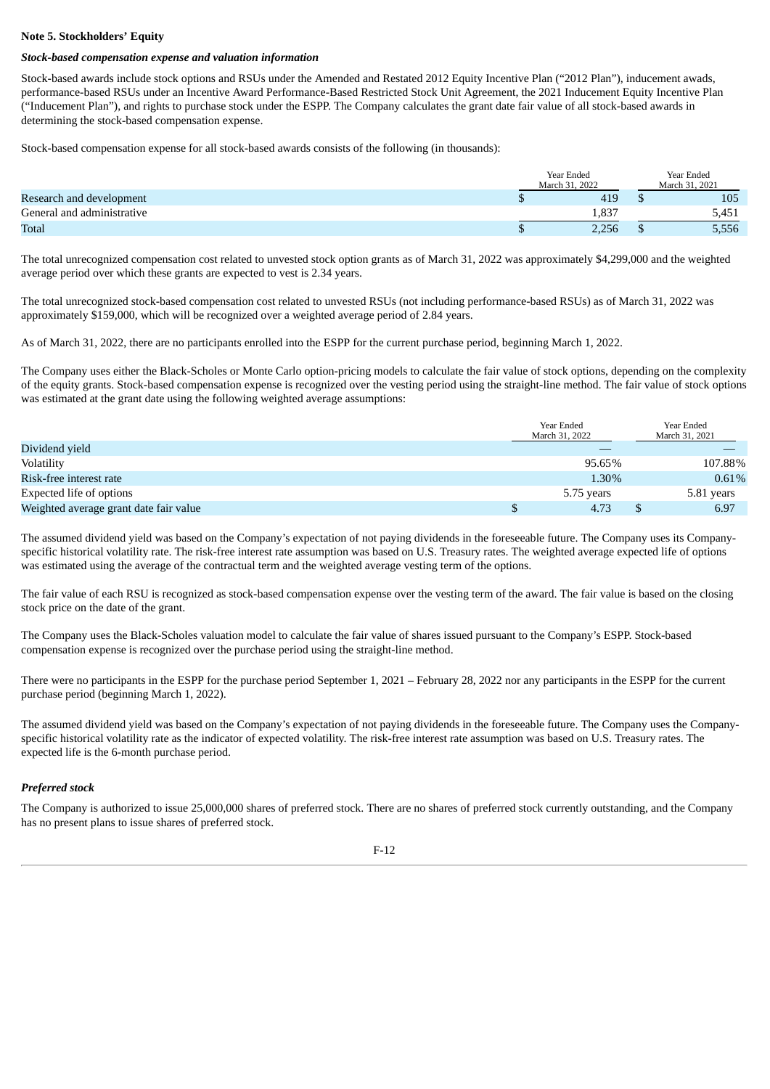## **Note 5. Stockholders' Equity**

#### *Stock-based compensation expense and valuation information*

Stock-based awards include stock options and RSUs under the Amended and Restated 2012 Equity Incentive Plan ("2012 Plan"), inducement awads, performance-based RSUs under an Incentive Award Performance-Based Restricted Stock Unit Agreement, the 2021 Inducement Equity Incentive Plan ("Inducement Plan"), and rights to purchase stock under the ESPP. The Company calculates the grant date fair value of all stock-based awards in determining the stock-based compensation expense.

Stock-based compensation expense for all stock-based awards consists of the following (in thousands):

|                            | Year Ended<br>March 31, 2022 | Year Ended<br>March 31, 2021 |
|----------------------------|------------------------------|------------------------------|
| Research and development   | 419                          | 105                          |
| General and administrative | 837ء                         | 5,451                        |
| <b>Total</b>               | 2,256                        | 5,556                        |

The total unrecognized compensation cost related to unvested stock option grants as of March 31, 2022 was approximately \$4,299,000 and the weighted average period over which these grants are expected to vest is 2.34 years.

The total unrecognized stock-based compensation cost related to unvested RSUs (not including performance-based RSUs) as of March 31, 2022 was approximately \$159,000, which will be recognized over a weighted average period of 2.84 years.

As of March 31, 2022, there are no participants enrolled into the ESPP for the current purchase period, beginning March 1, 2022.

The Company uses either the Black-Scholes or Monte Carlo option-pricing models to calculate the fair value of stock options, depending on the complexity of the equity grants. Stock-based compensation expense is recognized over the vesting period using the straight-line method. The fair value of stock options was estimated at the grant date using the following weighted average assumptions:

|                                        | Year Ended<br>March 31, 2022 | Year Ended<br>March 31, 2021 |
|----------------------------------------|------------------------------|------------------------------|
| Dividend yield                         |                              |                              |
| Volatility                             | 95.65%                       | 107.88%                      |
| Risk-free interest rate                | 1.30%                        | 0.61%                        |
| Expected life of options               | 5.75 years                   | 5.81 years                   |
| Weighted average grant date fair value | 4.73                         | 6.97                         |

The assumed dividend yield was based on the Company's expectation of not paying dividends in the foreseeable future. The Company uses its Companyspecific historical volatility rate. The risk-free interest rate assumption was based on U.S. Treasury rates. The weighted average expected life of options was estimated using the average of the contractual term and the weighted average vesting term of the options.

The fair value of each RSU is recognized as stock-based compensation expense over the vesting term of the award. The fair value is based on the closing stock price on the date of the grant.

The Company uses the Black-Scholes valuation model to calculate the fair value of shares issued pursuant to the Company's ESPP. Stock-based compensation expense is recognized over the purchase period using the straight-line method.

There were no participants in the ESPP for the purchase period September 1, 2021 – February 28, 2022 nor any participants in the ESPP for the current purchase period (beginning March 1, 2022).

The assumed dividend yield was based on the Company's expectation of not paying dividends in the foreseeable future. The Company uses the Companyspecific historical volatility rate as the indicator of expected volatility. The risk-free interest rate assumption was based on U.S. Treasury rates. The expected life is the 6-month purchase period.

### *Preferred stock*

The Company is authorized to issue 25,000,000 shares of preferred stock. There are no shares of preferred stock currently outstanding, and the Company has no present plans to issue shares of preferred stock.

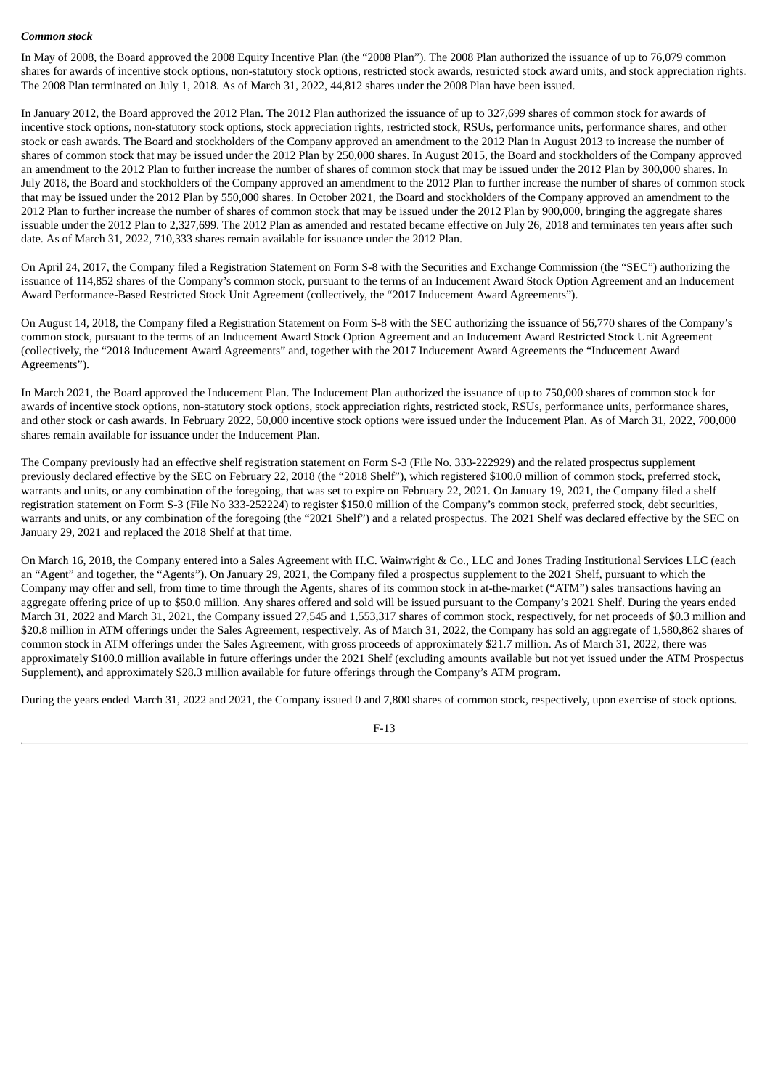## *Common stock*

In May of 2008, the Board approved the 2008 Equity Incentive Plan (the "2008 Plan"). The 2008 Plan authorized the issuance of up to 76,079 common shares for awards of incentive stock options, non-statutory stock options, restricted stock awards, restricted stock award units, and stock appreciation rights. The 2008 Plan terminated on July 1, 2018. As of March 31, 2022, 44,812 shares under the 2008 Plan have been issued.

In January 2012, the Board approved the 2012 Plan. The 2012 Plan authorized the issuance of up to 327,699 shares of common stock for awards of incentive stock options, non-statutory stock options, stock appreciation rights, restricted stock, RSUs, performance units, performance shares, and other stock or cash awards. The Board and stockholders of the Company approved an amendment to the 2012 Plan in August 2013 to increase the number of shares of common stock that may be issued under the 2012 Plan by 250,000 shares. In August 2015, the Board and stockholders of the Company approved an amendment to the 2012 Plan to further increase the number of shares of common stock that may be issued under the 2012 Plan by 300,000 shares. In July 2018, the Board and stockholders of the Company approved an amendment to the 2012 Plan to further increase the number of shares of common stock that may be issued under the 2012 Plan by 550,000 shares. In October 2021, the Board and stockholders of the Company approved an amendment to the 2012 Plan to further increase the number of shares of common stock that may be issued under the 2012 Plan by 900,000, bringing the aggregate shares issuable under the 2012 Plan to 2,327,699. The 2012 Plan as amended and restated became effective on July 26, 2018 and terminates ten years after such date. As of March 31, 2022, 710,333 shares remain available for issuance under the 2012 Plan.

On April 24, 2017, the Company filed a Registration Statement on Form S-8 with the Securities and Exchange Commission (the "SEC") authorizing the issuance of 114,852 shares of the Company's common stock, pursuant to the terms of an Inducement Award Stock Option Agreement and an Inducement Award Performance-Based Restricted Stock Unit Agreement (collectively, the "2017 Inducement Award Agreements").

On August 14, 2018, the Company filed a Registration Statement on Form S-8 with the SEC authorizing the issuance of 56,770 shares of the Company's common stock, pursuant to the terms of an Inducement Award Stock Option Agreement and an Inducement Award Restricted Stock Unit Agreement (collectively, the "2018 Inducement Award Agreements" and, together with the 2017 Inducement Award Agreements the "Inducement Award Agreements").

In March 2021, the Board approved the Inducement Plan. The Inducement Plan authorized the issuance of up to 750,000 shares of common stock for awards of incentive stock options, non-statutory stock options, stock appreciation rights, restricted stock, RSUs, performance units, performance shares, and other stock or cash awards. In February 2022, 50,000 incentive stock options were issued under the Inducement Plan. As of March 31, 2022, 700,000 shares remain available for issuance under the Inducement Plan.

The Company previously had an effective shelf registration statement on Form S-3 (File No. 333-222929) and the related prospectus supplement previously declared effective by the SEC on February 22, 2018 (the "2018 Shelf"), which registered \$100.0 million of common stock, preferred stock, warrants and units, or any combination of the foregoing, that was set to expire on February 22, 2021. On January 19, 2021, the Company filed a shelf registration statement on Form S-3 (File No 333-252224) to register \$150.0 million of the Company's common stock, preferred stock, debt securities, warrants and units, or any combination of the foregoing (the "2021 Shelf") and a related prospectus. The 2021 Shelf was declared effective by the SEC on January 29, 2021 and replaced the 2018 Shelf at that time.

On March 16, 2018, the Company entered into a Sales Agreement with H.C. Wainwright & Co., LLC and Jones Trading Institutional Services LLC (each an "Agent" and together, the "Agents"). On January 29, 2021, the Company filed a prospectus supplement to the 2021 Shelf, pursuant to which the Company may offer and sell, from time to time through the Agents, shares of its common stock in at-the-market ("ATM") sales transactions having an aggregate offering price of up to \$50.0 million. Any shares offered and sold will be issued pursuant to the Company's 2021 Shelf. During the years ended March 31, 2022 and March 31, 2021, the Company issued 27,545 and 1,553,317 shares of common stock, respectively, for net proceeds of \$0.3 million and \$20.8 million in ATM offerings under the Sales Agreement, respectively. As of March 31, 2022, the Company has sold an aggregate of 1,580,862 shares of common stock in ATM offerings under the Sales Agreement, with gross proceeds of approximately \$21.7 million. As of March 31, 2022, there was approximately \$100.0 million available in future offerings under the 2021 Shelf (excluding amounts available but not yet issued under the ATM Prospectus Supplement), and approximately \$28.3 million available for future offerings through the Company's ATM program.

During the years ended March 31, 2022 and 2021, the Company issued 0 and 7,800 shares of common stock, respectively, upon exercise of stock options.

F-13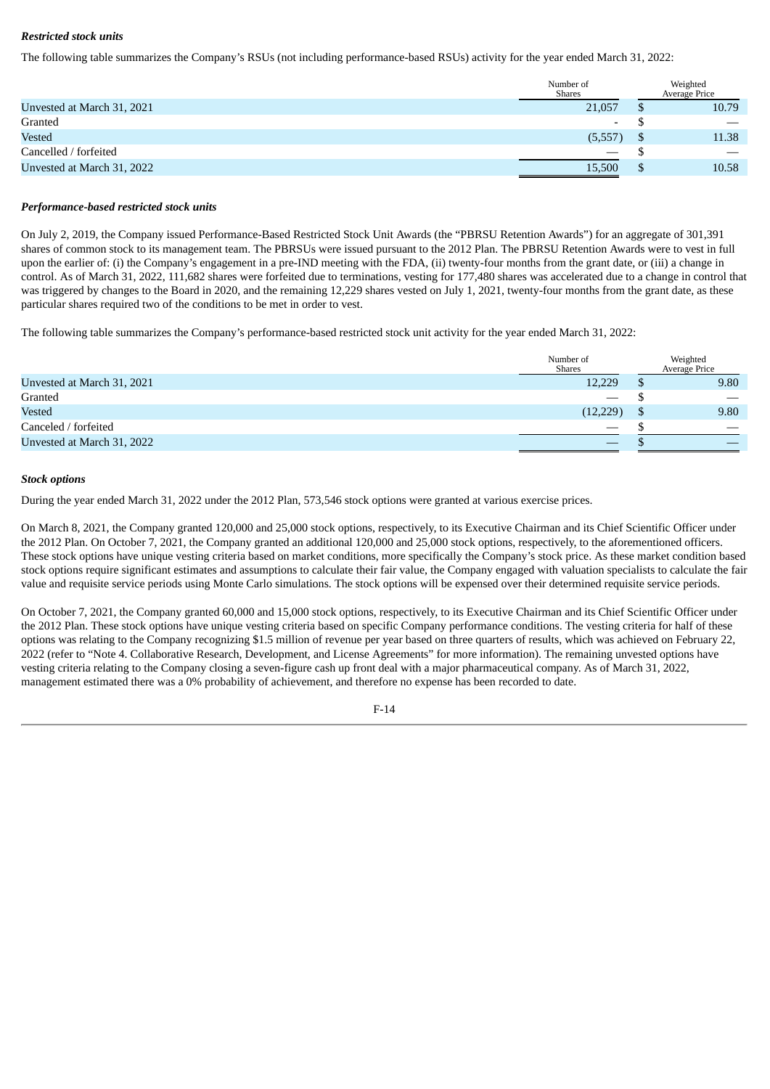# *Restricted stock units*

The following table summarizes the Company's RSUs (not including performance-based RSUs) activity for the year ended March 31, 2022:

|                            | Number of<br><b>Shares</b>      |   | Weighted<br>Average Price |
|----------------------------|---------------------------------|---|---------------------------|
| Unvested at March 31, 2021 | 21,057                          |   | 10.79                     |
| Granted                    | -                               |   |                           |
| <b>Vested</b>              | (5,557)                         |   | 11.38                     |
| Cancelled / forfeited      | $\hspace{0.1mm}-\hspace{0.1mm}$ |   |                           |
| Unvested at March 31, 2022 | 15.500                          | S | 10.58                     |
|                            |                                 |   |                           |

### *Performance-based restricted stock units*

On July 2, 2019, the Company issued Performance-Based Restricted Stock Unit Awards (the "PBRSU Retention Awards") for an aggregate of 301,391 shares of common stock to its management team. The PBRSUs were issued pursuant to the 2012 Plan. The PBRSU Retention Awards were to vest in full upon the earlier of: (i) the Company's engagement in a pre-IND meeting with the FDA, (ii) twenty-four months from the grant date, or (iii) a change in control. As of March 31, 2022, 111,682 shares were forfeited due to terminations, vesting for 177,480 shares was accelerated due to a change in control that was triggered by changes to the Board in 2020, and the remaining 12,229 shares vested on July 1, 2021, twenty-four months from the grant date, as these particular shares required two of the conditions to be met in order to vest.

The following table summarizes the Company's performance-based restricted stock unit activity for the year ended March 31, 2022:

|                            | Number of<br>Shares           |   | Weighted<br>Average Price |
|----------------------------|-------------------------------|---|---------------------------|
| Unvested at March 31, 2021 | 12,229                        | w | 9.80                      |
| Granted                    | $\overbrace{\phantom{13333}}$ |   |                           |
| Vested                     | (12, 229)                     |   | 9.80                      |
| Canceled / forfeited       |                               |   |                           |
| Unvested at March 31, 2022 |                               |   |                           |

## *Stock options*

During the year ended March 31, 2022 under the 2012 Plan, 573,546 stock options were granted at various exercise prices.

On March 8, 2021, the Company granted 120,000 and 25,000 stock options, respectively, to its Executive Chairman and its Chief Scientific Officer under the 2012 Plan. On October 7, 2021, the Company granted an additional 120,000 and 25,000 stock options, respectively, to the aforementioned officers. These stock options have unique vesting criteria based on market conditions, more specifically the Company's stock price. As these market condition based stock options require significant estimates and assumptions to calculate their fair value, the Company engaged with valuation specialists to calculate the fair value and requisite service periods using Monte Carlo simulations. The stock options will be expensed over their determined requisite service periods.

On October 7, 2021, the Company granted 60,000 and 15,000 stock options, respectively, to its Executive Chairman and its Chief Scientific Officer under the 2012 Plan. These stock options have unique vesting criteria based on specific Company performance conditions. The vesting criteria for half of these options was relating to the Company recognizing \$1.5 million of revenue per year based on three quarters of results, which was achieved on February 22, 2022 (refer to "Note 4. Collaborative Research, Development, and License Agreements" for more information). The remaining unvested options have vesting criteria relating to the Company closing a seven-figure cash up front deal with a major pharmaceutical company. As of March 31, 2022, management estimated there was a 0% probability of achievement, and therefore no expense has been recorded to date.

F-14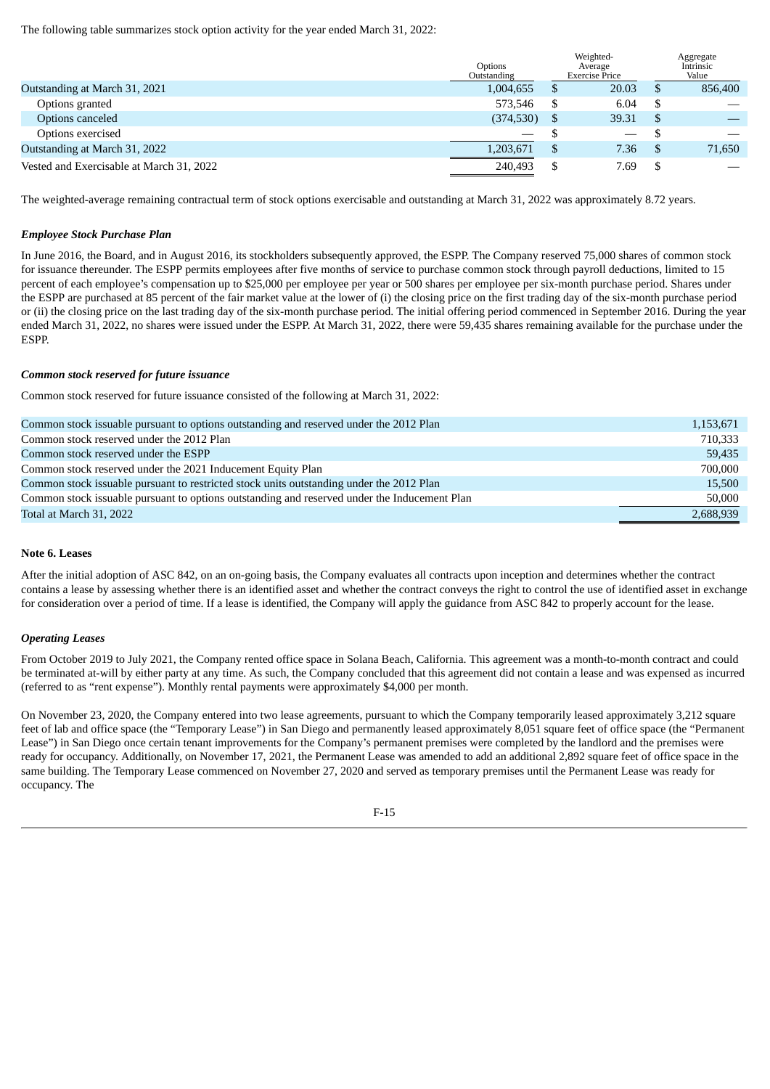The following table summarizes stock option activity for the year ended March 31, 2022:

|                                          | Options<br>Outstanding |   | Weighted-<br>Average<br><b>Exercise Price</b> |      | Aggregate<br>Intrinsic<br>Value |
|------------------------------------------|------------------------|---|-----------------------------------------------|------|---------------------------------|
| Outstanding at March 31, 2021            | 1,004,655              | S | 20.03                                         | -S   | 856,400                         |
| Options granted                          | 573.546                |   | 6.04                                          | - \$ |                                 |
| Options canceled                         | (374,530)              | S | 39.31                                         | -S   |                                 |
| Options exercised                        |                        |   |                                               | Ъ    |                                 |
| Outstanding at March 31, 2022            | 1,203,671              | S | 7.36                                          | -S   | 71,650                          |
| Vested and Exercisable at March 31, 2022 | 240,493                |   | 7.69                                          | - \$ |                                 |

The weighted-average remaining contractual term of stock options exercisable and outstanding at March 31, 2022 was approximately 8.72 years.

## *Employee Stock Purchase Plan*

In June 2016, the Board, and in August 2016, its stockholders subsequently approved, the ESPP. The Company reserved 75,000 shares of common stock for issuance thereunder. The ESPP permits employees after five months of service to purchase common stock through payroll deductions, limited to 15 percent of each employee's compensation up to \$25,000 per employee per year or 500 shares per employee per six-month purchase period. Shares under the ESPP are purchased at 85 percent of the fair market value at the lower of (i) the closing price on the first trading day of the six-month purchase period or (ii) the closing price on the last trading day of the six-month purchase period. The initial offering period commenced in September 2016. During the year ended March 31, 2022, no shares were issued under the ESPP. At March 31, 2022, there were 59,435 shares remaining available for the purchase under the ESPP.

### *Common stock reserved for future issuance*

Common stock reserved for future issuance consisted of the following at March 31, 2022:

| Common stock issuable pursuant to options outstanding and reserved under the 2012 Plan       | 1,153,671 |
|----------------------------------------------------------------------------------------------|-----------|
| Common stock reserved under the 2012 Plan                                                    | 710,333   |
| Common stock reserved under the ESPP                                                         | 59,435    |
| Common stock reserved under the 2021 Inducement Equity Plan                                  | 700,000   |
| Common stock issuable pursuant to restricted stock units outstanding under the 2012 Plan     | 15,500    |
| Common stock issuable pursuant to options outstanding and reserved under the Inducement Plan | 50,000    |
| Total at March 31, 2022                                                                      | 2,688,939 |

#### **Note 6. Leases**

After the initial adoption of ASC 842, on an on-going basis, the Company evaluates all contracts upon inception and determines whether the contract contains a lease by assessing whether there is an identified asset and whether the contract conveys the right to control the use of identified asset in exchange for consideration over a period of time. If a lease is identified, the Company will apply the guidance from ASC 842 to properly account for the lease.

## *Operating Leases*

From October 2019 to July 2021, the Company rented office space in Solana Beach, California. This agreement was a month-to-month contract and could be terminated at-will by either party at any time. As such, the Company concluded that this agreement did not contain a lease and was expensed as incurred (referred to as "rent expense"). Monthly rental payments were approximately \$4,000 per month.

On November 23, 2020, the Company entered into two lease agreements, pursuant to which the Company temporarily leased approximately 3,212 square feet of lab and office space (the "Temporary Lease") in San Diego and permanently leased approximately 8,051 square feet of office space (the "Permanent Lease") in San Diego once certain tenant improvements for the Company's permanent premises were completed by the landlord and the premises were ready for occupancy. Additionally, on November 17, 2021, the Permanent Lease was amended to add an additional 2,892 square feet of office space in the same building. The Temporary Lease commenced on November 27, 2020 and served as temporary premises until the Permanent Lease was ready for occupancy. The

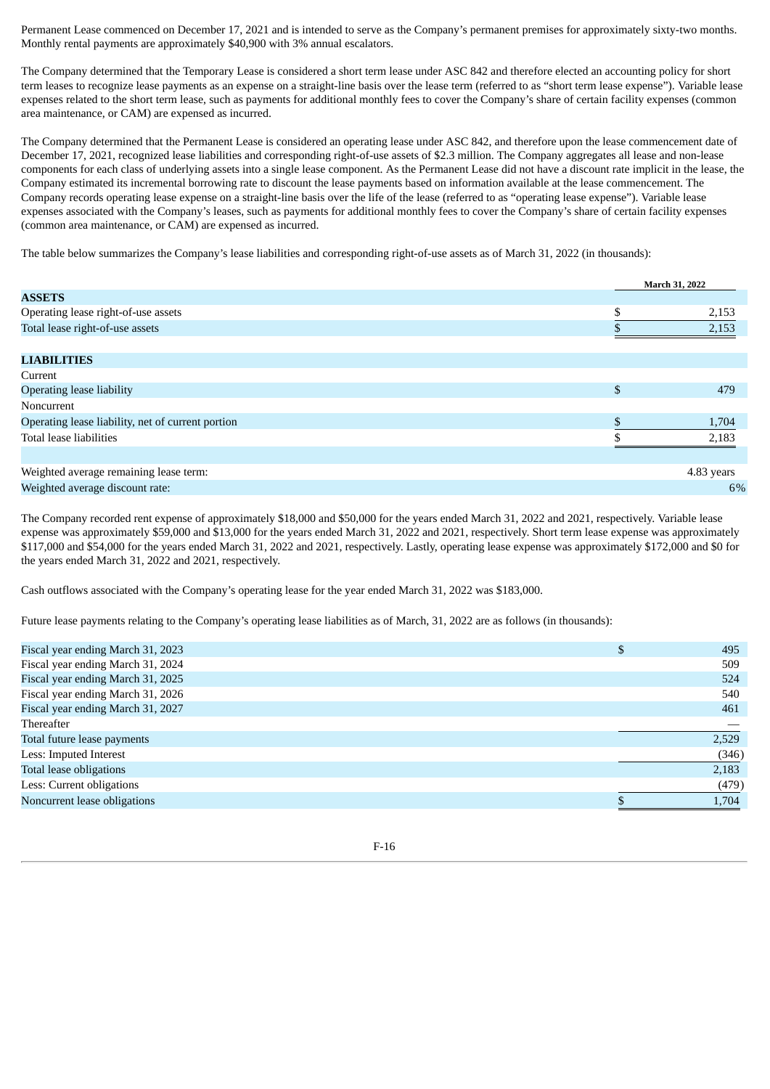Permanent Lease commenced on December 17, 2021 and is intended to serve as the Company's permanent premises for approximately sixty-two months. Monthly rental payments are approximately \$40,900 with 3% annual escalators.

The Company determined that the Temporary Lease is considered a short term lease under ASC 842 and therefore elected an accounting policy for short term leases to recognize lease payments as an expense on a straight-line basis over the lease term (referred to as "short term lease expense"). Variable lease expenses related to the short term lease, such as payments for additional monthly fees to cover the Company's share of certain facility expenses (common area maintenance, or CAM) are expensed as incurred.

The Company determined that the Permanent Lease is considered an operating lease under ASC 842, and therefore upon the lease commencement date of December 17, 2021, recognized lease liabilities and corresponding right-of-use assets of \$2.3 million. The Company aggregates all lease and non-lease components for each class of underlying assets into a single lease component. As the Permanent Lease did not have a discount rate implicit in the lease, the Company estimated its incremental borrowing rate to discount the lease payments based on information available at the lease commencement. The Company records operating lease expense on a straight-line basis over the life of the lease (referred to as "operating lease expense"). Variable lease expenses associated with the Company's leases, such as payments for additional monthly fees to cover the Company's share of certain facility expenses (common area maintenance, or CAM) are expensed as incurred.

The table below summarizes the Company's lease liabilities and corresponding right-of-use assets as of March 31, 2022 (in thousands):

|                                                   | March 31, 2022 |
|---------------------------------------------------|----------------|
| <b>ASSETS</b>                                     |                |
| Operating lease right-of-use assets               | 2,153          |
| Total lease right-of-use assets                   | 2,153          |
|                                                   |                |
| <b>LIABILITIES</b>                                |                |
| Current                                           |                |
| <b>Operating lease liability</b>                  | \$<br>479      |
| Noncurrent                                        |                |
| Operating lease liability, net of current portion | 1,704          |
| Total lease liabilities                           | 2,183          |
|                                                   |                |
| Weighted average remaining lease term:            | 4.83 years     |
| Weighted average discount rate:                   | 6%             |

The Company recorded rent expense of approximately \$18,000 and \$50,000 for the years ended March 31, 2022 and 2021, respectively. Variable lease expense was approximately \$59,000 and \$13,000 for the years ended March 31, 2022 and 2021, respectively. Short term lease expense was approximately \$117,000 and \$54,000 for the years ended March 31, 2022 and 2021, respectively. Lastly, operating lease expense was approximately \$172,000 and \$0 for the years ended March 31, 2022 and 2021, respectively.

Cash outflows associated with the Company's operating lease for the year ended March 31, 2022 was \$183,000.

Future lease payments relating to the Company's operating lease liabilities as of March, 31, 2022 are as follows (in thousands):

| Fiscal year ending March 31, 2023 | \$<br>495 |
|-----------------------------------|-----------|
| Fiscal year ending March 31, 2024 | 509       |
| Fiscal year ending March 31, 2025 | 524       |
| Fiscal year ending March 31, 2026 | 540       |
| Fiscal year ending March 31, 2027 | 461       |
| Thereafter                        |           |
| Total future lease payments       | 2,529     |
| Less: Imputed Interest            | (346)     |
| <b>Total lease obligations</b>    | 2,183     |
| Less: Current obligations         | (479)     |
| Noncurrent lease obligations      | 1,704     |
|                                   |           |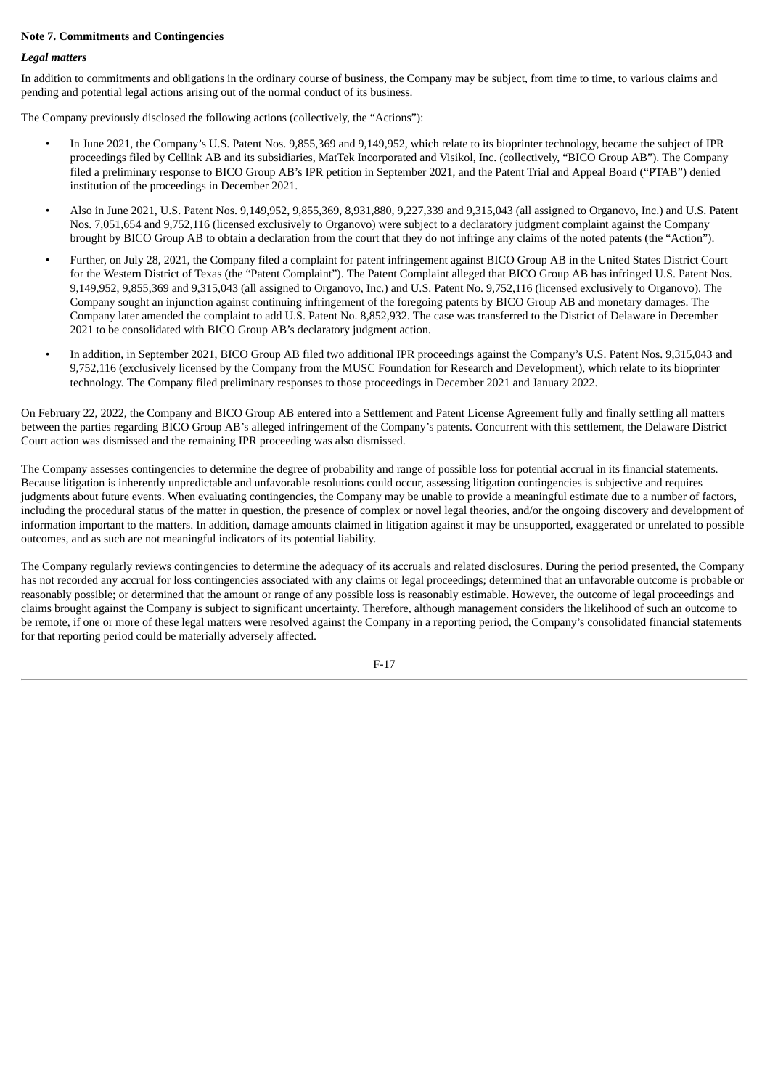## **Note 7. Commitments and Contingencies**

### *Legal matters*

In addition to commitments and obligations in the ordinary course of business, the Company may be subject, from time to time, to various claims and pending and potential legal actions arising out of the normal conduct of its business.

The Company previously disclosed the following actions (collectively, the "Actions"):

- In June 2021, the Company's U.S. Patent Nos. 9,855,369 and 9,149,952, which relate to its bioprinter technology, became the subject of IPR proceedings filed by Cellink AB and its subsidiaries, MatTek Incorporated and Visikol, Inc. (collectively, "BICO Group AB"). The Company filed a preliminary response to BICO Group AB's IPR petition in September 2021, and the Patent Trial and Appeal Board ("PTAB") denied institution of the proceedings in December 2021.
- Also in June 2021, U.S. Patent Nos. 9,149,952, 9,855,369, 8,931,880, 9,227,339 and 9,315,043 (all assigned to Organovo, Inc.) and U.S. Patent Nos. 7,051,654 and 9,752,116 (licensed exclusively to Organovo) were subject to a declaratory judgment complaint against the Company brought by BICO Group AB to obtain a declaration from the court that they do not infringe any claims of the noted patents (the "Action").
- Further, on July 28, 2021, the Company filed a complaint for patent infringement against BICO Group AB in the United States District Court for the Western District of Texas (the "Patent Complaint"). The Patent Complaint alleged that BICO Group AB has infringed U.S. Patent Nos. 9,149,952, 9,855,369 and 9,315,043 (all assigned to Organovo, Inc.) and U.S. Patent No. 9,752,116 (licensed exclusively to Organovo). The Company sought an injunction against continuing infringement of the foregoing patents by BICO Group AB and monetary damages. The Company later amended the complaint to add U.S. Patent No. 8,852,932. The case was transferred to the District of Delaware in December 2021 to be consolidated with BICO Group AB's declaratory judgment action.
- In addition, in September 2021, BICO Group AB filed two additional IPR proceedings against the Company's U.S. Patent Nos. 9,315,043 and 9,752,116 (exclusively licensed by the Company from the MUSC Foundation for Research and Development), which relate to its bioprinter technology. The Company filed preliminary responses to those proceedings in December 2021 and January 2022.

On February 22, 2022, the Company and BICO Group AB entered into a Settlement and Patent License Agreement fully and finally settling all matters between the parties regarding BICO Group AB's alleged infringement of the Company's patents. Concurrent with this settlement, the Delaware District Court action was dismissed and the remaining IPR proceeding was also dismissed.

The Company assesses contingencies to determine the degree of probability and range of possible loss for potential accrual in its financial statements. Because litigation is inherently unpredictable and unfavorable resolutions could occur, assessing litigation contingencies is subjective and requires judgments about future events. When evaluating contingencies, the Company may be unable to provide a meaningful estimate due to a number of factors, including the procedural status of the matter in question, the presence of complex or novel legal theories, and/or the ongoing discovery and development of information important to the matters. In addition, damage amounts claimed in litigation against it may be unsupported, exaggerated or unrelated to possible outcomes, and as such are not meaningful indicators of its potential liability.

The Company regularly reviews contingencies to determine the adequacy of its accruals and related disclosures. During the period presented, the Company has not recorded any accrual for loss contingencies associated with any claims or legal proceedings; determined that an unfavorable outcome is probable or reasonably possible; or determined that the amount or range of any possible loss is reasonably estimable. However, the outcome of legal proceedings and claims brought against the Company is subject to significant uncertainty. Therefore, although management considers the likelihood of such an outcome to be remote, if one or more of these legal matters were resolved against the Company in a reporting period, the Company's consolidated financial statements for that reporting period could be materially adversely affected.

F-17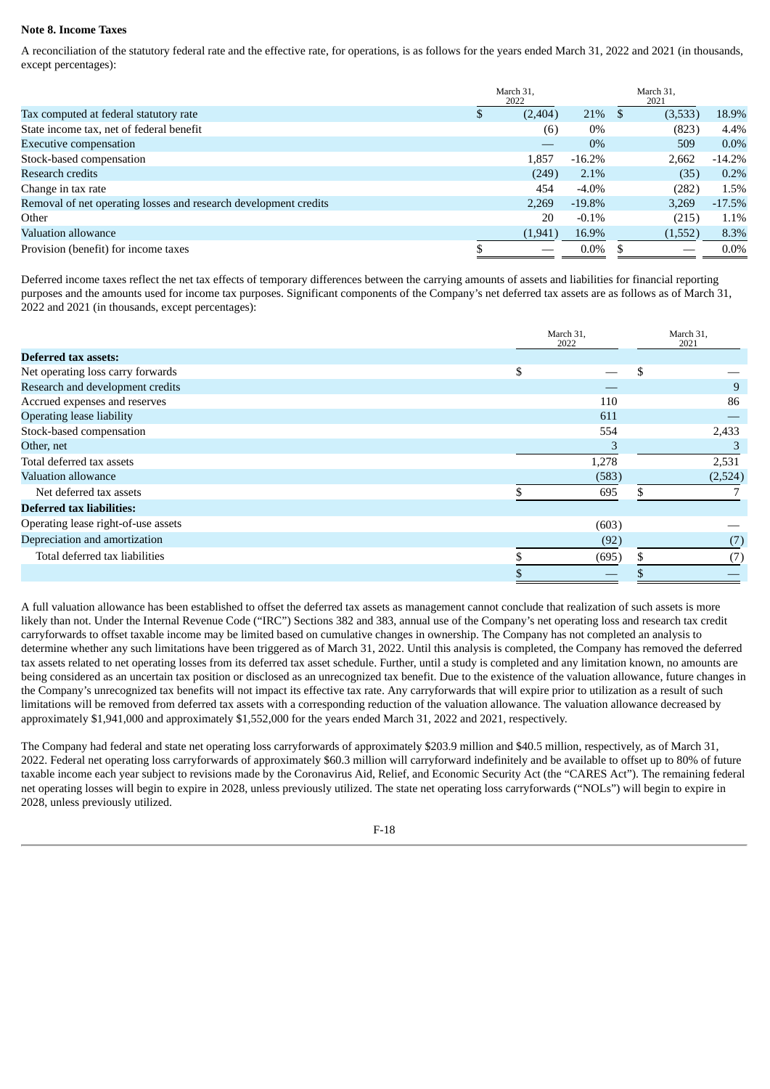# **Note 8. Income Taxes**

A reconciliation of the statutory federal rate and the effective rate, for operations, is as follows for the years ended March 31, 2022 and 2021 (in thousands, except percentages):

|                                                                  | March 31.<br>2022 |          |    | March 31,<br>2021 |          |
|------------------------------------------------------------------|-------------------|----------|----|-------------------|----------|
| Tax computed at federal statutory rate                           | (2,404)           | 21%      | -S | (3,533)           | 18.9%    |
| State income tax, net of federal benefit                         | (6)               | $0\%$    |    | (823)             | 4.4%     |
| <b>Executive compensation</b>                                    |                   | $0\%$    |    | 509               | $0.0\%$  |
| Stock-based compensation                                         | 1.857             | $-16.2%$ |    | 2,662             | $-14.2%$ |
| Research credits                                                 | (249)             | 2.1%     |    | (35)              | 0.2%     |
| Change in tax rate                                               | 454               | $-4.0\%$ |    | (282)             | 1.5%     |
| Removal of net operating losses and research development credits | 2,269             | $-19.8%$ |    | 3,269             | $-17.5%$ |
| Other                                                            | 20                | $-0.1%$  |    | (215)             | 1.1%     |
| Valuation allowance                                              | (1, 941)          | 16.9%    |    | (1, 552)          | 8.3%     |
| Provision (benefit) for income taxes                             |                   | $0.0\%$  |    |                   | $0.0\%$  |

Deferred income taxes reflect the net tax effects of temporary differences between the carrying amounts of assets and liabilities for financial reporting purposes and the amounts used for income tax purposes. Significant components of the Company's net deferred tax assets are as follows as of March 31, 2022 and 2021 (in thousands, except percentages):

|                                     | March 31,<br>2022 | March 31,<br>2021 |
|-------------------------------------|-------------------|-------------------|
| <b>Deferred tax assets:</b>         |                   |                   |
| Net operating loss carry forwards   | \$                | \$                |
| Research and development credits    |                   | 9                 |
| Accrued expenses and reserves       | 110               | 86                |
| <b>Operating lease liability</b>    | 611               |                   |
| Stock-based compensation            | 554               | 2,433             |
| Other, net                          |                   |                   |
| Total deferred tax assets           | 1,278             | 2,531             |
| Valuation allowance                 | (583)             | (2,524)           |
| Net deferred tax assets             | 695               |                   |
| <b>Deferred tax liabilities:</b>    |                   |                   |
| Operating lease right-of-use assets | (603)             |                   |
| Depreciation and amortization       | (92)              | (7)               |
| Total deferred tax liabilities      | (695)             | (7)               |
|                                     |                   |                   |

A full valuation allowance has been established to offset the deferred tax assets as management cannot conclude that realization of such assets is more likely than not. Under the Internal Revenue Code ("IRC") Sections 382 and 383, annual use of the Company's net operating loss and research tax credit carryforwards to offset taxable income may be limited based on cumulative changes in ownership. The Company has not completed an analysis to determine whether any such limitations have been triggered as of March 31, 2022. Until this analysis is completed, the Company has removed the deferred tax assets related to net operating losses from its deferred tax asset schedule. Further, until a study is completed and any limitation known, no amounts are being considered as an uncertain tax position or disclosed as an unrecognized tax benefit. Due to the existence of the valuation allowance, future changes in the Company's unrecognized tax benefits will not impact its effective tax rate. Any carryforwards that will expire prior to utilization as a result of such limitations will be removed from deferred tax assets with a corresponding reduction of the valuation allowance. The valuation allowance decreased by approximately \$1,941,000 and approximately \$1,552,000 for the years ended March 31, 2022 and 2021, respectively.

The Company had federal and state net operating loss carryforwards of approximately \$203.9 million and \$40.5 million, respectively, as of March 31, 2022. Federal net operating loss carryforwards of approximately \$60.3 million will carryforward indefinitely and be available to offset up to 80% of future taxable income each year subject to revisions made by the Coronavirus Aid, Relief, and Economic Security Act (the "CARES Act"). The remaining federal net operating losses will begin to expire in 2028, unless previously utilized. The state net operating loss carryforwards ("NOLs") will begin to expire in 2028, unless previously utilized.

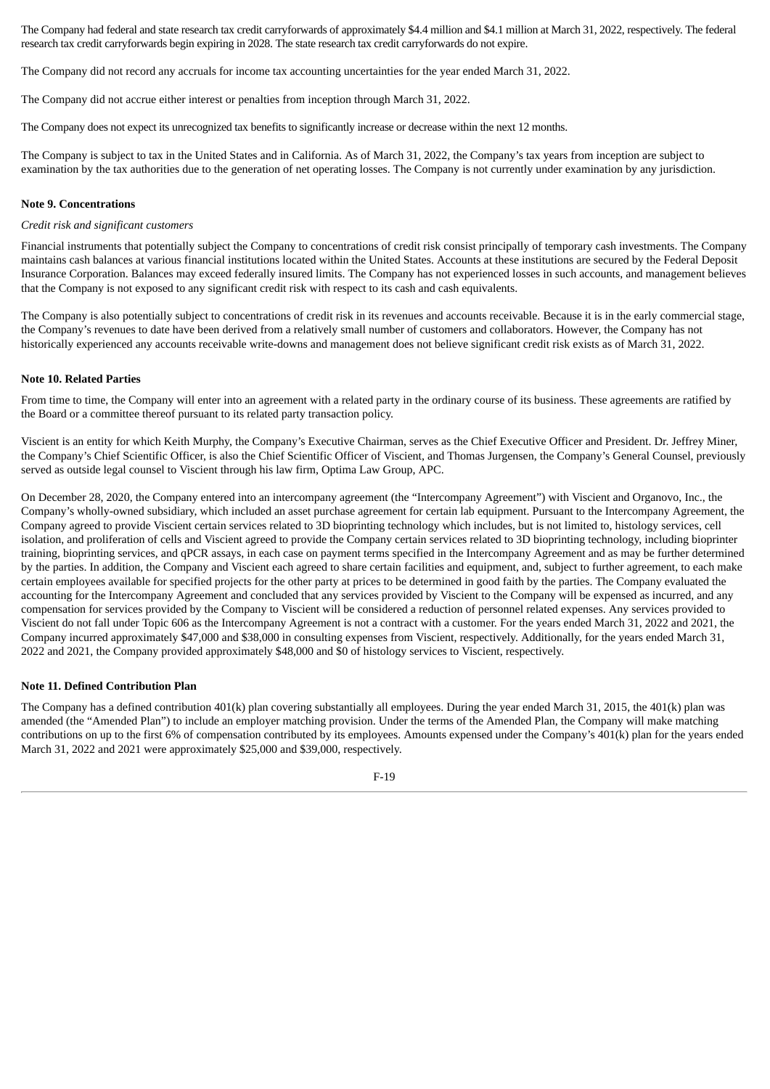The Company had federal and state research tax credit carryforwards of approximately \$4.4 million and \$4.1 million at March 31, 2022, respectively. The federal research tax credit carryforwards begin expiring in 2028. The state research tax credit carryforwards do not expire.

The Company did not record any accruals for income tax accounting uncertainties for the year ended March 31, 2022.

The Company did not accrue either interest or penalties from inception through March 31, 2022.

The Company does not expect its unrecognized tax benefits to significantly increase or decrease within the next 12 months.

The Company is subject to tax in the United States and in California. As of March 31, 2022, the Company's tax years from inception are subject to examination by the tax authorities due to the generation of net operating losses. The Company is not currently under examination by any jurisdiction.

### **Note 9. Concentrations**

*Credit risk and significant customers*

Financial instruments that potentially subject the Company to concentrations of credit risk consist principally of temporary cash investments. The Company maintains cash balances at various financial institutions located within the United States. Accounts at these institutions are secured by the Federal Deposit Insurance Corporation. Balances may exceed federally insured limits. The Company has not experienced losses in such accounts, and management believes that the Company is not exposed to any significant credit risk with respect to its cash and cash equivalents.

The Company is also potentially subject to concentrations of credit risk in its revenues and accounts receivable. Because it is in the early commercial stage, the Company's revenues to date have been derived from a relatively small number of customers and collaborators. However, the Company has not historically experienced any accounts receivable write-downs and management does not believe significant credit risk exists as of March 31, 2022.

### **Note 10. Related Parties**

From time to time, the Company will enter into an agreement with a related party in the ordinary course of its business. These agreements are ratified by the Board or a committee thereof pursuant to its related party transaction policy.

Viscient is an entity for which Keith Murphy, the Company's Executive Chairman, serves as the Chief Executive Officer and President. Dr. Jeffrey Miner, the Company's Chief Scientific Officer, is also the Chief Scientific Officer of Viscient, and Thomas Jurgensen, the Company's General Counsel, previously served as outside legal counsel to Viscient through his law firm, Optima Law Group, APC.

On December 28, 2020, the Company entered into an intercompany agreement (the "Intercompany Agreement") with Viscient and Organovo, Inc., the Company's wholly-owned subsidiary, which included an asset purchase agreement for certain lab equipment. Pursuant to the Intercompany Agreement, the Company agreed to provide Viscient certain services related to 3D bioprinting technology which includes, but is not limited to, histology services, cell isolation, and proliferation of cells and Viscient agreed to provide the Company certain services related to 3D bioprinting technology, including bioprinter training, bioprinting services, and qPCR assays, in each case on payment terms specified in the Intercompany Agreement and as may be further determined by the parties. In addition, the Company and Viscient each agreed to share certain facilities and equipment, and, subject to further agreement, to each make certain employees available for specified projects for the other party at prices to be determined in good faith by the parties. The Company evaluated the accounting for the Intercompany Agreement and concluded that any services provided by Viscient to the Company will be expensed as incurred, and any compensation for services provided by the Company to Viscient will be considered a reduction of personnel related expenses. Any services provided to Viscient do not fall under Topic 606 as the Intercompany Agreement is not a contract with a customer. For the years ended March 31, 2022 and 2021, the Company incurred approximately \$47,000 and \$38,000 in consulting expenses from Viscient, respectively. Additionally, for the years ended March 31, 2022 and 2021, the Company provided approximately \$48,000 and \$0 of histology services to Viscient, respectively.

## **Note 11. Defined Contribution Plan**

The Company has a defined contribution 401(k) plan covering substantially all employees. During the year ended March 31, 2015, the 401(k) plan was amended (the "Amended Plan") to include an employer matching provision. Under the terms of the Amended Plan, the Company will make matching contributions on up to the first 6% of compensation contributed by its employees. Amounts expensed under the Company's 401(k) plan for the years ended March 31, 2022 and 2021 were approximately \$25,000 and \$39,000, respectively.

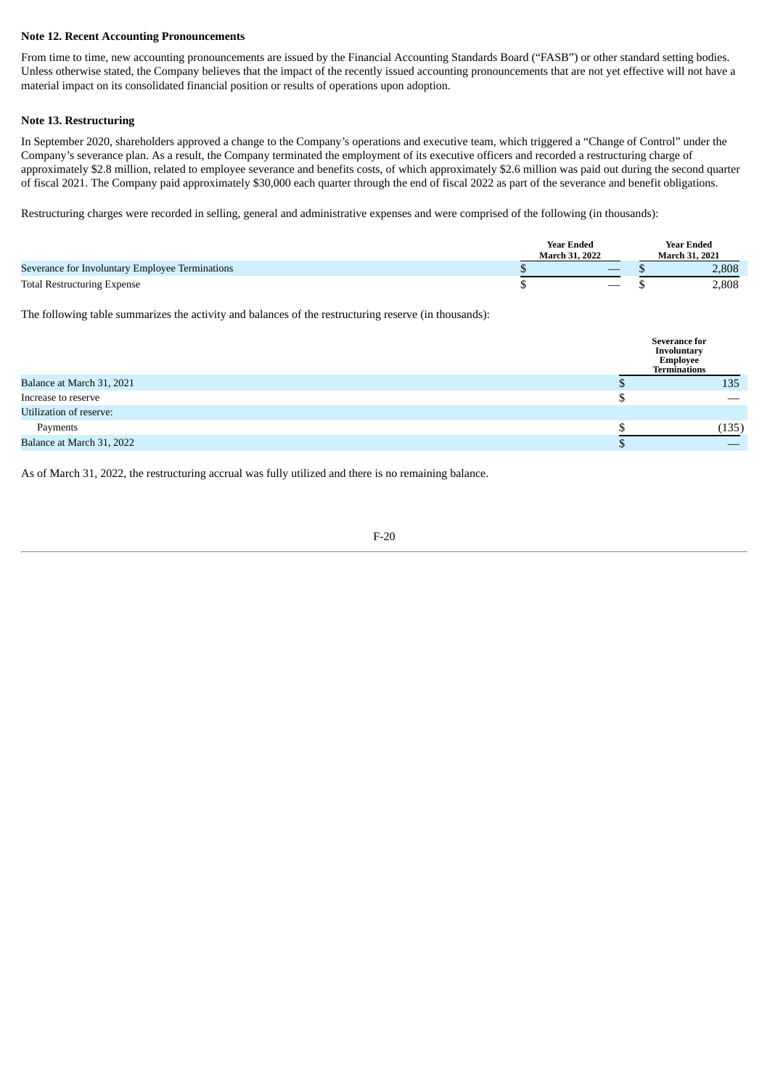## **Note 12. Recent Accounting Pronouncements**

From time to time, new accounting pronouncements are issued by the Financial Accounting Standards Board ("FASB") or other standard setting bodies. Unless otherwise stated, the Company believes that the impact of the recently issued accounting pronouncements that are not yet effective will not have a material impact on its consolidated financial position or results of operations upon adoption.

## **Note 13. Restructuring**

In September 2020, shareholders approved a change to the Company's operations and executive team, which triggered a "Change of Control" under the Company's severance plan. As a result, the Company terminated the employment of its executive officers and recorded a restructuring charge of approximately \$2.8 million, related to employee severance and benefits costs, of which approximately \$2.6 million was paid out during the second quarter of fiscal 2021. The Company paid approximately \$30,000 each quarter through the end of fiscal 2022 as part of the severance and benefit obligations.

Restructuring charges were recorded in selling, general and administrative expenses and were comprised of the following (in thousands):

|                                                 | <b>Year Ended</b><br><b>March 31, 2022</b> | <b>Year Ended</b><br><b>March 31, 2021</b> |
|-------------------------------------------------|--------------------------------------------|--------------------------------------------|
| Severance for Involuntary Employee Terminations |                                            | 2,808                                      |
| <b>Total Restructuring Expense</b>              | $\hspace{0.1mm}-\hspace{0.1mm}$            | 2,808                                      |

The following table summarizes the activity and balances of the restructuring reserve (in thousands):

|                           |    | <b>Severance for</b><br>Involuntary<br>Employee<br><b>Terminations</b> |
|---------------------------|----|------------------------------------------------------------------------|
| Balance at March 31, 2021 |    | 135                                                                    |
| Increase to reserve       | ω  |                                                                        |
| Utilization of reserve:   |    |                                                                        |
| Payments                  |    | (135)                                                                  |
| Balance at March 31, 2022 | ىل |                                                                        |
|                           |    |                                                                        |

As of March 31, 2022, the restructuring accrual was fully utilized and there is no remaining balance.

$$
F-20
$$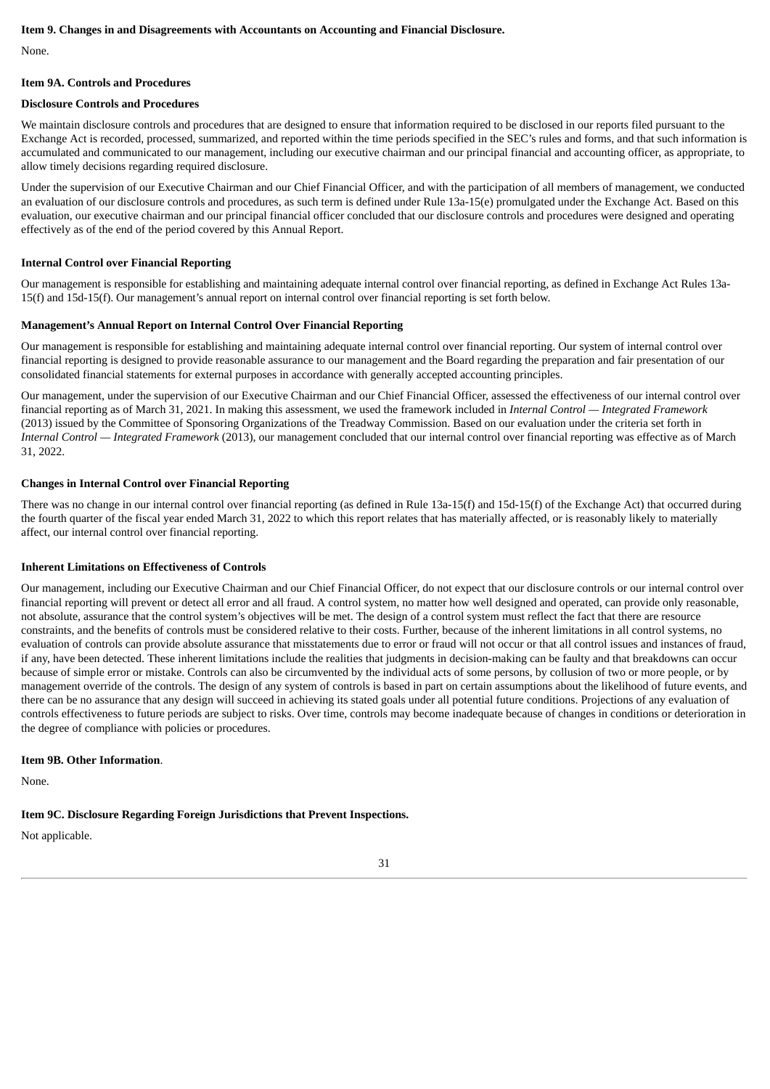### **Item 9. Changes in and Disagreements with Accountants on Accounting and Financial Disclosure.**

None.

#### **Item 9A. Controls and Procedures**

#### **Disclosure Controls and Procedures**

We maintain disclosure controls and procedures that are designed to ensure that information required to be disclosed in our reports filed pursuant to the Exchange Act is recorded, processed, summarized, and reported within the time periods specified in the SEC's rules and forms, and that such information is accumulated and communicated to our management, including our executive chairman and our principal financial and accounting officer, as appropriate, to allow timely decisions regarding required disclosure.

Under the supervision of our Executive Chairman and our Chief Financial Officer, and with the participation of all members of management, we conducted an evaluation of our disclosure controls and procedures, as such term is defined under Rule 13a-15(e) promulgated under the Exchange Act. Based on this evaluation, our executive chairman and our principal financial officer concluded that our disclosure controls and procedures were designed and operating effectively as of the end of the period covered by this Annual Report.

### **Internal Control over Financial Reporting**

Our management is responsible for establishing and maintaining adequate internal control over financial reporting, as defined in Exchange Act Rules 13a-15(f) and 15d-15(f). Our management's annual report on internal control over financial reporting is set forth below.

### **Management's Annual Report on Internal Control Over Financial Reporting**

Our management is responsible for establishing and maintaining adequate internal control over financial reporting. Our system of internal control over financial reporting is designed to provide reasonable assurance to our management and the Board regarding the preparation and fair presentation of our consolidated financial statements for external purposes in accordance with generally accepted accounting principles.

Our management, under the supervision of our Executive Chairman and our Chief Financial Officer, assessed the effectiveness of our internal control over financial reporting as of March 31, 2021. In making this assessment, we used the framework included in *Internal Control — Integrated Framework* (2013) issued by the Committee of Sponsoring Organizations of the Treadway Commission. Based on our evaluation under the criteria set forth in *Internal Control — Integrated Framework* (2013), our management concluded that our internal control over financial reporting was effective as of March 31, 2022.

### **Changes in Internal Control over Financial Reporting**

There was no change in our internal control over financial reporting (as defined in Rule 13a-15(f) and 15d-15(f) of the Exchange Act) that occurred during the fourth quarter of the fiscal year ended March 31, 2022 to which this report relates that has materially affected, or is reasonably likely to materially affect, our internal control over financial reporting.

#### **Inherent Limitations on Effectiveness of Controls**

Our management, including our Executive Chairman and our Chief Financial Officer, do not expect that our disclosure controls or our internal control over financial reporting will prevent or detect all error and all fraud. A control system, no matter how well designed and operated, can provide only reasonable, not absolute, assurance that the control system's objectives will be met. The design of a control system must reflect the fact that there are resource constraints, and the benefits of controls must be considered relative to their costs. Further, because of the inherent limitations in all control systems, no evaluation of controls can provide absolute assurance that misstatements due to error or fraud will not occur or that all control issues and instances of fraud, if any, have been detected. These inherent limitations include the realities that judgments in decision-making can be faulty and that breakdowns can occur because of simple error or mistake. Controls can also be circumvented by the individual acts of some persons, by collusion of two or more people, or by management override of the controls. The design of any system of controls is based in part on certain assumptions about the likelihood of future events, and there can be no assurance that any design will succeed in achieving its stated goals under all potential future conditions. Projections of any evaluation of controls effectiveness to future periods are subject to risks. Over time, controls may become inadequate because of changes in conditions or deterioration in the degree of compliance with policies or procedures.

### **Item 9B. Other Information**.

None.

# **Item 9C. Disclosure Regarding Foreign Jurisdictions that Prevent Inspections.**

Not applicable.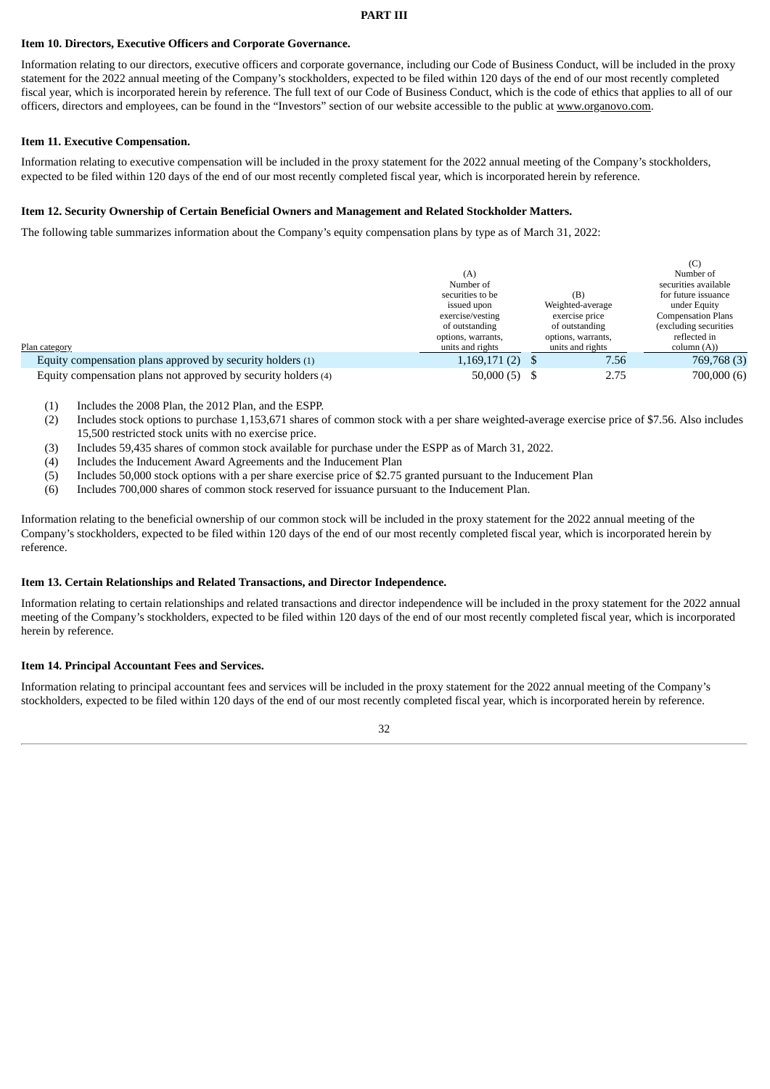### **PART III**

### **Item 10. Directors, Executive Officers and Corporate Governance.**

Information relating to our directors, executive officers and corporate governance, including our Code of Business Conduct, will be included in the proxy statement for the 2022 annual meeting of the Company's stockholders, expected to be filed within 120 days of the end of our most recently completed fiscal year, which is incorporated herein by reference. The full text of our Code of Business Conduct, which is the code of ethics that applies to all of our officers, directors and employees, can be found in the "Investors" section of our website accessible to the public at www.organovo.com.

#### **Item 11. Executive Compensation.**

Information relating to executive compensation will be included in the proxy statement for the 2022 annual meeting of the Company's stockholders, expected to be filed within 120 days of the end of our most recently completed fiscal year, which is incorporated herein by reference.

### **Item 12. Security Ownership of Certain Beneficial Owners and Management and Related Stockholder Matters.**

The following table summarizes information about the Company's equity compensation plans by type as of March 31, 2022:

| Number of<br>(A)                                                                         |             |
|------------------------------------------------------------------------------------------|-------------|
|                                                                                          |             |
| Number of<br>securities available                                                        |             |
| securities to be<br>for future issuance<br>(B)                                           |             |
| Weighted-average<br>under Equity<br>issued upon                                          |             |
| exercise/vesting<br><b>Compensation Plans</b><br>exercise price                          |             |
| (excluding securities)<br>of outstanding<br>of outstanding                               |             |
| reflected in<br>options, warrants,<br>options, warrants,                                 |             |
| units and rights<br>units and rights<br>column(A))<br>Plan category                      |             |
| Equity compensation plans approved by security holders (1)<br>$1,169,171(2)$ \$<br>7.56  | 769,768 (3) |
| Equity compensation plans not approved by security holders (4)<br>$50,000(5)$ \$<br>2.75 | 700,000(6)  |

- (1) Includes the 2008 Plan, the 2012 Plan, and the ESPP.
- (2) Includes stock options to purchase 1,153,671 shares of common stock with a per share weighted-average exercise price of \$7.56. Also includes 15,500 restricted stock units with no exercise price.
- (3) Includes 59,435 shares of common stock available for purchase under the ESPP as of March 31, 2022.
- (4) Includes the Inducement Award Agreements and the Inducement Plan
- (5) Includes 50,000 stock options with a per share exercise price of \$2.75 granted pursuant to the Inducement Plan
- (6) Includes 700,000 shares of common stock reserved for issuance pursuant to the Inducement Plan.

Information relating to the beneficial ownership of our common stock will be included in the proxy statement for the 2022 annual meeting of the Company's stockholders, expected to be filed within 120 days of the end of our most recently completed fiscal year, which is incorporated herein by reference.

#### **Item 13. Certain Relationships and Related Transactions, and Director Independence.**

Information relating to certain relationships and related transactions and director independence will be included in the proxy statement for the 2022 annual meeting of the Company's stockholders, expected to be filed within 120 days of the end of our most recently completed fiscal year, which is incorporated herein by reference.

## **Item 14. Principal Accountant Fees and Services.**

Information relating to principal accountant fees and services will be included in the proxy statement for the 2022 annual meeting of the Company's stockholders, expected to be filed within 120 days of the end of our most recently completed fiscal year, which is incorporated herein by reference.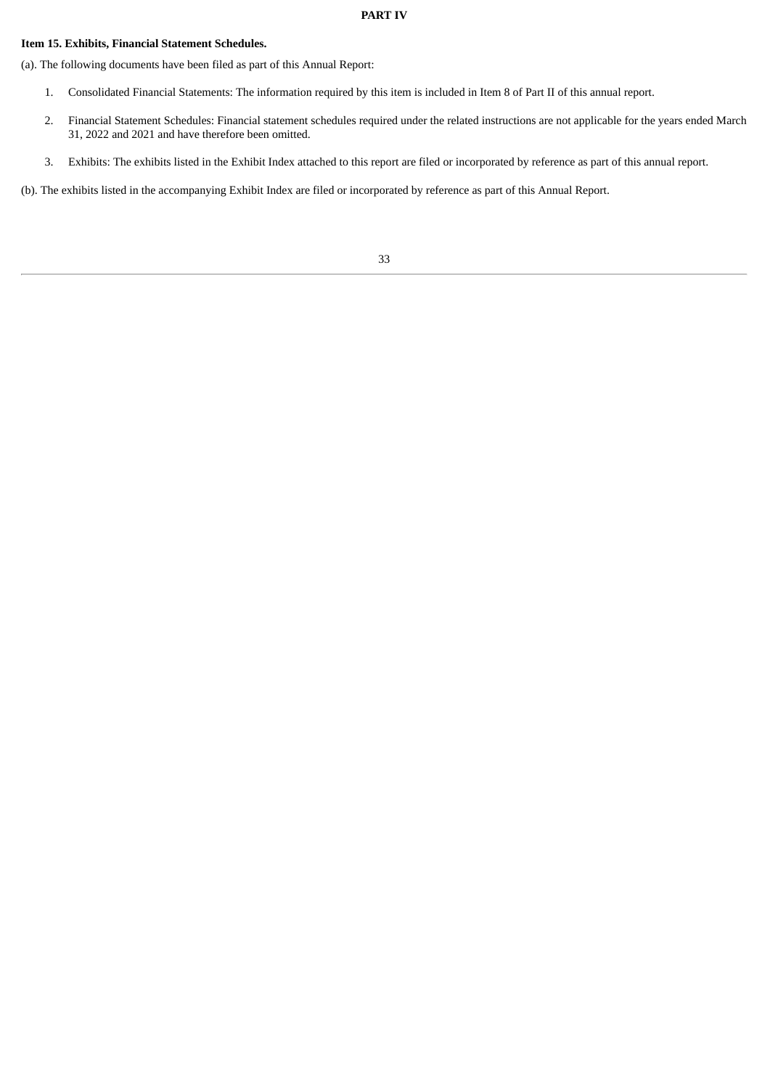#### **PART IV**

# **Item 15. Exhibits, Financial Statement Schedules.**

(a). The following documents have been filed as part of this Annual Report:

- 1. Consolidated Financial Statements: The information required by this item is included in Item 8 of Part II of this annual report.
- 2. Financial Statement Schedules: Financial statement schedules required under the related instructions are not applicable for the years ended March 31, 2022 and 2021 and have therefore been omitted.
- 3. Exhibits: The exhibits listed in the Exhibit Index attached to this report are filed or incorporated by reference as part of this annual report.

(b). The exhibits listed in the accompanying Exhibit Index are filed or incorporated by reference as part of this Annual Report.

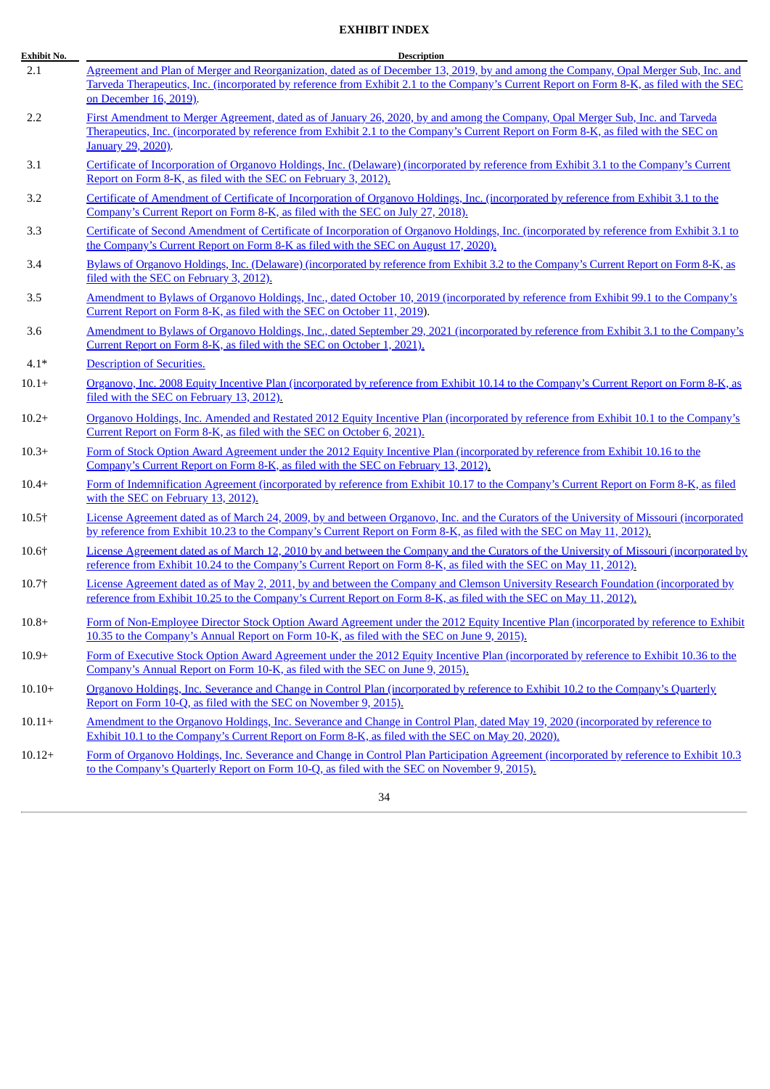# **EXHIBIT INDEX**

| Exhibit No. | <b>Description</b>                                                                                                                                                                                                                                                                                         |  |  |  |
|-------------|------------------------------------------------------------------------------------------------------------------------------------------------------------------------------------------------------------------------------------------------------------------------------------------------------------|--|--|--|
| 2.1         | Agreement and Plan of Merger and Reorganization, dated as of December 13, 2019, by and among the Company, Opal Merger Sub, Inc. and<br>Tarveda Therapeutics, Inc. (incorporated by reference from Exhibit 2.1 to the Company's Current Report on Form 8-K, as filed with the SEC<br>on December 16, 2019). |  |  |  |
| 2.2         | First Amendment to Merger Agreement, dated as of January 26, 2020, by and among the Company, Opal Merger Sub, Inc. and Tarveda<br>Therapeutics, Inc. (incorporated by reference from Exhibit 2.1 to the Company's Current Report on Form 8-K, as filed with the SEC on<br>January 29, 2020).               |  |  |  |
| 3.1         | Certificate of Incorporation of Organovo Holdings, Inc. (Delaware) (incorporated by reference from Exhibit 3.1 to the Company's Current<br>Report on Form 8-K, as filed with the SEC on February 3, 2012).                                                                                                 |  |  |  |
| 3.2         | Certificate of Amendment of Certificate of Incorporation of Organovo Holdings, Inc. (incorporated by reference from Exhibit 3.1 to the<br>Company's Current Report on Form 8-K, as filed with the SEC on July 27, 2018).                                                                                   |  |  |  |
| 3.3         | Certificate of Second Amendment of Certificate of Incorporation of Organovo Holdings, Inc. (incorporated by reference from Exhibit 3.1 to<br>the Company's Current Report on Form 8-K as filed with the SEC on August 17, 2020).                                                                           |  |  |  |
| 3.4         | Bylaws of Organovo Holdings, Inc. (Delaware) (incorporated by reference from Exhibit 3.2 to the Company's Current Report on Form 8-K, as<br>filed with the SEC on February 3, 2012).                                                                                                                       |  |  |  |
| 3.5         | Amendment to Bylaws of Organovo Holdings, Inc., dated October 10, 2019 (incorporated by reference from Exhibit 99.1 to the Company's<br>Current Report on Form 8-K, as filed with the SEC on October 11, 2019).                                                                                            |  |  |  |
| 3.6         | Amendment to Bylaws of Organovo Holdings, Inc., dated September 29, 2021 (incorporated by reference from Exhibit 3.1 to the Company's<br>Current Report on Form 8-K, as filed with the SEC on October 1, 2021).                                                                                            |  |  |  |
| $4.1*$      | Description of Securities.                                                                                                                                                                                                                                                                                 |  |  |  |
| $10.1+$     | Organovo, Inc. 2008 Equity Incentive Plan (incorporated by reference from Exhibit 10.14 to the Company's Current Report on Form 8-K, as<br>filed with the SEC on February 13, 2012).                                                                                                                       |  |  |  |
| $10.2+$     | Organovo Holdings, Inc. Amended and Restated 2012 Equity Incentive Plan (incorporated by reference from Exhibit 10.1 to the Company's<br>Current Report on Form 8-K, as filed with the SEC on October 6, 2021).                                                                                            |  |  |  |
| $10.3+$     | Form of Stock Option Award Agreement under the 2012 Equity Incentive Plan (incorporated by reference from Exhibit 10.16 to the<br>Company's Current Report on Form 8-K, as filed with the SEC on February 13, 2012).                                                                                       |  |  |  |
| $10.4+$     | Form of Indemnification Agreement (incorporated by reference from Exhibit 10.17 to the Company's Current Report on Form 8-K, as filed<br>with the SEC on February 13, 2012).                                                                                                                               |  |  |  |
| 10.5†       | License Agreement dated as of March 24, 2009, by and between Organovo, Inc. and the Curators of the University of Missouri (incorporated<br>by reference from Exhibit 10.23 to the Company's Current Report on Form 8-K, as filed with the SEC on May 11, 2012).                                           |  |  |  |
| 10.6†       | License Agreement dated as of March 12, 2010 by and between the Company and the Curators of the University of Missouri (incorporated by<br>reference from Exhibit 10.24 to the Company's Current Report on Form 8-K, as filed with the SEC on May 11, 2012).                                               |  |  |  |
| 10.7†       | License Agreement dated as of May 2, 2011, by and between the Company and Clemson University Research Foundation (incorporated by<br>reference from Exhibit 10.25 to the Company's Current Report on Form 8-K, as filed with the SEC on May 11, 2012).                                                     |  |  |  |
| $10.8+$     | Form of Non-Employee Director Stock Option Award Agreement under the 2012 Equity Incentive Plan (incorporated by reference to Exhibit<br>10.35 to the Company's Annual Report on Form 10-K, as filed with the SEC on June 9, 2015).                                                                        |  |  |  |
| $10.9+$     | Form of Executive Stock Option Award Agreement under the 2012 Equity Incentive Plan (incorporated by reference to Exhibit 10.36 to the                                                                                                                                                                     |  |  |  |
|             | Company's Annual Report on Form 10-K, as filed with the SEC on June 9, 2015).                                                                                                                                                                                                                              |  |  |  |
| $10.10+$    | Organovo Holdings, Inc. Severance and Change in Control Plan (incorporated by reference to Exhibit 10.2 to the Company's Quarterly<br>Report on Form 10-Q, as filed with the SEC on November 9, 2015).                                                                                                     |  |  |  |
| $10.11+$    | Amendment to the Organovo Holdings, Inc. Severance and Change in Control Plan, dated May 19, 2020 (incorporated by reference to<br>Exhibit 10.1 to the Company's Current Report on Form 8-K, as filed with the SEC on May 20, 2020).                                                                       |  |  |  |
| $10.12+$    | Form of Organovo Holdings, Inc. Severance and Change in Control Plan Participation Agreement (incorporated by reference to Exhibit 10.3<br>to the Company's Quarterly Report on Form 10-Q, as filed with the SEC on November 9, 2015).                                                                     |  |  |  |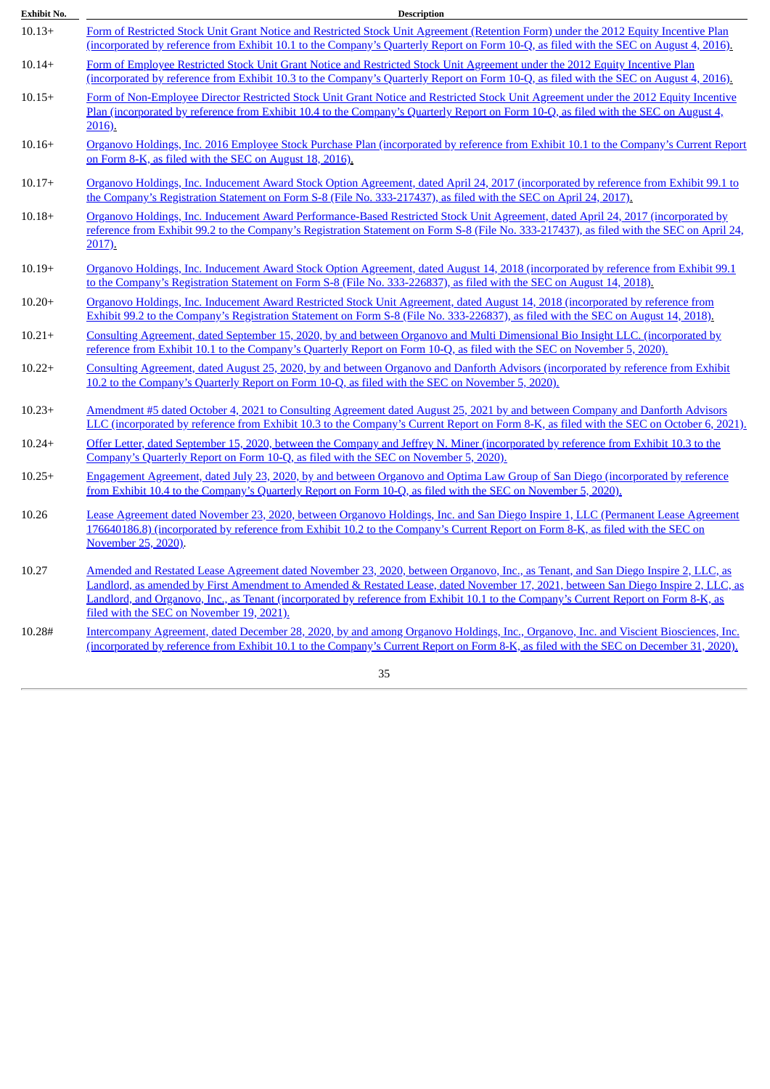| Exhibit No. | <b>Description</b>                                                                                                                                                                                                                                                                                                                                                                                                                                                      |
|-------------|-------------------------------------------------------------------------------------------------------------------------------------------------------------------------------------------------------------------------------------------------------------------------------------------------------------------------------------------------------------------------------------------------------------------------------------------------------------------------|
| $10.13+$    | Form of Restricted Stock Unit Grant Notice and Restricted Stock Unit Agreement (Retention Form) under the 2012 Equity Incentive Plan<br>(incorporated by reference from Exhibit 10.1 to the Company's Quarterly Report on Form 10-Q, as filed with the SEC on August 4, 2016).                                                                                                                                                                                          |
| $10.14+$    | Form of Employee Restricted Stock Unit Grant Notice and Restricted Stock Unit Agreement under the 2012 Equity Incentive Plan<br>(incorporated by reference from Exhibit 10.3 to the Company's Quarterly Report on Form 10-Q, as filed with the SEC on August 4, 2016).                                                                                                                                                                                                  |
| $10.15+$    | Form of Non-Employee Director Restricted Stock Unit Grant Notice and Restricted Stock Unit Agreement under the 2012 Equity Incentive<br>Plan (incorporated by reference from Exhibit 10.4 to the Company's Quarterly Report on Form 10-Q, as filed with the SEC on August 4,<br>2016).                                                                                                                                                                                  |
| $10.16+$    | Organovo Holdings, Inc. 2016 Employee Stock Purchase Plan (incorporated by reference from Exhibit 10.1 to the Company's Current Report<br>on Form 8-K, as filed with the SEC on August 18, 2016).                                                                                                                                                                                                                                                                       |
| $10.17+$    | Organovo Holdings, Inc. Inducement Award Stock Option Agreement, dated April 24, 2017 (incorporated by reference from Exhibit 99.1 to<br>the Company's Registration Statement on Form S-8 (File No. 333-217437), as filed with the SEC on April 24, 2017).                                                                                                                                                                                                              |
| $10.18+$    | Organovo Holdings, Inc. Inducement Award Performance-Based Restricted Stock Unit Agreement, dated April 24, 2017 (incorporated by<br>reference from Exhibit 99.2 to the Company's Registration Statement on Form S-8 (File No. 333-217437), as filed with the SEC on April 24,<br>$2017$ ).                                                                                                                                                                             |
| $10.19+$    | Organovo Holdings, Inc. Inducement Award Stock Option Agreement, dated August 14, 2018 (incorporated by reference from Exhibit 99.1<br>to the Company's Registration Statement on Form S-8 (File No. 333-226837), as filed with the SEC on August 14, 2018).                                                                                                                                                                                                            |
| $10.20+$    | Organovo Holdings, Inc. Inducement Award Restricted Stock Unit Agreement, dated August 14, 2018 (incorporated by reference from<br>Exhibit 99.2 to the Company's Registration Statement on Form S-8 (File No. 333-226837), as filed with the SEC on August 14, 2018).                                                                                                                                                                                                   |
| $10.21+$    | Consulting Agreement, dated September 15, 2020, by and between Organovo and Multi Dimensional Bio Insight LLC. (incorporated by<br>reference from Exhibit 10.1 to the Company's Quarterly Report on Form 10-Q, as filed with the SEC on November 5, 2020).                                                                                                                                                                                                              |
| $10.22+$    | Consulting Agreement, dated August 25, 2020, by and between Organovo and Danforth Advisors (incorporated by reference from Exhibit<br>10.2 to the Company's Quarterly Report on Form 10-Q, as filed with the SEC on November 5, 2020).                                                                                                                                                                                                                                  |
| $10.23+$    | Amendment #5 dated October 4, 2021 to Consulting Agreement dated August 25, 2021 by and between Company and Danforth Advisors<br>LLC (incorporated by reference from Exhibit 10.3 to the Company's Current Report on Form 8-K, as filed with the SEC on October 6, 2021).                                                                                                                                                                                               |
| $10.24+$    | Offer Letter, dated September 15, 2020, between the Company and Jeffrey N. Miner (incorporated by reference from Exhibit 10.3 to the<br>Company's Quarterly Report on Form 10-Q, as filed with the SEC on November 5, 2020).                                                                                                                                                                                                                                            |
| $10.25+$    | Engagement Agreement, dated July 23, 2020, by and between Organovo and Optima Law Group of San Diego (incorporated by reference<br>from Exhibit 10.4 to the Company's Quarterly Report on Form 10-Q, as filed with the SEC on November 5, 2020).                                                                                                                                                                                                                        |
| 10.26       | Lease Agreement dated November 23, 2020, between Organovo Holdings, Inc. and San Diego Inspire 1, LLC (Permanent Lease Agreement<br>176640186.8) (incorporated by reference from Exhibit 10.2 to the Company's Current Report on Form 8-K, as filed with the SEC on<br>November 25, 2020).                                                                                                                                                                              |
| 10.27       | Amended and Restated Lease Agreement dated November 23, 2020, between Organovo, Inc., as Tenant, and San Diego Inspire 2, LLC, as<br><u>Landlord, as amended by First Amendment to Amended &amp; Restated Lease, dated November 17, 2021, between San Diego Inspire 2, LLC, as</u><br>Landlord, and Organovo, Inc., as Tenant (incorporated by reference from Exhibit 10.1 to the Company's Current Report on Form 8-K, as<br>filed with the SEC on November 19, 2021). |
| 10.28#      | Intercompany Agreement, dated December 28, 2020, by and among Organovo Holdings, Inc., Organovo, Inc. and Viscient Biosciences, Inc.<br>(incorporated by reference from Exhibit 10.1 to the Company's Current Report on Form 8-K, as filed with the SEC on December 31, 2020).                                                                                                                                                                                          |
|             | 35                                                                                                                                                                                                                                                                                                                                                                                                                                                                      |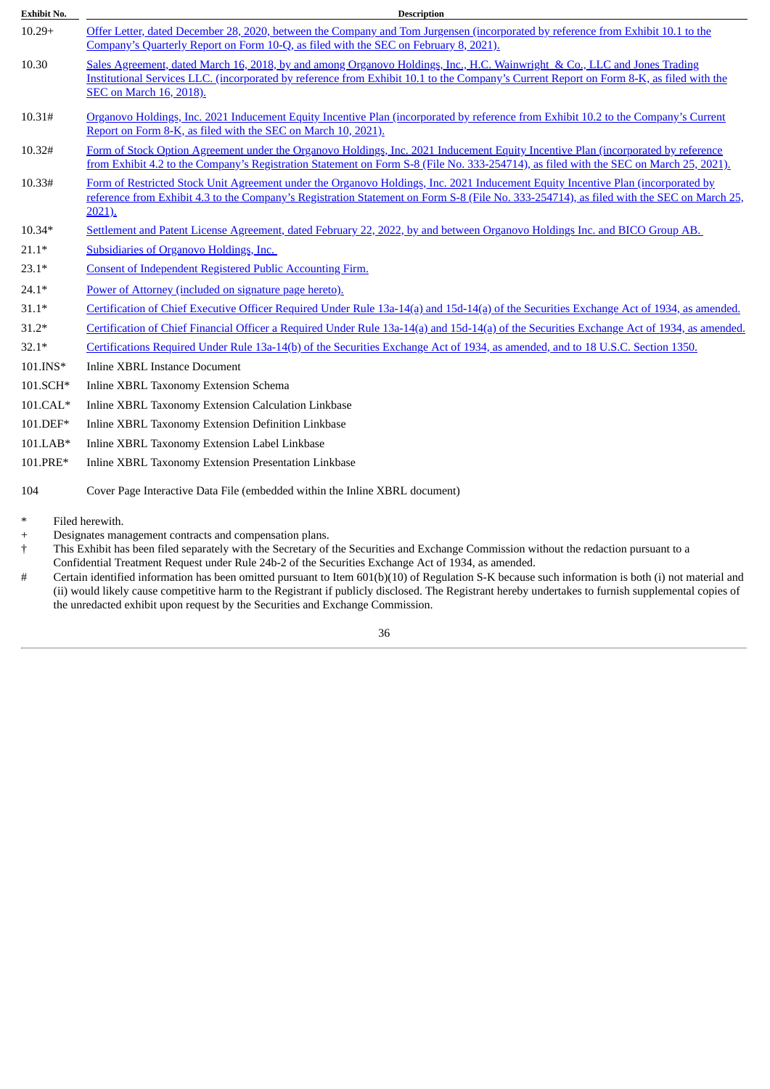| <b>Exhibit No.</b> | <b>Description</b>                                                                                                                                                                                                                                                                              |  |  |
|--------------------|-------------------------------------------------------------------------------------------------------------------------------------------------------------------------------------------------------------------------------------------------------------------------------------------------|--|--|
| $10.29+$           | Offer Letter, dated December 28, 2020, between the Company and Tom Jurgensen (incorporated by reference from Exhibit 10.1 to the<br>Company's Quarterly Report on Form 10-Q, as filed with the SEC on February 8, 2021).                                                                        |  |  |
| 10.30              | Sales Agreement, dated March 16, 2018, by and among Organovo Holdings, Inc., H.C. Wainwright & Co., LLC and Jones Trading<br>Institutional Services LLC. (incorporated by reference from Exhibit 10.1 to the Company's Current Report on Form 8-K, as filed with the<br>SEC on March 16, 2018). |  |  |
| 10.31#             | Organovo Holdings, Inc. 2021 Inducement Equity Incentive Plan (incorporated by reference from Exhibit 10.2 to the Company's Current<br>Report on Form 8-K, as filed with the SEC on March 10, 2021).                                                                                            |  |  |
| 10.32#             | Form of Stock Option Agreement under the Organovo Holdings, Inc. 2021 Inducement Equity Incentive Plan (incorporated by reference<br>from Exhibit 4.2 to the Company's Registration Statement on Form S-8 (File No. 333-254714), as filed with the SEC on March 25, 2021).                      |  |  |
| 10.33#             | Form of Restricted Stock Unit Agreement under the Organovo Holdings, Inc. 2021 Inducement Equity Incentive Plan (incorporated by<br>reference from Exhibit 4.3 to the Company's Registration Statement on Form S-8 (File No. 333-254714), as filed with the SEC on March 25,<br>2021).          |  |  |
| $10.34*$           | Settlement and Patent License Agreement, dated February 22, 2022, by and between Organovo Holdings Inc. and BICO Group AB.                                                                                                                                                                      |  |  |
| $21.1*$            | Subsidiaries of Organovo Holdings, Inc.                                                                                                                                                                                                                                                         |  |  |
| $23.1*$            | <b>Consent of Independent Registered Public Accounting Firm.</b>                                                                                                                                                                                                                                |  |  |
| $24.1*$            | Power of Attorney (included on signature page hereto).                                                                                                                                                                                                                                          |  |  |
| $31.1*$            | Certification of Chief Executive Officer Required Under Rule 13a-14(a) and 15d-14(a) of the Securities Exchange Act of 1934, as amended.                                                                                                                                                        |  |  |
| $31.2*$            | Certification of Chief Financial Officer a Required Under Rule 13a-14(a) and 15d-14(a) of the Securities Exchange Act of 1934, as amended.                                                                                                                                                      |  |  |
| $32.1*$            | Certifications Required Under Rule 13a-14(b) of the Securities Exchange Act of 1934, as amended, and to 18 U.S.C. Section 1350.                                                                                                                                                                 |  |  |
| $101.INS*$         | <b>Inline XBRL Instance Document</b>                                                                                                                                                                                                                                                            |  |  |
| 101.SCH*           | Inline XBRL Taxonomy Extension Schema                                                                                                                                                                                                                                                           |  |  |
| $101.CAL*$         | Inline XBRL Taxonomy Extension Calculation Linkbase                                                                                                                                                                                                                                             |  |  |
| 101.DEF*           | Inline XBRL Taxonomy Extension Definition Linkbase                                                                                                                                                                                                                                              |  |  |
| 101.LAB*           | Inline XBRL Taxonomy Extension Label Linkbase                                                                                                                                                                                                                                                   |  |  |
| 101.PRE*           | Inline XBRL Taxonomy Extension Presentation Linkbase                                                                                                                                                                                                                                            |  |  |
| 104                | Cover Page Interactive Data File (embedded within the Inline XBRL document)                                                                                                                                                                                                                     |  |  |

- Filed herewith.
- 
- + Designates management contracts and compensation plans.<br>
+ This Exhibit has been filed separately with the Secretary of † This Exhibit has been filed separately with the Secretary of the Securities and Exchange Commission without the redaction pursuant to a Confidential Treatment Request under Rule 24b-2 of the Securities Exchange Act of 1934, as amended.
- # Certain identified information has been omitted pursuant to Item 601(b)(10) of Regulation S-K because such information is both (i) not material and (ii) would likely cause competitive harm to the Registrant if publicly disclosed. The Registrant hereby undertakes to furnish supplemental copies of the unredacted exhibit upon request by the Securities and Exchange Commission.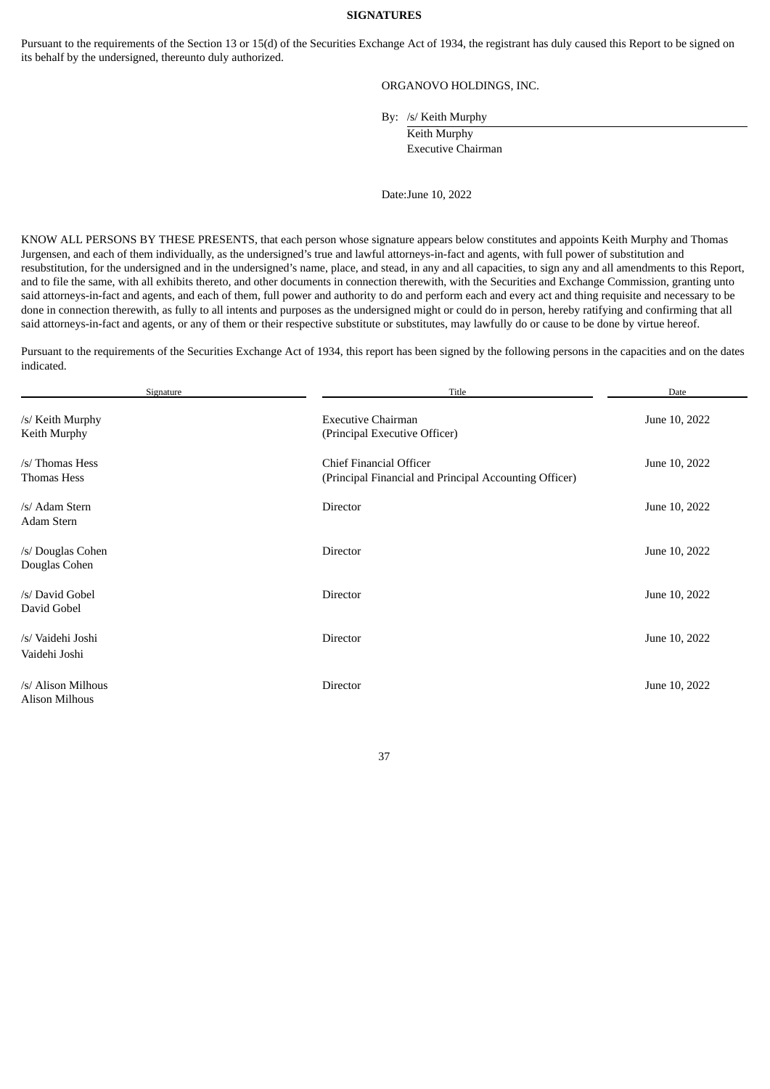### **SIGNATURES**

<span id="page-58-0"></span>Pursuant to the requirements of the Section 13 or 15(d) of the Securities Exchange Act of 1934, the registrant has duly caused this Report to be signed on its behalf by the undersigned, thereunto duly authorized.

### ORGANOVO HOLDINGS, INC.

By: /s/ Keith Murphy

Executive Chairman

Date:June 10, 2022

KNOW ALL PERSONS BY THESE PRESENTS, that each person whose signature appears below constitutes and appoints Keith Murphy and Thomas Jurgensen, and each of them individually, as the undersigned's true and lawful attorneys-in-fact and agents, with full power of substitution and resubstitution, for the undersigned and in the undersigned's name, place, and stead, in any and all capacities, to sign any and all amendments to this Report, and to file the same, with all exhibits thereto, and other documents in connection therewith, with the Securities and Exchange Commission, granting unto said attorneys-in-fact and agents, and each of them, full power and authority to do and perform each and every act and thing requisite and necessary to be done in connection therewith, as fully to all intents and purposes as the undersigned might or could do in person, hereby ratifying and confirming that all said attorneys-in-fact and agents, or any of them or their respective substitute or substitutes, may lawfully do or cause to be done by virtue hereof.

Pursuant to the requirements of the Securities Exchange Act of 1934, this report has been signed by the following persons in the capacities and on the dates indicated.

| Signature                             | Title                                                                             | Date          |
|---------------------------------------|-----------------------------------------------------------------------------------|---------------|
| /s/ Keith Murphy<br>Keith Murphy      | <b>Executive Chairman</b><br>(Principal Executive Officer)                        | June 10, 2022 |
| /s/ Thomas Hess<br><b>Thomas Hess</b> | Chief Financial Officer<br>(Principal Financial and Principal Accounting Officer) | June 10, 2022 |
| /s/ Adam Stern<br>Adam Stern          | Director                                                                          | June 10, 2022 |
| /s/ Douglas Cohen<br>Douglas Cohen    | Director                                                                          | June 10, 2022 |
| /s/ David Gobel<br>David Gobel        | Director                                                                          | June 10, 2022 |
| /s/ Vaidehi Joshi<br>Vaidehi Joshi    | <b>Director</b>                                                                   | June 10, 2022 |
| /s/ Alison Milhous<br>Alison Milhous  | Director                                                                          | June 10, 2022 |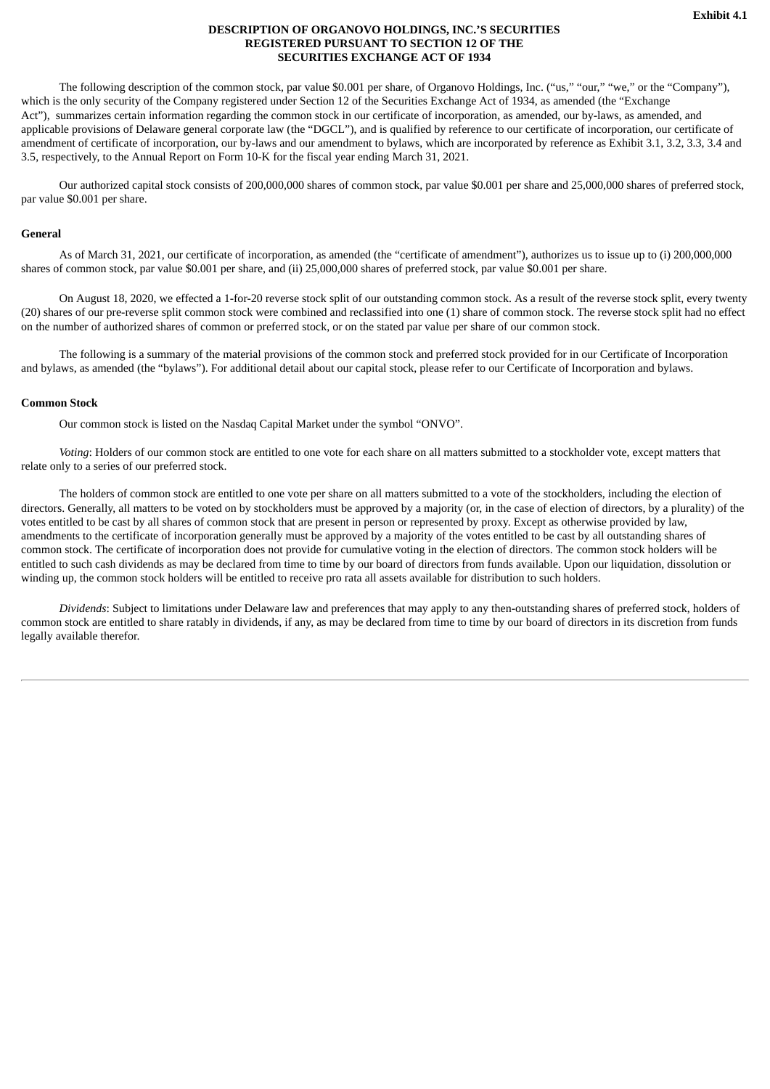## **DESCRIPTION OF ORGANOVO HOLDINGS, INC.'S SECURITIES REGISTERED PURSUANT TO SECTION 12 OF THE SECURITIES EXCHANGE ACT OF 1934**

<span id="page-59-0"></span>The following description of the common stock, par value \$0.001 per share, of Organovo Holdings, Inc. ("us," "our," "we," or the "Company"), which is the only security of the Company registered under Section 12 of the Securities Exchange Act of 1934, as amended (the "Exchange Act"), summarizes certain information regarding the common stock in our certificate of incorporation, as amended, our by-laws, as amended, and applicable provisions of Delaware general corporate law (the "DGCL"), and is qualified by reference to our certificate of incorporation, our certificate of amendment of certificate of incorporation, our by-laws and our amendment to bylaws, which are incorporated by reference as Exhibit 3.1, 3.2, 3.3, 3.4 and 3.5, respectively, to the Annual Report on Form 10-K for the fiscal year ending March 31, 2021.

Our authorized capital stock consists of 200,000,000 shares of common stock, par value \$0.001 per share and 25,000,000 shares of preferred stock, par value \$0.001 per share.

### **General**

As of March 31, 2021, our certificate of incorporation, as amended (the "certificate of amendment"), authorizes us to issue up to (i) 200,000,000 shares of common stock, par value \$0.001 per share, and (ii) 25,000,000 shares of preferred stock, par value \$0.001 per share.

On August 18, 2020, we effected a 1-for-20 reverse stock split of our outstanding common stock. As a result of the reverse stock split, every twenty (20) shares of our pre-reverse split common stock were combined and reclassified into one (1) share of common stock. The reverse stock split had no effect on the number of authorized shares of common or preferred stock, or on the stated par value per share of our common stock.

The following is a summary of the material provisions of the common stock and preferred stock provided for in our Certificate of Incorporation and bylaws, as amended (the "bylaws"). For additional detail about our capital stock, please refer to our Certificate of Incorporation and bylaws.

## **Common Stock**

Our common stock is listed on the Nasdaq Capital Market under the symbol "ONVO".

*Voting*: Holders of our common stock are entitled to one vote for each share on all matters submitted to a stockholder vote, except matters that relate only to a series of our preferred stock.

The holders of common stock are entitled to one vote per share on all matters submitted to a vote of the stockholders, including the election of directors. Generally, all matters to be voted on by stockholders must be approved by a majority (or, in the case of election of directors, by a plurality) of the votes entitled to be cast by all shares of common stock that are present in person or represented by proxy. Except as otherwise provided by law, amendments to the certificate of incorporation generally must be approved by a majority of the votes entitled to be cast by all outstanding shares of common stock. The certificate of incorporation does not provide for cumulative voting in the election of directors. The common stock holders will be entitled to such cash dividends as may be declared from time to time by our board of directors from funds available. Upon our liquidation, dissolution or winding up, the common stock holders will be entitled to receive pro rata all assets available for distribution to such holders.

*Dividends*: Subject to limitations under Delaware law and preferences that may apply to any then-outstanding shares of preferred stock, holders of common stock are entitled to share ratably in dividends, if any, as may be declared from time to time by our board of directors in its discretion from funds legally available therefor.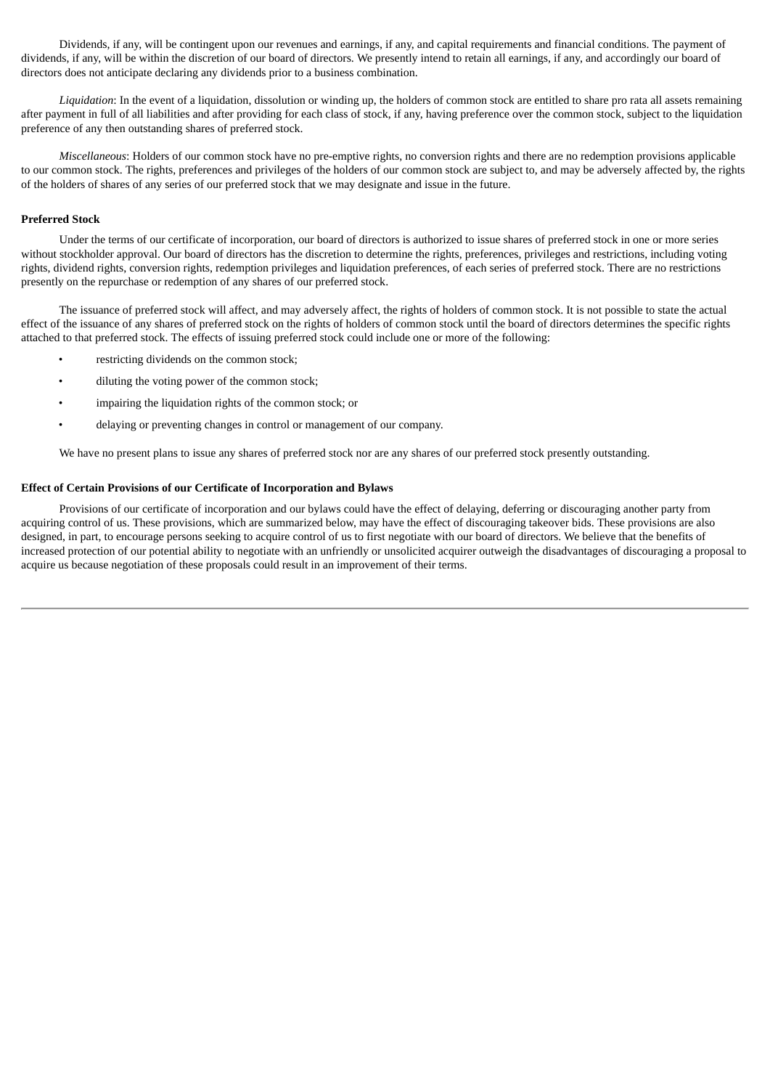Dividends, if any, will be contingent upon our revenues and earnings, if any, and capital requirements and financial conditions. The payment of dividends, if any, will be within the discretion of our board of directors. We presently intend to retain all earnings, if any, and accordingly our board of directors does not anticipate declaring any dividends prior to a business combination.

*Liquidation*: In the event of a liquidation, dissolution or winding up, the holders of common stock are entitled to share pro rata all assets remaining after payment in full of all liabilities and after providing for each class of stock, if any, having preference over the common stock, subject to the liquidation preference of any then outstanding shares of preferred stock.

*Miscellaneous*: Holders of our common stock have no pre-emptive rights, no conversion rights and there are no redemption provisions applicable to our common stock. The rights, preferences and privileges of the holders of our common stock are subject to, and may be adversely affected by, the rights of the holders of shares of any series of our preferred stock that we may designate and issue in the future.

# **Preferred Stock**

Under the terms of our certificate of incorporation, our board of directors is authorized to issue shares of preferred stock in one or more series without stockholder approval. Our board of directors has the discretion to determine the rights, preferences, privileges and restrictions, including voting rights, dividend rights, conversion rights, redemption privileges and liquidation preferences, of each series of preferred stock. There are no restrictions presently on the repurchase or redemption of any shares of our preferred stock.

The issuance of preferred stock will affect, and may adversely affect, the rights of holders of common stock. It is not possible to state the actual effect of the issuance of any shares of preferred stock on the rights of holders of common stock until the board of directors determines the specific rights attached to that preferred stock. The effects of issuing preferred stock could include one or more of the following:

- restricting dividends on the common stock;
- diluting the voting power of the common stock:
- impairing the liquidation rights of the common stock; or
- delaying or preventing changes in control or management of our company.

We have no present plans to issue any shares of preferred stock nor are any shares of our preferred stock presently outstanding.

### **Effect of Certain Provisions of our Certificate of Incorporation and Bylaws**

Provisions of our certificate of incorporation and our bylaws could have the effect of delaying, deferring or discouraging another party from acquiring control of us. These provisions, which are summarized below, may have the effect of discouraging takeover bids. These provisions are also designed, in part, to encourage persons seeking to acquire control of us to first negotiate with our board of directors. We believe that the benefits of increased protection of our potential ability to negotiate with an unfriendly or unsolicited acquirer outweigh the disadvantages of discouraging a proposal to acquire us because negotiation of these proposals could result in an improvement of their terms.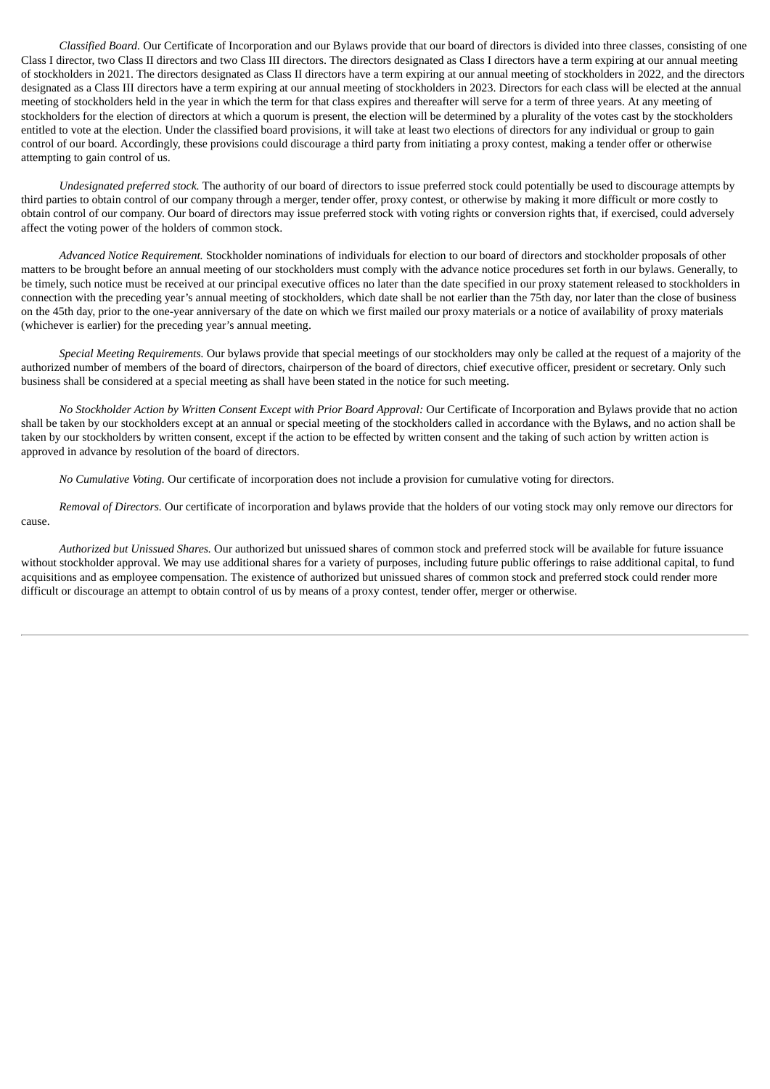*Classified Board.* Our Certificate of Incorporation and our Bylaws provide that our board of directors is divided into three classes, consisting of one Class I director, two Class II directors and two Class III directors. The directors designated as Class I directors have a term expiring at our annual meeting of stockholders in 2021. The directors designated as Class II directors have a term expiring at our annual meeting of stockholders in 2022, and the directors designated as a Class III directors have a term expiring at our annual meeting of stockholders in 2023. Directors for each class will be elected at the annual meeting of stockholders held in the year in which the term for that class expires and thereafter will serve for a term of three years. At any meeting of stockholders for the election of directors at which a quorum is present, the election will be determined by a plurality of the votes cast by the stockholders entitled to vote at the election. Under the classified board provisions, it will take at least two elections of directors for any individual or group to gain control of our board. Accordingly, these provisions could discourage a third party from initiating a proxy contest, making a tender offer or otherwise attempting to gain control of us.

*Undesignated preferred stock.* The authority of our board of directors to issue preferred stock could potentially be used to discourage attempts by third parties to obtain control of our company through a merger, tender offer, proxy contest, or otherwise by making it more difficult or more costly to obtain control of our company. Our board of directors may issue preferred stock with voting rights or conversion rights that, if exercised, could adversely affect the voting power of the holders of common stock.

*Advanced Notice Requirement.* Stockholder nominations of individuals for election to our board of directors and stockholder proposals of other matters to be brought before an annual meeting of our stockholders must comply with the advance notice procedures set forth in our bylaws. Generally, to be timely, such notice must be received at our principal executive offices no later than the date specified in our proxy statement released to stockholders in connection with the preceding year's annual meeting of stockholders, which date shall be not earlier than the 75th day, nor later than the close of business on the 45th day, prior to the one-year anniversary of the date on which we first mailed our proxy materials or a notice of availability of proxy materials (whichever is earlier) for the preceding year's annual meeting.

*Special Meeting Requirements.* Our bylaws provide that special meetings of our stockholders may only be called at the request of a majority of the authorized number of members of the board of directors, chairperson of the board of directors, chief executive officer, president or secretary. Only such business shall be considered at a special meeting as shall have been stated in the notice for such meeting.

*No Stockholder Action by Written Consent Except with Prior Board Approval:* Our Certificate of Incorporation and Bylaws provide that no action shall be taken by our stockholders except at an annual or special meeting of the stockholders called in accordance with the Bylaws, and no action shall be taken by our stockholders by written consent, except if the action to be effected by written consent and the taking of such action by written action is approved in advance by resolution of the board of directors.

*No Cumulative Voting.* Our certificate of incorporation does not include a provision for cumulative voting for directors.

*Removal of Directors.* Our certificate of incorporation and bylaws provide that the holders of our voting stock may only remove our directors for cause.

*Authorized but Unissued Shares.* Our authorized but unissued shares of common stock and preferred stock will be available for future issuance without stockholder approval. We may use additional shares for a variety of purposes, including future public offerings to raise additional capital, to fund acquisitions and as employee compensation. The existence of authorized but unissued shares of common stock and preferred stock could render more difficult or discourage an attempt to obtain control of us by means of a proxy contest, tender offer, merger or otherwise.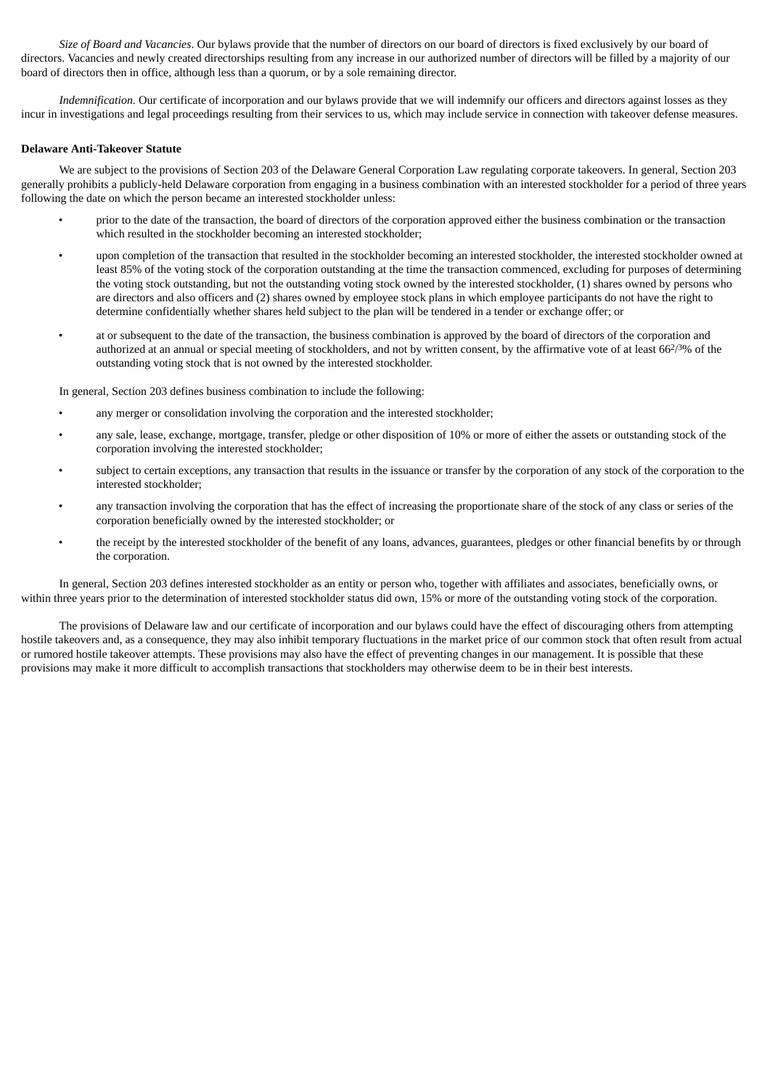*Size of Board and Vacancies*. Our bylaws provide that the number of directors on our board of directors is fixed exclusively by our board of directors. Vacancies and newly created directorships resulting from any increase in our authorized number of directors will be filled by a majority of our board of directors then in office, although less than a quorum, or by a sole remaining director.

*Indemnification.* Our certificate of incorporation and our bylaws provide that we will indemnify our officers and directors against losses as they incur in investigations and legal proceedings resulting from their services to us, which may include service in connection with takeover defense measures.

#### **Delaware Anti-Takeover Statute**

We are subject to the provisions of Section 203 of the Delaware General Corporation Law regulating corporate takeovers. In general, Section 203 generally prohibits a publicly-held Delaware corporation from engaging in a business combination with an interested stockholder for a period of three years following the date on which the person became an interested stockholder unless:

- prior to the date of the transaction, the board of directors of the corporation approved either the business combination or the transaction which resulted in the stockholder becoming an interested stockholder;
- upon completion of the transaction that resulted in the stockholder becoming an interested stockholder, the interested stockholder owned at least 85% of the voting stock of the corporation outstanding at the time the transaction commenced, excluding for purposes of determining the voting stock outstanding, but not the outstanding voting stock owned by the interested stockholder, (1) shares owned by persons who are directors and also officers and (2) shares owned by employee stock plans in which employee participants do not have the right to determine confidentially whether shares held subject to the plan will be tendered in a tender or exchange offer; or
- at or subsequent to the date of the transaction, the business combination is approved by the board of directors of the corporation and authorized at an annual or special meeting of stockholders, and not by written consent, by the affirmative vote of at least 662/3% of the outstanding voting stock that is not owned by the interested stockholder.

In general, Section 203 defines business combination to include the following:

- any merger or consolidation involving the corporation and the interested stockholder;
- any sale, lease, exchange, mortgage, transfer, pledge or other disposition of 10% or more of either the assets or outstanding stock of the corporation involving the interested stockholder;
- subject to certain exceptions, any transaction that results in the issuance or transfer by the corporation of any stock of the corporation to the interested stockholder;
- any transaction involving the corporation that has the effect of increasing the proportionate share of the stock of any class or series of the corporation beneficially owned by the interested stockholder; or
- the receipt by the interested stockholder of the benefit of any loans, advances, guarantees, pledges or other financial benefits by or through the corporation.

In general, Section 203 defines interested stockholder as an entity or person who, together with affiliates and associates, beneficially owns, or within three years prior to the determination of interested stockholder status did own, 15% or more of the outstanding voting stock of the corporation.

The provisions of Delaware law and our certificate of incorporation and our bylaws could have the effect of discouraging others from attempting hostile takeovers and, as a consequence, they may also inhibit temporary fluctuations in the market price of our common stock that often result from actual or rumored hostile takeover attempts. These provisions may also have the effect of preventing changes in our management. It is possible that these provisions may make it more difficult to accomplish transactions that stockholders may otherwise deem to be in their best interests.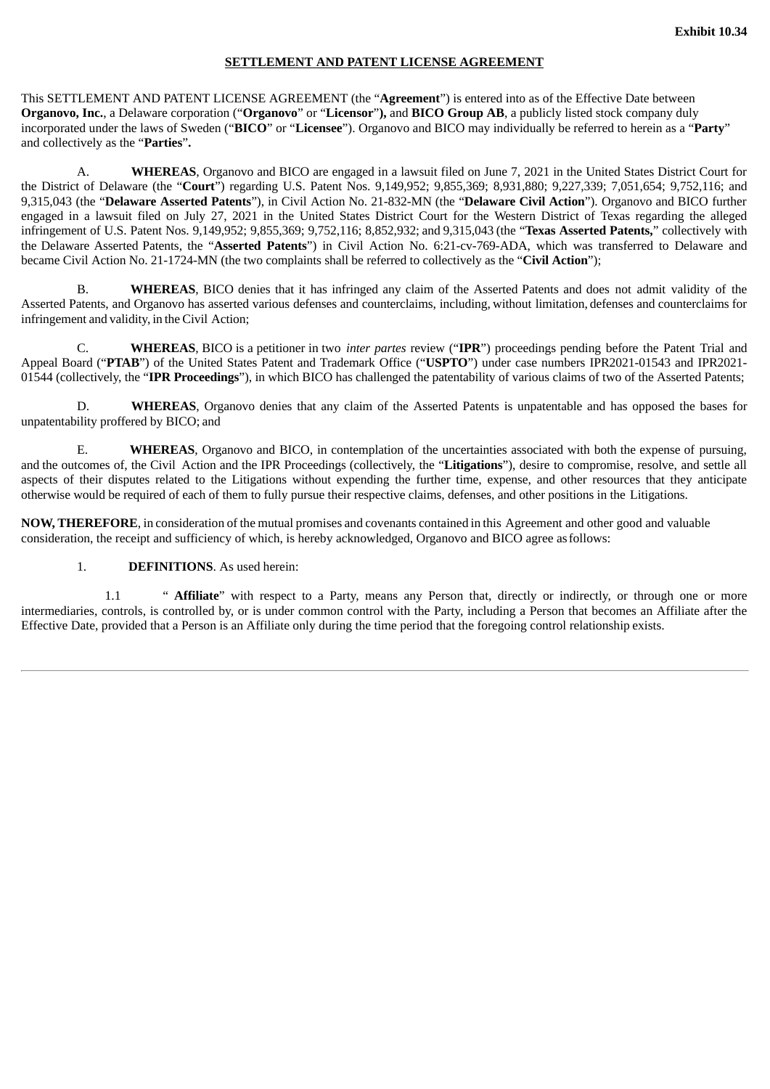# **SETTLEMENT AND PATENT LICENSE AGREEMENT**

<span id="page-63-0"></span>This SETTLEMENT AND PATENT LICENSE AGREEMENT (the "**Agreement**") is entered into as of the Effective Date between **Organovo, Inc.**, a Delaware corporation ("**Organovo**" or "**Licensor**"**),** and **BICO Group AB**, a publicly listed stock company duly incorporated under the laws of Sweden ("**BICO**" or "**Licensee**"). Organovo and BICO may individually be referred to herein as a "**Party**" and collectively as the "**Parties**"**.**

A. **WHEREAS**, Organovo and BICO are engaged in a lawsuit filed on June 7, 2021 in the United States District Court for the District of Delaware (the "**Court**") regarding U.S. Patent Nos. 9,149,952; 9,855,369; 8,931,880; 9,227,339; 7,051,654; 9,752,116; and 9,315,043 (the "**Delaware Asserted Patents**"), in Civil Action No. 21-832-MN (the "**Delaware Civil Action**"). Organovo and BICO further engaged in a lawsuit filed on July 27, 2021 in the United States District Court for the Western District of Texas regarding the alleged infringement of U.S. Patent Nos. 9,149,952; 9,855,369; 9,752,116; 8,852,932; and 9,315,043 (the "**Texas Asserted Patents,**" collectively with the Delaware Asserted Patents, the "**Asserted Patents**") in Civil Action No. 6:21-cv-769-ADA, which was transferred to Delaware and became Civil Action No. 21-1724-MN (the two complaints shall be referred to collectively as the "**Civil Action**");

B. **WHEREAS**, BICO denies that it has infringed any claim of the Asserted Patents and does not admit validity of the Asserted Patents, and Organovo has asserted various defenses and counterclaims, including, without limitation, defenses and counterclaims for infringement and validity, in the Civil Action;

C. **WHEREAS**, BICO is a petitioner in two *inter partes* review ("**IPR**") proceedings pending before the Patent Trial and Appeal Board ("**PTAB**") of the United States Patent and Trademark Office ("**USPTO**") under case numbers IPR2021-01543 and IPR2021- 01544 (collectively, the "**IPR Proceedings**"), in which BICO has challenged the patentability of various claims of two of the Asserted Patents;

D. **WHEREAS**, Organovo denies that any claim of the Asserted Patents is unpatentable and has opposed the bases for unpatentability proffered by BICO; and

E. **WHEREAS**, Organovo and BICO, in contemplation of the uncertainties associated with both the expense of pursuing, and the outcomes of, the Civil Action and the IPR Proceedings (collectively, the "**Litigations**"), desire to compromise, resolve, and settle all aspects of their disputes related to the Litigations without expending the further time, expense, and other resources that they anticipate otherwise would be required of each of them to fully pursue their respective claims, defenses, and other positions in the Litigations.

**NOW, THEREFORE**, in consideration of the mutual promises and covenants contained in this Agreement and other good and valuable consideration, the receipt and sufficiency of which, is hereby acknowledged, Organovo and BICO agree asfollows:

# 1. **DEFINITIONS**. As used herein:

1.1 " **Affiliate**" with respect to a Party, means any Person that, directly or indirectly, or through one or more intermediaries, controls, is controlled by, or is under common control with the Party, including a Person that becomes an Affiliate after the Effective Date, provided that a Person is an Affiliate only during the time period that the foregoing control relationship exists.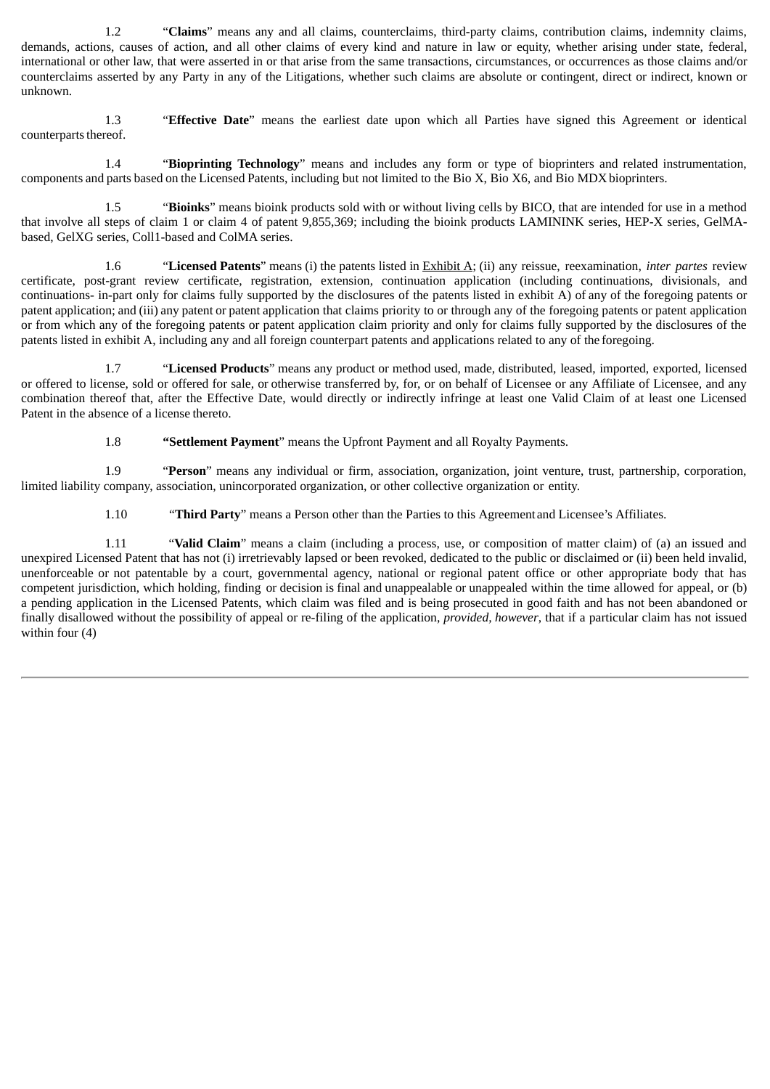1.2 "**Claims**" means any and all claims, counterclaims, third-party claims, contribution claims, indemnity claims, demands, actions, causes of action, and all other claims of every kind and nature in law or equity, whether arising under state, federal, international or other law, that were asserted in or that arise from the same transactions, circumstances, or occurrences as those claims and/or counterclaims asserted by any Party in any of the Litigations, whether such claims are absolute or contingent, direct or indirect, known or unknown.

1.3 "**Effective Date**" means the earliest date upon which all Parties have signed this Agreement or identical counterparts thereof.

1.4 "**Bioprinting Technology**" means and includes any form or type of bioprinters and related instrumentation, components and parts based on the Licensed Patents, including but not limited to the Bio X, Bio X6, and Bio MDX bioprinters.

1.5 "**Bioinks**" means bioink products sold with or without living cells by BICO, that are intended for use in a method that involve all steps of claim 1 or claim 4 of patent 9,855,369; including the bioink products LAMININK series, HEP-X series, GelMAbased, GelXG series, Coll1-based and ColMA series.

1.6 "**Licensed Patents**" means (i) the patents listed in Exhibit A; (ii) any reissue, reexamination, *inter partes* review certificate, post-grant review certificate, registration, extension, continuation application (including continuations, divisionals, and continuations- in-part only for claims fully supported by the disclosures of the patents listed in exhibit A) of any of the foregoing patents or patent application; and (iii) any patent or patent application that claims priority to or through any of the foregoing patents or patent application or from which any of the foregoing patents or patent application claim priority and only for claims fully supported by the disclosures of the patents listed in exhibit A, including any and all foreign counterpart patents and applications related to any of the foregoing.

1.7 "**Licensed Products**" means any product or method used, made, distributed, leased, imported, exported, licensed or offered to license, sold or offered for sale, or otherwise transferred by, for, or on behalf of Licensee or any Affiliate of Licensee, and any combination thereof that, after the Effective Date, would directly or indirectly infringe at least one Valid Claim of at least one Licensed Patent in the absence of a license thereto.

1.8 **"Settlement Payment**" means the Upfront Payment and all Royalty Payments.

1.9 "**Person**" means any individual or firm, association, organization, joint venture, trust, partnership, corporation, limited liability company, association, unincorporated organization, or other collective organization or entity.

1.10 "**Third Party**" means a Person other than the Parties to this Agreement and Licensee's Affiliates.

1.11 "**Valid Claim**" means a claim (including a process, use, or composition of matter claim) of (a) an issued and unexpired Licensed Patent that has not (i) irretrievably lapsed or been revoked, dedicated to the public or disclaimed or (ii) been held invalid, unenforceable or not patentable by a court, governmental agency, national or regional patent office or other appropriate body that has competent jurisdiction, which holding, finding or decision is final and unappealable or unappealed within the time allowed for appeal, or (b) a pending application in the Licensed Patents, which claim was filed and is being prosecuted in good faith and has not been abandoned or finally disallowed without the possibility of appeal or re-filing of the application, *provided, however*, that if a particular claim has not issued within four (4)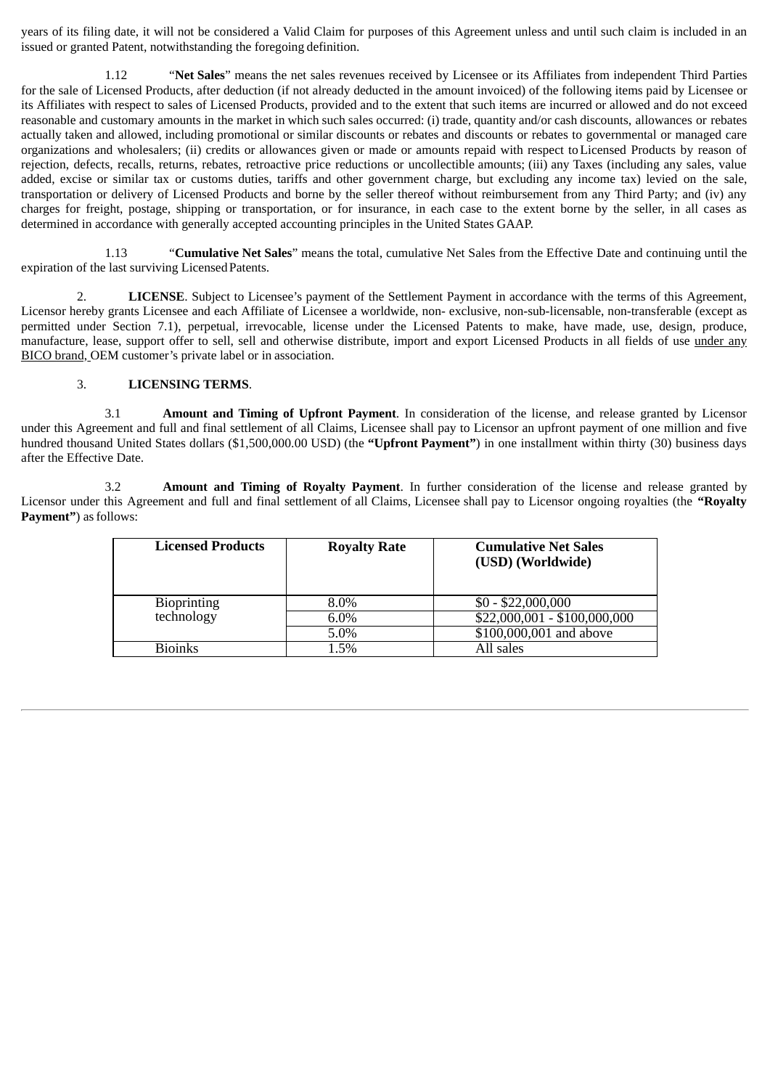years of its filing date, it will not be considered a Valid Claim for purposes of this Agreement unless and until such claim is included in an issued or granted Patent, notwithstanding the foregoing definition.

1.12 "**Net Sales**" means the net sales revenues received by Licensee or its Affiliates from independent Third Parties for the sale of Licensed Products, after deduction (if not already deducted in the amount invoiced) of the following items paid by Licensee or its Affiliates with respect to sales of Licensed Products, provided and to the extent that such items are incurred or allowed and do not exceed reasonable and customary amounts in the market in which such sales occurred: (i) trade, quantity and/or cash discounts, allowances or rebates actually taken and allowed, including promotional or similar discounts or rebates and discounts or rebates to governmental or managed care organizations and wholesalers; (ii) credits or allowances given or made or amounts repaid with respect toLicensed Products by reason of rejection, defects, recalls, returns, rebates, retroactive price reductions or uncollectible amounts; (iii) any Taxes (including any sales, value added, excise or similar tax or customs duties, tariffs and other government charge, but excluding any income tax) levied on the sale, transportation or delivery of Licensed Products and borne by the seller thereof without reimbursement from any Third Party; and (iv) any charges for freight, postage, shipping or transportation, or for insurance, in each case to the extent borne by the seller, in all cases as determined in accordance with generally accepted accounting principles in the United States GAAP.

1.13 "**Cumulative Net Sales**" means the total, cumulative Net Sales from the Effective Date and continuing until the expiration of the last surviving Licensed Patents.

2. **LICENSE**. Subject to Licensee's payment of the Settlement Payment in accordance with the terms of this Agreement, Licensor hereby grants Licensee and each Affiliate of Licensee a worldwide, non- exclusive, non-sub-licensable, non-transferable (except as permitted under Section 7.1), perpetual, irrevocable, license under the Licensed Patents to make, have made, use, design, produce, manufacture, lease, support offer to sell, sell and otherwise distribute, import and export Licensed Products in all fields of use under any BICO brand, OEM customer's private label or in association.

# 3. **LICENSING TERMS**.

3.1 **Amount and Timing of Upfront Payment**. In consideration of the license, and release granted by Licensor under this Agreement and full and final settlement of all Claims, Licensee shall pay to Licensor an upfront payment of one million and five hundred thousand United States dollars (\$1,500,000.00 USD) (the **"Upfront Payment"**) in one installment within thirty (30) business days after the Effective Date.

3.2 **Amount and Timing of Royalty Payment**. In further consideration of the license and release granted by Licensor under this Agreement and full and final settlement of all Claims, Licensee shall pay to Licensor ongoing royalties (the **"Royalty** Payment") as follows:

| <b>Licensed Products</b> | <b>Royalty Rate</b> | <b>Cumulative Net Sales</b><br>(USD) (Worldwide) |
|--------------------------|---------------------|--------------------------------------------------|
| <b>Bioprinting</b>       | 8.0%                | $$0 - $22,000,000$                               |
| technology               | 6.0%                | \$22,000,001 - \$100,000,000                     |
|                          | 5.0%                | \$100,000,001 and above                          |
| <b>Bioinks</b>           | 1.5%                | All sales                                        |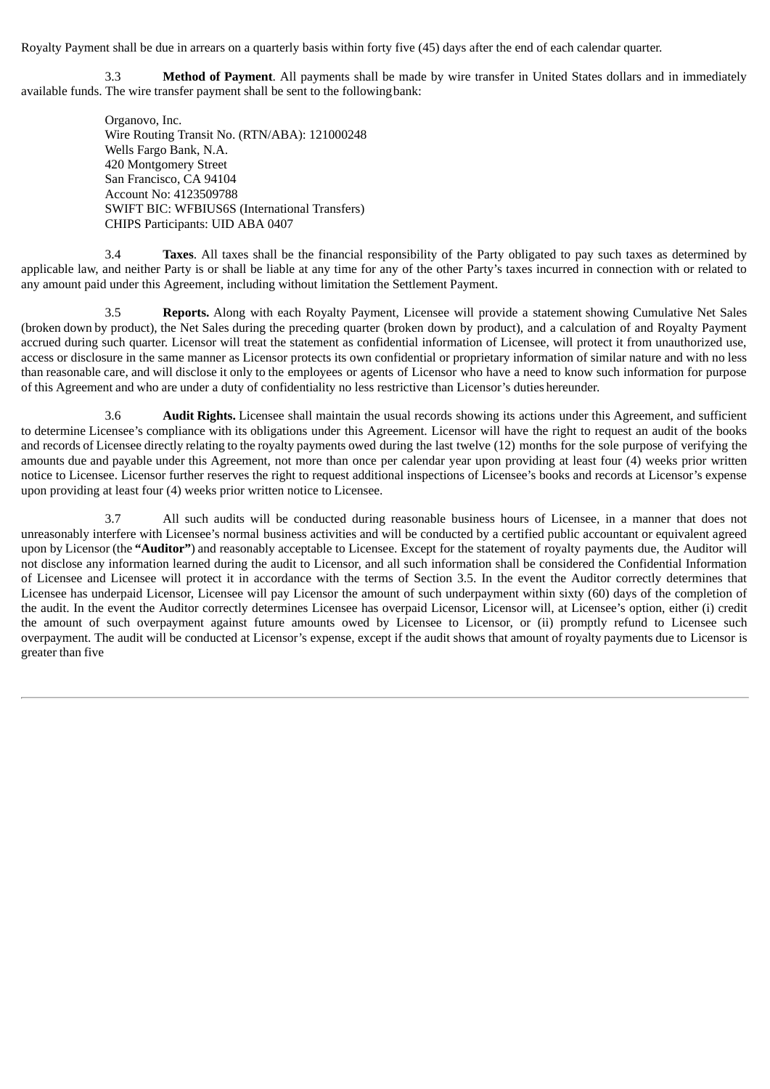Royalty Payment shall be due in arrears on a quarterly basis within forty five (45) days after the end of each calendar quarter.

3.3 **Method of Payment**. All payments shall be made by wire transfer in United States dollars and in immediately available funds. The wire transfer payment shall be sent to the followingbank:

> Organovo, Inc. Wire Routing Transit No. (RTN/ABA): 121000248 Wells Fargo Bank, N.A. 420 Montgomery Street San Francisco, CA 94104 Account No: 4123509788 SWIFT BIC: WFBIUS6S (International Transfers) CHIPS Participants: UID ABA 0407

3.4 **Taxes**. All taxes shall be the financial responsibility of the Party obligated to pay such taxes as determined by applicable law, and neither Party is or shall be liable at any time for any of the other Party's taxes incurred in connection with or related to any amount paid under this Agreement, including without limitation the Settlement Payment.

3.5 **Reports.** Along with each Royalty Payment, Licensee will provide a statement showing Cumulative Net Sales (broken down by product), the Net Sales during the preceding quarter (broken down by product), and a calculation of and Royalty Payment accrued during such quarter. Licensor will treat the statement as confidential information of Licensee, will protect it from unauthorized use, access or disclosure in the same manner as Licensor protects its own confidential or proprietary information of similar nature and with no less than reasonable care, and will disclose it only to the employees or agents of Licensor who have a need to know such information for purpose of this Agreement and who are under a duty of confidentiality no less restrictive than Licensor's duties hereunder.

3.6 **Audit Rights.** Licensee shall maintain the usual records showing its actions under this Agreement, and sufficient to determine Licensee's compliance with its obligations under this Agreement. Licensor will have the right to request an audit of the books and records of Licensee directly relating to the royalty payments owed during the last twelve (12) months for the sole purpose of verifying the amounts due and payable under this Agreement, not more than once per calendar year upon providing at least four (4) weeks prior written notice to Licensee. Licensor further reserves the right to request additional inspections of Licensee's books and records at Licensor's expense upon providing at least four (4) weeks prior written notice to Licensee.

3.7 All such audits will be conducted during reasonable business hours of Licensee, in a manner that does not unreasonably interfere with Licensee's normal business activities and will be conducted by a certified public accountant or equivalent agreed upon by Licensor (the **"Auditor"**) and reasonably acceptable to Licensee. Except for the statement of royalty payments due, the Auditor will not disclose any information learned during the audit to Licensor, and all such information shall be considered the Confidential Information of Licensee and Licensee will protect it in accordance with the terms of Section 3.5. In the event the Auditor correctly determines that Licensee has underpaid Licensor, Licensee will pay Licensor the amount of such underpayment within sixty (60) days of the completion of the audit. In the event the Auditor correctly determines Licensee has overpaid Licensor, Licensor will, at Licensee's option, either (i) credit the amount of such overpayment against future amounts owed by Licensee to Licensor, or (ii) promptly refund to Licensee such overpayment. The audit will be conducted at Licensor's expense, except if the audit shows that amount of royalty payments due to Licensor is greater than five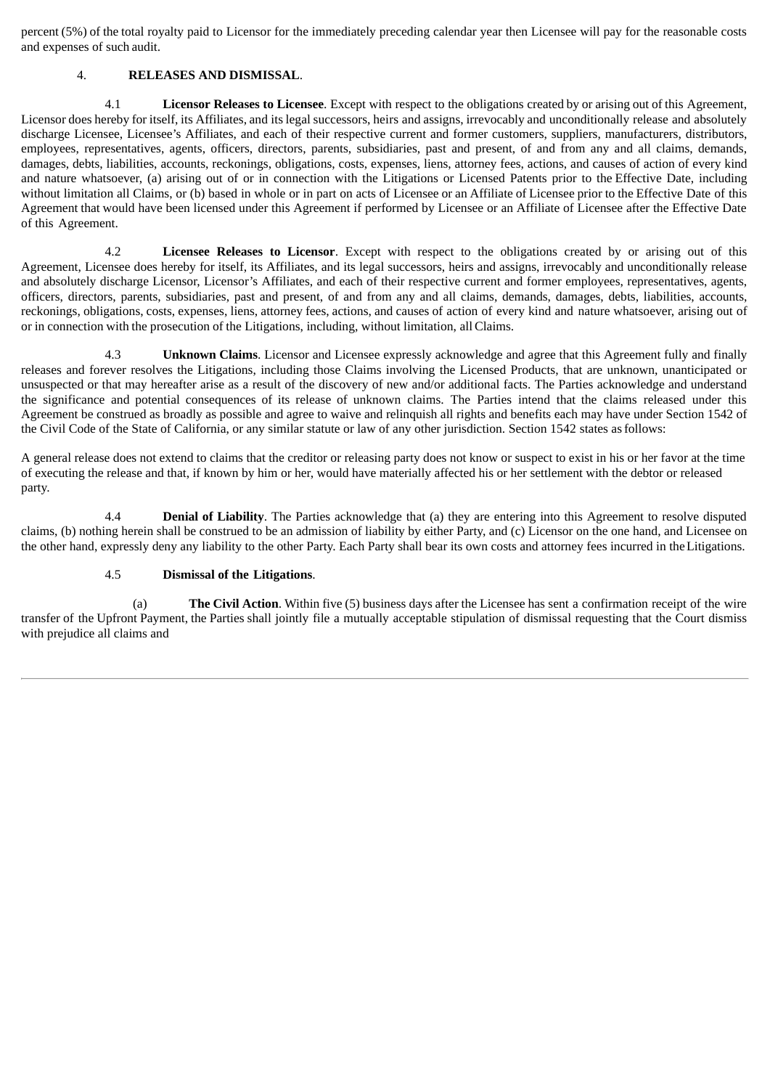percent (5%) of the total royalty paid to Licensor for the immediately preceding calendar year then Licensee will pay for the reasonable costs and expenses of such audit.

# 4. **RELEASES AND DISMISSAL**.

4.1 **Licensor Releases to Licensee**. Except with respect to the obligations created by or arising out of this Agreement, Licensor does hereby for itself, its Affiliates, and its legal successors, heirs and assigns, irrevocably and unconditionally release and absolutely discharge Licensee, Licensee's Affiliates, and each of their respective current and former customers, suppliers, manufacturers, distributors, employees, representatives, agents, officers, directors, parents, subsidiaries, past and present, of and from any and all claims, demands, damages, debts, liabilities, accounts, reckonings, obligations, costs, expenses, liens, attorney fees, actions, and causes of action of every kind and nature whatsoever, (a) arising out of or in connection with the Litigations or Licensed Patents prior to the Effective Date, including without limitation all Claims, or (b) based in whole or in part on acts of Licensee or an Affiliate of Licensee prior to the Effective Date of this Agreement that would have been licensed under this Agreement if performed by Licensee or an Affiliate of Licensee after the Effective Date of this Agreement.

4.2 **Licensee Releases to Licensor**. Except with respect to the obligations created by or arising out of this Agreement, Licensee does hereby for itself, its Affiliates, and its legal successors, heirs and assigns, irrevocably and unconditionally release and absolutely discharge Licensor, Licensor's Affiliates, and each of their respective current and former employees, representatives, agents, officers, directors, parents, subsidiaries, past and present, of and from any and all claims, demands, damages, debts, liabilities, accounts, reckonings, obligations, costs, expenses, liens, attorney fees, actions, and causes of action of every kind and nature whatsoever, arising out of or in connection with the prosecution of the Litigations, including, without limitation, allClaims.

4.3 **Unknown Claims**. Licensor and Licensee expressly acknowledge and agree that this Agreement fully and finally releases and forever resolves the Litigations, including those Claims involving the Licensed Products, that are unknown, unanticipated or unsuspected or that may hereafter arise as a result of the discovery of new and/or additional facts. The Parties acknowledge and understand the significance and potential consequences of its release of unknown claims. The Parties intend that the claims released under this Agreement be construed as broadly as possible and agree to waive and relinquish all rights and benefits each may have under Section 1542 of the Civil Code of the State of California, or any similar statute or law of any other jurisdiction. Section 1542 states asfollows:

A general release does not extend to claims that the creditor or releasing party does not know or suspect to exist in his or her favor at the time of executing the release and that, if known by him or her, would have materially affected his or her settlement with the debtor or released party.

4.4 **Denial of Liability**. The Parties acknowledge that (a) they are entering into this Agreement to resolve disputed claims, (b) nothing herein shall be construed to be an admission of liability by either Party, and (c) Licensor on the one hand, and Licensee on the other hand, expressly deny any liability to the other Party. Each Party shall bear its own costs and attorney fees incurred in theLitigations.

# 4.5 **Dismissal of the Litigations**.

(a) **The Civil Action**. Within five (5) business days after the Licensee has sent a confirmation receipt of the wire transfer of the Upfront Payment, the Parties shall jointly file a mutually acceptable stipulation of dismissal requesting that the Court dismiss with prejudice all claims and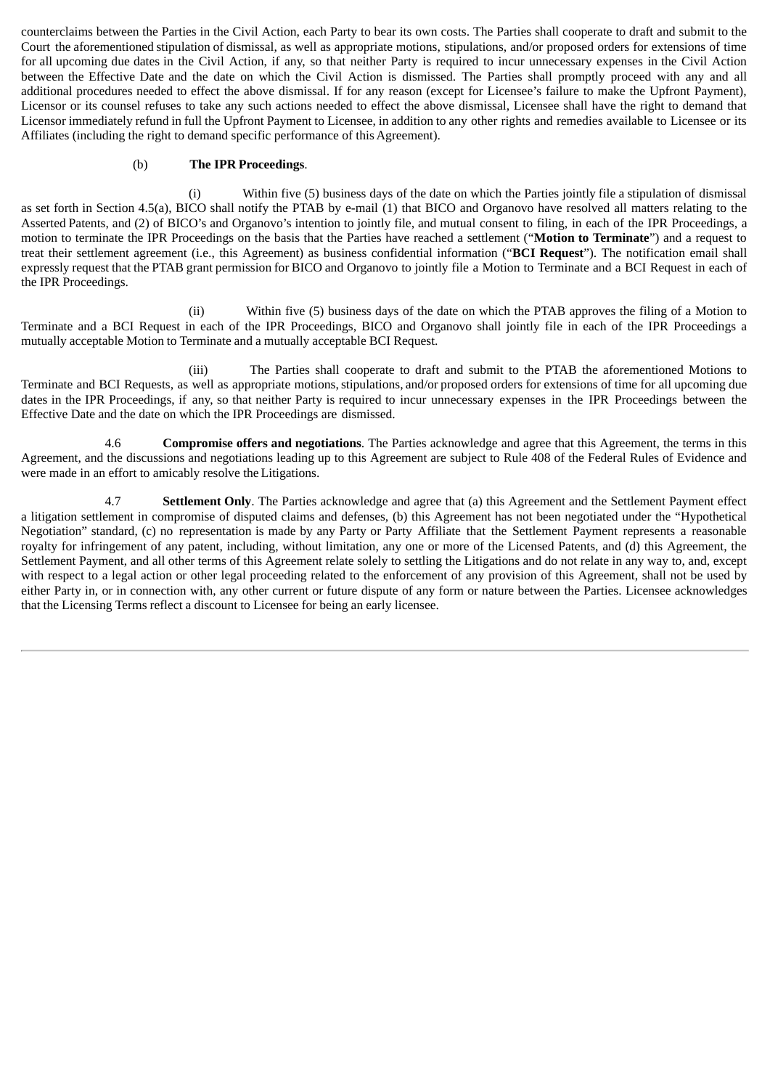counterclaims between the Parties in the Civil Action, each Party to bear its own costs. The Parties shall cooperate to draft and submit to the Court the aforementioned stipulation of dismissal, as well as appropriate motions, stipulations, and/or proposed orders for extensions of time for all upcoming due dates in the Civil Action, if any, so that neither Party is required to incur unnecessary expenses in the Civil Action between the Effective Date and the date on which the Civil Action is dismissed. The Parties shall promptly proceed with any and all additional procedures needed to effect the above dismissal. If for any reason (except for Licensee's failure to make the Upfront Payment), Licensor or its counsel refuses to take any such actions needed to effect the above dismissal, Licensee shall have the right to demand that Licensor immediately refund in full the Upfront Payment to Licensee, in addition to any other rights and remedies available to Licensee or its Affiliates (including the right to demand specific performance of this Agreement).

# (b) **The IPR Proceedings**.

(i) Within five (5) business days of the date on which the Parties jointly file a stipulation of dismissal as set forth in Section 4.5(a), BICO shall notify the PTAB by e-mail (1) that BICO and Organovo have resolved all matters relating to the Asserted Patents, and (2) of BICO's and Organovo's intention to jointly file, and mutual consent to filing, in each of the IPR Proceedings, a motion to terminate the IPR Proceedings on the basis that the Parties have reached a settlement ("**Motion to Terminate**") and a request to treat their settlement agreement (i.e., this Agreement) as business confidential information ("**BCI Request**"). The notification email shall expressly request that the PTAB grant permission for BICO and Organovo to jointly file a Motion to Terminate and a BCI Request in each of the IPR Proceedings.

(ii) Within five (5) business days of the date on which the PTAB approves the filing of a Motion to Terminate and a BCI Request in each of the IPR Proceedings, BICO and Organovo shall jointly file in each of the IPR Proceedings a mutually acceptable Motion to Terminate and a mutually acceptable BCI Request.

(iii) The Parties shall cooperate to draft and submit to the PTAB the aforementioned Motions to Terminate and BCI Requests, as well as appropriate motions, stipulations, and/or proposed orders for extensions of time for all upcoming due dates in the IPR Proceedings, if any, so that neither Party is required to incur unnecessary expenses in the IPR Proceedings between the Effective Date and the date on which the IPR Proceedings are dismissed.

4.6 **Compromise offers and negotiations**. The Parties acknowledge and agree that this Agreement, the terms in this Agreement, and the discussions and negotiations leading up to this Agreement are subject to Rule 408 of the Federal Rules of Evidence and were made in an effort to amicably resolve the Litigations.

4.7 **Settlement Only**. The Parties acknowledge and agree that (a) this Agreement and the Settlement Payment effect a litigation settlement in compromise of disputed claims and defenses, (b) this Agreement has not been negotiated under the "Hypothetical Negotiation" standard, (c) no representation is made by any Party or Party Affiliate that the Settlement Payment represents a reasonable royalty for infringement of any patent, including, without limitation, any one or more of the Licensed Patents, and (d) this Agreement, the Settlement Payment, and all other terms of this Agreement relate solely to settling the Litigations and do not relate in any way to, and, except with respect to a legal action or other legal proceeding related to the enforcement of any provision of this Agreement, shall not be used by either Party in, or in connection with, any other current or future dispute of any form or nature between the Parties. Licensee acknowledges that the Licensing Terms reflect a discount to Licensee for being an early licensee.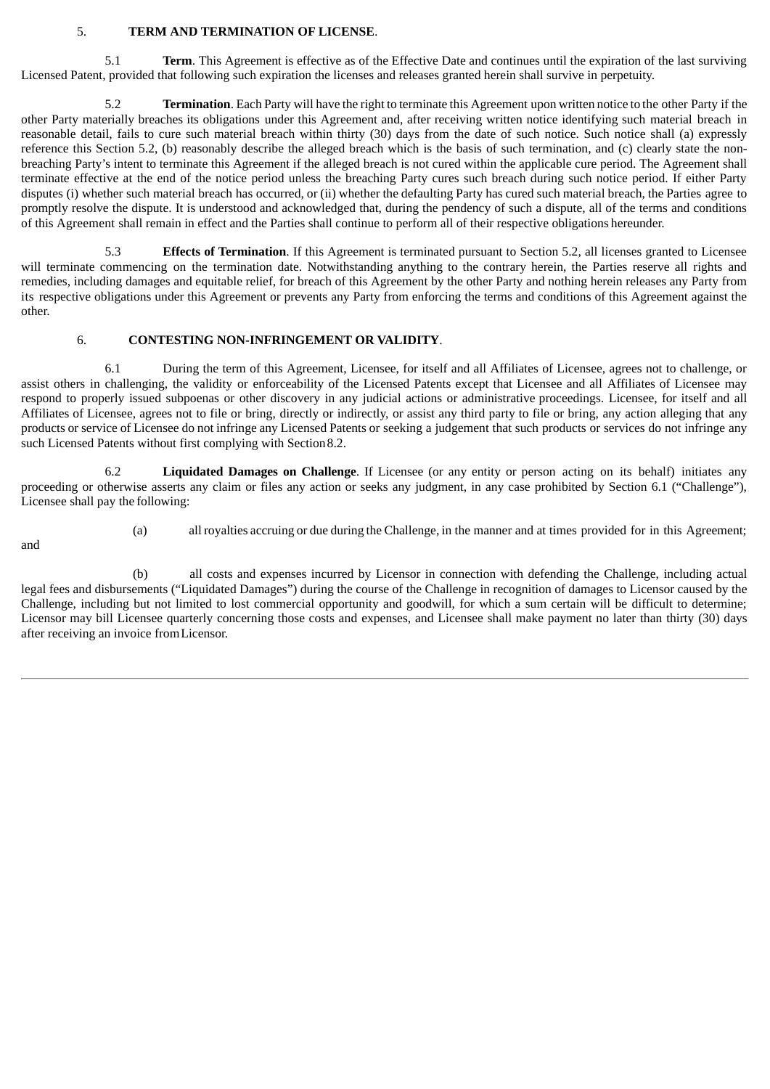# 5. **TERM AND TERMINATION OF LICENSE**.

5.1 **Term**. This Agreement is effective as of the Effective Date and continues until the expiration of the last surviving Licensed Patent, provided that following such expiration the licenses and releases granted herein shall survive in perpetuity.

5.2 **Termination**. Each Party will have the right to terminate this Agreement upon written notice to the other Party if the other Party materially breaches its obligations under this Agreement and, after receiving written notice identifying such material breach in reasonable detail, fails to cure such material breach within thirty (30) days from the date of such notice. Such notice shall (a) expressly reference this Section 5.2, (b) reasonably describe the alleged breach which is the basis of such termination, and (c) clearly state the nonbreaching Party's intent to terminate this Agreement if the alleged breach is not cured within the applicable cure period. The Agreement shall terminate effective at the end of the notice period unless the breaching Party cures such breach during such notice period. If either Party disputes (i) whether such material breach has occurred, or (ii) whether the defaulting Party has cured such material breach, the Parties agree to promptly resolve the dispute. It is understood and acknowledged that, during the pendency of such a dispute, all of the terms and conditions of this Agreement shall remain in effect and the Parties shall continue to perform all of their respective obligations hereunder.

5.3 **Effects of Termination**. If this Agreement is terminated pursuant to Section 5.2, all licenses granted to Licensee will terminate commencing on the termination date. Notwithstanding anything to the contrary herein, the Parties reserve all rights and remedies, including damages and equitable relief, for breach of this Agreement by the other Party and nothing herein releases any Party from its respective obligations under this Agreement or prevents any Party from enforcing the terms and conditions of this Agreement against the other.

# 6. **CONTESTING NON-INFRINGEMENT OR VALIDITY**.

6.1 During the term of this Agreement, Licensee, for itself and all Affiliates of Licensee, agrees not to challenge, or assist others in challenging, the validity or enforceability of the Licensed Patents except that Licensee and all Affiliates of Licensee may respond to properly issued subpoenas or other discovery in any judicial actions or administrative proceedings. Licensee, for itself and all Affiliates of Licensee, agrees not to file or bring, directly or indirectly, or assist any third party to file or bring, any action alleging that any products or service of Licensee do not infringe any Licensed Patents or seeking a judgement that such products or services do not infringe any such Licensed Patents without first complying with Section8.2.

6.2 **Liquidated Damages on Challenge**. If Licensee (or any entity or person acting on its behalf) initiates any proceeding or otherwise asserts any claim or files any action or seeks any judgment, in any case prohibited by Section 6.1 ("Challenge"), Licensee shall pay the following:

and

(a) all royalties accruing or due during the Challenge, in the manner and at times provided for in this Agreement;

(b) all costs and expenses incurred by Licensor in connection with defending the Challenge, including actual legal fees and disbursements ("Liquidated Damages") during the course of the Challenge in recognition of damages to Licensor caused by the Challenge, including but not limited to lost commercial opportunity and goodwill, for which a sum certain will be difficult to determine; Licensor may bill Licensee quarterly concerning those costs and expenses, and Licensee shall make payment no later than thirty (30) days after receiving an invoice fromLicensor.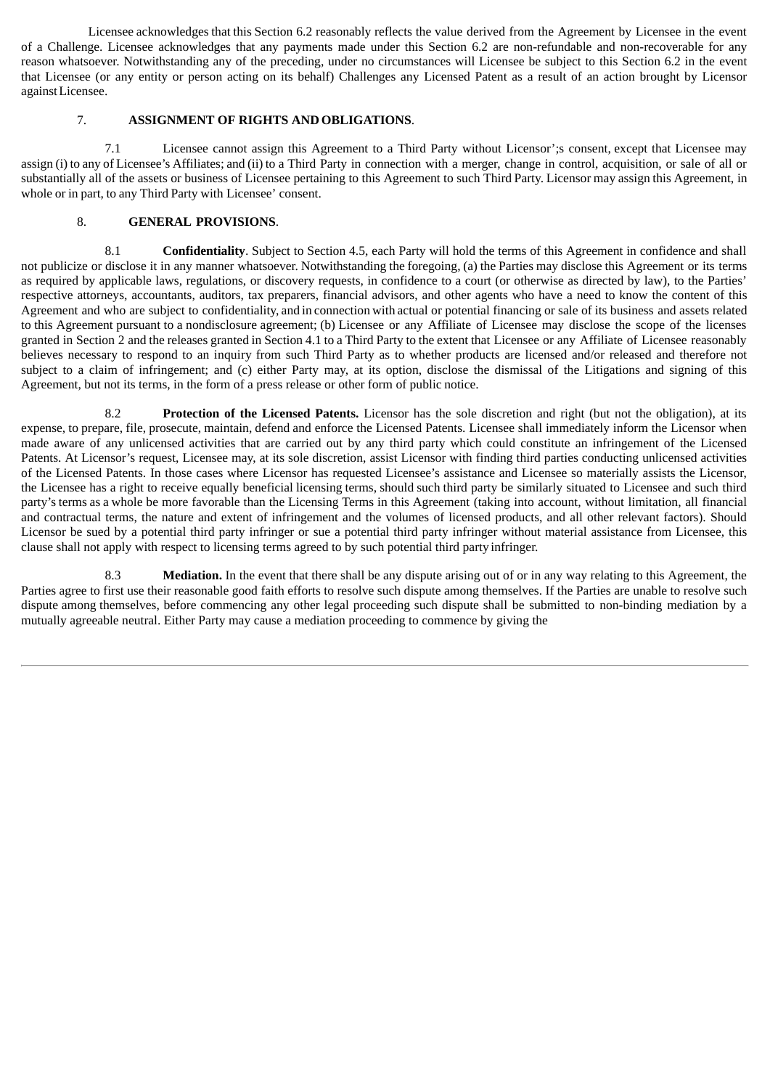Licensee acknowledges that this Section 6.2 reasonably reflects the value derived from the Agreement by Licensee in the event of a Challenge. Licensee acknowledges that any payments made under this Section 6.2 are non-refundable and non-recoverable for any reason whatsoever. Notwithstanding any of the preceding, under no circumstances will Licensee be subject to this Section 6.2 in the event that Licensee (or any entity or person acting on its behalf) Challenges any Licensed Patent as a result of an action brought by Licensor againstLicensee.

# 7. **ASSIGNMENT OF RIGHTS AND OBLIGATIONS**.

7.1 Licensee cannot assign this Agreement to a Third Party without Licensor';s consent, except that Licensee may assign (i) to any of Licensee's Affiliates; and (ii) to a Third Party in connection with a merger, change in control, acquisition, or sale of all or substantially all of the assets or business of Licensee pertaining to this Agreement to such Third Party. Licensor may assign this Agreement, in whole or in part, to any Third Party with Licensee' consent.

# 8. **GENERAL PROVISIONS**.

8.1 **Confidentiality**. Subject to Section 4.5, each Party will hold the terms of this Agreement in confidence and shall not publicize or disclose it in any manner whatsoever. Notwithstanding the foregoing, (a) the Parties may disclose this Agreement or its terms as required by applicable laws, regulations, or discovery requests, in confidence to a court (or otherwise as directed by law), to the Parties' respective attorneys, accountants, auditors, tax preparers, financial advisors, and other agents who have a need to know the content of this Agreement and who are subject to confidentiality, and in connection with actual or potential financing or sale of its business and assets related to this Agreement pursuant to a nondisclosure agreement; (b) Licensee or any Affiliate of Licensee may disclose the scope of the licenses granted in Section 2 and the releases granted in Section 4.1 to a Third Party to the extent that Licensee or any Affiliate of Licensee reasonably believes necessary to respond to an inquiry from such Third Party as to whether products are licensed and/or released and therefore not subject to a claim of infringement; and (c) either Party may, at its option, disclose the dismissal of the Litigations and signing of this Agreement, but not its terms, in the form of a press release or other form of public notice.

8.2 **Protection of the Licensed Patents.** Licensor has the sole discretion and right (but not the obligation), at its expense, to prepare, file, prosecute, maintain, defend and enforce the Licensed Patents. Licensee shall immediately inform the Licensor when made aware of any unlicensed activities that are carried out by any third party which could constitute an infringement of the Licensed Patents. At Licensor's request, Licensee may, at its sole discretion, assist Licensor with finding third parties conducting unlicensed activities of the Licensed Patents. In those cases where Licensor has requested Licensee's assistance and Licensee so materially assists the Licensor, the Licensee has a right to receive equally beneficial licensing terms, should such third party be similarly situated to Licensee and such third party's terms as a whole be more favorable than the Licensing Terms in this Agreement (taking into account, without limitation, all financial and contractual terms, the nature and extent of infringement and the volumes of licensed products, and all other relevant factors). Should Licensor be sued by a potential third party infringer or sue a potential third party infringer without material assistance from Licensee, this clause shall not apply with respect to licensing terms agreed to by such potential third party infringer.

8.3 **Mediation.** In the event that there shall be any dispute arising out of or in any way relating to this Agreement, the Parties agree to first use their reasonable good faith efforts to resolve such dispute among themselves. If the Parties are unable to resolve such dispute among themselves, before commencing any other legal proceeding such dispute shall be submitted to non-binding mediation by a mutually agreeable neutral. Either Party may cause a mediation proceeding to commence by giving the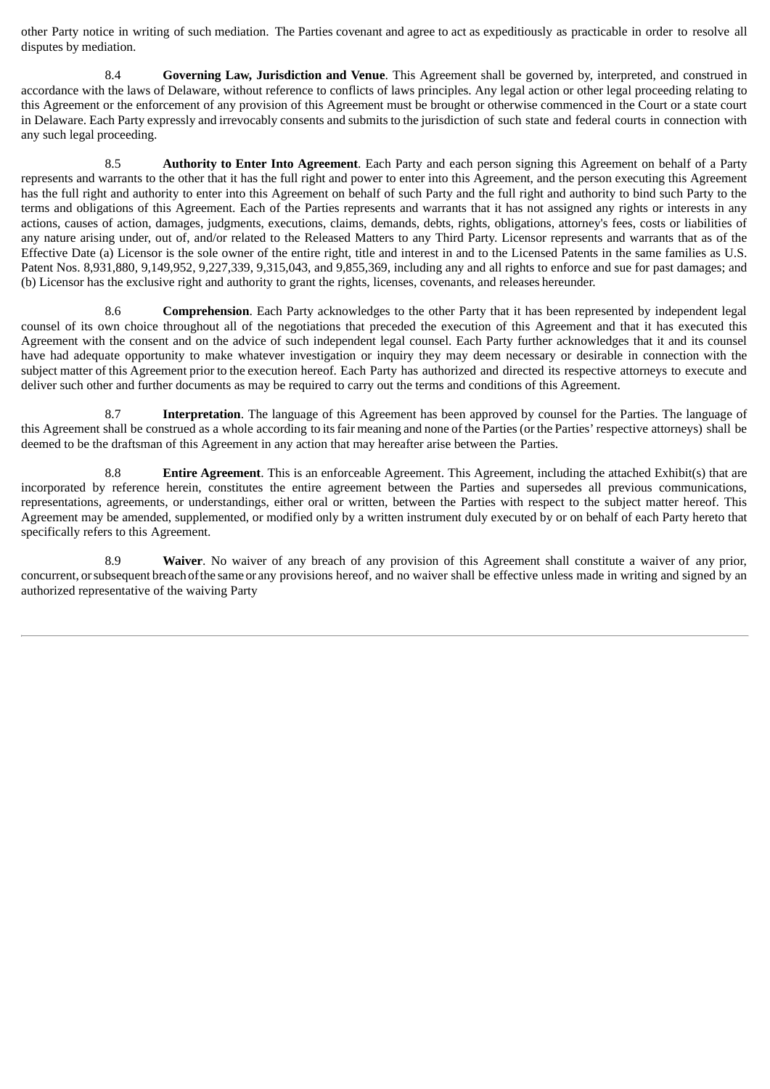other Party notice in writing of such mediation. The Parties covenant and agree to act as expeditiously as practicable in order to resolve all disputes by mediation.

8.4 **Governing Law, Jurisdiction and Venue**. This Agreement shall be governed by, interpreted, and construed in accordance with the laws of Delaware, without reference to conflicts of laws principles. Any legal action or other legal proceeding relating to this Agreement or the enforcement of any provision of this Agreement must be brought or otherwise commenced in the Court or a state court in Delaware. Each Party expressly and irrevocably consents and submits to the jurisdiction of such state and federal courts in connection with any such legal proceeding.

8.5 **Authority to Enter Into Agreement**. Each Party and each person signing this Agreement on behalf of a Party represents and warrants to the other that it has the full right and power to enter into this Agreement, and the person executing this Agreement has the full right and authority to enter into this Agreement on behalf of such Party and the full right and authority to bind such Party to the terms and obligations of this Agreement. Each of the Parties represents and warrants that it has not assigned any rights or interests in any actions, causes of action, damages, judgments, executions, claims, demands, debts, rights, obligations, attorney's fees, costs or liabilities of any nature arising under, out of, and/or related to the Released Matters to any Third Party. Licensor represents and warrants that as of the Effective Date (a) Licensor is the sole owner of the entire right, title and interest in and to the Licensed Patents in the same families as U.S. Patent Nos. 8,931,880, 9,149,952, 9,227,339, 9,315,043, and 9,855,369, including any and all rights to enforce and sue for past damages; and (b) Licensor has the exclusive right and authority to grant the rights, licenses, covenants, and releases hereunder.

8.6 **Comprehension**. Each Party acknowledges to the other Party that it has been represented by independent legal counsel of its own choice throughout all of the negotiations that preceded the execution of this Agreement and that it has executed this Agreement with the consent and on the advice of such independent legal counsel. Each Party further acknowledges that it and its counsel have had adequate opportunity to make whatever investigation or inquiry they may deem necessary or desirable in connection with the subject matter of this Agreement prior to the execution hereof. Each Party has authorized and directed its respective attorneys to execute and deliver such other and further documents as may be required to carry out the terms and conditions of this Agreement.

8.7 **Interpretation**. The language of this Agreement has been approved by counsel for the Parties. The language of this Agreement shall be construed as a whole according to itsfair meaning and none of the Parties(or the Parties' respective attorneys) shall be deemed to be the draftsman of this Agreement in any action that may hereafter arise between the Parties.

8.8 **Entire Agreement**. This is an enforceable Agreement. This Agreement, including the attached Exhibit(s) that are incorporated by reference herein, constitutes the entire agreement between the Parties and supersedes all previous communications, representations, agreements, or understandings, either oral or written, between the Parties with respect to the subject matter hereof. This Agreement may be amended, supplemented, or modified only by a written instrument duly executed by or on behalf of each Party hereto that specifically refers to this Agreement.

8.9 **Waiver**. No waiver of any breach of any provision of this Agreement shall constitute a waiver of any prior, concurrent, orsubsequent breach ofthe same or any provisions hereof, and no waiver shall be effective unless made in writing and signed by an authorized representative of the waiving Party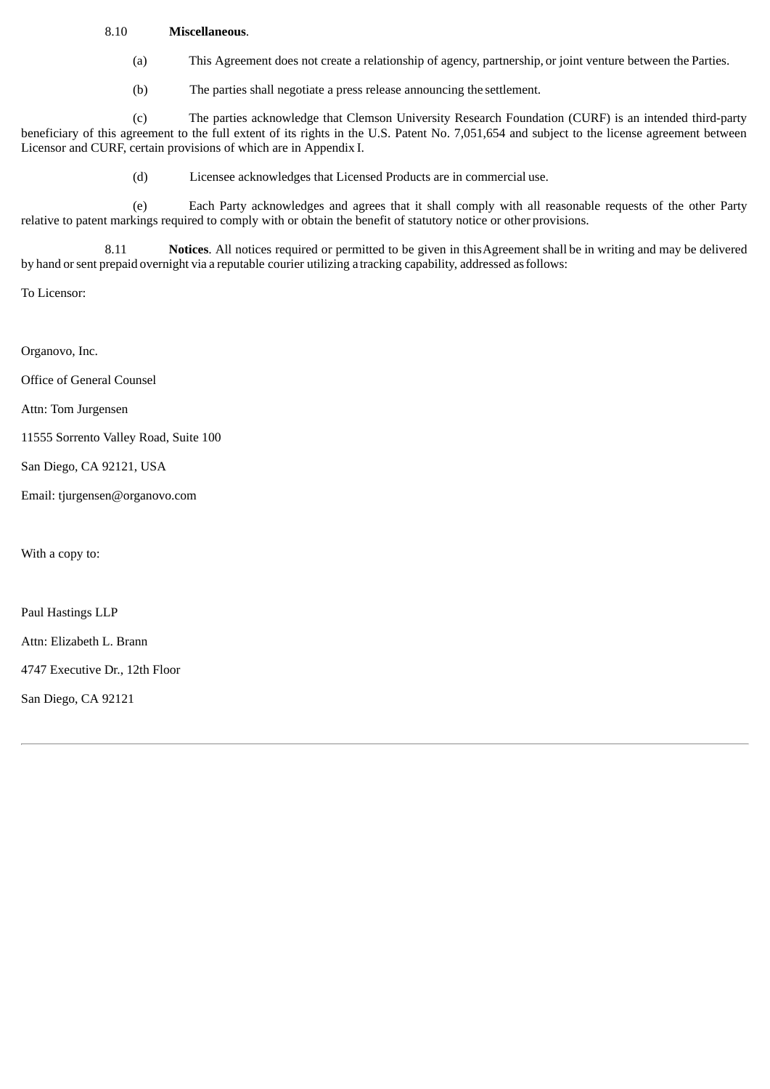#### 8.10 **Miscellaneous**.

- (a) This Agreement does not create a relationship of agency, partnership, or joint venture between the Parties.
- (b) The parties shall negotiate a press release announcing the settlement.

(c) The parties acknowledge that Clemson University Research Foundation (CURF) is an intended third-party beneficiary of this agreement to the full extent of its rights in the U.S. Patent No. 7,051,654 and subject to the license agreement between Licensor and CURF, certain provisions of which are in Appendix I.

(d) Licensee acknowledges that Licensed Products are in commercial use.

(e) Each Party acknowledges and agrees that it shall comply with all reasonable requests of the other Party relative to patent markings required to comply with or obtain the benefit of statutory notice or other provisions.

8.11 **Notices**. All notices required or permitted to be given in thisAgreement shall be in writing and may be delivered by hand orsent prepaid overnight via a reputable courier utilizing a tracking capability, addressed asfollows:

To Licensor:

Organovo, Inc.

Office of General Counsel

Attn: Tom Jurgensen

11555 Sorrento Valley Road, Suite 100

San Diego, CA 92121, USA

Email: tjurgensen@organovo.com

With a copy to:

Paul Hastings LLP

Attn: Elizabeth L. Brann

4747 Executive Dr., 12th Floor

San Diego, CA 92121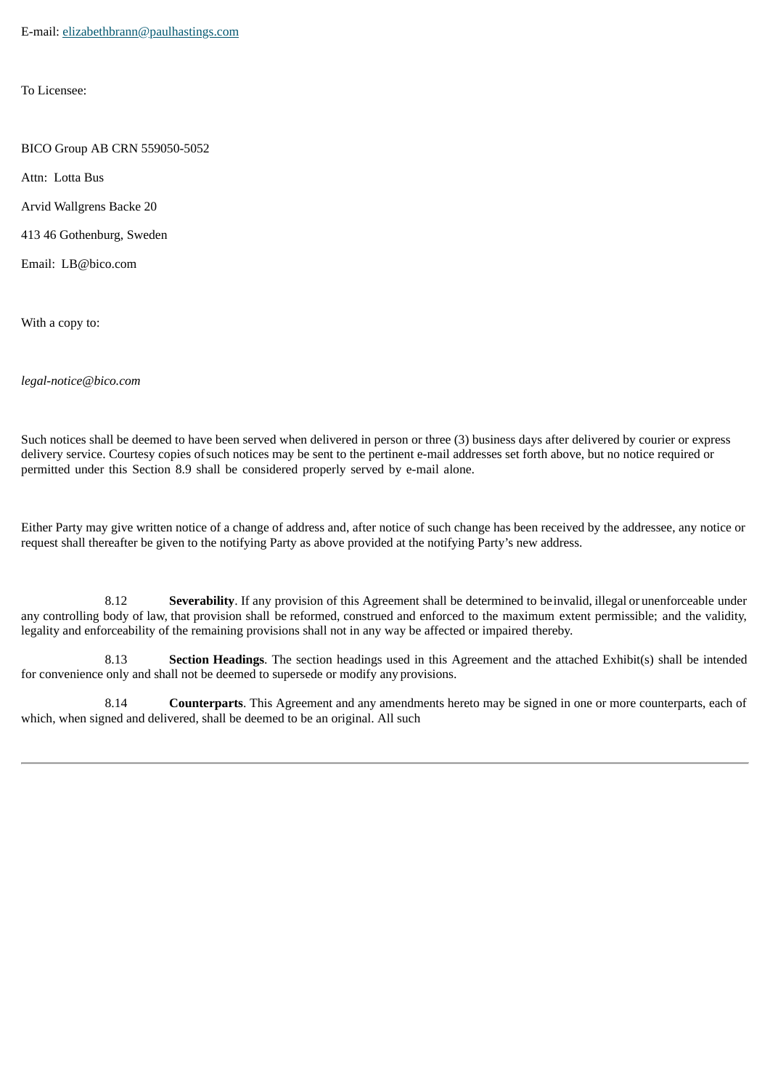E-mail: elizabethbrann@paulhastings.com

To Licensee:

BICO Group AB CRN 559050-5052

Attn: Lotta Bus

Arvid Wallgrens Backe 20

413 46 Gothenburg, Sweden

Email: LB@bico.com

With a copy to:

*legal-notice@bico.com*

Such notices shall be deemed to have been served when delivered in person or three (3) business days after delivered by courier or express delivery service. Courtesy copies ofsuch notices may be sent to the pertinent e-mail addresses set forth above, but no notice required or permitted under this Section 8.9 shall be considered properly served by e-mail alone.

Either Party may give written notice of a change of address and, after notice of such change has been received by the addressee, any notice or request shall thereafter be given to the notifying Party as above provided at the notifying Party's new address.

8.12 **Severability**. If any provision of this Agreement shall be determined to beinvalid, illegal or unenforceable under any controlling body of law, that provision shall be reformed, construed and enforced to the maximum extent permissible; and the validity, legality and enforceability of the remaining provisions shall not in any way be affected or impaired thereby.

8.13 **Section Headings**. The section headings used in this Agreement and the attached Exhibit(s) shall be intended for convenience only and shall not be deemed to supersede or modify any provisions.

8.14 **Counterparts**. This Agreement and any amendments hereto may be signed in one or more counterparts, each of which, when signed and delivered, shall be deemed to be an original. All such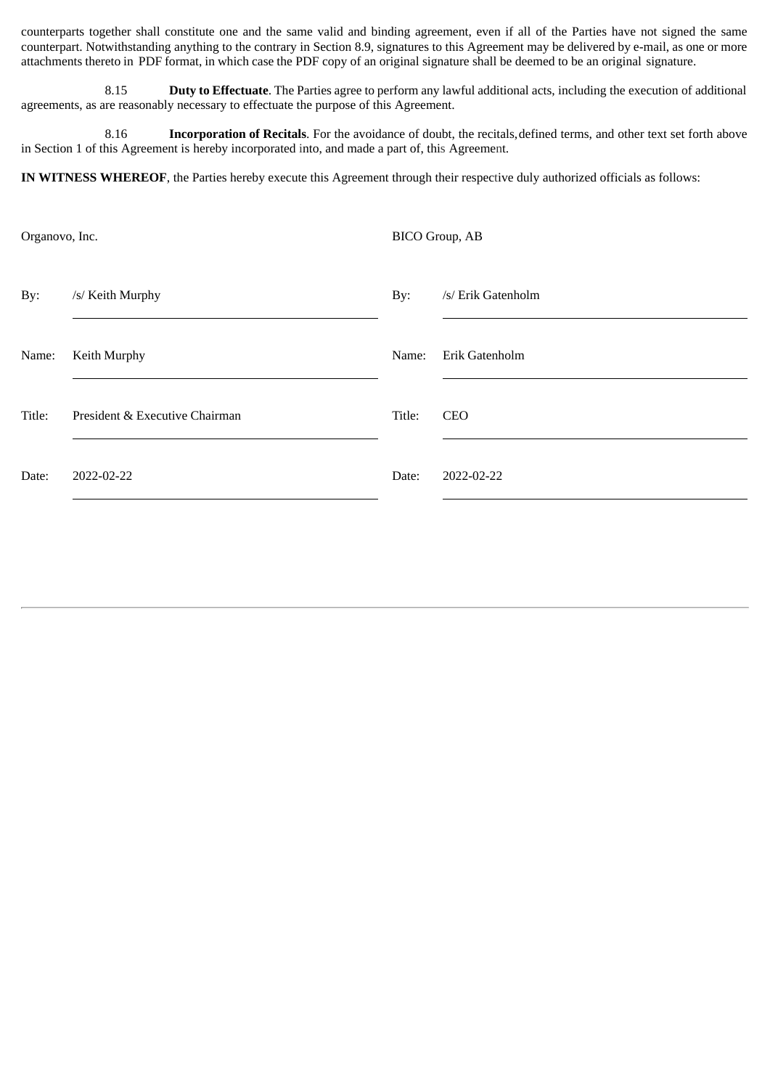counterparts together shall constitute one and the same valid and binding agreement, even if all of the Parties have not signed the same counterpart. Notwithstanding anything to the contrary in Section 8.9, signatures to this Agreement may be delivered by e-mail, as one or more attachments thereto in PDF format, in which case the PDF copy of an original signature shall be deemed to be an original signature.

8.15 **Duty to Effectuate**. The Parties agree to perform any lawful additional acts, including the execution of additional agreements, as are reasonably necessary to effectuate the purpose of this Agreement.

8.16 **Incorporation of Recitals**. For the avoidance of doubt, the recitals,defined terms, and other text set forth above in Section 1 of this Agreement is hereby incorporated into, and made a part of, this Agreement.

**IN WITNESS WHEREOF**, the Parties hereby execute this Agreement through their respective duly authorized officials as follows:

| Organovo, Inc. |                                | <b>BICO Group, AB</b> |                    |
|----------------|--------------------------------|-----------------------|--------------------|
| By:            | /s/ Keith Murphy               | By:                   | /s/ Erik Gatenholm |
| Name:          | Keith Murphy                   | Name:                 | Erik Gatenholm     |
| Title:         | President & Executive Chairman | Title:                | <b>CEO</b>         |
| Date:          | 2022-02-22                     | Date:                 | 2022-02-22         |
|                |                                |                       |                    |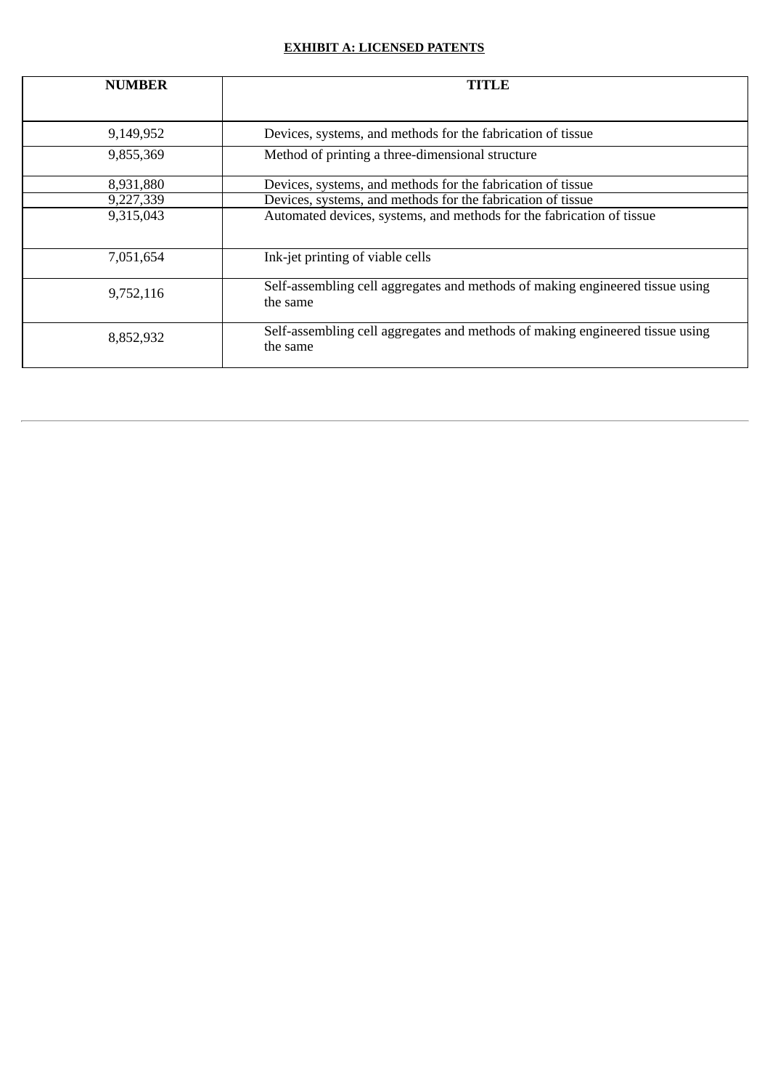# **EXHIBIT A: LICENSED PATENTS**

| <b>NUMBER</b> | TITLE                                                                                     |
|---------------|-------------------------------------------------------------------------------------------|
| 9,149,952     | Devices, systems, and methods for the fabrication of tissue                               |
| 9,855,369     | Method of printing a three-dimensional structure                                          |
| 8,931,880     | Devices, systems, and methods for the fabrication of tissue                               |
| 9,227,339     | Devices, systems, and methods for the fabrication of tissue                               |
| 9,315,043     | Automated devices, systems, and methods for the fabrication of tissue                     |
| 7,051,654     | Ink-jet printing of viable cells                                                          |
| 9,752,116     | Self-assembling cell aggregates and methods of making engineered tissue using<br>the same |
| 8,852,932     | Self-assembling cell aggregates and methods of making engineered tissue using<br>the same |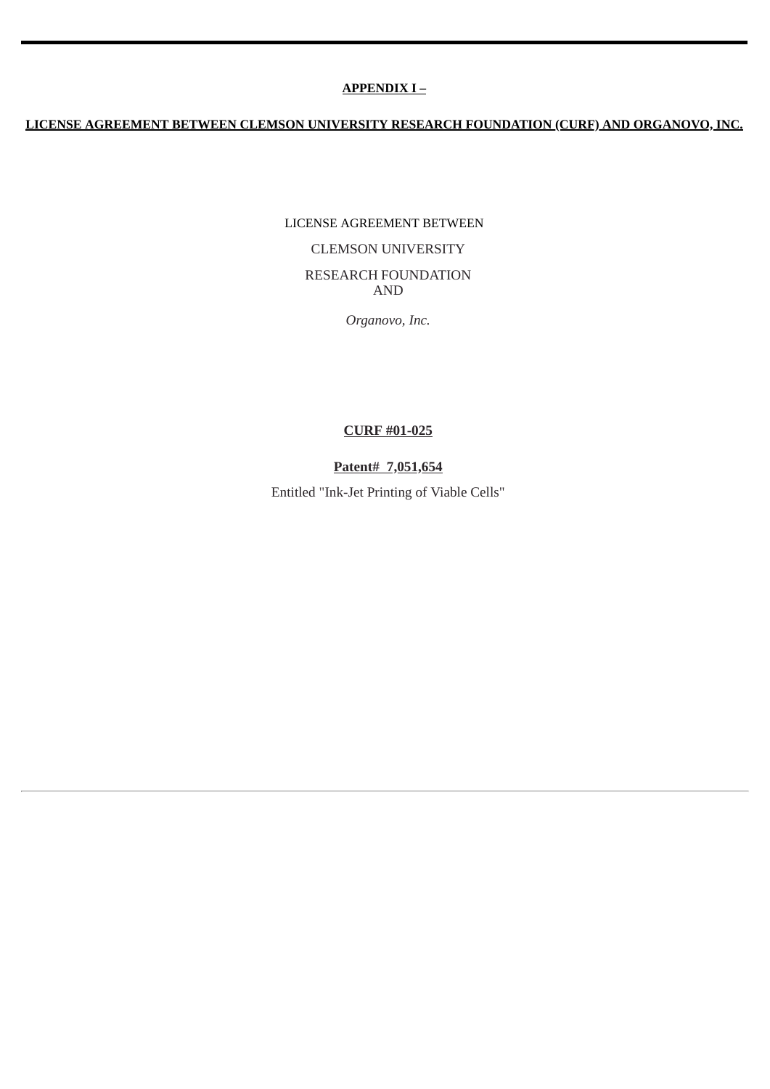# **APPENDIX I –**

# **LICENSE AGREEMENT BETWEEN CLEMSON UNIVERSITY RESEARCH FOUNDATION (CURF) AND ORGANOVO, INC.**

LICENSE AGREEMENT BETWEEN CLEMSON UNIVERSITY RESEARCH FOUNDATION AND

*Organovo, Inc.*

# **CURF #01-025**

**Patent# 7,051,654**

Entitled "Ink-Jet Printing of Viable Cells"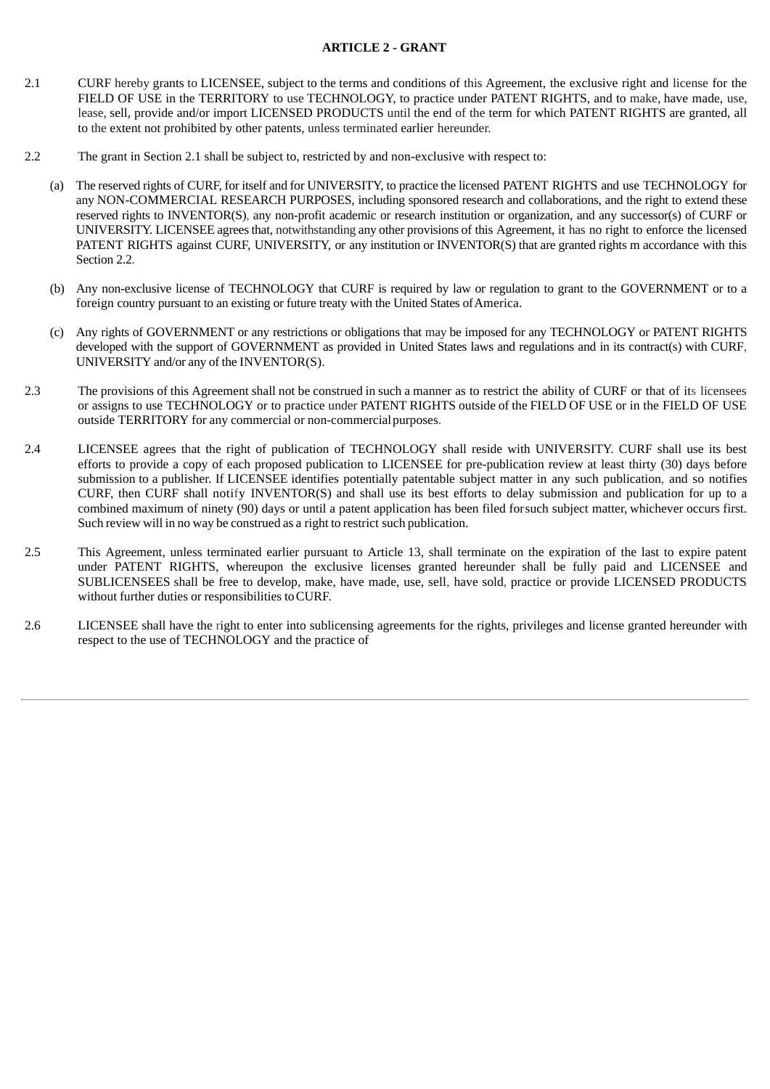### **ARTICLE 2 - GRANT**

- 2.1 CURF hereby grants to LICENSEE, subject to the terms and conditions of this Agreement, the exclusive right and license for the FIELD OF USE in the TERRITORY to use TECHNOLOGY, to practice under PATENT RIGHTS, and to make, have made, use, lease, sell, provide and/or import LICENSED PRODUCTS until the end of the term for which PATENT RIGHTS are granted, all to the extent not prohibited by other patents, unless terminated earlier hereunder.
- 2.2 The grant in Section 2.1 shall be subject to, restricted by and non-exclusive with respect to:
	- (a) The reserved rights of CURF, for itself and for UNIVERSITY, to practice the licensed PATENT RIGHTS and use TECHNOLOGY for any NON-COMMERCIAL RESEARCH PURPOSES, including sponsored research and collaborations, and the right to extend these reserved rights to INVENTOR(S), any non-profit academic or research institution or organization, and any successor(s) of CURF or UNIVERSITY. LICENSEE agreesthat, notwithstanding any other provisions of this Agreement, it has no right to enforce the licensed PATENT RIGHTS against CURF, UNIVERSITY, or any institution or INVENTOR(S) that are granted rights m accordance with this Section 2.2.
	- (b) Any non-exclusive license of TECHNOLOGY that CURF is required by law or regulation to grant to the GOVERNMENT or to a foreign country pursuant to an existing or future treaty with the United States ofAmerica.
	- (c) Any rights of GOVERNMENT or any restrictions or obligations that may be imposed for any TECHNOLOGY or PATENT RIGHTS developed with the support of GOVERNMENT as provided in United States laws and regulations and in its contract(s) with CURF, UNIVERSITY and/or any of the INVENTOR(S).
- 2.3 The provisions of this Agreement shall not be construed in such a manner as to restrict the ability of CURF or that of its licensees or assigns to use TECHNOLOGY or to practice under PATENT RIGHTS outside of the FIELD OF USE or in the FIELD OF USE outside TERRITORY for any commercial or non-commercialpurposes.
- 2.4 LICENSEE agrees that the right of publication of TECHNOLOGY shall reside with UNIVERSITY. CURF shall use its best efforts to provide a copy of each proposed publication to LICENSEE for pre-publication review at least thirty (30) days before submission to a publisher. If LICENSEE identifies potentially patentable subject matter in any such publication, and so notifies CURF, then CURF shall notify INVENTOR(S) and shall use its best efforts to delay submission and publication for up to a combined maximum of ninety (90) days or until a patent application has been filed forsuch subject matter, whichever occurs first. Such review will in no way be construed as a right to restrict such publication.
- 2.5 This Agreement, unless terminated earlier pursuant to Article 13, shall terminate on the expiration of the last to expire patent under PATENT RIGHTS, whereupon the exclusive licenses granted hereunder shall be fully paid and LICENSEE and SUBLICENSEES shall be free to develop, make, have made, use, sell, have sold, practice or provide LICENSED PRODUCTS without further duties or responsibilities to CURF.
- 2.6 LICENSEE shall have the right to enter into sublicensing agreements for the rights, privileges and license granted hereunder with respect to the use of TECHNOLOGY and the practice of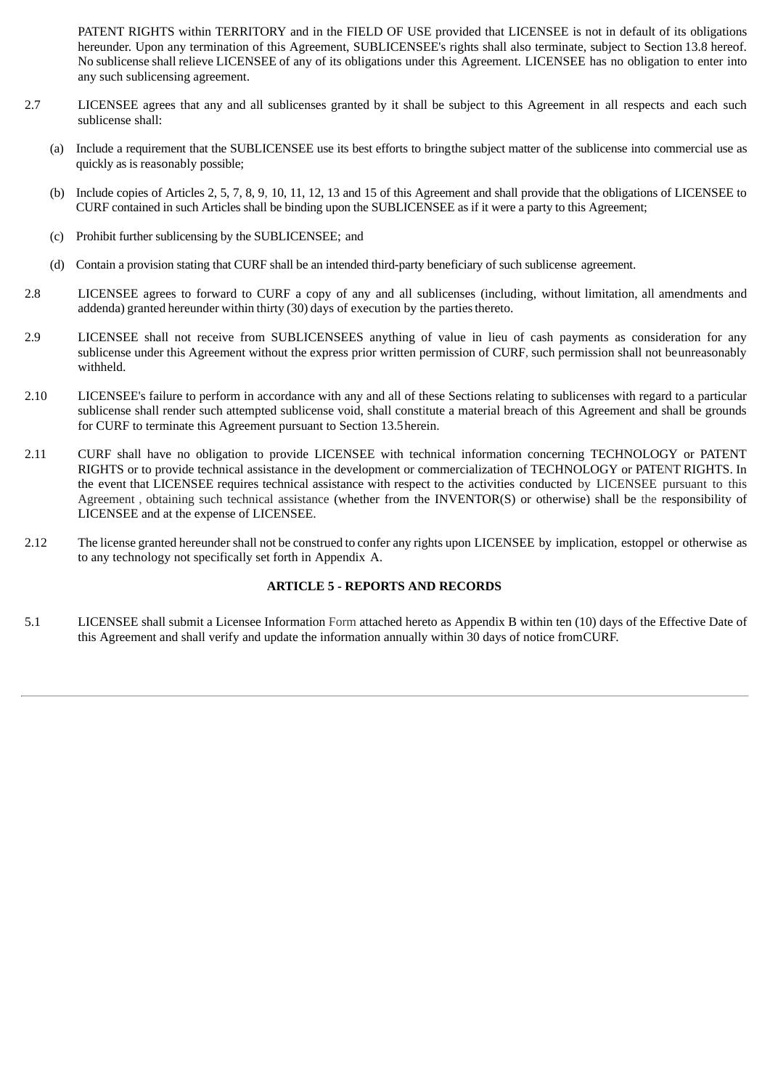PATENT RIGHTS within TERRITORY and in the FIELD OF USE provided that LICENSEE is not in default of its obligations hereunder. Upon any termination of this Agreement, SUBLICENSEE's rights shall also terminate, subject to Section 13.8 hereof. No sublicense shall relieve LICENSEE of any of its obligations under this Agreement. LICENSEE has no obligation to enter into any such sublicensing agreement.

- 2.7 LICENSEE agrees that any and all sublicenses granted by it shall be subject to this Agreement in all respects and each such sublicense shall:
	- (a) Include a requirement that the SUBLICENSEE use its best efforts to bringthe subject matter of the sublicense into commercial use as quickly as is reasonably possible;
	- (b) Include copies of Articles 2, 5, 7, 8, 9, 10, 11, 12, 13 and 15 of this Agreement and shall provide that the obligations of LICENSEE to CURF contained in such Articles shall be binding upon the SUBLICENSEE as if it were a party to this Agreement;
	- (c) Prohibit further sublicensing by the SUBLICENSEE; and
	- (d) Contain a provision stating that CURF shall be an intended third-party beneficiary of such sublicense agreement.
- 2.8 LICENSEE agrees to forward to CURF a copy of any and all sublicenses (including, without limitation, all amendments and addenda) granted hereunder within thirty (30) days of execution by the partiesthereto.
- 2.9 LICENSEE shall not receive from SUBLICENSEES anything of value in lieu of cash payments as consideration for any sublicense under this Agreement without the express prior written permission of CURF, such permission shall not beunreasonably withheld.
- 2.10 LICENSEE's failure to perform in accordance with any and all of these Sections relating to sublicenses with regard to a particular sublicense shall render such attempted sublicense void, shall constitute a material breach of this Agreement and shall be grounds for CURF to terminate this Agreement pursuant to Section 13.5herein.
- 2.11 CURF shall have no obligation to provide LICENSEE with technical information concerning TECHNOLOGY or PATENT RIGHTS or to provide technical assistance in the development or commercialization of TECHNOLOGY or PATENT RIGHTS. In the event that LICENSEE requires technical assistance with respect to the activities conducted by LICENSEE pursuant to this Agreement , obtaining such technical assistance (whether from the INVENTOR(S) or otherwise) shall be the responsibility of LICENSEE and at the expense of LICENSEE.
- 2.12 The license granted hereundershall not be construed to confer any rights upon LICENSEE by implication, estoppel or otherwise as to any technology not specifically set forth in Appendix A.

# **ARTICLE 5 - REPORTS AND RECORDS**

5.1 LICENSEE shall submit a Licensee Information Form attached hereto as Appendix B within ten (10) days of the Effective Date of this Agreement and shall verify and update the information annually within 30 days of notice fromCURF.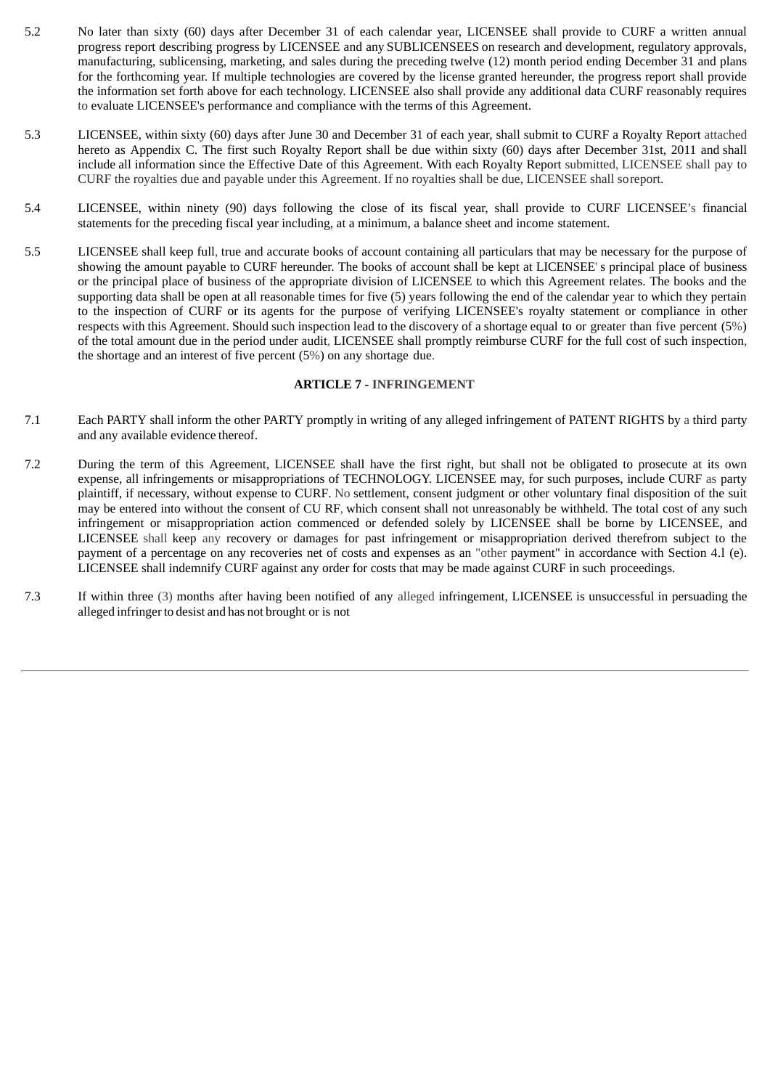- 5.2 No later than sixty (60) days after December 31 of each calendar year, LICENSEE shall provide to CURF a written annual progress report describing progress by LICENSEE and any SUBLICENSEES on research and development, regulatory approvals, manufacturing, sublicensing, marketing, and sales during the preceding twelve (12) month period ending December 31 and plans for the forthcoming year. If multiple technologies are covered by the license granted hereunder, the progress report shall provide the information set forth above for each technology. LICENSEE also shall provide any additional data CURF reasonably requires to evaluate LICENSEE's performance and compliance with the terms of this Agreement.
- 5.3 LICENSEE, within sixty (60) days after June 30 and December 31 of each year, shall submit to CURF a Royalty Report attached hereto as Appendix C. The first such Royalty Report shall be due within sixty (60) days after December 31st, 2011 and shall include all information since the Effective Date of this Agreement. With each Royalty Report submitted, LICENSEE shall pay to CURF the royalties due and payable under this Agreement. If no royalties shall be due, LICENSEE shall soreport.
- 5.4 LICENSEE, within ninety (90) days following the close of its fiscal year, shall provide to CURF LICENSEE's financial statements for the preceding fiscal year including, at a minimum, a balance sheet and income statement.
- 5.5 LICENSEE shall keep full, true and accurate books of account containing all particulars that may be necessary for the purpose of showing the amount payable to CURF hereunder. The books of account shall be kept at LICENSEE' s principal place of business or the principal place of business of the appropriate division of LICENSEE to which this Agreement relates. The books and the supporting data shall be open at all reasonable times for five (5) years following the end of the calendar year to which they pertain to the inspection of CURF or its agents for the purpose of verifying LICENSEE's royalty statement or compliance in other respects with this Agreement. Should such inspection lead to the discovery of a shortage equal to or greater than five percent (5%) of the total amount due in the period under audit, LICENSEE shall promptly reimburse CURF for the full cost of such inspection, the shortage and an interest of five percent (5%) on any shortage due.

## **ARTICLE 7 - INFRINGEMENT**

- 7.1 Each PARTY shall inform the other PARTY promptly in writing of any alleged infringement of PATENT RIGHTS by a third party and any available evidence thereof.
- 7.2 During the term of this Agreement, LICENSEE shall have the first right, but shall not be obligated to prosecute at its own expense, all infringements or misappropriations of TECHNOLOGY. LICENSEE may, for such purposes, include CURF as party plaintiff, if necessary, without expense to CURF. No settlement, consent judgment or other voluntary final disposition of the suit may be entered into without the consent of CU RF, which consent shall not unreasonably be withheld. The total cost of any such infringement or misappropriation action commenced or defended solely by LICENSEE shall be borne by LICENSEE, and LICENSEE shall keep any recovery or damages for past infringement or misappropriation derived therefrom subject to the payment of a percentage on any recoveries net of costs and expenses as an "other payment" in accordance with Section 4.l (e). LICENSEE shall indemnify CURF against any order for costs that may be made against CURF in such proceedings.
- 7.3 If within three (3) months after having been notified of any alleged infringement, LICENSEE is unsuccessful in persuading the alleged infringerto desist and has not brought or is not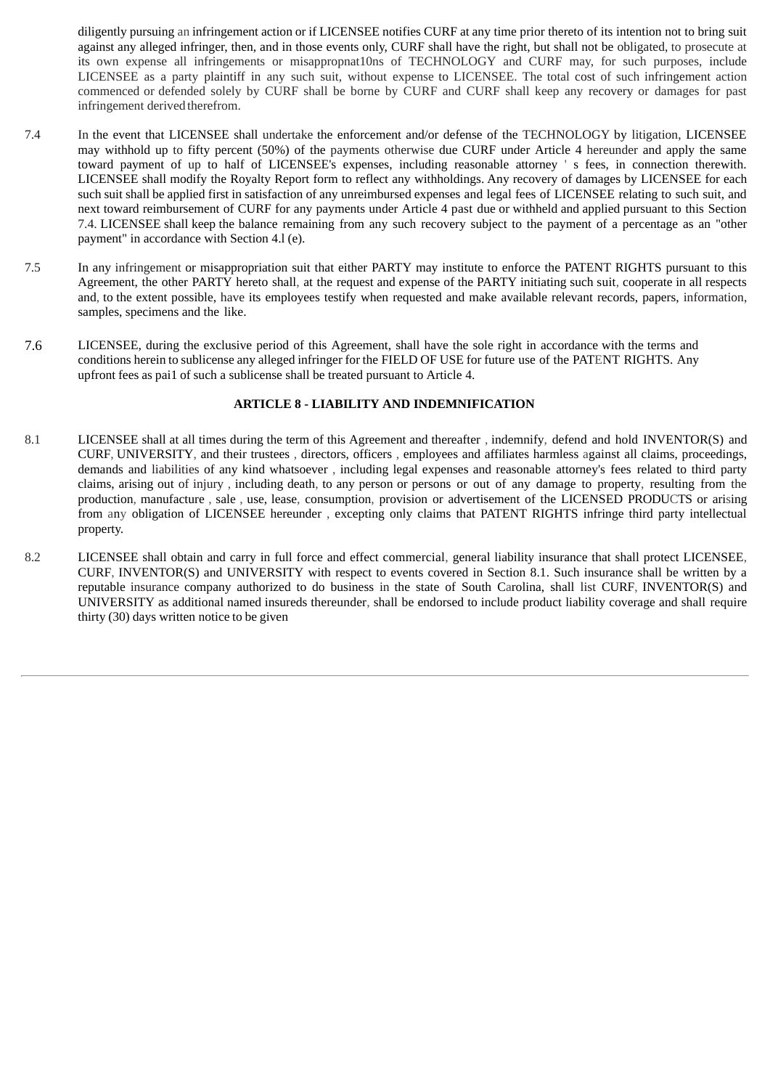diligently pursuing an infringement action or if LICENSEE notifies CURF at any time prior thereto of its intention not to bring suit against any alleged infringer, then, and in those events only, CURF shall have the right, but shall not be obligated, to prosecute at its own expense all infringements or misappropnat10ns of TECHNOLOGY and CURF may, for such purposes, include LICENSEE as a party plaintiff in any such suit, without expense to LICENSEE. The total cost of such infringement action commenced or defended solely by CURF shall be borne by CURF and CURF shall keep any recovery or damages for past infringement derived therefrom.

- 7.4 In the event that LICENSEE shall undertake the enforcement and/or defense of the TECHNOLOGY by litigation, LICENSEE may withhold up to fifty percent (50%) of the payments otherwise due CURF under Article 4 hereunder and apply the same toward payment of up to half of LICENSEE's expenses, including reasonable attorney ' s fees, in connection therewith. LICENSEE shall modify the Royalty Report form to reflect any withholdings. Any recovery of damages by LICENSEE for each such suit shall be applied first in satisfaction of any unreimbursed expenses and legal fees of LICENSEE relating to such suit, and next toward reimbursement of CURF for any payments under Article 4 past due or withheld and applied pursuant to this Section 7.4. LICENSEE shall keep the balance remaining from any such recovery subject to the payment of a percentage as an "other payment" in accordance with Section 4.l (e).
- 7.5 In any infringement or misappropriation suit that either PARTY may institute to enforce the PATENT RIGHTS pursuant to this Agreement, the other PARTY hereto shall, at the request and expense of the PARTY initiating such suit, cooperate in all respects and, to the extent possible, have its employees testify when requested and make available relevant records, papers, information, samples, specimens and the like.
- 7.6 LICENSEE, during the exclusive period of this Agreement, shall have the sole right in accordance with the terms and conditions herein to sublicense any alleged infringer for the FIELD OF USE for future use of the PATENT RIGHTS. Any upfront fees as pai1 of such a sublicense shall be treated pursuant to Article 4.

## **ARTICLE 8 - LIABILITY AND INDEMNIFICATION**

- 8.1 LICENSEE shall at all times during the term of this Agreement and thereafter , indemnify, defend and hold INVENTOR(S) and CURF, UNIVERSITY, and their trustees , directors, officers , employees and affiliates harmless against all claims, proceedings, demands and liabilities of any kind whatsoever , including legal expenses and reasonable attorney's fees related to third party claims, arising out of injury , including death, to any person or persons or out of any damage to property, resulting from the production, manufacture , sale , use, lease, consumption, provision or advertisement of the LICENSED PRODUCTS or arising from any obligation of LICENSEE hereunder , excepting only claims that PATENT RIGHTS infringe third party intellectual property.
- 8.2 LICENSEE shall obtain and carry in full force and effect commercial, general liability insurance that shall protect LICENSEE, CURF, INVENTOR(S) and UNIVERSITY with respect to events covered in Section 8.1. Such insurance shall be written by a reputable insurance company authorized to do business in the state of South Carolina, shall list CURF, INVENTOR(S) and UNIVERSITY as additional named insureds thereunder, shall be endorsed to include product liability coverage and shall require thirty (30) days written notice to be given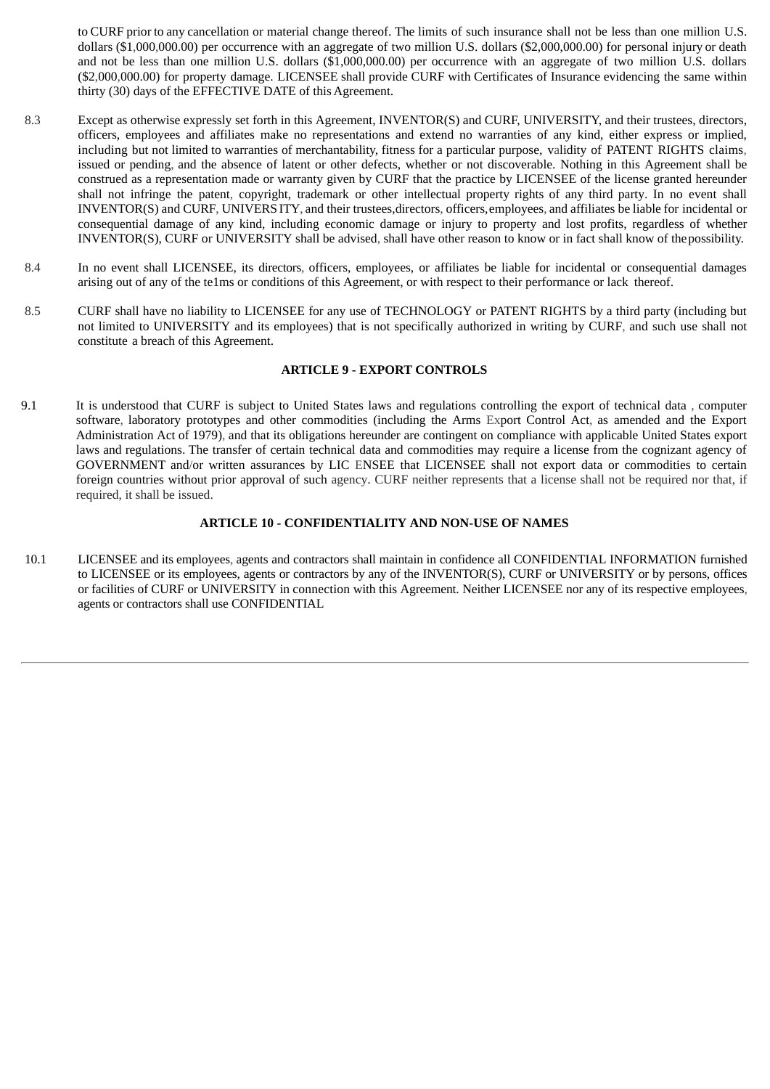to CURF prior to any cancellation or material change thereof. The limits of such insurance shall not be less than one million U.S. dollars (\$1,000,000.00) per occurrence with an aggregate of two million U.S. dollars (\$2,000,000.00) for personal injury or death and not be less than one million U.S. dollars (\$1,000,000.00) per occurrence with an aggregate of two million U.S. dollars (\$2,000,000.00) for property damage. LICENSEE shall provide CURF with Certificates of Insurance evidencing the same within thirty (30) days of the EFFECTIVE DATE of this Agreement.

- 8.3 Except as otherwise expressly set forth in this Agreement, INVENTOR(S) and CURF, UNIVERSITY, and their trustees, directors, officers, employees and affiliates make no representations and extend no warranties of any kind, either express or implied, including but not limited to warranties of merchantability, fitness for a particular purpose, validity of PATENT RIGHTS claims, issued or pending, and the absence of latent or other defects, whether or not discoverable. Nothing in this Agreement shall be construed as a representation made or warranty given by CURF that the practice by LICENSEE of the license granted hereunder shall not infringe the patent, copyright, trademark or other intellectual property rights of any third party. In no event shall INVENTOR(S) and CURF, UNIVERS ITY, and their trustees,directors, officers,employees, and affiliates be liable for incidental or consequential damage of any kind, including economic damage or injury to property and lost profits, regardless of whether INVENTOR(S), CURF or UNIVERSITY shall be advised, shall have other reason to know or in fact shall know of thepossibility.
- 8.4 In no event shall LICENSEE, its directors, officers, employees, or affiliates be liable for incidental or consequential damages arising out of any of the te1ms or conditions of this Agreement, or with respect to their performance or lack thereof.
- 8.5 CURF shall have no liability to LICENSEE for any use of TECHNOLOGY or PATENT RIGHTS by a third party (including but not limited to UNIVERSITY and its employees) that is not specifically authorized in writing by CURF, and such use shall not constitute a breach of this Agreement.

#### **ARTICLE 9 - EXPORT CONTROLS**

9.1 It is understood that CURF is subject to United States laws and regulations controlling the export of technical data , computer software, laboratory prototypes and other commodities (including the Arms Export Control Act, as amended and the Export Administration Act of 1979), and that its obligations hereunder are contingent on compliance with applicable United States export laws and regulations. The transfer of certain technical data and commodities may require a license from the cognizant agency of GOVERNMENT and/or written assurances by LIC ENSEE that LICENSEE shall not export data or commodities to certain foreign countries without prior approval of such agency. CURF neither represents that a license shall not be required nor that, if required, it shall be issued.

#### **ARTICLE 10 - CONFIDENTIALITY AND NON-USE OF NAMES**

10.1 LICENSEE and its employees, agents and contractors shall maintain in confidence all CONFIDENTIAL INFORMATION furnished to LICENSEE or its employees, agents or contractors by any of the INVENTOR(S), CURF or UNIVERSITY or by persons, offices or facilities of CURF or UNIVERSITY in connection with this Agreement. Neither LICENSEE nor any of its respective employees, agents or contractors shall use CONFIDENTIAL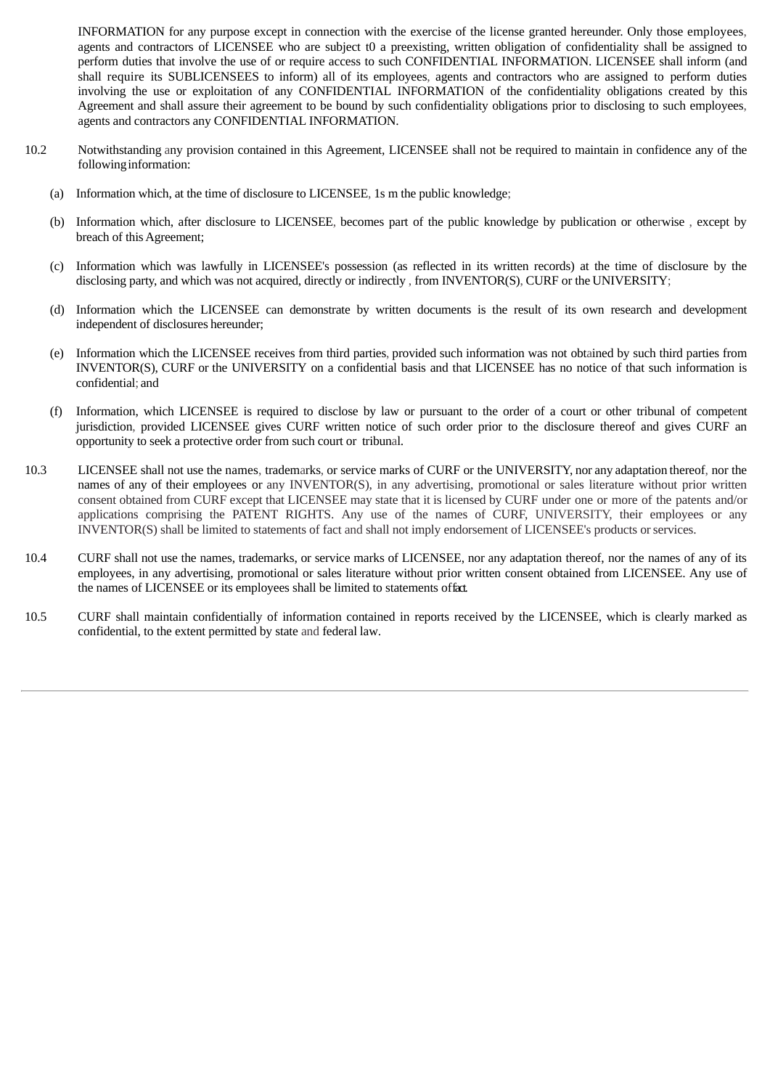INFORMATION for any purpose except in connection with the exercise of the license granted hereunder. Only those employees, agents and contractors of LICENSEE who are subject t0 a preexisting, written obligation of confidentiality shall be assigned to perform duties that involve the use of or require access to such CONFIDENTIAL INFORMATION. LICENSEE shall inform (and shall require its SUBLICENSEES to inform) all of its employees, agents and contractors who are assigned to perform duties involving the use or exploitation of any CONFIDENTIAL INFORMATION of the confidentiality obligations created by this Agreement and shall assure their agreement to be bound by such confidentiality obligations prior to disclosing to such employees, agents and contractors any CONFIDENTIAL INFORMATION.

- 10.2 Notwithstanding any provision contained in this Agreement, LICENSEE shall not be required to maintain in confidence any of the following information:
	- (a) Information which, at the time of disclosure to LICENSEE, 1s m the public knowledge;
	- (b) Information which, after disclosure to LICENSEE, becomes part of the public knowledge by publication or otherwise , except by breach of this Agreement;
	- (c) Information which was lawfully in LICENSEE's possession (as reflected in its written records) at the time of disclosure by the disclosing party, and which was not acquired, directly or indirectly , from INVENTOR(S), CURF or the UNIVERSITY;
	- (d) Information which the LICENSEE can demonstrate by written documents is the result of its own research and development independent of disclosures hereunder;
	- (e) Information which the LICENSEE receives from third parties, provided such information was not obtained by such third parties from INVENTOR(S), CURF or the UNIVERSITY on a confidential basis and that LICENSEE has no notice of that such information is confidential; and
	- (f) Information, which LICENSEE is required to disclose by law or pursuant to the order of a court or other tribunal of competent jurisdiction, provided LICENSEE gives CURF written notice of such order prior to the disclosure thereof and gives CURF an opportunity to seek a protective order from such court or tribunal.
- 10.3 LICENSEE shall not use the names, trademarks, or service marks of CURF or the UNIVERSITY, nor any adaptation thereof, nor the names of any of their employees or any INVENTOR(S), in any advertising, promotional or sales literature without prior written consent obtained from CURF except that LICENSEE may state that it is licensed by CURF under one or more of the patents and/or applications comprising the PATENT RIGHTS. Any use of the names of CURF, UNIVERSITY, their employees or any INVENTOR(S) shall be limited to statements of fact and shall not imply endorsement of LICENSEE's products orservices.
- 10.4 CURF shall not use the names, trademarks, or service marks of LICENSEE, nor any adaptation thereof, nor the names of any of its employees, in any advertising, promotional or sales literature without prior written consent obtained from LICENSEE. Any use of the names of LICENSEE or its employees shall be limited to statements offact.
- 10.5 CURF shall maintain confidentially of information contained in reports received by the LICENSEE, which is clearly marked as confidential, to the extent permitted by state and federal law.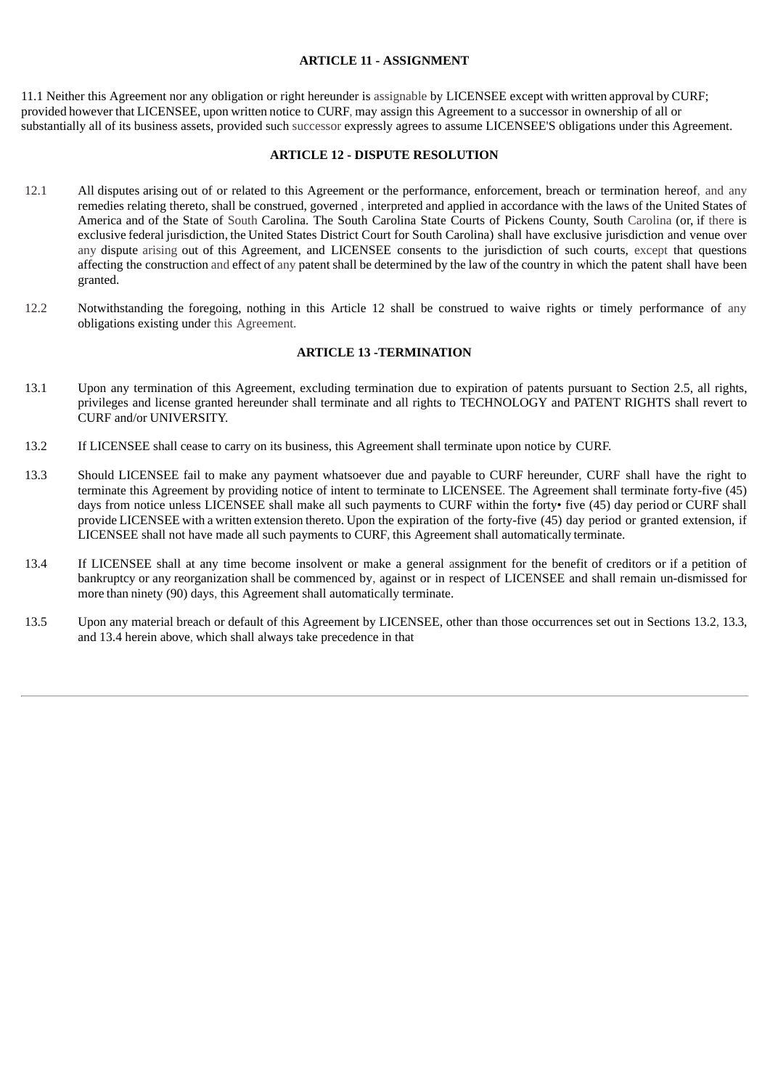### **ARTICLE 11 - ASSIGNMENT**

11.1 Neither this Agreement nor any obligation or right hereunder is assignable by LICENSEE except with written approval by CURF; provided however that LICENSEE, upon written notice to CURF, may assign this Agreement to a successor in ownership of all or substantially all of its business assets, provided such successor expressly agrees to assume LICENSEE'S obligations under this Agreement.

#### **ARTICLE 12 - DISPUTE RESOLUTION**

- 12.1 All disputes arising out of or related to this Agreement or the performance, enforcement, breach or termination hereof, and any remedies relating thereto, shall be construed, governed , interpreted and applied in accordance with the laws of the United States of America and of the State of South Carolina. The South Carolina State Courts of Pickens County, South Carolina (or, if there is exclusive federal jurisdiction, the United States District Court for South Carolina) shall have exclusive jurisdiction and venue over any dispute arising out of this Agreement, and LICENSEE consents to the jurisdiction of such courts, except that questions affecting the construction and effect of any patent shall be determined by the law of the country in which the patent shall have been granted.
- 12.2 Notwithstanding the foregoing, nothing in this Article 12 shall be construed to waive rights or timely performance of any obligations existing under this Agreement.

## **ARTICLE 13 -TERMINATION**

- 13.1 Upon any termination of this Agreement, excluding termination due to expiration of patents pursuant to Section 2.5, all rights, privileges and license granted hereunder shall terminate and all rights to TECHNOLOGY and PATENT RIGHTS shall revert to CURF and/or UNIVERSITY.
- 13.2 If LICENSEE shall cease to carry on its business, this Agreement shall terminate upon notice by CURF.
- 13.3 Should LICENSEE fail to make any payment whatsoever due and payable to CURF hereunder, CURF shall have the right to terminate this Agreement by providing notice of intent to terminate to LICENSEE. The Agreement shall terminate forty-five (45) days from notice unless LICENSEE shall make all such payments to CURF within the forty• five (45) day period or CURF shall provide LICENSEE with a written extension thereto. Upon the expiration of the forty-five (45) day period or granted extension, if LICENSEE shall not have made all such payments to CURF, this Agreement shall automatically terminate.
- 13.4 If LICENSEE shall at any time become insolvent or make a general assignment for the benefit of creditors or if a petition of bankruptcy or any reorganization shall be commenced by, against or in respect of LICENSEE and shall remain un-dismissed for more than ninety (90) days, this Agreement shall automatically terminate.
- 13.5 Upon any material breach or default of this Agreement by LICENSEE, other than those occurrences set out in Sections 13.2, 13.3, and 13.4 herein above, which shall always take precedence in that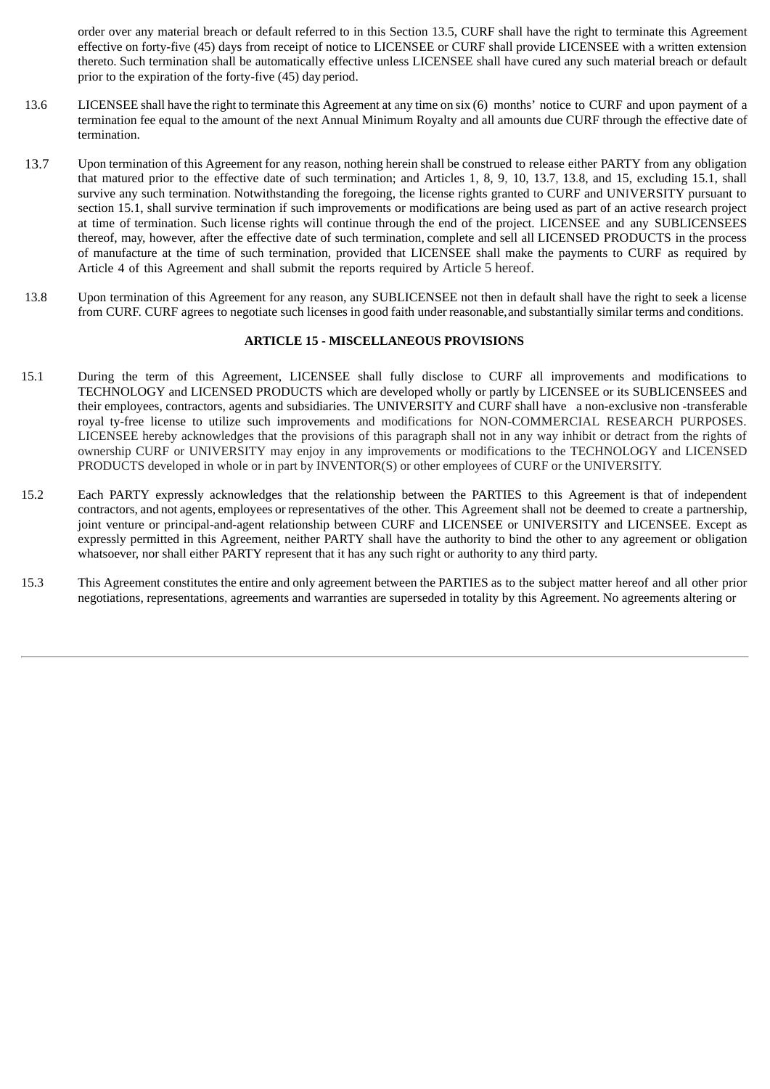order over any material breach or default referred to in this Section 13.5, CURF shall have the right to terminate this Agreement effective on forty-five (45) days from receipt of notice to LICENSEE or CURF shall provide LICENSEE with a written extension thereto. Such termination shall be automatically effective unless LICENSEE shall have cured any such material breach or default prior to the expiration of the forty-five (45) day period.

- 13.6 LICENSEE shall have the right to terminate this Agreement at any time on six (6) months' notice to CURF and upon payment of a termination fee equal to the amount of the next Annual Minimum Royalty and all amounts due CURF through the effective date of termination.
- 13.7 Upon termination of this Agreement for any reason, nothing herein shall be construed to release either PARTY from any obligation that matured prior to the effective date of such termination; and Articles 1, 8, 9, 10, 13.7, 13.8, and 15, excluding 15.1, shall survive any such termination. Notwithstanding the foregoing, the license rights granted to CURF and UNIVERSITY pursuant to section 15.1, shall survive termination if such improvements or modifications are being used as part of an active research project at time of termination. Such license rights will continue through the end of the project. LICENSEE and any SUBLICENSEES thereof, may, however, after the effective date of such termination, complete and sell all LICENSED PRODUCTS in the process of manufacture at the time of such termination, provided that LICENSEE shall make the payments to CURF as required by Article 4 of this Agreement and shall submit the reports required by Article 5 hereof.
- 13.8 Upon termination of this Agreement for any reason, any SUBLICENSEE not then in default shall have the right to seek a license from CURF. CURF agrees to negotiate such licenses in good faith under reasonable,and substantially similar terms and conditions.

## **ARTICLE 15 - MISCELLANEOUS PROVISIONS**

- 15.1 During the term of this Agreement, LICENSEE shall fully disclose to CURF all improvements and modifications to TECHNOLOGY and LICENSED PRODUCTS which are developed wholly or partly by LICENSEE or its SUBLICENSEES and their employees, contractors, agents and subsidiaries. The UNIVERSITY and CURF shall have a non-exclusive non -transferable royal ty-free license to utilize such improvements and modifications for NON-COMMERCIAL RESEARCH PURPOSES. LICENSEE hereby acknowledges that the provisions of this paragraph shall not in any way inhibit or detract from the rights of ownership CURF or UNIVERSITY may enjoy in any improvements or modifications to the TECHNOLOGY and LICENSED PRODUCTS developed in whole or in part by INVENTOR(S) or other employees of CURF or the UNIVERSITY.
- 15.2 Each PARTY expressly acknowledges that the relationship between the PARTIES to this Agreement is that of independent contractors, and not agents, employees or representatives of the other. This Agreement shall not be deemed to create a partnership, joint venture or principal-and-agent relationship between CURF and LICENSEE or UNIVERSITY and LICENSEE. Except as expressly permitted in this Agreement, neither PARTY shall have the authority to bind the other to any agreement or obligation whatsoever, nor shall either PARTY represent that it has any such right or authority to any third party.
- 15.3 This Agreement constitutes the entire and only agreement between the PARTIES as to the subject matter hereof and all other prior negotiations, representations, agreements and warranties are superseded in totality by this Agreement. No agreements altering or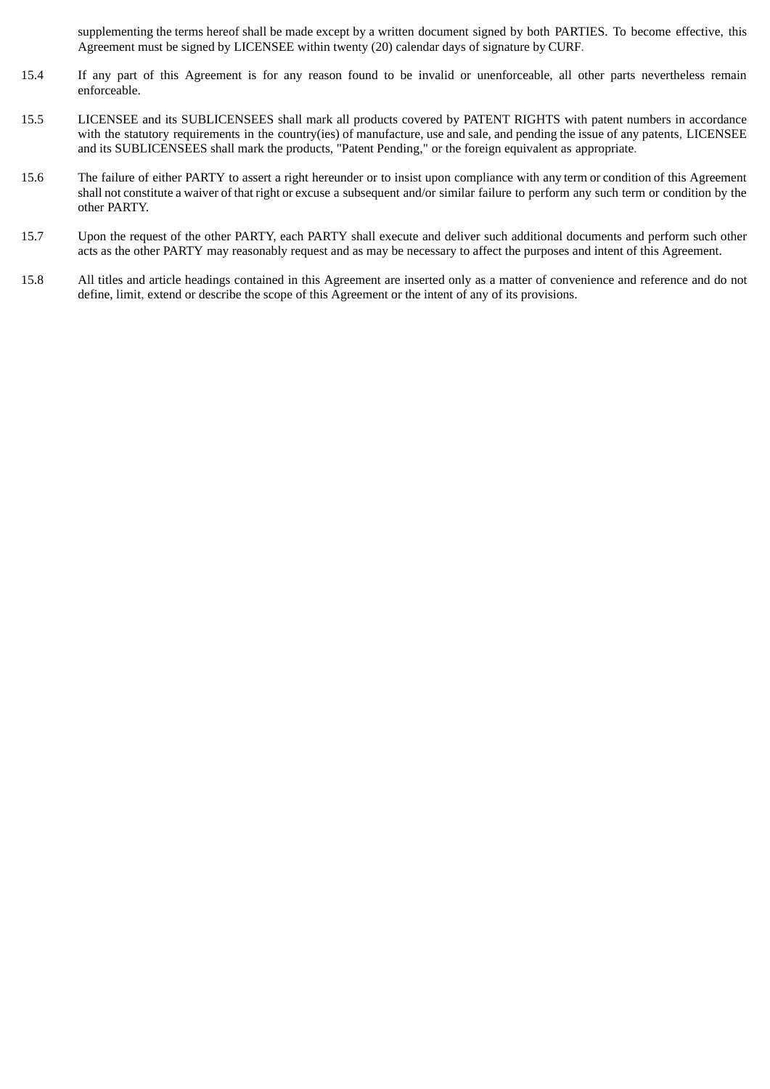supplementing the terms hereof shall be made except by a written document signed by both PARTIES. To become effective, this Agreement must be signed by LICENSEE within twenty (20) calendar days of signature by CURF.

- 15.4 If any part of this Agreement is for any reason found to be invalid or unenforceable, all other parts nevertheless remain enforceable.
- 15.5 LICENSEE and its SUBLICENSEES shall mark all products covered by PATENT RIGHTS with patent numbers in accordance with the statutory requirements in the country(ies) of manufacture, use and sale, and pending the issue of any patents, LICENSEE and its SUBLICENSEES shall mark the products, "Patent Pending," or the foreign equivalent as appropriate.
- 15.6 The failure of either PARTY to assert a right hereunder or to insist upon compliance with any term or condition of this Agreement shall not constitute a waiver of that right or excuse a subsequent and/or similar failure to perform any such term or condition by the other PARTY.
- 15.7 Upon the request of the other PARTY, each PARTY shall execute and deliver such additional documents and perform such other acts as the other PARTY may reasonably request and as may be necessary to affect the purposes and intent of this Agreement.
- 15.8 All titles and article headings contained in this Agreement are inserted only as a matter of convenience and reference and do not define, limit, extend or describe the scope of this Agreement or the intent of any of its provisions.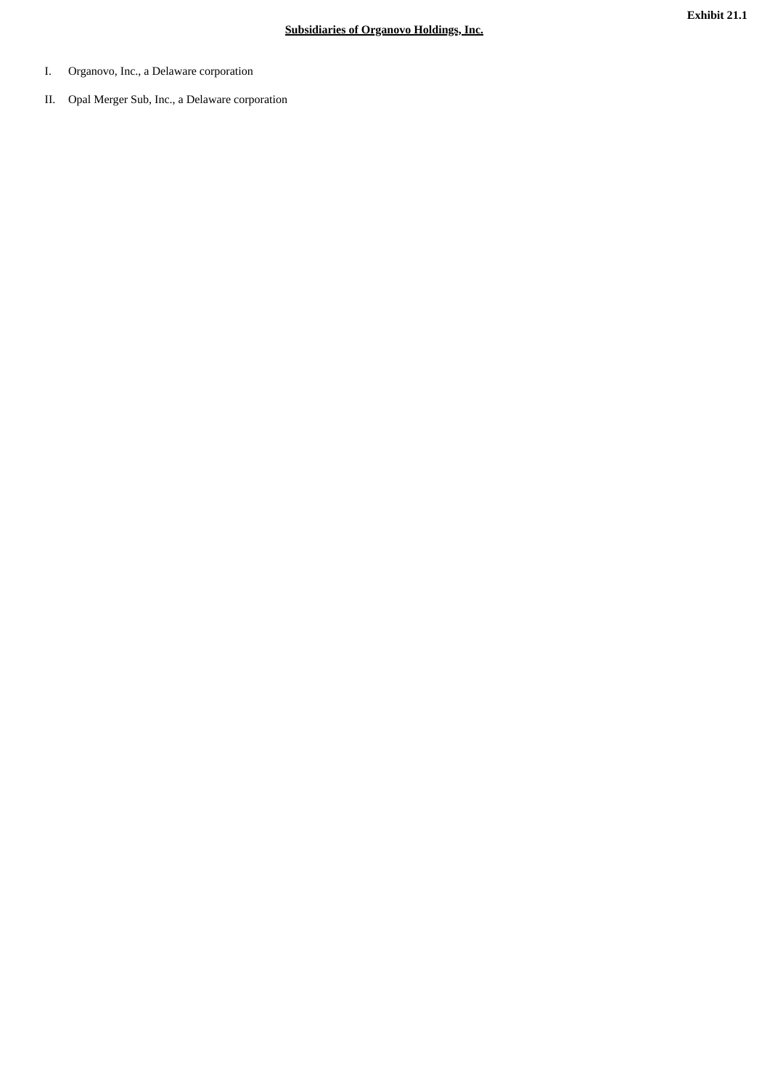- I. Organovo, Inc., a Delaware corporation
- II. Opal Merger Sub, Inc., a Delaware corporation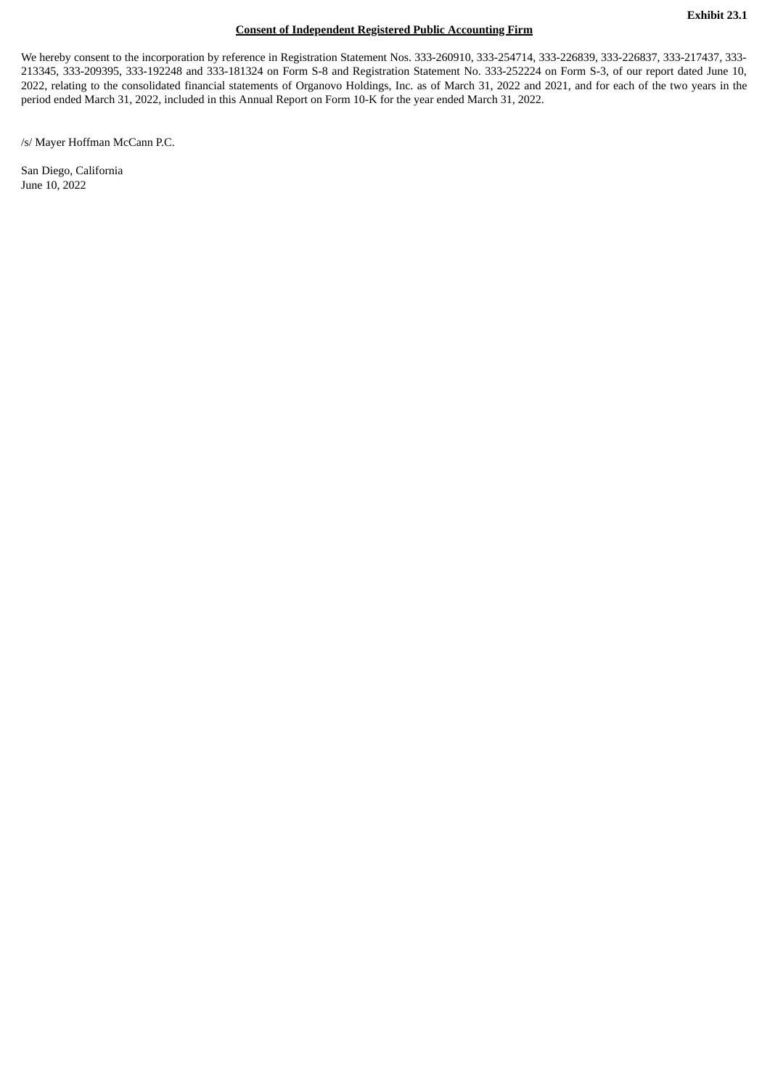### **Consent of Independent Registered Public Accounting Firm**

We hereby consent to the incorporation by reference in Registration Statement Nos. 333-260910, 333-254714, 333-226839, 333-226837, 333-217437, 333- 213345, 333-209395, 333-192248 and 333-181324 on Form S-8 and Registration Statement No. 333-252224 on Form S-3, of our report dated June 10, 2022, relating to the consolidated financial statements of Organovo Holdings, Inc. as of March 31, 2022 and 2021, and for each of the two years in the period ended March 31, 2022, included in this Annual Report on Form 10-K for the year ended March 31, 2022.

/s/ Mayer Hoffman McCann P.C.

San Diego, California June 10, 2022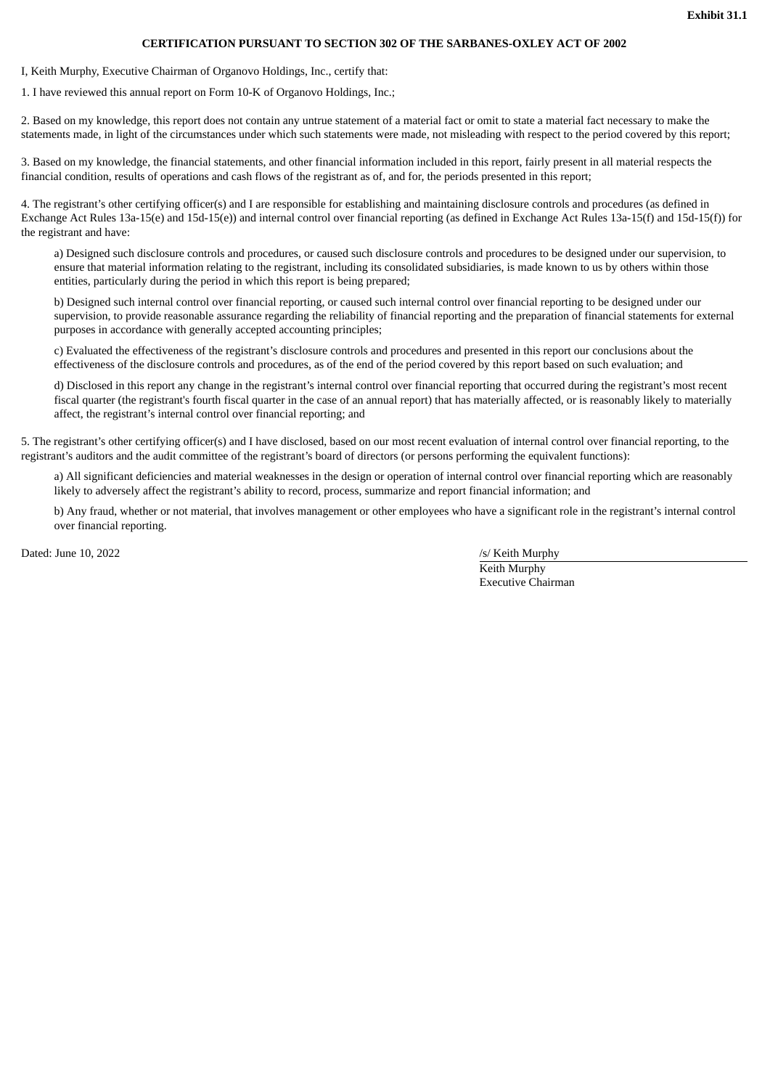### **CERTIFICATION PURSUANT TO SECTION 302 OF THE SARBANES-OXLEY ACT OF 2002**

I, Keith Murphy, Executive Chairman of Organovo Holdings, Inc., certify that:

1. I have reviewed this annual report on Form 10-K of Organovo Holdings, Inc.;

2. Based on my knowledge, this report does not contain any untrue statement of a material fact or omit to state a material fact necessary to make the statements made, in light of the circumstances under which such statements were made, not misleading with respect to the period covered by this report;

3. Based on my knowledge, the financial statements, and other financial information included in this report, fairly present in all material respects the financial condition, results of operations and cash flows of the registrant as of, and for, the periods presented in this report;

4. The registrant's other certifying officer(s) and I are responsible for establishing and maintaining disclosure controls and procedures (as defined in Exchange Act Rules 13a-15(e) and 15d-15(e)) and internal control over financial reporting (as defined in Exchange Act Rules 13a-15(f) and 15d-15(f)) for the registrant and have:

a) Designed such disclosure controls and procedures, or caused such disclosure controls and procedures to be designed under our supervision, to ensure that material information relating to the registrant, including its consolidated subsidiaries, is made known to us by others within those entities, particularly during the period in which this report is being prepared;

b) Designed such internal control over financial reporting, or caused such internal control over financial reporting to be designed under our supervision, to provide reasonable assurance regarding the reliability of financial reporting and the preparation of financial statements for external purposes in accordance with generally accepted accounting principles;

c) Evaluated the effectiveness of the registrant's disclosure controls and procedures and presented in this report our conclusions about the effectiveness of the disclosure controls and procedures, as of the end of the period covered by this report based on such evaluation; and

d) Disclosed in this report any change in the registrant's internal control over financial reporting that occurred during the registrant's most recent fiscal quarter (the registrant's fourth fiscal quarter in the case of an annual report) that has materially affected, or is reasonably likely to materially affect, the registrant's internal control over financial reporting; and

5. The registrant's other certifying officer(s) and I have disclosed, based on our most recent evaluation of internal control over financial reporting, to the registrant's auditors and the audit committee of the registrant's board of directors (or persons performing the equivalent functions):

a) All significant deficiencies and material weaknesses in the design or operation of internal control over financial reporting which are reasonably likely to adversely affect the registrant's ability to record, process, summarize and report financial information; and

b) Any fraud, whether or not material, that involves management or other employees who have a significant role in the registrant's internal control over financial reporting.

Dated: June 10, 2022 /s/ Keith Murphy

Keith Murphy Executive Chairman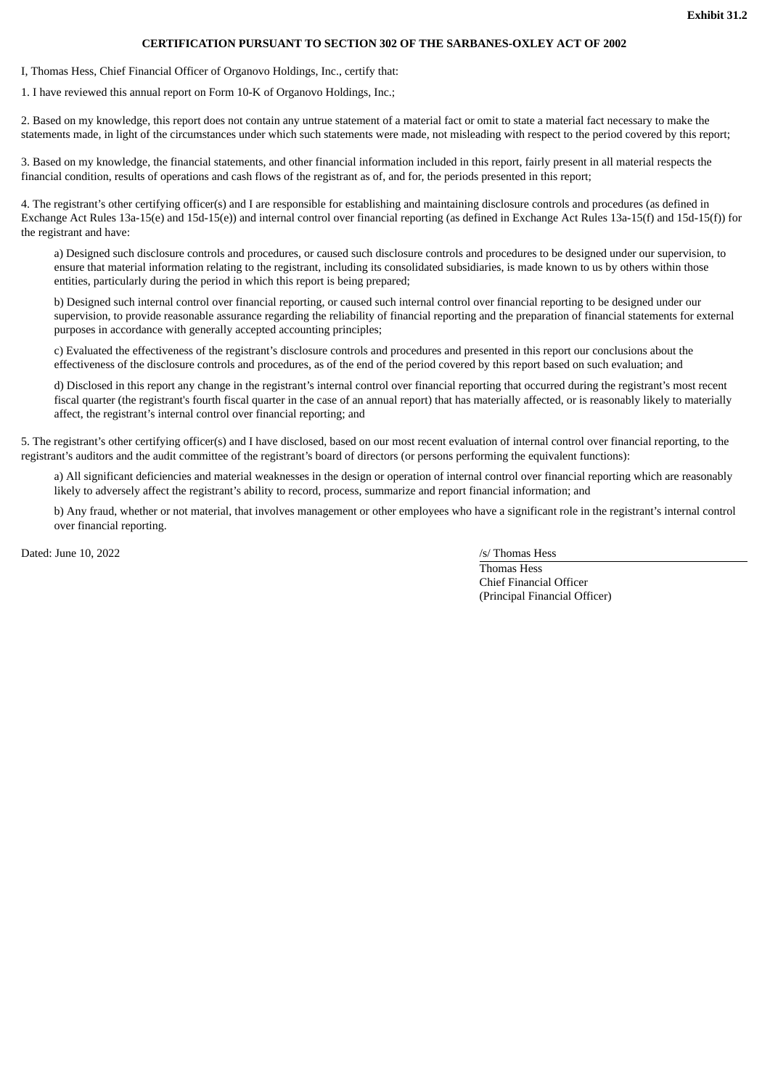#### **CERTIFICATION PURSUANT TO SECTION 302 OF THE SARBANES-OXLEY ACT OF 2002**

I, Thomas Hess, Chief Financial Officer of Organovo Holdings, Inc., certify that:

1. I have reviewed this annual report on Form 10-K of Organovo Holdings, Inc.;

2. Based on my knowledge, this report does not contain any untrue statement of a material fact or omit to state a material fact necessary to make the statements made, in light of the circumstances under which such statements were made, not misleading with respect to the period covered by this report;

3. Based on my knowledge, the financial statements, and other financial information included in this report, fairly present in all material respects the financial condition, results of operations and cash flows of the registrant as of, and for, the periods presented in this report;

4. The registrant's other certifying officer(s) and I are responsible for establishing and maintaining disclosure controls and procedures (as defined in Exchange Act Rules 13a-15(e) and 15d-15(e)) and internal control over financial reporting (as defined in Exchange Act Rules 13a-15(f) and 15d-15(f)) for the registrant and have:

a) Designed such disclosure controls and procedures, or caused such disclosure controls and procedures to be designed under our supervision, to ensure that material information relating to the registrant, including its consolidated subsidiaries, is made known to us by others within those entities, particularly during the period in which this report is being prepared;

b) Designed such internal control over financial reporting, or caused such internal control over financial reporting to be designed under our supervision, to provide reasonable assurance regarding the reliability of financial reporting and the preparation of financial statements for external purposes in accordance with generally accepted accounting principles;

c) Evaluated the effectiveness of the registrant's disclosure controls and procedures and presented in this report our conclusions about the effectiveness of the disclosure controls and procedures, as of the end of the period covered by this report based on such evaluation; and

d) Disclosed in this report any change in the registrant's internal control over financial reporting that occurred during the registrant's most recent fiscal quarter (the registrant's fourth fiscal quarter in the case of an annual report) that has materially affected, or is reasonably likely to materially affect, the registrant's internal control over financial reporting; and

5. The registrant's other certifying officer(s) and I have disclosed, based on our most recent evaluation of internal control over financial reporting, to the registrant's auditors and the audit committee of the registrant's board of directors (or persons performing the equivalent functions):

a) All significant deficiencies and material weaknesses in the design or operation of internal control over financial reporting which are reasonably likely to adversely affect the registrant's ability to record, process, summarize and report financial information; and

b) Any fraud, whether or not material, that involves management or other employees who have a significant role in the registrant's internal control over financial reporting.

Dated: June 10, 2022 /s/ Thomas Hess

Thomas Hess Chief Financial Officer (Principal Financial Officer)